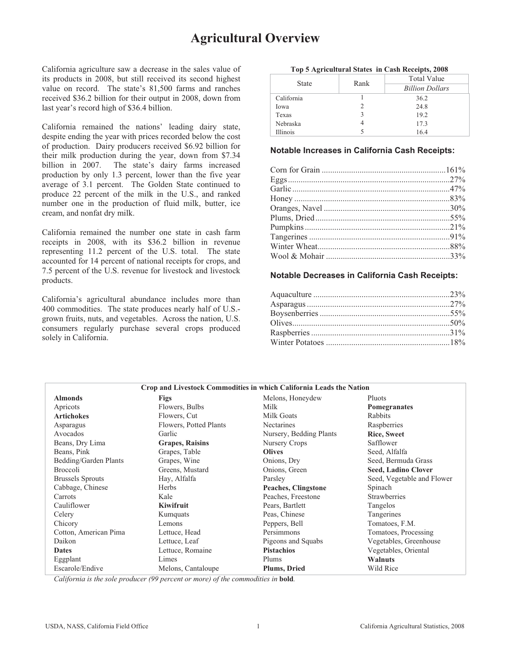# **Agricultural Overview**

California agriculture saw a decrease in the sales value of its products in 2008, but still received its second highest value on record. The state's 81,500 farms and ranches received \$36.2 billion for their output in 2008, down from last year's record high of \$36.4 billion.

California remained the nations' leading dairy state, despite ending the year with prices recorded below the cost of production. Dairy producers received \$6.92 billion for their milk production during the year, down from \$7.34 billion in 2007. The state's dairy farms increased production by only 1.3 percent, lower than the five year average of 3.1 percent. The Golden State continued to produce 22 percent of the milk in the U.S., and ranked number one in the production of fluid milk, butter, ice cream, and nonfat dry milk.

California remained the number one state in cash farm receipts in 2008, with its \$36.2 billion in revenue representing 11.2 percent of the U.S. total. The state accounted for 14 percent of national receipts for crops, and 7.5 percent of the U.S. revenue for livestock and livestock products.

California's agricultural abundance includes more than 400 commodities. The state produces nearly half of U.S. grown fruits, nuts, and vegetables. Across the nation, U.S. consumers regularly purchase several crops produced solely in California.

| <b>State</b> |                | <b>Total Value</b>     |  |  |  |  |
|--------------|----------------|------------------------|--|--|--|--|
|              | Rank<br>2<br>3 | <b>Billion Dollars</b> |  |  |  |  |
| California   |                | 36.2                   |  |  |  |  |
| Iowa         |                | 24.8                   |  |  |  |  |
| Texas        |                | 19.2                   |  |  |  |  |
| Nebraska     |                | 17.3                   |  |  |  |  |
| Illinois     |                | 16.4                   |  |  |  |  |

### **Notable Increases in California Cash Receipts:**

### **Notable Decreases in California Cash Receipts:**

|                         | Crop and Livestock Commodities in which California Leads the Nation |                         |                            |  |  |  |  |  |  |
|-------------------------|---------------------------------------------------------------------|-------------------------|----------------------------|--|--|--|--|--|--|
| <b>Almonds</b>          | Figs                                                                | Melons, Honeydew        | Pluots                     |  |  |  |  |  |  |
| Apricots                | Flowers, Bulbs                                                      | Milk                    | Pomegranates               |  |  |  |  |  |  |
| <b>Artichokes</b>       | Flowers, Cut                                                        | Milk Goats              | Rabbits                    |  |  |  |  |  |  |
| Asparagus               | Flowers, Potted Plants                                              | <b>Nectarines</b>       | Raspberries                |  |  |  |  |  |  |
| Avocados                | Garlic                                                              | Nursery, Bedding Plants | <b>Rice, Sweet</b>         |  |  |  |  |  |  |
| Beans, Dry Lima         | <b>Grapes, Raisins</b>                                              | Nursery Crops           | Safflower                  |  |  |  |  |  |  |
| Beans, Pink             | Grapes, Table                                                       | <b>Olives</b>           | Seed, Alfalfa              |  |  |  |  |  |  |
| Bedding/Garden Plants   | Grapes, Wine                                                        | Onions, Dry             | Seed, Bermuda Grass        |  |  |  |  |  |  |
| <b>Broccoli</b>         | Greens, Mustard                                                     | Onions, Green           | <b>Seed, Ladino Clover</b> |  |  |  |  |  |  |
| <b>Brussels Sprouts</b> | Hay, Alfalfa                                                        | Parsley                 | Seed, Vegetable and Flower |  |  |  |  |  |  |
| Cabbage, Chinese        | Herbs                                                               | Peaches, Clingstone     | Spinach                    |  |  |  |  |  |  |
| Carrots                 | Kale                                                                | Peaches, Freestone      | <b>Strawberries</b>        |  |  |  |  |  |  |
| Cauliflower             | Kiwifruit                                                           | Pears, Bartlett         | Tangelos                   |  |  |  |  |  |  |
| Celery                  | Kumquats                                                            | Peas, Chinese           | Tangerines                 |  |  |  |  |  |  |
| Chicory                 | Lemons                                                              | Peppers, Bell           | Tomatoes, F.M.             |  |  |  |  |  |  |
| Cotton, American Pima   | Lettuce, Head                                                       | Persimmons              | Tomatoes, Processing       |  |  |  |  |  |  |
| Daikon                  | Lettuce, Leaf                                                       | Pigeons and Squabs      | Vegetables, Greenhouse     |  |  |  |  |  |  |
| <b>Dates</b>            | Lettuce, Romaine                                                    | <b>Pistachios</b>       | Vegetables, Oriental       |  |  |  |  |  |  |
| Eggplant                | Limes                                                               | Plums                   | <b>Walnuts</b>             |  |  |  |  |  |  |
| Escarole/Endive         | Melons, Cantaloupe                                                  | <b>Plums, Dried</b>     | Wild Rice                  |  |  |  |  |  |  |

*California is the sole producer (99 percent or more) of the commodities in* **bold***.*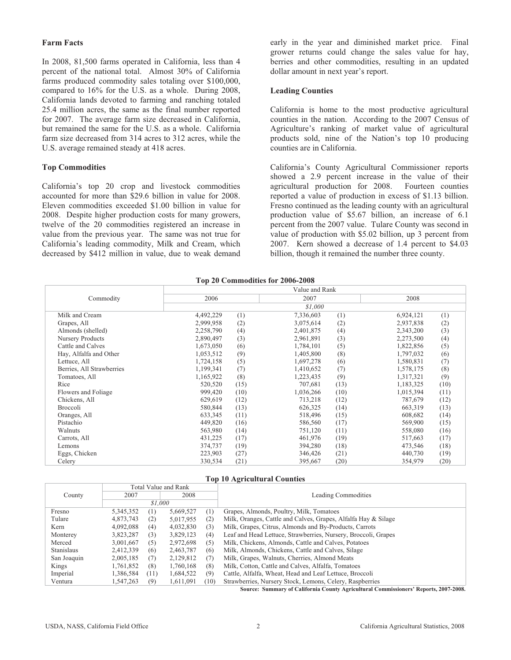### **Farm Facts**

In 2008, 81,500 farms operated in California, less than 4 percent of the national total. Almost 30% of California farms produced commodity sales totaling over \$100,000, compared to 16% for the U.S. as a whole. During 2008, California lands devoted to farming and ranching totaled 25.4 million acres, the same as the final number reported for 2007. The average farm size decreased in California, but remained the same for the U.S. as a whole. California farm size decreased from 314 acres to 312 acres, while the U.S. average remained steady at 418 acres.

### **Top Commodities**

California's top 20 crop and livestock commodities accounted for more than \$29.6 billion in value for 2008. Eleven commodities exceeded \$1.00 billion in value for 2008. Despite higher production costs for many growers, twelve of the 20 commodities registered an increase in value from the previous year. The same was not true for California's leading commodity, Milk and Cream, which decreased by \$412 million in value, due to weak demand early in the year and diminished market price. Final grower returns could change the sales value for hay, berries and other commodities, resulting in an updated dollar amount in next year's report.

#### **Leading Counties**

California is home to the most productive agricultural counties in the nation. According to the 2007 Census of Agriculture's ranking of market value of agricultural products sold, nine of the Nation's top 10 producing counties are in California.

California's County Agricultural Commissioner reports showed a 2.9 percent increase in the value of their agricultural production for 2008. Fourteen counties reported a value of production in excess of \$1.13 billion. Fresno continued as the leading county with an agricultural production value of \$5.67 billion, an increase of 6.1 percent from the 2007 value. Tulare County was second in value of production with \$5.02 billion, up 3 percent from 2007. Kern showed a decrease of 1.4 percent to \$4.03 billion, though it remained the number three county.

### **Top 20 Commodities for 2006-2008**

|                           |           |      | $10p 20$ Commodities for $2000-2000$ |      |           |      |
|---------------------------|-----------|------|--------------------------------------|------|-----------|------|
|                           |           |      | Value and Rank                       |      |           |      |
| Commodity                 | 2006      |      | 2007                                 |      | 2008      |      |
|                           |           |      | \$1,000                              |      |           |      |
| Milk and Cream            | 4,492,229 | (1)  | 7,336,603                            | (1)  | 6,924,121 | (1)  |
| Grapes, All               | 2,999,958 | (2)  | 3,075,614                            | (2)  | 2,937,838 | (2)  |
| Almonds (shelled)         | 2,258,790 | (4)  | 2,401,875                            | (4)  | 2,343,200 | (3)  |
| Nursery Products          | 2,890,497 | (3)  | 2,961,891                            | (3)  | 2,273,500 | (4)  |
| Cattle and Calves         | 1,673,050 | (6)  | 1,784,101                            | (5)  | 1,822,856 | (5)  |
| Hay, Alfalfa and Other    | 1,053,512 | (9)  | 1,405,800                            | (8)  | 1,797,032 | (6)  |
| Lettuce, All              | 1,724,158 | (5)  | 1,697,278                            | (6)  | 1,580,831 | (7)  |
| Berries, All Strawberries | 1,199,341 | (7)  | 1,410,652                            | (7)  | 1,578,175 | (8)  |
| Tomatoes, All             | 1,165,922 | (8)  | 1,223,435                            | (9)  | 1,317,321 | (9)  |
| Rice                      | 520,520   | (15) | 707,681                              | (13) | 1,183,325 | (10) |
| Flowers and Foliage       | 999,420   | (10) | 1,036,266                            | (10) | 1,015,394 | (11) |
| Chickens, All             | 629,619   | (12) | 713,218                              | (12) | 787,679   | (12) |
| <b>Broccoli</b>           | 580,844   | (13) | 626,325                              | (14) | 663,319   | (13) |
| Oranges, All              | 633,345   | (11) | 518,496                              | (15) | 608,682   | (14) |
| Pistachio                 | 449,820   | (16) | 586,560                              | (17) | 569,900   | (15) |
| Walnuts                   | 563,980   | (14) | 751,120                              | (11) | 558,080   | (16) |
| Carrots, All              | 431,225   | (17) | 461,976                              | (19) | 517,663   | (17) |
| Lemons                    | 374,737   | (19) | 394,280                              | (18) | 473,546   | (18) |
| Eggs, Chicken             | 223,903   | (27) | 346,426                              | (21) | 440,730   | (19) |
| Celery                    | 330,534   | (21) | 395,667                              | (20) | 354,979   | (20) |

#### **Top 10 Agricultural Counties**

|                   |           | Total Value and Rank |           |      |                                                                                       |  |
|-------------------|-----------|----------------------|-----------|------|---------------------------------------------------------------------------------------|--|
| County            | 2007      |                      | 2008      |      | <b>Leading Commodities</b>                                                            |  |
|                   |           | \$1,000              |           |      |                                                                                       |  |
| Fresno            | 5,345,352 | (1)                  | 5.669.527 | (1)  | Grapes, Almonds, Poultry, Milk, Tomatoes                                              |  |
| Tulare            | 4,873,743 | (2)                  | 5,017,955 | (2)  | Milk, Oranges, Cattle and Calves, Grapes, Alfalfa Hay & Silage                        |  |
| Kern              | 4.092.088 | (4)                  | 4,032,830 | (3)  | Milk, Grapes, Citrus, Almonds and By-Products, Carrots                                |  |
| Monterey          | 3,823,287 | (3)                  | 3,829,123 | (4)  | Leaf and Head Lettuce, Strawberries, Nursery, Broccoli, Grapes                        |  |
| Merced            | 3.001.667 | (5)                  | 2,972,698 | (5)  | Milk, Chickens, Almonds, Cattle and Calves, Potatoes                                  |  |
| <b>Stanislaus</b> | 2,412,339 | (6)                  | 2,463,787 | (6)  | Milk, Almonds, Chickens, Cattle and Calves, Silage                                    |  |
| San Joaquin       | 2.005.185 | 7)                   | 2,129,812 | (7)  | Milk, Grapes, Walnuts, Cherries, Almond Meats                                         |  |
| Kings             | 1,761,852 | (8)                  | 1.760.168 | (8)  | Milk, Cotton, Cattle and Calves, Alfalfa, Tomatoes                                    |  |
| Imperial          | 1.386.584 | (11)                 | 1.684.522 | (9)  | Cattle, Alfalfa, Wheat, Head and Leaf Lettuce, Broccoli                               |  |
| Ventura           | 1,547,263 | (9)                  | 1,611,091 | (10) | Strawberries, Nursery Stock, Lemons, Celery, Raspberries                              |  |
|                   |           |                      |           |      | Corneoi. Cummoni of Colifornia County Agricultural Commissioners' Departs. 2007-2009. |  |

**Source: Summary of California County Agricultural Commissioners' Reports, 2007-2008.**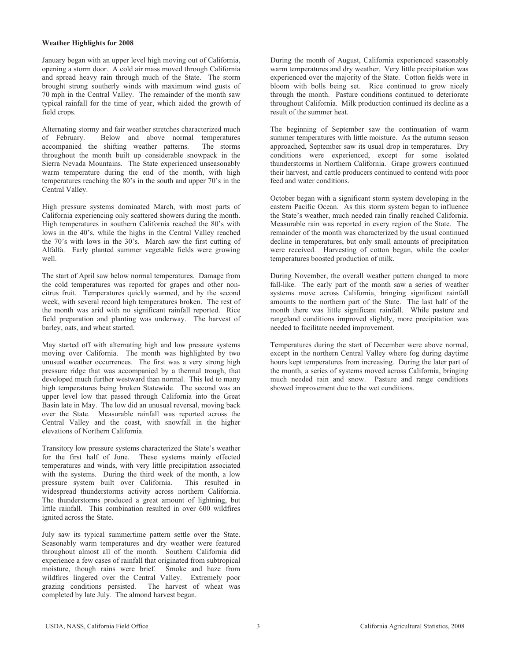#### **Weather Highlights for 2008**

January began with an upper level high moving out of California, opening a storm door. A cold air mass moved through California and spread heavy rain through much of the State. The storm brought strong southerly winds with maximum wind gusts of 70 mph in the Central Valley. The remainder of the month saw typical rainfall for the time of year, which aided the growth of field crops.

Alternating stormy and fair weather stretches characterized much<br>of February. Below and above normal temperatures Below and above normal temperatures<br>shifting weather patterns. The storms accompanied the shifting weather patterns. throughout the month built up considerable snowpack in the Sierra Nevada Mountains. The State experienced unseasonably warm temperature during the end of the month, with high temperatures reaching the 80's in the south and upper 70's in the Central Valley.

High pressure systems dominated March, with most parts of California experiencing only scattered showers during the month. High temperatures in southern California reached the 80's with lows in the 40's, while the highs in the Central Valley reached the 70's with lows in the 30's. March saw the first cutting of Alfalfa. Early planted summer vegetable fields were growing well.

The start of April saw below normal temperatures. Damage from the cold temperatures was reported for grapes and other noncitrus fruit. Temperatures quickly warmed, and by the second week, with several record high temperatures broken. The rest of the month was arid with no significant rainfall reported. Rice field preparation and planting was underway. The harvest of barley, oats, and wheat started.

May started off with alternating high and low pressure systems moving over California. The month was highlighted by two unusual weather occurrences. The first was a very strong high pressure ridge that was accompanied by a thermal trough, that developed much further westward than normal. This led to many high temperatures being broken Statewide. The second was an upper level low that passed through California into the Great Basin late in May. The low did an unusual reversal, moving back over the State. Measurable rainfall was reported across the Central Valley and the coast, with snowfall in the higher elevations of Northern California.

Transitory low pressure systems characterized the State's weather for the first half of June. These systems mainly effected temperatures and winds, with very little precipitation associated with the systems. During the third week of the month, a low pressure system built over California. This resulted in widespread thunderstorms activity across northern California. The thunderstorms produced a great amount of lightning, but little rainfall. This combination resulted in over 600 wildfires ignited across the State.

July saw its typical summertime pattern settle over the State. Seasonably warm temperatures and dry weather were featured throughout almost all of the month. Southern California did experience a few cases of rainfall that originated from subtropical moisture, though rains were brief. Smoke and haze from wildfires lingered over the Central Valley. Extremely poor grazing conditions persisted. The harvest of wheat was The harvest of wheat was completed by late July. The almond harvest began.

During the month of August, California experienced seasonably warm temperatures and dry weather. Very little precipitation was experienced over the majority of the State. Cotton fields were in bloom with bolls being set. Rice continued to grow nicely through the month. Pasture conditions continued to deteriorate throughout California. Milk production continued its decline as a result of the summer heat.

The beginning of September saw the continuation of warm summer temperatures with little moisture. As the autumn season approached, September saw its usual drop in temperatures. Dry conditions were experienced, except for some isolated thunderstorms in Northern California. Grape growers continued their harvest, and cattle producers continued to contend with poor feed and water conditions.

October began with a significant storm system developing in the eastern Pacific Ocean. As this storm system began to influence the State's weather, much needed rain finally reached California. Measurable rain was reported in every region of the State. The remainder of the month was characterized by the usual continued decline in temperatures, but only small amounts of precipitation were received. Harvesting of cotton began, while the cooler temperatures boosted production of milk.

During November, the overall weather pattern changed to more fall-like. The early part of the month saw a series of weather systems move across California, bringing significant rainfall amounts to the northern part of the State. The last half of the month there was little significant rainfall. While pasture and rangeland conditions improved slightly, more precipitation was needed to facilitate needed improvement.

Temperatures during the start of December were above normal, except in the northern Central Valley where fog during daytime hours kept temperatures from increasing. During the later part of the month, a series of systems moved across California, bringing much needed rain and snow. Pasture and range conditions showed improvement due to the wet conditions.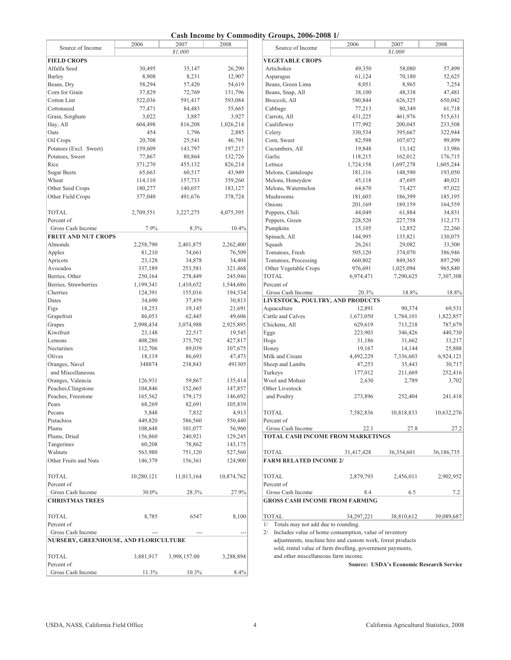### **Cash Income by Commodity Groups, 2006-2008 1/**

|                                       |            |              |                | Cash Income by Commodity Groups, 2000-2008 1/                                                     |            |                                                 |            |
|---------------------------------------|------------|--------------|----------------|---------------------------------------------------------------------------------------------------|------------|-------------------------------------------------|------------|
| Source of Income                      | 2006       | 2007         | 2008           | Source of Income                                                                                  | 2006       | 2007                                            | 2008       |
|                                       |            | \$1,000      |                |                                                                                                   |            | \$1,000                                         |            |
| <b>FIELD CROPS</b>                    |            |              |                | <b>VEGETABLE CROPS</b>                                                                            |            |                                                 |            |
| Alfalfa Seed                          | 30,495     | 35,147       | 26,290         | Artichokes                                                                                        | 49,350     | 58,080                                          | 57,499     |
| Barley                                | 8,908      | 8,231        | 12,907         | Asparagus                                                                                         | 61,124     | 70,180                                          | 52,625     |
| Beans, Dry                            | 58,294     | 57,420       | 54,619         | Beans, Green Lima                                                                                 | 8,051      | 8,965                                           | 7,254      |
| Corn for Grain                        | 37,829     | 72,769       | 131,796        | Beans, Snap, All                                                                                  | 38,100     | 48,338                                          | 47,481     |
| Cotton Lint                           | 522,036    | 591,417      | 593,084        | Broccoli, All                                                                                     | 580,844    | 626,325                                         | 650,042    |
| Cottonseed                            | 77,471     | 84,483       | 55,665         | Cabbage                                                                                           | 77,213     | 80,349                                          | 61,718     |
| Grain, Sorghum                        | 3,022      | 3,887        | 3,927          | Carrots, All                                                                                      | 431,225    | 461,976                                         | 515,631    |
| Hay, All                              | 604,498    | 816,208      | 1,026,214      | Cauliflower                                                                                       | 177,992    | 200,045                                         | 233,508    |
| Oats                                  | 454        | 1,796        | 2,885          | Celery                                                                                            | 330,534    | 395,667                                         | 322,944    |
| Oil Crops                             | 20,708     | 25,541       | 46,791         | Corn, Sweet                                                                                       | 82,598     | 107,072                                         | 99,899     |
| Potatoes (Excl. Sweet)                | 159,609    | 143,797      | 197,217        | Cucumbers, All                                                                                    | 19,848     | 13,142                                          | 13,986     |
| Potatoes, Sweet                       | 77,867     | 80,864       | 132,726        | Garlic                                                                                            | 118,215    | 162,012                                         | 176,715    |
| Rice                                  | 371,270    | 455,132      | 826,214        | Lettuce                                                                                           | 1,724,158  | 1,697,278                                       | 1,605,244  |
| Sugar Beets                           | 65,663     | 60,517       | 43,949         | Melons, Cantaloupe                                                                                | 181,116    | 148,590                                         | 193,050    |
| Wheat                                 | 114,110    | 157,733      | 359,260        | Melons, Honeydew                                                                                  | 45,118     | 47,695                                          | 40,021     |
| Other Seed Crops                      | 180,277    | 140,657      | 183,127        | Melons, Watermelon                                                                                | 64,670     | 73,427                                          | 97,022     |
| Other Field Crops                     | 377,040    | 491,676      | 378,724        | Mushrooms                                                                                         | 181,603    | 186,399                                         | 185,195    |
|                                       |            |              |                | Onions                                                                                            | 201,169    | 189,159                                         | 164,559    |
| <b>TOTAL</b>                          | 2,709,551  | 3,227,275    | 4,075,395      | Peppers, Chili                                                                                    | 44,049     | 61,884                                          | 34,831     |
| Percent of                            |            |              |                | Peppers, Green                                                                                    | 228,520    | 227,758                                         | 312,173    |
| Gross Cash Income                     | 7.9%       | 8.3%         | 10.4%          | Pumpkins                                                                                          | 15,105     | 12,852                                          | 22,260     |
| <b>FRUIT AND NUT CROPS</b>            |            |              |                | Spinach, All                                                                                      | 144,995    | 135,821                                         | 130,075    |
| Almonds                               | 2,258,790  | 2,401,875    | 2,262,400      | Squash                                                                                            | 26,261     | 29,082                                          | 33,500     |
| Apples                                | 81,210     | 74,661       | 76,509         | Tomatoes, Fresh                                                                                   | 505,120    | 374,070                                         | 386,946    |
| Apricots                              | 23,128     | 34,878       | 34,404         | Tomatoes, Processing                                                                              | 660,802    | 849,365                                         | 897,290    |
| Avocados                              | 337,189    | 253,581      | 321,468        | Other Vegetable Crops                                                                             | 976,691    | 1,025,094                                       | 965,840    |
| Berries, Other                        | 250,164    | 278,449      | 245,946        | <b>TOTAL</b>                                                                                      | 6,974,471  | 7,290,625                                       | 7,307,308  |
| Berries, Strawberries                 | 1,199,341  | 1,410,652    | 1,544,686      | Percent of                                                                                        |            |                                                 |            |
| Cherries                              | 124,391    | 155,016      | 194,534        | Gross Cash Income                                                                                 | 20.3%      | 18.8%                                           | 18.8%      |
| Dates                                 | 34,690     | 37,459       | 30,813         | LIVESTOCK, POULTRY, AND PRODUCTS                                                                  |            |                                                 |            |
|                                       | 18,253     |              | 21,691         | Aquaculture                                                                                       | 12,891     |                                                 |            |
| Figs                                  |            | 19,145       |                | Cattle and Calves                                                                                 |            | 90,374                                          | 69,531     |
| Grapefruit                            | 86,053     | 62,445       | 49,606         |                                                                                                   | 1,673,050  | 1,784,101                                       | 1,822,857  |
| Grapes                                | 2,998,434  | 3,074,988    | 2,925,895      | Chickens, All                                                                                     | 629,619    | 713,218                                         | 787,679    |
| Kiwifruit                             | 23,148     | 22,517       | 19,545         | Eggs                                                                                              | 223,903    | 346,426                                         | 440,730    |
| Lemons                                | 408,280    | 375,792      | 427,817        | Hogs                                                                                              | 31,186     | 31,662                                          | 33,217     |
| Nectarines                            | 112,706    | 89,039       | 107,675        | Honey                                                                                             | 19,167     | 14,144                                          | 25,888     |
| Olives                                | 18,119     | 86,693       | 47,473         | Milk and Cream                                                                                    | 4,492,229  | 7,336,603                                       | 6,924,121  |
| Oranges, Navel                        | 348874     | 238,843      | 491305         | Sheep and Lambs                                                                                   | 47,253     | 35,443                                          | 30,717     |
| and Miscellaneous                     |            |              |                | Turkeys                                                                                           | 177,012    | 211,669                                         | 252,416    |
| Oranges, Valencia                     | 126,931    | 59,867       | 135,414        | Wool and Mohair                                                                                   | 2,630      | 2,789                                           | 3,702      |
| Peaches, Clingstone                   | 104,846    | 152,665      | 147,857        | Other Livestock                                                                                   |            |                                                 |            |
| Peaches, Freestone                    | 165,562    | 179,175      | 146,692        | and Poultry                                                                                       | 273,896    | 252,404                                         | 241,418    |
| Pears                                 | 68,269     | 82,691       | 105,839        |                                                                                                   |            |                                                 |            |
| Pecans                                | 5,848      | 7,832        | 4,913          | <b>TOTAL</b>                                                                                      | 7,582,836  | 10,818,833                                      | 10,632,276 |
| Pistachios                            | 449,820    | 586,560      | 550,440        | Percent of                                                                                        |            |                                                 |            |
| Plums                                 | 108,648    | 101,077      | 56,960         | Gross Cash Income                                                                                 | 22.1       | 27.8                                            | 27.2       |
| Plums, Dried                          | 156,860    | 240,921      | 129,245        | TOTAL CASH INCOME FROM MARKETINGS                                                                 |            |                                                 |            |
| Tangerines                            | 60,208     | 78,862       | 143,175        |                                                                                                   |            |                                                 |            |
| Walnuts                               | 563,980    | 751,120      | 527,560        | TOTAL                                                                                             | 31,417,428 | 36,354,601                                      | 36,186,735 |
| Other Fruits and Nuts                 | 146,379    | 156,361      | 124,900        | <b>FARM RELATED INCOME 2/</b>                                                                     |            |                                                 |            |
| <b>TOTAL</b>                          | 10,280,121 | 11,013,164   | 10,874,762     | <b>TOTAL</b>                                                                                      | 2,879,793  | 2,456,011                                       | 2,902,952  |
| Percent of                            |            |              |                | Percent of                                                                                        |            |                                                 |            |
| Gross Cash Income                     | 30.0%      | 28.3%        | 27.9%          | Gross Cash Income                                                                                 | 8.4        | 6.5                                             | 7.2        |
| <b>CHRISTMAS TREES</b>                |            |              |                | <b>GROSS CASH INCOME FROM FARMING</b>                                                             |            |                                                 |            |
| TOTAL                                 | 8,785      | 6547         | 8,100          | <b>TOTAL</b>                                                                                      | 34,297,221 | 38,810,612                                      | 39,089,687 |
| Percent of                            |            |              |                | Totals may not add due to rounding.<br>1/                                                         |            |                                                 |            |
| Gross Cash Income                     |            | $\cdots$     | $\overline{a}$ | Includes value of home consumption, value of inventory<br>2/                                      |            |                                                 |            |
| NURSERY, GREENHOUSE, AND FLORICULTURE |            |              |                | adjustments, machine hire and custom work, forest products                                        |            |                                                 |            |
| <b>TOTAL</b>                          | 3,881,917  | 3,998,157.00 | 3,288,894      | sold, rental value of farm dwelling, government payments,<br>and other miscellaneous farm income. |            |                                                 |            |
| Percent of                            |            |              |                |                                                                                                   |            | <b>Source: USDA's Economic Research Service</b> |            |
| Gross Cash Income                     | 11.3%      | 10.3%        | 8.4%           |                                                                                                   |            |                                                 |            |

| 2006       | 2007       | 2008       | Source of Income                       | 2006       | 2007       | 2008       |
|------------|------------|------------|----------------------------------------|------------|------------|------------|
|            | \$1,000    |            |                                        |            | \$1,000    |            |
|            |            |            | <b>VEGETABLE CROPS</b>                 |            |            |            |
| 30,495     | 35,147     | 26,290     | Artichokes                             | 49,350     | 58,080     | 57,499     |
| 8,908      | 8,231      | 12,907     | Asparagus                              | 61,124     | 70,180     | 52,625     |
| 58,294     | 57,420     | 54,619     | Beans, Green Lima                      | 8,051      | 8,965      | 7,254      |
| 37,829     | 72,769     | 131,796    | Beans, Snap, All                       | 38,100     | 48,338     | 47,481     |
| 522,036    | 591,417    | 593,084    | Broccoli, All                          | 580,844    | 626,325    | 650,042    |
| 77,471     | 84,483     | 55,665     | Cabbage                                | 77,213     | 80,349     | 61,718     |
| 3,022      | 3,887      | 3,927      | Carrots, All                           | 431,225    | 461,976    | 515,631    |
| 604,498    | 816,208    | 1,026,214  | Cauliflower                            | 177,992    | 200,045    | 233,508    |
| 454        | 1,796      | 2,885      | Celery                                 | 330,534    | 395,667    | 322,944    |
| 20,708     | 25,541     | 46,791     | Corn, Sweet                            | 82,598     | 107,072    | 99,899     |
| 159,609    | 143,797    | 197,217    | Cucumbers, All                         | 19,848     | 13,142     | 13,986     |
| 77,867     | 80,864     | 132,726    | Garlic                                 | 118,215    | 162,012    | 176,715    |
| 371,270    | 455,132    | 826,214    | Lettuce                                | 1,724,158  | 1,697,278  | 1,605,244  |
| 65,663     | 60,517     | 43,949     | Melons, Cantaloupe                     | 181,116    | 148,590    | 193,050    |
| 114,110    | 157,733    | 359,260    | Melons, Honeydew                       | 45,118     | 47,695     | 40,021     |
| 180,277    | 140,657    | 183,127    | Melons, Watermelon                     | 64,670     | 73,427     | 97,022     |
| 377,040    | 491,676    | 378,724    | Mushrooms                              | 181,603    | 186,399    | 185,195    |
|            |            |            | Onions                                 | 201,169    | 189,159    | 164,559    |
| 2,709,551  | 3,227,275  | 4,075,395  | Peppers, Chili                         | 44,049     | 61,884     | 34,831     |
|            |            |            | Peppers, Green                         | 228,520    | 227,758    | 312,173    |
| 7.9%       | 8.3%       | 10.4%      | Pumpkins                               | 15,105     | 12,852     | 22,260     |
|            |            |            | Spinach, All                           | 144,995    | 135,821    | 130,075    |
| 2,258,790  | 2,401,875  | 2,262,400  | Squash                                 | 26,261     | 29,082     | 33,500     |
| 81,210     | 74,661     | 76,509     | Tomatoes, Fresh                        | 505,120    | 374,070    | 386,946    |
| 23,128     | 34,878     | 34,404     | Tomatoes, Processing                   | 660,802    | 849,365    | 897,290    |
| 337,189    | 253,581    | 321,468    | Other Vegetable Crops                  | 976,691    | 1,025,094  | 965,840    |
| 250,164    | 278,449    | 245,946    | TOTAL                                  | 6,974,471  | 7,290,625  | 7,307,308  |
| 1,199,341  | 1,410,652  | 1,544,686  | Percent of                             |            |            |            |
| 124,391    | 155,016    | 194,534    | Gross Cash Income                      | 20.3%      | 18.8%      | 18.8%      |
| 34,690     | 37,459     | 30,813     | LIVESTOCK, POULTRY, AND PRODUCTS       |            |            |            |
| 18,253     | 19,145     | 21,691     | Aquaculture                            | 12,891     | 90,374     | 69,531     |
| 86,053     | 62,445     | 49,606     | Cattle and Calves                      | 1,673,050  | 1,784,101  | 1,822,857  |
| 2,998,434  | 3,074,988  | 2,925,895  | Chickens, All                          | 629,619    | 713,218    | 787,679    |
| 23,148     | 22,517     | 19,545     | Eggs                                   | 223,903    | 346,426    | 440,730    |
| 408,280    | 375,792    | 427,817    | Hogs                                   | 31,186     | 31,662     | 33,217     |
| 112,706    | 89,039     | 107,675    | Honey                                  | 19,167     | 14,144     | 25,888     |
| 18,119     | 86,693     | 47,473     | Milk and Cream                         | 4,492,229  | 7,336,603  | 6,924,121  |
| 348874     | 238,843    | 491305     | Sheep and Lambs                        | 47,253     | 35,443     | 30,717     |
|            |            |            | Turkeys                                | 177,012    | 211,669    | 252,416    |
| 126,931    | 59,867     | 135,414    | Wool and Mohair                        | 2,630      | 2,789      | 3,702      |
| 104,846    | 152,665    | 147,857    | Other Livestock                        |            |            |            |
| 165,562    | 179,175    | 146,692    | and Poultry                            | 273,896    | 252,404    | 241,418    |
| 68,269     | 82,691     | 105,839    |                                        |            |            |            |
| 5,848      | 7,832      | 4,913      | <b>TOTAL</b>                           | 7,582,836  | 10,818,833 | 10,632,276 |
| 449,820    | 586,560    | 550,440    | Percent of                             |            |            |            |
| 108,648    | 101,077    | 56,960     | Gross Cash Income                      | 22.1       | 27.8       | 27.2       |
| 156,860    | 240,921    | 129,245    | TOTAL CASH INCOME FROM MARKETINGS      |            |            |            |
| 60,208     | 78,862     | 143,175    |                                        |            |            |            |
| 563,980    | 751,120    | 527,560    | <b>TOTAL</b>                           | 31,417,428 | 36,354,601 | 36,186,735 |
| 146,379    | 156,361    | 124,900    | <b>FARM RELATED INCOME 2/</b>          |            |            |            |
|            |            |            |                                        |            |            |            |
| 10,280,121 | 11,013,164 | 10,874,762 | TOTAL                                  | 2,879,793  | 2,456,011  | 2,902,952  |
|            |            |            | Percent of                             |            |            |            |
| 30.0%      | 28.3%      | 27.9%      | Gross Cash Income                      | 8.4        | 6.5        | 7.2        |
|            |            |            | <b>GROSS CASH INCOME FROM FARMING</b>  |            |            |            |
|            |            |            |                                        |            |            |            |
| 8,785      | 6547       | 8,100      | <b>TOTAL</b>                           | 34,297,221 | 38,810,612 | 39,089,687 |
|            |            |            | 1/ Totals may not add due to rounding. |            |            |            |
|            |            |            |                                        |            |            |            |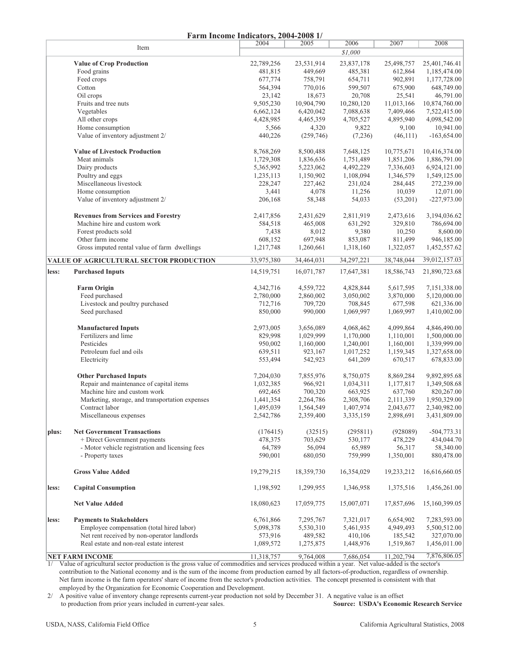|       |                                                   | Farm Income Indicators, 2004-2008 1/ |                    |                      |                         |                              |
|-------|---------------------------------------------------|--------------------------------------|--------------------|----------------------|-------------------------|------------------------------|
|       | Item                                              | 2004                                 | 2005               | 2006                 | 2007                    | 2008                         |
|       |                                                   |                                      |                    | \$1,000              |                         |                              |
|       | <b>Value of Crop Production</b>                   | 22,789,256                           | 23,531,914         | 23,837,178           | 25,498,757              | 25,401,746.41                |
|       | Food grains                                       | 481,815                              | 449,669            | 485,381              | 612,864                 | 1,185,474.00                 |
|       | Feed crops                                        | 677,774                              | 758,791<br>770,016 | 654,711              | 902,891                 | 1,177,728.00                 |
|       | Cotton<br>Oil crops                               | 564,394<br>23,142                    | 18,673             | 599,507<br>20,708    | 675,900<br>25,541       | 648,749.00<br>46,791.00      |
|       | Fruits and tree nuts                              | 9,505,230                            | 10,904,790         | 10,280,120           |                         |                              |
|       | Vegetables                                        | 6,662,124                            | 6,420,042          | 7,088,638            | 11,013,166<br>7,409,466 | 10,874,760.00                |
|       | All other crops                                   | 4,428,985                            | 4,465,359          | 4,705,527            | 4,895,940               | 7,522,415.00<br>4,098,542.00 |
|       | Home consumption                                  | 5,566                                | 4,320              | 9,822                | 9,100                   | 10,941.00                    |
|       | Value of inventory adjustment 2/                  | 440,226                              | (259,746)          | (7,236)              | (46, 111)               | $-163,654.00$                |
|       | <b>Value of Livestock Production</b>              | 8,768,269                            | 8,500,488          | 7,648,125            | 10,775,671              | 10,416,374.00                |
|       | Meat animals                                      | 1,729,308                            | 1,836,636          | 1,751,489            | 1,851,206               | 1,886,791.00                 |
|       | Dairy products                                    | 5,365,992                            | 5,223,062          | 4,492,229            | 7,336,603               | 6,924,121.00                 |
|       | Poultry and eggs                                  | 1,235,113                            | 1,150,902          | 1,108,094            | 1,346,579               | 1,549,125.00                 |
|       | Miscellaneous livestock                           | 228,247                              | 227,462            | 231,024              | 284,445                 | 272,239.00                   |
|       | Home consumption                                  | 3,441                                | 4,078              | 11,256               | 10,039                  | 12,071.00                    |
|       | Value of inventory adjustment 2/                  | 206,168                              | 58,348             | 54,033               | (53,201)                | $-227,973.00$                |
|       | <b>Revenues from Services and Forestry</b>        | 2,417,856                            | 2,431,629          | 2,811,919            | 2,473,616               | 3,194,036.62                 |
|       | Machine hire and custom work                      | 584,518                              | 465,008            | 631,292              | 329,810                 | 786,694.00                   |
|       | Forest products sold                              | 7,438                                | 8,012              | 9,380                | 10,250                  | 8,600.00                     |
|       | Other farm income                                 | 608,152                              | 697,948            | 853,087              | 811,499                 | 946,185.00                   |
|       | Gross imputed rental value of farm dwellings      | 1,217,748                            | 1,260,661          | 1,318,160            | 1,322,057               | 1,452,557.62                 |
|       | VALUE OF AGRICULTURAL SECTOR PRODUCTION           | 33,975,380                           | 34,464,031         | 34,297,221           | 38,748,044              | 39,012,157.03                |
| less: | <b>Purchased Inputs</b>                           | 14,519,751                           | 16,071,787         | 17,647,381           | 18,586,743              | 21,890,723.68                |
|       | <b>Farm Origin</b>                                | 4,342,716                            | 4,559,722          | 4,828,844            | 5,617,595               | 7,151,338.00                 |
|       | Feed purchased                                    | 2,780,000                            | 2,860,002          | 3,050,002            | 3,870,000               | 5,120,000.00                 |
|       | Livestock and poultry purchased<br>Seed purchased | 712,716<br>850,000                   | 709,720<br>990,000 | 708,845<br>1,069,997 | 677,598<br>1,069,997    | 621,336.00<br>1,410,002.00   |
|       | <b>Manufactured Inputs</b>                        | 2,973,005                            | 3,656,089          | 4,068,462            | 4,099,864               | 4,846,490.00                 |
|       | Fertilizers and lime                              | 829,998                              | 1,029,999          | 1,170,000            | 1,110,001               | 1,500,000.00                 |
|       | Pesticides                                        | 950,002                              | 1,160,000          | 1,240,001            | 1,160,001               | 1,339,999.00                 |
|       | Petroleum fuel and oils                           | 639,511                              | 923,167            | 1,017,252            | 1,159,345               | 1,327,658.00                 |
|       | Electricity                                       | 553,494                              | 542,923            | 641,209              | 670,517                 | 678,833.00                   |
|       | <b>Other Purchased Inputs</b>                     | 7,204,030                            | 7,855,976          | 8,750,075            | 8,869,284               | 9,892,895.68                 |
|       | Repair and maintenance of capital items           | 1,032,385                            | 966,921            | 1,034,311            | 1,177,817               | 1,349,508.68                 |
|       | Machine hire and custom work                      | 692,465                              | 700,320            | 663,925              | 637,760                 | 820,267.00                   |
|       | Marketing, storage, and transportation expenses   | 1,441,354                            | 2,264,786          | 2,308,706            | 2,111,339               | 1,950,329.00                 |
|       | Contract labor                                    | 1,495,039                            | 1,564,549          | 1,407,974            | 2,043,677               | 2,340,982.00                 |
|       | Miscellaneous expenses                            | 2,542,786                            | 2,359,400          | 3,335,159            | 2,898,691               | 3,431,809.00                 |
| plus: | <b>Net Government Transactions</b>                | (176415)                             | (32515)            | (295811)             | (928089)                | $-504,773.31$                |
|       | + Direct Government payments                      | 478,375                              | 703,629            | 530,177              | 478,229                 | 434,044.70                   |
|       | - Motor vehicle registration and licensing fees   | 64,789                               | 56,094             | 65,989               | 56,317                  | 58,340.00                    |
|       | - Property taxes                                  | 590,001                              | 680,050            | 759,999              | 1,350,001               | 880,478.00                   |
|       | <b>Gross Value Added</b>                          | 19,279,215                           | 18,359,730         | 16,354,029           | 19,233,212              | 16,616,660.05                |
| less: | <b>Capital Consumption</b>                        | 1,198,592                            | 1,299,955          | 1,346,958            | 1,375,516               | 1,456,261.00                 |
|       | <b>Net Value Added</b>                            | 18,080,623                           | 17,059,775         | 15,007,071           | 17,857,696              | 15,160,399.05                |
| less: | <b>Payments to Stakeholders</b>                   | 6,761,866                            | 7,295,767          | 7,321,017            | 6,654,902               | 7,283,593.00                 |
|       | Employee compensation (total hired labor)         | 5,098,378                            | 5,530,310          | 5,461,935            | 4,949,493               | 5,500,512.00                 |
|       | Net rent received by non-operator landlords       | 573,916                              | 489,582            | 410,106              | 185,542                 | 327,070.00                   |
|       | Real estate and non-real estate interest          | 1,089,572                            | 1,275,875          | 1,448,976            | 1,519,867               | 1,456,011.00                 |
|       |                                                   |                                      |                    |                      |                         |                              |
|       | <b>NET FARM INCOME</b>                            | 11,318,757                           | 9,764,008          | 7,686,054            | 11,202,794              | 7,876,806.05                 |

1/ Value of agricultural sector production is the gross value of commodities and services produced within a year. Net value-added is the sector's contribution to the National economy and is the sum of the income from production earned by all factors-of-production, regardless of ownership. Net farm income is the farm operators' share of income from the sector's production activities. The concept presented is consistent with that employed by the Organization for Economic Cooperation and Development.

2/ A positive value of inventory change represents current-year production not sold by December 31. A negative value is an offset to production from prior years included in current-year sales. **Source: USDA's Economic Research Service**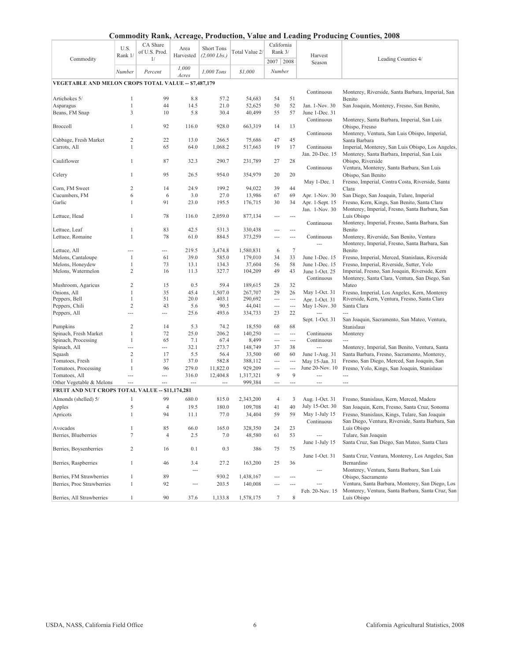|                                                        | U.S.              | of U.S. Prod. | Area                     | <b>Short Tons</b> | Total Value 2/   | Rank 3/                  |                          |                          |                                                                                             |
|--------------------------------------------------------|-------------------|---------------|--------------------------|-------------------|------------------|--------------------------|--------------------------|--------------------------|---------------------------------------------------------------------------------------------|
| Commodity                                              | Rank 1/           | 1/            | Harvested                | $(2,000$ Lbs.)    |                  |                          |                          | Harvest                  | Leading Counties 4/                                                                         |
|                                                        |                   |               | 1,000                    |                   |                  | 2007   2008              |                          | Season                   |                                                                                             |
|                                                        | Number            | Percent       | Acres                    | 1,000 Tons        | \$1,000          | Number                   |                          |                          |                                                                                             |
| VEGETABLE AND MELON CROPS TOTAL VALUE - \$7,487,179    |                   |               |                          |                   |                  |                          |                          |                          |                                                                                             |
|                                                        |                   |               |                          |                   |                  |                          |                          |                          |                                                                                             |
| Artichokes 5/                                          | 1                 | 99            | 8.8                      | 57.2              |                  | 54                       | 51                       | Continuous               | Monterey, Riverside, Santa Barbara, Imperial, San                                           |
| Asparagus                                              | $\mathbf{1}$      | 44            | 14.5                     | 21.0              | 54,683<br>52,625 | 50                       | 52                       | Jan. 1-Nov. 30           | Benito                                                                                      |
| Beans, FM Snap                                         | 3                 | 10            | 5.8                      | 30.4              | 40,499           | 55                       | 57                       | June 1-Dec. 31           | San Joaquin, Monterey, Fresno, San Benito,                                                  |
|                                                        |                   |               |                          |                   |                  |                          |                          | Continuous               | Monterey, Santa Barbara, Imperial, San Luis                                                 |
| Broccoll                                               | 1                 | 92            | 116.0                    | 928.0             | 663,319          | 14                       | 13                       |                          |                                                                                             |
|                                                        |                   |               |                          |                   |                  |                          |                          | Continuous               | Obispo, Fresno<br>Monterey, Ventura, San Luis Obispo, Imperial,                             |
| Cabbage, Fresh Market                                  | 2                 | 22            | 13.0                     | 266.5             | 75,686           | 47                       | 45                       |                          | Santa Barbara                                                                               |
| Carrots, All                                           | 1                 | 65            | 64.0                     | 1,068.2           | 517,663          | 19                       | 17                       | Continuous               | Imperial, Monterey, San Luis Obispo, Los Angeles,                                           |
|                                                        |                   |               |                          |                   |                  |                          |                          | Jan. 20-Dec. 15          | Monterey, Santa Barbara, Imperial, San Luis                                                 |
| Cauliflower                                            | 1                 | 87            | 32.3                     | 290.7             | 231,789          | 27                       | 28                       |                          | Obispo, Riverside                                                                           |
|                                                        |                   |               |                          |                   |                  |                          |                          | Continuous               | Ventura, Monterey, Santa Barbara, San Luis                                                  |
| Celery                                                 | 1                 | 95            | 26.5                     | 954.0             | 354,979          | 20                       | 20                       |                          | Obispo, San Benito                                                                          |
|                                                        |                   |               |                          |                   |                  |                          |                          | May 1-Dec. 1             | Fresno, Imperial, Contra Costa, Riverside, Santa                                            |
| Corn, FM Sweet                                         | 2                 | 14            | 24.9                     | 199.2             | 94,022           | 39                       | 44                       |                          | Clara                                                                                       |
| Cucumbers, FM                                          | 6                 | 6             | 3.0                      | 27.0              | 13,986           | 67                       | 69                       | Apr. 1-Nov. 30           | San Diego, San Joaquin, Tulare, Imperial                                                    |
| Garlic                                                 | 1                 | 91            | 23.0                     | 195.5             | 176,715          | 30                       | 34                       | Apr. 1-Sept. 15          | Fresno, Kern, Kings, San Benito, Santa Clara                                                |
|                                                        |                   |               |                          |                   |                  |                          |                          |                          | Monterey, Imperial, Fresno, Santa Barbara, San                                              |
|                                                        | 1                 | 78            | 116.0                    |                   |                  |                          | $\overline{a}$           | Jan. 1-Nov. 30           | Luis Obispo                                                                                 |
| Lettuce, Head                                          |                   |               |                          | 2,059.0           | 877,134          | ---                      |                          |                          | Monterey, Imperial, Fresno, Santa Barbara, San                                              |
|                                                        | 1                 | 83            | 42.5                     |                   |                  | ---                      | $\overline{\phantom{a}}$ | Continuous               | Benito                                                                                      |
| Lettuce, Leaf                                          | $\mathbf{1}$      |               |                          | 531.3             | 330,438          |                          |                          |                          |                                                                                             |
| Lettuce, Romaine                                       |                   | 78            | 61.0                     | 884.5             | 373,259          | ---                      | $\overline{a}$           | Continuous               | Monterey, Riverside, San Benito, Ventura                                                    |
|                                                        |                   |               |                          |                   | 1,580,831        |                          |                          |                          | Monterey, Imperial, Fresno, Santa Barbara, San                                              |
| Lettuce, All                                           | ---               | ---           | 219.5                    | 3,474.8           |                  | 6                        | $\tau$                   |                          | Benito                                                                                      |
| Melons, Cantaloupe                                     | 1<br>$\mathbf{1}$ | 61            | 39.0                     | 585.0             | 179,010          | 34                       | 33                       | June 1-Dec. 15           | Fresno, Imperial, Merced, Stanislaus, Riverside                                             |
| Melons, Honeydew<br>Melons, Watermelon                 | 2                 | 73<br>16      | 13.1                     | 134.3<br>327.7    | 37,604           | 56<br>49                 | 58<br>43                 | June 1-Dec. 15           | Fresno, Imperial, Riverside, Sutter, Yolo<br>Imperial, Fresno, San Joaquin, Riverside, Kern |
|                                                        |                   |               | 11.3                     |                   | 104,209          |                          |                          | June 1-Oct. 25           |                                                                                             |
|                                                        |                   |               |                          |                   |                  |                          |                          | Continuous               | Monterey, Santa Clara, Ventura, San Diego, San                                              |
| Mushroom, Agaricus                                     | 2                 | 15            | 0.5                      | 59.4              | 189,615          | 28                       | 32                       |                          | Mateo                                                                                       |
| Onions, All                                            | 1                 | 35            | 45.4                     | 1,507.0           | 267,707          | 29                       | 26                       | May 1-Oct. 31            | Fresno, Imperial, Los Angeles, Kern, Monterey                                               |
| Peppers, Bell                                          | 1                 | 51            | 20.0                     | 403.1             | 290,692          | ---                      | $\cdots$                 | Apr. 1-Oct. 31           | Riverside, Kern, Ventura, Fresno, Santa Clara                                               |
| Peppers, Chili                                         | 2                 | 43            | 5.6                      | 90.5              | 44,041           | $\cdots$                 | $\cdots$                 | May 1-Nov. 30            | Santa Clara                                                                                 |
| Peppers, All                                           | $\overline{a}$    | ---           | 25.6                     | 493.6             | 334,733          | 23                       | 22                       |                          |                                                                                             |
|                                                        |                   |               |                          |                   |                  |                          |                          | Sept. 1-Oct. 31          | San Joaquin, Sacramento, San Mateo, Ventura,                                                |
| Pumpkins                                               | 2                 | 14            | 5.3                      | 74.2              | 18,550           | 68                       | 68                       |                          | Stanislaus                                                                                  |
| Spinach, Fresh Market                                  | 1                 | 72<br>65      | 25.0                     | 206.2             | 140,250          | $\overline{\phantom{a}}$ | $\cdots$                 | Continuous               | Monterey                                                                                    |
| Spinach, Processing                                    | 1                 |               | 7.1                      | 67.4              | 8,499            | ---                      | $\overline{a}$           | Continuous<br>---        |                                                                                             |
| Spinach, All                                           | ---               | ---           | 32.1                     | 273.7             | 148,749          | 37                       | 38                       |                          | Monterey, Imperial, San Benito, Ventura, Santa                                              |
| Squash                                                 | $\overline{c}$    | 17            | 5.5                      | 56.4              | 33,500           | 60                       | 60                       | June 1-Aug. 31           | Santa Barbara, Fresno, Sacramento, Monterey,                                                |
| Tomatoes, Fresh                                        | 1                 | 37            | 37.0                     | 582.8             | 388,112          | ---                      | $\cdots$                 | May 15-Jan. 31           | Fresno, San Diego, Merced, San Joaquin, San                                                 |
| Tomatoes, Processing                                   | $\mathbf{1}$      | 96            | 279.0                    | 11,822.0          | 929,209          | ---                      | $\cdots$                 | June 20-Nov. 10          | Fresno, Yolo, Kings, San Joaquin, Stanislaus                                                |
| Tomatoes, All                                          | $\overline{a}$    | ---           | 316.0                    | 12,404.8          | 1,317,321        | 9                        | 9                        | $\overline{\phantom{a}}$ | $\overline{\phantom{a}}$                                                                    |
| Other Vegetable & Melons                               | $\cdots$          | ---           | $\overline{\phantom{a}}$ | $\cdots$          | 999,384          | ---                      | ---                      | ---                      | ---                                                                                         |
| <b>FRUIT AND NUT CROPS TOTAL VALUE -- \$11,174,281</b> |                   |               |                          |                   |                  |                          |                          |                          |                                                                                             |
| Almonds (shelled) 5/                                   | 1                 | 99            | 680.0                    | 815.0             | 2,343,200        | 4                        | 3                        | Aug. 1-Oct. 31           | Fresno, Stanislaus, Kern, Merced, Madera                                                    |
| Apples                                                 | 5                 | 4             | 19.5                     | 180.0             | 109,708          | 41                       | 40                       | July 15-Oct. 30          | San Joaquin, Kern, Fresno, Santa Cruz, Sonoma                                               |
| Apricots                                               | $\mathbf{1}$      | 94            | 11.1                     | 77.0              | 34,404           | 59                       | 59                       | May 1-July 15            | Fresno, Stanislaus, Kings, Tulare, San Joaquin                                              |
|                                                        |                   |               |                          |                   |                  |                          |                          | Continuous               | San Diego, Ventura, Riverside, Santa Barbara, San                                           |
| Avocados                                               | 1                 | 85            | 66.0                     | 165.0             | 328,350          | 24                       | 23                       |                          | Luis Obispo                                                                                 |
| Berries, Blueberries                                   | 7                 | 4             | 2.5                      | 7.0               | 48,580           | 61                       | 53                       | $\sim$                   | Tulare, San Joaquin                                                                         |
|                                                        |                   |               |                          |                   |                  |                          |                          | June 1-July 15           | Santa Cruz, San Diego, San Mateo, Santa Clara                                               |
|                                                        | 2                 | 16            | 0.1                      | 0.3               | 386              |                          |                          |                          |                                                                                             |
| Berries, Boysenberries                                 |                   |               |                          |                   |                  | 75                       | 75                       | June 1-Oct. 31           | Santa Cruz, Ventura, Monterey, Los Angeles, San                                             |
| Berries, Raspberries                                   | $\mathbf{1}$      | 46            | 3.4                      | 27.2              | 163,200          | 25                       | 36                       |                          | Bernardino                                                                                  |
|                                                        |                   |               | $\cdots$                 |                   |                  |                          |                          | $\cdots$                 | Monterey, Ventura, Santa Barbara, San Luis                                                  |
| Berries, FM Strawberries                               | $\mathbf{1}$      | 89            |                          | 930.2             | 1,438,167        | ---                      | $\overline{\phantom{a}}$ |                          | Obispo, Sacramento                                                                          |
|                                                        |                   |               |                          |                   |                  |                          | $\sim$                   | ---                      | Ventura, Santa Barbara, Monterey, San Diego, Los                                            |
| Berries, Proc Strawberries                             | $\mathbf{1}$      | 92            | $\cdots$                 | 203.5             | 140,008          |                          |                          |                          |                                                                                             |
|                                                        |                   |               |                          |                   |                  |                          |                          | Feb. 20-Nov. 15          | Monterey, Ventura, Santa Barbara, Santa Cruz, San                                           |
| Berries, All Strawberries                              | $\mathbf{1}$      | 90            | 37.6                     | 1,133.8           | 1,578,175        | 7                        | 8                        |                          | Luis Obispo                                                                                 |

### **Commodity Rank, Acreage, Production, Value and Leading Producing Counties, 2008**

CA Share of U.S. Prod. California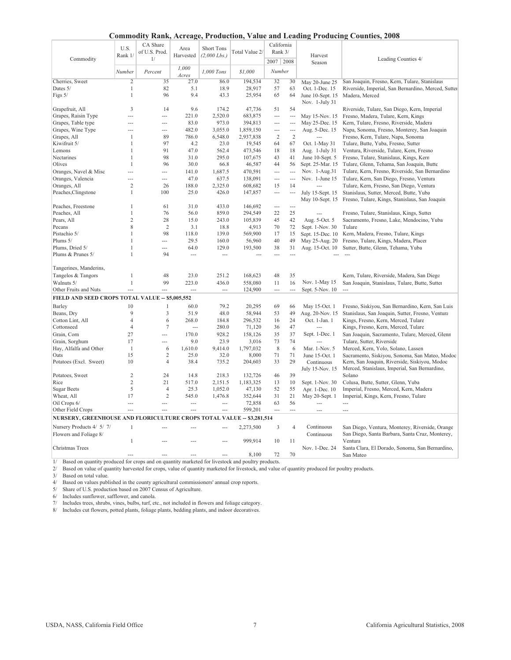| <b>Commodity Rank, Acreage, Production, Value and Leading Producing Counties, 2008</b> |  |  |  |
|----------------------------------------------------------------------------------------|--|--|--|
|----------------------------------------------------------------------------------------|--|--|--|

|                                                                                                         |                |                |                |                   |                |                          |                          | $\ldots$         | $\sim$ $\sigma$ and $\sigma$                        |
|---------------------------------------------------------------------------------------------------------|----------------|----------------|----------------|-------------------|----------------|--------------------------|--------------------------|------------------|-----------------------------------------------------|
|                                                                                                         |                | CA Share       |                |                   |                | California               |                          |                  |                                                     |
|                                                                                                         | U.S.           | of U.S. Prod.  | Area           | <b>Short Tons</b> | Total Value 2/ | Rank 3/                  |                          |                  |                                                     |
| Commodity                                                                                               | Rank 1/        | 1/             | Harvested      | $(2,000$ Lbs.)    |                |                          |                          | Harvest          | Leading Counties 4/                                 |
|                                                                                                         |                |                |                |                   |                | 2007 2008                |                          | Season           |                                                     |
|                                                                                                         | Number         | Percent        | 1,000          | 1,000 Tons        | \$1,000        | Number                   |                          |                  |                                                     |
|                                                                                                         |                |                | Acres          |                   |                |                          |                          |                  |                                                     |
| Cherries, Sweet                                                                                         | $\overline{2}$ | 35             | 27.0           | 86.0              | 194,534        | 32                       | 30                       | May 20-June 25   | San Joaquin, Fresno, Kern, Tulare, Stanislaus       |
| Dates 5/                                                                                                | $\mathbf{1}$   | 82             | 5.1            | 18.9              | 28,917         | 57                       | 63                       | Oct. 1-Dec. 15   | Riverside, Imperial, San Bernardino, Merced, Sutter |
| Figs 5/                                                                                                 | $\mathbf{1}$   | 96             | 9.4            | 43.3              | 25,954         | 65                       | 64                       | June 10-Sept. 15 | Madera, Merced                                      |
|                                                                                                         |                |                |                |                   |                |                          |                          | Nov. 1-July 31   |                                                     |
| Grapefruit, All                                                                                         | 3              | 14             | 9.6            | 174.2             | 47,736         | 51                       | 54                       |                  | Riverside, Tulare, San Diego, Kern, Imperial        |
| Grapes, Raisin Type                                                                                     |                | $\sim$         | 221.0          | 2,520.0           | 683,875        | $\overline{\phantom{a}}$ | ---                      | May 15-Nov. 15   | Fresno, Madera, Tulare, Kern, Kings                 |
| Grapes, Table type                                                                                      |                | $\overline{a}$ | 83.0           | 973.0             | 394,813        | ---                      | $\overline{\phantom{a}}$ | May 25-Dec. 15   | Kern, Tulare, Fresno, Riverside, Madera             |
| Grapes, Wine Type                                                                                       |                | $\overline{a}$ | 482.0          | 3,055.0           | 1,859,150      | ---                      | ---                      | Aug. 5-Dec. 15   | Napa, Sonoma, Fresno, Monterey, San Joaquin         |
| Grapes, All                                                                                             | $\mathbf{1}$   | 89             | 786.0          | 6,548.0           | 2,937,838      | $\overline{c}$           | $\overline{2}$           |                  | Fresno, Kern, Tulare, Napa, Sonoma                  |
| Kiwifruit 5/                                                                                            | 1              | 97             | 4.2            | 23.0              | 19,545         | 64                       | 67                       | Oct. 1-May 31    | Tulare, Butte, Yuba, Fresno, Sutter                 |
| Lemons                                                                                                  | 1              | 91             | 47.0           | 562.4             | 473,546        | 18                       | 18                       | Aug. 1-July 31   | Ventura, Riverside, Tulare, Kern, Fresno            |
| Nectarines                                                                                              |                | 98             | 31.0           | 295.0             | 107,675        | 43                       | 41                       | June 10-Sept. 5  | Fresno, Tulare, Stanislaus, Kings, Kern             |
| Olives                                                                                                  |                | 96             | 30.0           | 66.8              | 46,587         | 44                       | 56                       | Sept. 25-Mar. 15 | Tulare, Glenn, Tehama, San Joaquin, Butte           |
|                                                                                                         |                |                |                |                   |                |                          |                          |                  |                                                     |
| Oranges, Navel & Misc                                                                                   |                | $\sim$         | 141.0          | 1,687.5           | 470,591        | $\ddotsc$                | $\overline{\phantom{a}}$ | Nov. 1-Aug.31    | Tulare, Kern, Fresno, Riverside, San Bernardino     |
| Oranges, Valencia                                                                                       |                | $\cdots$       | 47.0           | 637.5             | 138,091        | $\overline{a}$           | $\overline{a}$           | Nov. 1-June 15   | Tulare, Kern, San Diego, Fresno, Ventura            |
| Oranges, All                                                                                            | $\overline{c}$ | 26             | 188.0          | 2,325.0           | 608,682        | 15                       | 14                       | $\overline{a}$   | Tulare, Kern, Fresno, San Diego, Ventura            |
| Peaches, Clingstone                                                                                     | 1              | 100            | 25.0           | 426.0             | 147,857        | ---                      | ---                      | July 15-Sept. 15 | Stanislaus, Sutter, Merced, Butte, Yuba             |
|                                                                                                         |                |                |                |                   |                |                          |                          | May 10-Sept. 15  | Fresno, Tulare, Kings, Stanislaus, San Joaquin      |
| Peaches, Freestone                                                                                      | 1              | 61             | 31.0           | 433.0             | 146,692        | $\sim$                   | $\overline{a}$           |                  |                                                     |
| Peaches, All                                                                                            | 1              | 76             | 56.0           | 859.0             | 294,549        | 22                       | 25                       |                  | Fresno, Tulare, Stanislaus, Kings, Sutter           |
| Pears, All                                                                                              | $\overline{c}$ | 28             | 15.0           | 243.0             | 105,839        | 45                       | 42                       | Aug. 5-Oct. 5    | Sacramento, Fresno, Lake, Mendocino, Yuba           |
| Pecans                                                                                                  | 8              | $\overline{2}$ | 3.1            | 18.8              | 4,913          | 70                       | 72                       | Sept. 1-Nov. 30  | Tulare                                              |
| Pistachio 5/                                                                                            |                | 98             | 118.0          | 139.0             | 569,900        | 17                       | 15                       | Sept. 15-Dec. 10 | Kern, Madera, Fresno, Tulare, Kings                 |
| Plums 5/                                                                                                |                | $\overline{a}$ | 29.5           | 160.0             | 56,960         | 40                       | 49                       |                  | Fresno, Tulare, Kings, Madera, Placer               |
|                                                                                                         |                | $\sim$         | 64.0           | 129.0             |                | 38                       | 31                       | May 25-Aug. 20   | Sutter, Butte, Glenn, Tehama, Yuba                  |
| Plums, Dried 5/                                                                                         | $\mathbf{1}$   |                |                |                   | 193,500        |                          |                          | Aug. 15-Oct. 10  |                                                     |
| Plums & Prunes 5/                                                                                       |                | 94             | $\sim$         | $\sim$            | $\sim$         | $\sim$                   | $\overline{a}$           |                  |                                                     |
|                                                                                                         |                |                |                |                   |                |                          |                          |                  |                                                     |
| Tangerines, Manderins,                                                                                  |                |                |                |                   |                |                          |                          |                  |                                                     |
| Tangelos & Tangors                                                                                      | 1              | 48             | 23.0           | 251.2             | 168,623        | 48                       | 35                       |                  | Kern, Tulare, Riverside, Madera, San Diego          |
| Walnuts 5/                                                                                              | $\mathbf{1}$   | 99             | 223.0          | 436.0             | 558,080        | 11                       | 16                       | Nov. 1-May 15    | San Joaquin, Stanislaus, Tulare, Butte, Sutter      |
| Other Fruits and Nuts                                                                                   |                | $\overline{a}$ | $\sim$         | $\sim$            | 124,900        | $\overline{a}$           | $\overline{a}$           | Sept. 5-Nov. 10  | $\sim$                                              |
| FIELD AND SEED CROPS TOTAL VALUE - \$5,005,552                                                          |                |                |                |                   |                |                          |                          |                  |                                                     |
|                                                                                                         | 10             | $\mathbf{1}$   |                |                   |                | 69                       |                          |                  |                                                     |
| Barley                                                                                                  |                |                | 60.0           | 79.2              | 20,295         |                          | 66                       | May 15-Oct. 1    | Fresno, Siskiyou, San Bernardino, Kern, San Luis    |
| Beans, Dry                                                                                              | 9              | 3              | 51.9           | 48.0              | 58,944         | 53                       | 49                       | Aug. 20-Nov. 15  | Stanislaus, San Joaquin, Sutter, Fresno, Ventura    |
| Cotton Lint, All                                                                                        | $\overline{4}$ | 6              | 268.0          | 184.8             | 296,532        | 16                       | 24                       | Oct. 1-Jan. 1    | Kings, Fresno, Kern, Merced, Tulare                 |
| Cottonseed                                                                                              | $\overline{4}$ | $\overline{7}$ | $\sim$         | 280.0             | 71,120         | 36                       | 47                       | $\overline{a}$   | Kings, Fresno, Kern, Merced, Tulare                 |
| Grain, Corn                                                                                             | 27             | $\sim$         | 170.0          | 928.2             | 158,126        | 35                       | 37                       | Sept. 1-Dec. 1   | San Joaquin, Sacramento, Tulare, Merced, Glenn      |
| Grain, Sorghum                                                                                          | 17             | $\sim$         | 9.0            | 23.9              | 3,016          | 73                       | 74                       | $\overline{a}$   | Tulare, Sutter, Riverside                           |
| Hay, Alfalfa and Other                                                                                  | $\overline{1}$ | 6              | 1,610.0        | 9,414.0           | 1,797,032      | 8                        | 6                        | Mar. 1-Nov. 5    | Merced, Kern, Yolo, Solano, Lassen                  |
| Oats                                                                                                    | 15             | 2              | 25.0           | 32.0              | 8,000          | 71                       | 71                       | June 15-Oct. 1   | Sacramento, Siskiyou, Sonoma, San Mateo, Modoc      |
| Potatoes (Excl. Sweet)                                                                                  | 10             | 4              | 38.4           | 735.2             | 204,603        | 33                       | 29                       | Continuous       | Kern, San Joaquin, Riverside, Siskiyou, Modoc       |
|                                                                                                         |                |                |                |                   |                |                          |                          | July 15-Nov. 15  | Merced, Stanislaus, Imperial, San Bernardino,       |
| Potatoes, Sweet                                                                                         | $\overline{2}$ | 24             | 14.8           | 218.3             | 132,726        | 46                       | 39                       |                  | Solano                                              |
| Rice                                                                                                    | $\overline{c}$ | 21             | 517.0          | 2,151.5           | 1,183,325      | 13                       | 10                       | Sept. 1-Nov. 30  | Colusa, Butte, Sutter, Glenn, Yuba                  |
| <b>Sugar Beets</b>                                                                                      | 5              | $\overline{4}$ | 25.3           | 1,052.0           | 47,130         | 52                       | 55                       | Apr. 1-Dec. 10   | Imperial, Fresno, Merced, Kern, Madera              |
| Wheat, All                                                                                              | 17             | 2              | 545.0          |                   | 352,644        | 31                       | 21                       | May 20-Sept. 1   |                                                     |
|                                                                                                         |                |                |                | 1,476.8           |                |                          |                          |                  | Imperial, Kings, Kern, Fresno, Tulare               |
| Oil Crops 6/                                                                                            | $\sim$         | $\sim$         | $\overline{a}$ | $\sim$            | 72,858         | 63                       | 56                       | $\overline{a}$   | $\overline{a}$                                      |
| Other Field Crops                                                                                       | $\overline{a}$ | $\sim$         | $\sim$         | $\sim$            | 599,201        | $\sim$                   | $\sim$                   | $\overline{a}$   | $\sim$                                              |
| NURSERY, GREENHOUSE AND FLORICULTURE CROPS TOTAL VALUE -- \$3,281,514                                   |                |                |                |                   |                |                          |                          |                  |                                                     |
| Nursery Products 4/ 5/ 7/                                                                               | 1              |                |                |                   | 2,273,500      | 3                        | $\overline{4}$           | Continuous       | San Diego, Ventura, Monterey, Riverside, Orange     |
| Flowers and Foliage 8/                                                                                  |                |                |                |                   |                |                          |                          | Continuous       | San Diego, Santa Barbara, Santa Cruz, Monterey,     |
|                                                                                                         | $\mathbf{1}$   |                |                |                   | 999,914        | 10                       | 11                       |                  | Ventura                                             |
| Christmas Trees                                                                                         |                |                |                |                   |                |                          |                          | Nov. 1-Dec. 24   |                                                     |
|                                                                                                         |                |                |                |                   |                | 72                       | 70                       |                  | Santa Clara, El Dorado, Sonoma, San Bernardino,     |
|                                                                                                         |                |                |                |                   | 8,100          |                          |                          |                  | San Mateo                                           |
| 1/<br>Based on quantity produced for crops and on quantity marketed for livestock and poultry products. |                |                |                |                   |                |                          |                          |                  |                                                     |

2/ Based on value of quantity harvested for crops, value of quantity marketed for livestock, and value of quantity produced for poultry products.

3/ Based on total value.

4/ Based on values published in the county agricultural commissioners' annual crop reports.

5/ Share of U.S. production based on 2007 Census of Agriculture.

6/ Includes sunflower, safflower, and canola.

7/ Includes trees, shrubs, vines, bulbs, turf, etc., not included in flowers and foliage category. 8/ Includes cut flowers, potted plants, foliage plants, bedding plants, and indoor decoratives.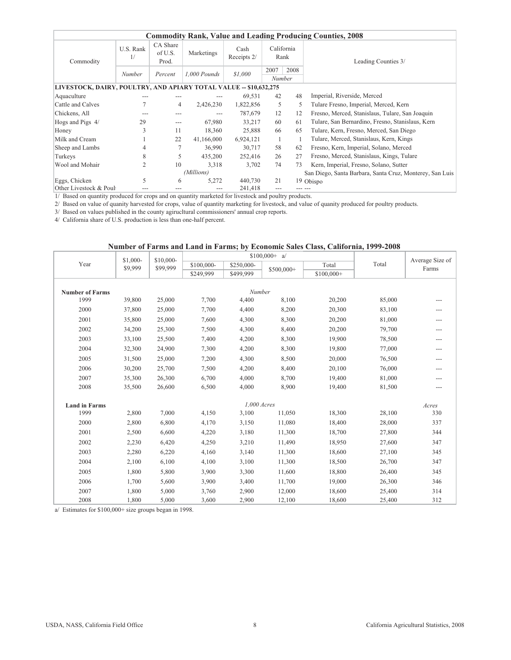|                                                                   |                 |                              |                |                     |                |                    | <b>Commodity Rank, Value and Leading Producing Counties, 2008</b> |
|-------------------------------------------------------------------|-----------------|------------------------------|----------------|---------------------|----------------|--------------------|-------------------------------------------------------------------|
| Commodity                                                         | U.S. Rank<br>1/ | CA Share<br>of U.S.<br>Prod. | Marketings     | Cash<br>Receipts 2/ |                | California<br>Rank | Leading Counties 3/                                               |
|                                                                   | Number          | Percent                      | $1.000$ Pounds | \$1,000             | 2007<br>Number | 2008               |                                                                   |
| LIVESTOCK, DAIRY, POULTRY, AND APIARY TOTAL VALUE -- \$10,632,275 |                 |                              |                |                     |                |                    |                                                                   |
| Aquaculture                                                       |                 |                              |                | 69,531              | 42             | 48                 | Imperial, Riverside, Merced                                       |
| Cattle and Calves                                                 |                 | $\overline{4}$               | 2,426,230      | 1,822,856           | 5              | 5.                 | Tulare Fresno, Imperial, Merced, Kern                             |
| Chickens, All                                                     |                 | ---                          |                | 787,679             | 12             | 12                 | Fresno, Merced, Stanislaus, Tulare, San Joaquin                   |
| Hogs and Pigs 4/                                                  | 29              | $---$                        | 67,980         | 33,217              | 60             | 61                 | Tulare, San Bernardino, Fresno, Stanislaus, Kern                  |
| Honey                                                             | 3               | 11                           | 18,360         | 25,888              | 66             | 65                 | Tulare, Kern, Fresno, Merced, San Diego                           |
| Milk and Cream                                                    |                 | 22                           | 41,166,000     | 6,924,121           |                |                    | Tulare, Merced, Stanislaus, Kern, Kings                           |
| Sheep and Lambs                                                   | 4               | 7                            | 36,990         | 30,717              | 58             | 62                 | Fresno, Kern, Imperial, Solano, Merced                            |
| Turkeys                                                           | 8               | 5                            | 435,200        | 252,416             | 26             | 27                 | Fresno, Merced, Stanislaus, Kings, Tulare                         |
| Wool and Mohair                                                   | 2               | 10                           | 3,318          | 3,702               | 74             | 73                 | Kern, Imperial, Fresno, Solano, Sutter                            |
|                                                                   |                 |                              | (Millions)     |                     |                |                    | San Diego, Santa Barbara, Santa Cruz, Monterey, San Luis          |
| Eggs, Chicken                                                     | 5               | 6                            | 5,272          | 440,730             | 21             |                    | 19 Obispo                                                         |
| Other Livestock & Poult                                           |                 | ---                          | ---            | 241,418             | ---            |                    |                                                                   |

1/ Based on quantity produced for crops and on quantity marketed for livestock and poultry products.

2/ Based on value of quanity harvested for crops, value of quantity marketing for livestock, and value of quanity produced for poultry products.

3/ Based on values published in the county agirucltural commissioners' annual crop reports.

4/ California share of U.S. production is less than one-half percent.

### **Number of Farms and Land in Farms; by Economic Sales Class, California, 1999-2008**

|                        | \$1,000- | \$10,000- |            |             | $$100,000+ a/$ |            |        | Average Size of |
|------------------------|----------|-----------|------------|-------------|----------------|------------|--------|-----------------|
| Year                   | \$9,999  | \$99,999  | \$100,000- | \$250,000-  | \$500,000+     | Total      | Total  | Farms           |
|                        |          |           | \$249,999  | \$499,999   |                | \$100,000+ |        |                 |
|                        |          |           |            |             |                |            |        |                 |
| <b>Number of Farms</b> |          |           |            | Number      |                |            |        |                 |
| 1999                   | 39,800   | 25,000    | 7,700      | 4,400       | 8,100          | 20,200     | 85,000 | ---             |
| 2000                   | 37,800   | 25,000    | 7,700      | 4,400       | 8,200          | 20,300     | 83,100 | ---             |
| 2001                   | 35,800   | 25,000    | 7,600      | 4,300       | 8,300          | 20,200     | 81,000 | ---             |
| 2002                   | 34,200   | 25,300    | 7,500      | 4,300       | 8,400          | 20,200     | 79,700 | ---             |
| 2003                   | 33,100   | 25,500    | 7,400      | 4,200       | 8,300          | 19,900     | 78,500 | ---             |
| 2004                   | 32,300   | 24,900    | 7,300      | 4,200       | 8,300          | 19,800     | 77,000 | ---             |
| 2005                   | 31,500   | 25,000    | 7,200      | 4,300       | 8,500          | 20,000     | 76,500 | ---             |
| 2006                   | 30,200   | 25,700    | 7,500      | 4,200       | 8,400          | 20,100     | 76,000 | ---             |
| 2007                   | 35,300   | 26,300    | 6,700      | 4,000       | 8.700          | 19,400     | 81,000 | ---             |
| 2008                   | 35,500   | 26,600    | 6,500      | 4,000       | 8,900          | 19,400     | 81,500 | ---             |
|                        |          |           |            |             |                |            |        |                 |
| <b>Land in Farms</b>   |          |           |            | 1,000 Acres |                |            |        | Acres           |
| 1999                   | 2,800    | 7,000     | 4,150      | 3,100       | 11,050         | 18,300     | 28,100 | 330             |
| 2000                   | 2,800    | 6,800     | 4,170      | 3,150       | 11,080         | 18,400     | 28,000 | 337             |
| 2001                   | 2,500    | 6,600     | 4,220      | 3,180       | 11,300         | 18,700     | 27,800 | 344             |
| 2002                   | 2,230    | 6,420     | 4,250      | 3,210       | 11,490         | 18,950     | 27,600 | 347             |
| 2003                   | 2,280    | 6,220     | 4,160      | 3,140       | 11,300         | 18,600     | 27,100 | 345             |
| 2004                   | 2,100    | 6,100     | 4,100      | 3,100       | 11,300         | 18,500     | 26,700 | 347             |
| 2005                   | 1,800    | 5,800     | 3,900      | 3,300       | 11,600         | 18,800     | 26,400 | 345             |
| 2006                   | 1,700    | 5,600     | 3,900      | 3,400       | 11,700         | 19,000     | 26,300 | 346             |
| 2007                   | 1,800    | 5,000     | 3,760      | 2,900       | 12,000         | 18,600     | 25,400 | 314             |
| 2008                   | 1,800    | 5,000     | 3,600      | 2,900       | 12,100         | 18,600     | 25,400 | 312             |

a/ Estimates for \$100,000+ size groups began in 1998.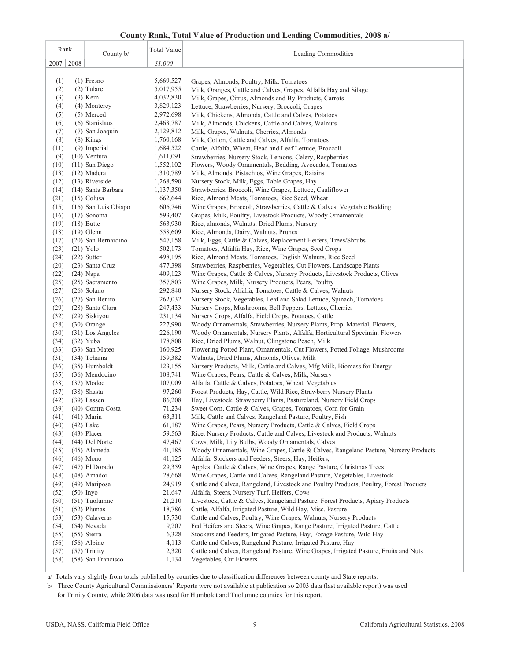### **County Rank, Total Value of Production and Leading Commodities, 2008 a/**

| Rank         | <b>Total Value</b><br>County b/ |                    | Leading Commodities                                                                                                                                |
|--------------|---------------------------------|--------------------|----------------------------------------------------------------------------------------------------------------------------------------------------|
| 2008<br>2007 |                                 | \$1,000            |                                                                                                                                                    |
|              |                                 |                    |                                                                                                                                                    |
| (1)          | $(1)$ Fresno                    | 5,669,527          | Grapes, Almonds, Poultry, Milk, Tomatoes                                                                                                           |
| (2)          | (2) Tulare                      | 5,017,955          | Milk, Oranges, Cattle and Calves, Grapes, Alfalfa Hay and Silage                                                                                   |
| (3)          | $(3)$ Kern                      | 4,032,830          | Milk, Grapes, Citrus, Almonds and By-Products, Carrots                                                                                             |
| (4)          | (4) Monterey                    | 3,829,123          | Lettuce, Strawberries, Nursery, Broccoli, Grapes                                                                                                   |
| (5)          | $(5)$ Merced                    | 2,972,698          | Milk, Chickens, Almonds, Cattle and Calves, Potatoes                                                                                               |
| (6)          | (6) Stanislaus                  | 2,463,787          | Milk, Almonds, Chickens, Cattle and Calves, Walnuts                                                                                                |
| (7)          | (7) San Joaquin                 | 2,129,812          | Milk, Grapes, Walnuts, Cherries, Almonds                                                                                                           |
| (8)          | $(8)$ Kings                     | 1,760,168          | Milk, Cotton, Cattle and Calves, Alfalfa, Tomatoes                                                                                                 |
| (11)         | (9) Imperial                    | 1,684,522          | Cattle, Alfalfa, Wheat, Head and Leaf Lettuce, Broccoli                                                                                            |
| (9)          | $(10)$ Ventura                  | 1,611,091          | Strawberries, Nursery Stock, Lemons, Celery, Raspberries                                                                                           |
| (10)         | $(11)$ San Diego                | 1,552,102          | Flowers, Woody Ornamentals, Bedding, Avocados, Tomatoes                                                                                            |
| (13)         | (12) Madera                     | 1,310,789          | Milk, Almonds, Pistachios, Wine Grapes, Raisins                                                                                                    |
| (12)         | $(13)$ Riverside                | 1,268,590          | Nursery Stock, Milk, Eggs, Table Grapes, Hay                                                                                                       |
| (14)         | (14) Santa Barbara              | 1,137,350          | Strawberries, Broccoli, Wine Grapes, Lettuce, Cauliflower                                                                                          |
| (21)         | $(15)$ Colusa                   | 662,644            | Rice, Almond Meats, Tomatoes, Rice Seed, Wheat                                                                                                     |
| (15)         | (16) San Luis Obispo            | 606,746            | Wine Grapes, Broccoli, Strawberries, Cattle & Calves, Vegetable Bedding                                                                            |
| (16)         | $(17)$ Sonoma                   | 593,407            | Grapes, Milk, Poultry, Livestock Products, Woody Ornamentals                                                                                       |
| (19)         | $(18)$ Butte                    | 563,930            | Rice, almonds, Walnuts, Dried Plums, Nursery                                                                                                       |
| (18)         | $(19)$ Glenn                    | 558,609            | Rice, Almonds, Dairy, Walnuts, Prunes                                                                                                              |
| (17)         | (20) San Bernardino             | 547,158            | Milk, Eggs, Cattle & Calves, Replacement Heifers, Trees/Shrubs                                                                                     |
| (23)         | $(21)$ Yolo                     | 502,173            | Tomatoes, Alfalfa Hay, Rice, Wine Grapes, Seed Crops                                                                                               |
| (24)         | $(22)$ Sutter                   | 498,195            | Rice, Almond Meats, Tomatoes, English Walnuts, Rice Seed                                                                                           |
| (20)<br>(22) | (23) Santa Cruz<br>$(24)$ Napa  | 477,398<br>409,123 | Strawberries, Raspberries, Vegetables, Cut Flowers, Landscape Plants<br>Wine Grapes, Cattle & Calves, Nursery Products, Livestock Products, Olives |
| (25)         | (25) Sacramento                 | 357,803            | Wine Grapes, Milk, Nursery Products, Pears, Poultry                                                                                                |
| (27)         | $(26)$ Solano                   | 292,840            | Nursery Stock, Alfalfa, Tomatoes, Cattle & Calves, Walnuts                                                                                         |
| (26)         | (27) San Benito                 | 262,032            | Nursery Stock, Vegetables, Leaf and Salad Lettuce, Spinach, Tomatoes                                                                               |
| (29)         | (28) Santa Clara                | 247,433            | Nursery Crops, Mushrooms, Bell Peppers, Lettuce, Cherries                                                                                          |
| (32)         | (29) Siskiyou                   | 231,134            | Nursery Crops, Alfalfa, Field Crops, Potatoes, Cattle                                                                                              |
| (28)         | (30) Orange                     | 227,990            | Woody Ornamentals, Strawberries, Nursery Plants, Prop. Material, Flowers,                                                                          |
| (30)         | (31) Los Angeles                | 226,190            | Woody Ornamentals, Nursery Plants, Alfalfa, Horticultural Specimin, Flowers                                                                        |
| (34)         | $(32)$ Yuba                     | 178,808            | Rice, Dried Plums, Walnut, Clingstone Peach, Milk                                                                                                  |
| (33)         | (33) San Mateo                  | 160,925            | Flowering Potted Plant, Ornamentals, Cut Flowers, Potted Foliage, Mushrooms                                                                        |
| (31)         | (34) Tehama                     | 159,382            | Walnuts, Dried Plums, Almonds, Olives, Milk                                                                                                        |
| (36)         | (35) Humboldt                   | 123,155            | Nursery Products, Milk, Cattle and Calves, Mfg Milk, Biomass for Energy                                                                            |
| (35)         | (36) Mendocino                  | 108,741            | Wine Grapes, Pears, Cattle & Calves, Milk, Nursery                                                                                                 |
| (38)         | $(37)$ Modoc                    | 107,009            | Alfalfa, Cattle & Calves, Potatoes, Wheat, Vegetables                                                                                              |
| (37)         | (38) Shasta                     | 97,260             | Forest Products, Hay, Cattle, Wild Rice, Strawberry Nursery Plants                                                                                 |
| (42)         | $(39)$ Lassen                   | 86,208             | Hay, Livestock, Strawberry Plants, Pastureland, Nursery Field Crops                                                                                |
| (39)         | (40) Contra Costa               | 71,234             | Sweet Corn, Cattle & Calves, Grapes, Tomatoes, Corn for Grain                                                                                      |
| (41)         | $(41)$ Marin                    | 63,311             | Milk, Cattle and Calves, Rangeland Pasture, Poultry, Fish                                                                                          |
| (40)         | $(42)$ Lake                     | 61,187             | Wine Grapes, Pears, Nursery Products, Cattle & Calves, Field Crops                                                                                 |
| (43)         | $(43)$ Placer                   | 59,563             | Rice, Nursery Products, Cattle and Calves, Livestock and Products, Walnuts                                                                         |
| (44)         | (44) Del Norte                  | 47,467             | Cows, Milk, Lily Bulbs, Woody Ornamentals, Calves                                                                                                  |
| (45)         | (45) Alameda                    | 41,185             | Woody Ornamentals, Wine Grapes, Cattle & Calves, Rangeland Pasture, Nursery Products                                                               |
| (46)         | $(46)$ Mono                     | 41,125             | Alfalfa, Stockers and Feeders, Steers, Hay, Heifers,                                                                                               |
| (47)         | $(47)$ El Dorado                | 29,359             | Apples, Cattle & Calves, Wine Grapes, Range Pasture, Christmas Trees<br>Wine Grapes, Cattle and Calves, Rangeland Pasture, Vegetables, Livestock   |
| (48)         | $(48)$ Amador                   | 28,668             |                                                                                                                                                    |
| (49)<br>(52) | (49) Mariposa                   | 24,919<br>21,647   | Cattle and Calves, Rangeland, Livestock and Poultry Products, Poultry, Forest Products<br>Alfalfa, Steers, Nursery Turf, Heifers, Cows             |
| (50)         | $(50)$ Inyo<br>$(51)$ Tuolumne  | 21,210             | Livestock, Cattle & Calves, Rangeland Pasture, Forest Products, Apiary Products                                                                    |
| (51)         | $(52)$ Plumas                   | 18,786             | Cattle, Alfalfa, Irrigated Pasture, Wild Hay, Misc. Pasture                                                                                        |
| (53)         | (53) Calaveras                  | 15,730             | Cattle and Calves, Poultry, Wine Grapes, Walnuts, Nursery Products                                                                                 |
| (54)         | (54) Nevada                     | 9,207              | Fed Heifers and Steers, Wine Grapes, Range Pasture, Irrigated Pasture, Cattle                                                                      |
| (55)         | $(55)$ Sierra                   | 6,328              | Stockers and Feeders, Irrigated Pasture, Hay, Forage Pasture, Wild Hay                                                                             |
| (56)         | $(56)$ Alpine                   | 4,113              | Cattle and Calves, Rangeland Pasture, Irrigated Pasture, Hay                                                                                       |
| (57)         | $(57)$ Trinity                  | 2,320              | Cattle and Calves, Rangeland Pasture, Wine Grapes, Irrigated Pasture, Fruits and Nuts                                                              |
| (58)         | (58) San Francisco              | 1,134              | Vegetables, Cut Flowers                                                                                                                            |
|              |                                 |                    |                                                                                                                                                    |

a/ Totals vary slightly from totals published by counties due to classification differences between county and State reports.

b/ Three County Agricultural Commissioners' Reports were not available at publication so 2003 data (last available report) was used

for Trinity County, while 2006 data was used for Humboldt and Tuolumne counties for this report.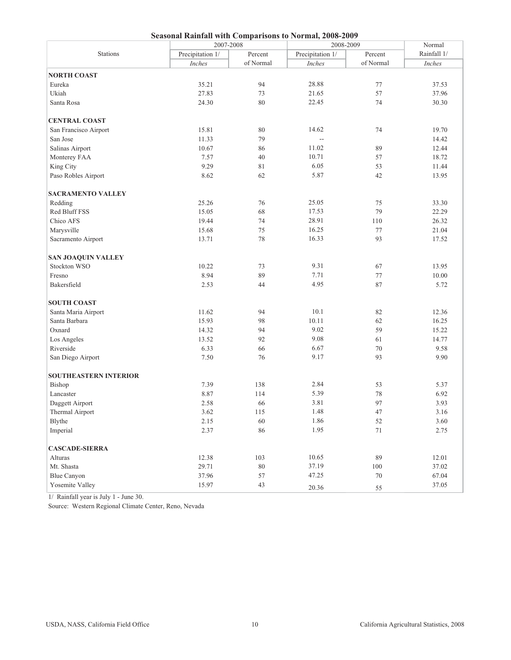| Seasonal Kainiali with Comparisons to Normal, 2008-2009<br>2007-2008<br>2008-2009 |                  |           |                          |           |                       |  |  |
|-----------------------------------------------------------------------------------|------------------|-----------|--------------------------|-----------|-----------------------|--|--|
| <b>Stations</b>                                                                   | Precipitation 1/ | Percent   | Precipitation 1/         | Percent   | Normal<br>Rainfall 1/ |  |  |
|                                                                                   | Inches           | of Normal | Inches                   | of Normal | Inches                |  |  |
|                                                                                   |                  |           |                          |           |                       |  |  |
| <b>NORTH COAST</b>                                                                |                  |           |                          |           |                       |  |  |
| Eureka                                                                            | 35.21            | 94        | 28.88                    | 77        | 37.53                 |  |  |
| Ukiah                                                                             | 27.83            | 73        | 21.65                    | 57        | 37.96                 |  |  |
| Santa Rosa                                                                        | 24.30            | 80        | 22.45                    | 74        | 30.30                 |  |  |
| <b>CENTRAL COAST</b>                                                              |                  |           |                          |           |                       |  |  |
| San Francisco Airport                                                             | 15.81            | 80        | 14.62                    | 74        | 19.70                 |  |  |
| San Jose                                                                          | 11.33            | 79        | $\overline{\phantom{a}}$ |           | 14.42                 |  |  |
| Salinas Airport                                                                   | 10.67            | 86        | 11.02                    | 89        | 12.44                 |  |  |
| Monterey FAA                                                                      | 7.57             | 40        | 10.71                    | 57        | 18.72                 |  |  |
| King City                                                                         | 9.29             | 81        | 6.05                     | 53        | 11.44                 |  |  |
| Paso Robles Airport                                                               | 8.62             | 62        | 5.87                     | 42        | 13.95                 |  |  |
| <b>SACRAMENTO VALLEY</b>                                                          |                  |           |                          |           |                       |  |  |
| Redding                                                                           | 25.26            | 76        | 25.05                    | 75        | 33.30                 |  |  |
| Red Bluff FSS                                                                     | 15.05            | 68        | 17.53                    | 79        | 22.29                 |  |  |
| Chico AFS                                                                         | 19.44            | 74        | 28.91                    | 110       | 26.32                 |  |  |
| Marysville                                                                        | 15.68            | 75        | 16.25                    | 77        | 21.04                 |  |  |
| Sacramento Airport                                                                | 13.71            | 78        | 16.33                    | 93        | 17.52                 |  |  |
| <b>SAN JOAQUIN VALLEY</b>                                                         |                  |           |                          |           |                       |  |  |
| Stockton WSO                                                                      | 10.22            | 73        | 9.31                     | 67        | 13.95                 |  |  |
| Fresno                                                                            | 8.94             | 89        | 7.71                     | 77        | 10.00                 |  |  |
| Bakersfield                                                                       | 2.53             | 44        | 4.95                     | 87        | 5.72                  |  |  |
| <b>SOUTH COAST</b>                                                                |                  |           |                          |           |                       |  |  |
| Santa Maria Airport                                                               | 11.62            | 94        | 10.1                     | 82        | 12.36                 |  |  |
| Santa Barbara                                                                     | 15.93            | 98        | 10.11                    | 62        | 16.25                 |  |  |
| Oxnard                                                                            | 14.32            | 94        | 9.02                     | 59        | 15.22                 |  |  |
| Los Angeles                                                                       | 13.52            | 92        | 9.08                     | 61        | 14.77                 |  |  |
| Riverside                                                                         | 6.33             | 66        | 6.67                     | 70        | 9.58                  |  |  |
| San Diego Airport                                                                 | 7.50             | 76        | 9.17                     | 93        | 9.90                  |  |  |
| <b>SOUTHEASTERN INTERIOR</b>                                                      |                  |           |                          |           |                       |  |  |
| Bishop                                                                            | 7.39             | 138       | 2.84                     | 53        | 5.37                  |  |  |
| Lancaster                                                                         | 8.87             | 114       | 5.39                     | $78\,$    | 6.92                  |  |  |
| Daggett Airport                                                                   | 2.58             | 66        | 3.81                     | 97        | 3.93                  |  |  |
|                                                                                   |                  |           |                          |           |                       |  |  |
| Thermal Airport<br>Blythe                                                         | 3.62             | 115<br>60 | 1.48<br>1.86             | 47<br>52  | 3.16<br>3.60          |  |  |
| Imperial                                                                          | 2.15<br>2.37     | 86        | 1.95                     | $71\,$    | 2.75                  |  |  |
|                                                                                   |                  |           |                          |           |                       |  |  |
| <b>CASCADE-SIERRA</b>                                                             |                  |           |                          |           |                       |  |  |
| Alturas                                                                           | 12.38            | 103       | 10.65                    | 89        | 12.01                 |  |  |
| Mt. Shasta                                                                        | 29.71            | $80\,$    | 37.19                    | $100\,$   | 37.02                 |  |  |
| <b>Blue Canyon</b>                                                                | 37.96            | 57        | 47.25                    | $70\,$    | 67.04                 |  |  |
| Yosemite Valley                                                                   | 15.97            | 43        | 20.36                    | 55        | 37.05                 |  |  |

**Seasonal Rainfall with Comparisons to Normal, 2008-2009**

1/ Rainfall year is July 1 - June 30.

Source: Western Regional Climate Center, Reno, Nevada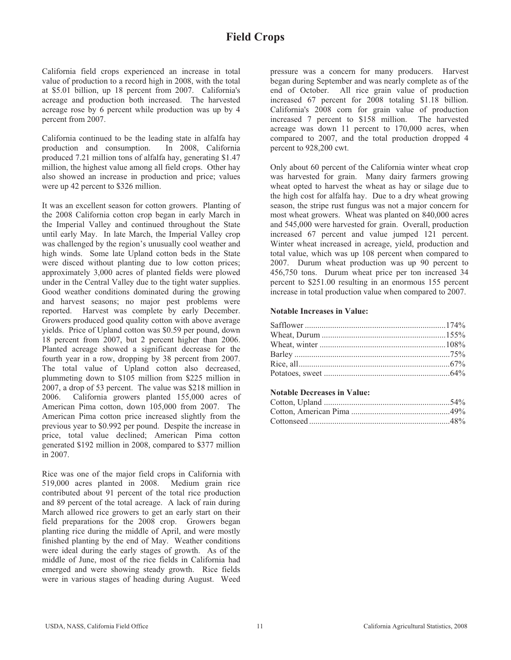California field crops experienced an increase in total value of production to a record high in 2008, with the total at \$5.01 billion, up 18 percent from 2007. California's acreage and production both increased. The harvested acreage rose by 6 percent while production was up by 4 percent from 2007.

California continued to be the leading state in alfalfa hay production and consumption. In 2008, California produced 7.21 million tons of alfalfa hay, generating \$1.47 million, the highest value among all field crops. Other hay also showed an increase in production and price; values were up 42 percent to \$326 million.

It was an excellent season for cotton growers. Planting of the 2008 California cotton crop began in early March in the Imperial Valley and continued throughout the State until early May. In late March, the Imperial Valley crop was challenged by the region's unusually cool weather and high winds. Some late Upland cotton beds in the State were disced without planting due to low cotton prices; approximately 3,000 acres of planted fields were plowed under in the Central Valley due to the tight water supplies. Good weather conditions dominated during the growing and harvest seasons; no major pest problems were reported. Harvest was complete by early December. Growers produced good quality cotton with above average yields. Price of Upland cotton was \$0.59 per pound, down 18 percent from 2007, but 2 percent higher than 2006. Planted acreage showed a significant decrease for the fourth year in a row, dropping by 38 percent from 2007. The total value of Upland cotton also decreased, plummeting down to \$105 million from \$225 million in 2007, a drop of 53 percent. The value was \$218 million in 2006. California growers planted 155,000 acres of American Pima cotton, down 105,000 from 2007. The American Pima cotton price increased slightly from the previous year to \$0.992 per pound. Despite the increase in price, total value declined; American Pima cotton generated \$192 million in 2008, compared to \$377 million in 2007.

Rice was one of the major field crops in California with 519,000 acres planted in 2008. Medium grain rice contributed about 91 percent of the total rice production and 89 percent of the total acreage. A lack of rain during March allowed rice growers to get an early start on their field preparations for the 2008 crop. Growers began planting rice during the middle of April, and were mostly finished planting by the end of May. Weather conditions were ideal during the early stages of growth. As of the middle of June, most of the rice fields in California had emerged and were showing steady growth. Rice fields were in various stages of heading during August. Weed

pressure was a concern for many producers. Harvest began during September and was nearly complete as of the end of October. All rice grain value of production increased 67 percent for 2008 totaling \$1.18 billion. California's 2008 corn for grain value of production increased 7 percent to \$158 million. The harvested acreage was down 11 percent to 170,000 acres, when compared to 2007, and the total production dropped 4 percent to 928,200 cwt.

Only about 60 percent of the California winter wheat crop was harvested for grain. Many dairy farmers growing wheat opted to harvest the wheat as hay or silage due to the high cost for alfalfa hay. Due to a dry wheat growing season, the stripe rust fungus was not a major concern for most wheat growers. Wheat was planted on 840,000 acres and 545,000 were harvested for grain. Overall, production increased 67 percent and value jumped 121 percent. Winter wheat increased in acreage, yield, production and total value, which was up 108 percent when compared to 2007. Durum wheat production was up 90 percent to 456,750 tons. Durum wheat price per ton increased 34 percent to \$251.00 resulting in an enormous 155 percent increase in total production value when compared to 2007.

### **Notable Increases in Value:**

### **Notable Decreases in Value:**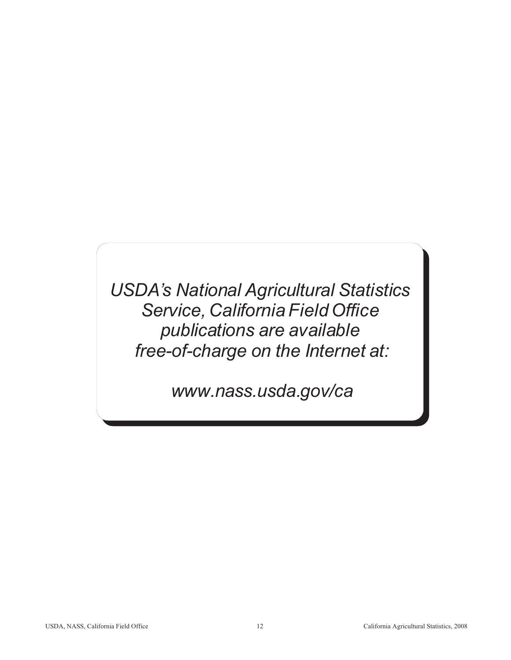*USDA's National Agricultural Statistics Service, California Field Office publications are available free-of-charge on the Internet at:*

 *www.nass.usda.gov/ca*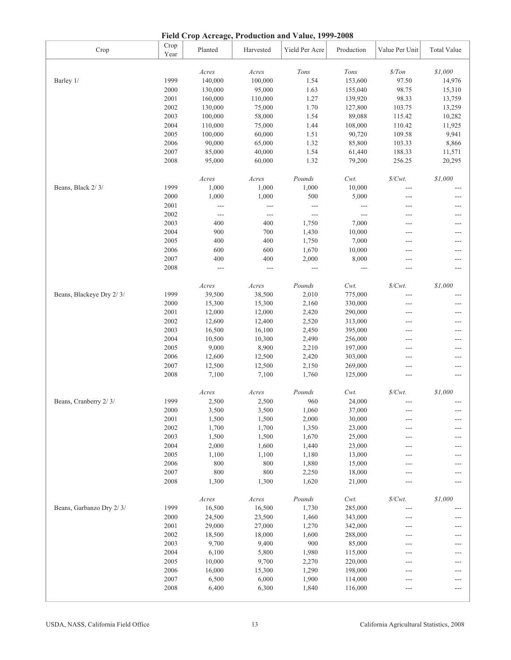| Crop                     | Crop<br>Year | Planted        | Harvested           | Yield Per Acre           | Production | Value Per Unit      | <b>Total Value</b> |
|--------------------------|--------------|----------------|---------------------|--------------------------|------------|---------------------|--------------------|
|                          |              | Acres          | $A$ cres            | $Tons$                   | Tons       | $\$/Ton$            | \$1,000            |
| Barley 1/                | 1999         | 140,000        | 100,000             | 1.54                     | 153,600    | 97.50               | 14,976             |
|                          | 2000         | 130,000        | 95,000              | 1.63                     | 155,040    | 98.75               | 15,310             |
|                          | 2001         | 160,000        | 110,000             | 1.27                     | 139,920    | 98.33               | 13,759             |
|                          | 2002         | 130,000        | 75,000              | 1.70                     | 127,800    | 103.75              | 13,259             |
|                          | 2003         | 100,000        | 58,000              | 1.54                     | 89,088     | 115.42              | 10,282             |
|                          | 2004         | 110,000        | 75,000              | 1.44                     | 108,000    | 110.42              | 11,925             |
|                          | 2005         | 100,000        | 60,000              | 1.51                     | 90,720     | 109.58              | 9,941              |
|                          | 2006         | 90,000         | 65,000              | 1.32                     | 85,800     | 103.33              | 8,866              |
|                          | 2007         | 85,000         | 40,000              | 1.54                     | 61,440     | 188.33              | 11,571             |
|                          | 2008         | 95,000         | 60,000              | 1.32                     | 79,200     | 256.25              | 20,295             |
|                          |              | Acres          | Acres               | Pounds                   | $Cwt$ .    | $\$/Cwt.$           | \$1,000            |
| Beans, Black 2/3/        | 1999         | 1,000          | 1,000               | 1,000                    | 10,000     | $---$               |                    |
|                          | 2000         | 1,000          | 1,000               | 500                      | 5,000      | $---$               | $---$              |
|                          | 2001         |                |                     |                          |            |                     |                    |
|                          |              | $---$          | $---$               | $\overline{\phantom{a}}$ | $---$      | ---                 |                    |
|                          | 2002         | $\sim$ $\sim$  | $\qquad \qquad - -$ | $\sim$ $\sim$            | $---$      | ---                 |                    |
|                          | 2003         | 400            | 400                 | 1,750                    | 7,000      | ---                 |                    |
|                          | 2004         | 900            | 700                 | 1,430                    | 10,000     | ---                 |                    |
|                          | 2005         | 400            | 400                 | 1,750                    | 7,000      | ---                 | $---$              |
|                          | 2006         | 600            | 600                 | 1,670                    | 10,000     | ---                 |                    |
|                          | 2007         | 400            | 400                 | 2,000                    | 8,000      | $---$               | ---                |
|                          | 2008         | $\overline{a}$ | $\overline{a}$      | $\sim$ $\sim$            | $---$      | ---                 | $---$              |
|                          |              | Acres          | Acres               | Pounds                   | Cwt.       | $\mathcal{S}/Cwt$ . | \$1,000            |
| Beans, Blackeye Dry 2/3/ | 1999         | 39,500         | 38,500              | 2,010                    | 775,000    | $---$               |                    |
|                          | 2000         | 15,300         | 15,300              | 2,160                    | 330,000    | $---$               |                    |
|                          | 2001         | 12,000         | 12,000              | 2,420                    | 290,000    | $---$               |                    |
|                          | 2002         | 12,600         | 12,400              | 2,520                    | 313,000    | $---$               | ---                |
|                          | 2003         | 16,500         | 16,100              | 2,450                    | 395,000    | ---                 | ---                |
|                          | 2004         | 10,500         | 10,300              | 2,490                    | 256,000    | $---$               | $---$              |
|                          | 2005         | 9,000          | 8,900               | 2,210                    | 197,000    | $---$               | $---$              |
|                          | 2006         | 12,600         | 12,500              | 2,420                    | 303,000    | ---                 | ---                |
|                          | 2007         | 12,500         | 12,500              | 2,150                    | 269,000    | $---$               |                    |
|                          | 2008         | 7,100          | 7,100               | 1,760                    | 125,000    | ---                 |                    |
|                          |              | Acres          | Acres               | Pounds                   | $Cwt$ .    | $\mathcal{S}/Cwt$ . | \$1,000            |
| Beans, Cranberry 2/3/    | 1999         | 2,500          | 2,500               | 960                      | 24,000     |                     |                    |
|                          | 2000         | 3,500          | 3,500               | 1,060                    | 37,000     | $---$               |                    |
|                          | 2001         | 1,500          | 1,500               | 2,000                    | 30,000     |                     |                    |
|                          | 2002         | 1,700          | 1,700               | 1,350                    | 23,000     |                     |                    |
|                          | 2003         | 1,500          | 1,500               | 1,670                    | 25,000     | ---                 |                    |
|                          | 2004         | 2,000          | 1,600               | 1,440                    | 23,000     | $---$               |                    |
|                          | 2005         | 1,100          | 1,100               | 1,180                    | 13,000     | ---                 |                    |
|                          | 2006         | 800            | 800                 | 1,880                    | 15,000     | $---$               | ---                |
|                          | 2007         | 800            | 800                 | 2,250                    | 18,000     | $---$               | ---                |
|                          | 2008         | 1,300          | 1,300               | 1,620                    | 21,000     | ---                 |                    |
|                          |              | $A$ cres       | Acres               | Pounds                   | $Cwt$ .    | $\$/Cwt.$           | \$1,000            |
| Beans, Garbanzo Dry 2/3/ | 1999         | 16,500         | 16,500              | 1,730                    | 285,000    |                     |                    |
|                          | 2000         | 24,500         | 23,500              | 1,460                    | 343,000    |                     |                    |
|                          |              |                |                     |                          |            | ---                 |                    |
|                          | 2001         | 29,000         | 27,000              | 1,270                    | 342,000    | $---$               | ---                |
|                          | 2002         | 18,500         | 18,000              | 1,600                    | 288,000    | ---                 |                    |
|                          | 2003         | 9,700          | 9,400               | 900                      | 85,000     | $---$               | ---                |
|                          | 2004         | 6,100          | 5,800               | 1,980                    | 115,000    | ---                 | ---                |
|                          | 2005         | 10,000         | 9,700               | 2,270                    | 220,000    | $---$               |                    |
|                          | 2006         | 16,000         | 15,300              | 1,290                    | 198,000    | $---$               |                    |
|                          | 2007         | 6,500          | 6,000               | 1,900                    | 114,000    | $---$               |                    |
|                          | 2008         | 6,400          | 6,300               | 1,840                    | 116,000    | $---$               |                    |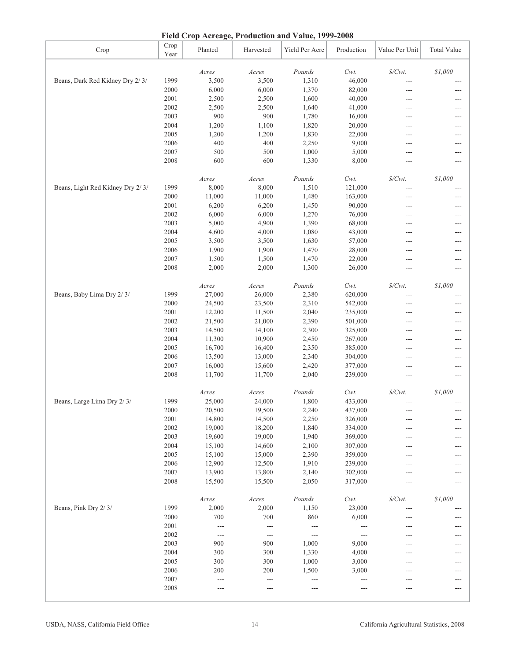|  | Field Crop Acreage, Production and Value, 1999-2008 |  |
|--|-----------------------------------------------------|--|
|  |                                                     |  |

|                                  |              |                          |                          | rield Crop Acreage, rroduction and value, 1999-2008 |               |                   |                    |
|----------------------------------|--------------|--------------------------|--------------------------|-----------------------------------------------------|---------------|-------------------|--------------------|
| Crop                             | Crop<br>Year | Planted                  | Harvested                | Yield Per Acre                                      | Production    | Value Per Unit    | <b>Total Value</b> |
|                                  |              | Acres                    | Acres                    | Pounds                                              | $Cwt$ .       | $\$/Cwt.$         | \$1,000            |
| Beans, Dark Red Kidney Dry 2/3/  | 1999         | 3,500                    | 3,500                    | 1,310                                               | 46,000        |                   |                    |
|                                  | 2000         | 6,000                    | 6,000                    | 1,370                                               | 82,000        | ---               |                    |
|                                  | 2001         | 2,500                    | 2,500                    | 1,600                                               | 40,000        | ---               |                    |
|                                  | 2002         | 2,500                    | 2,500                    | 1,640                                               | 41,000        |                   |                    |
|                                  |              |                          |                          |                                                     |               | $---$             | ---                |
|                                  | 2003         | 900                      | 900                      | 1,780                                               | 16,000        | ---               | ---                |
|                                  | 2004         | 1,200                    | 1,100                    | 1,820                                               | 20,000        | $---$             | ---                |
|                                  | 2005         | 1,200                    | 1,200                    | 1,830                                               | 22,000        | ---               | ---                |
|                                  | 2006         | 400                      | 400                      | 2,250                                               | 9,000         | $---$             | ---                |
|                                  | 2007         | 500                      | 500                      | 1,000                                               | 5,000         | ---               | ---                |
|                                  | 2008         | 600                      | 600                      | 1,330                                               | 8,000         |                   |                    |
|                                  |              | Acres                    | Acres                    | Pounds                                              | $Cwt$ .       | $\$/Cwt.$         | \$1,000            |
| Beans, Light Red Kidney Dry 2/3/ | 1999         | 8,000                    | 8,000                    | 1,510                                               | 121,000       | ---               | ---                |
|                                  | 2000         | 11,000                   | 11,000                   | 1,480                                               | 163,000       | ---               |                    |
|                                  | 2001         | 6,200                    | 6,200                    | 1,450                                               | 90,000        | $---$             | ---                |
|                                  | 2002         | 6,000                    | 6,000                    | 1,270                                               | 76,000        | $---$             | ---                |
|                                  | 2003         | 5,000                    | 4,900                    | 1,390                                               | 68,000        | ---               | ---                |
|                                  | 2004         | 4,600                    | 4,000                    | 1,080                                               | 43,000        | ---               | ---                |
|                                  | 2005         | 3,500                    | 3,500                    | 1,630                                               | 57,000        | ---               | ---                |
|                                  | 2006         | 1,900                    | 1,900                    | 1,470                                               | 28,000        | ---               | ---                |
|                                  | 2007         | 1,500                    | 1,500                    | 1,470                                               | 22,000        | $\overline{a}$    | ---                |
|                                  | 2008         | 2,000                    | 2,000                    | 1,300                                               | 26,000        | $---$             | ---                |
|                                  |              |                          |                          |                                                     |               |                   |                    |
|                                  |              | Acres                    | Acres                    | Pounds                                              | Cwt.          | $\$/Cwt.$         | \$1,000            |
| Beans, Baby Lima Dry 2/3/        | 1999         | 27,000                   | 26,000                   | 2,380                                               | 620,000       |                   |                    |
|                                  | 2000         | 24,500                   | 23,500                   | 2,310                                               | 542,000       |                   |                    |
|                                  | 2001         | 12,200                   | 11,500                   | 2,040                                               | 235,000       | ---               |                    |
|                                  | 2002         | 21,500                   | 21,000                   | 2,390                                               | 501,000       | ---               |                    |
|                                  | 2003         | 14,500                   | 14,100                   | 2,300                                               | 325,000       | ---               | ---                |
|                                  | 2004         | 11,300                   | 10,900                   | 2,450                                               | 267,000       | $\overline{a}$    | ---                |
|                                  | 2005         | 16,700                   | 16,400                   | 2,350                                               | 385,000       | $\overline{a}$    | ---                |
|                                  | 2006         | 13,500                   | 13,000                   | 2,340                                               | 304,000       | ---               | ---                |
|                                  | 2007         | 16,000                   | 15,600                   | 2,420                                               | 377,000       | $---$             | ---                |
|                                  | 2008         | 11,700                   | 11,700                   | 2,040                                               | 239,000       | $\overline{a}$    | ---                |
|                                  |              | Acres                    | $A$ cres                 | Pounds                                              | Cwt.          | $\frac{S}{Cwt}$ . | \$1,000            |
| Beans, Large Lima Dry 2/3/       | 1999         | 25,000                   | 24,000                   | 1,800                                               | 433,000       |                   |                    |
|                                  | $2000\,$     | 20,500                   | 19,500                   | 2,240                                               | 437,000       |                   |                    |
|                                  | 2001         | 14,800                   | 14,500                   | 2,250                                               | 326,000       | ---               | ---                |
|                                  | 2002         | 19,000                   | 18,200                   | 1,840                                               | 334,000       | ---               | ---                |
|                                  | 2003         | 19,600                   | 19,000                   | 1,940                                               | 369,000       |                   |                    |
|                                  | 2004         | 15,100                   | 14,600                   | 2,100                                               | 307,000       |                   |                    |
|                                  | 2005         | 15,100                   | 15,000                   | 2,390                                               | 359,000       |                   |                    |
|                                  | 2006         | 12,900                   | 12,500                   | 1,910                                               | 239,000       | ---               |                    |
|                                  | 2007         | 13,900                   | 13,800                   | 2,140                                               | 302,000       | ---               | ---                |
|                                  | 2008         | 15,500                   | 15,500                   | 2,050                                               | 317,000       | $\overline{a}$    |                    |
|                                  |              | Acres                    | Acres                    | Pounds                                              | $Cwt$ .       | $\$/Cwt.$         | \$1,000            |
| Beans, Pink Dry 2/3/             | 1999         | 2,000                    | 2,000                    | 1,150                                               | 23,000        | $---$             |                    |
|                                  | 2000         | 700                      | 700                      | 860                                                 | 6,000         | ---               | ---                |
|                                  | 2001         |                          |                          |                                                     |               |                   |                    |
|                                  | 2002         | $\qquad \qquad -$        | $---$                    | $---$                                               | $---$         |                   |                    |
|                                  |              | $\overline{\phantom{a}}$ | $\overline{\phantom{a}}$ | $\overline{a}$                                      | $\frac{1}{2}$ |                   |                    |
|                                  | 2003         | 900                      | 900                      | 1,000                                               | 9,000         | ---               | ---                |
|                                  | 2004         | 300                      | 300                      | 1,330                                               | 4,000         | ---               | ---                |
|                                  | 2005         | 300                      | 300                      | 1,000                                               | 3,000         | ---               | ---                |
|                                  | 2006         | 200                      | 200                      | 1,500                                               | 3,000         | ---               | ---                |
|                                  | 2007         | $\qquad \qquad -$        | $\overline{\phantom{a}}$ | $---$                                               | $---$         | ---               | ---                |
|                                  | 2008         | $---$                    | $---$                    | $---$                                               | ---           | $---$             | ---                |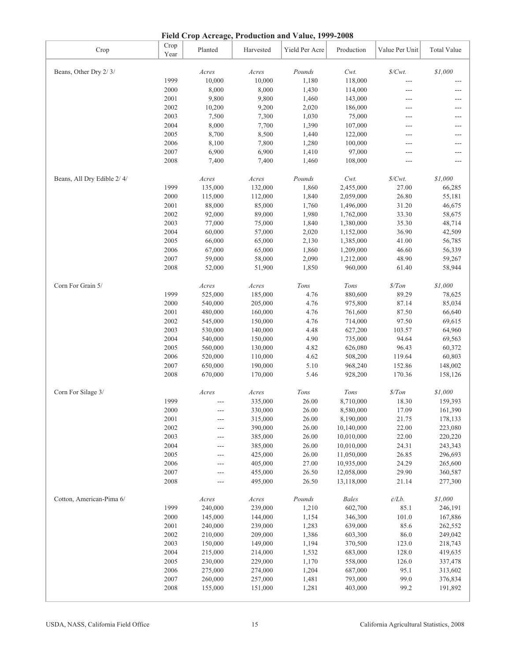| Field Crop Acreage, Production and Value, 1999-2008 |  |  |
|-----------------------------------------------------|--|--|
|                                                     |  |  |

|                            |              | Piciu Crop Acreage, Frouncion and Value, 1999-2000 |           |                |              |                     |                    |
|----------------------------|--------------|----------------------------------------------------|-----------|----------------|--------------|---------------------|--------------------|
| Crop                       | Crop<br>Year | Planted                                            | Harvested | Yield Per Acre | Production   | Value Per Unit      | <b>Total Value</b> |
| Beans, Other Dry 2/3/      |              | Acres                                              | Acres     | Pounds         | Cwt.         | $\mathcal{S}/Cwt$ . | \$1,000            |
|                            | 1999         | 10,000                                             | 10,000    | 1,180          | 118,000      | ---                 |                    |
|                            | 2000         | 8,000                                              | 8,000     | 1,430          | 114,000      | ---                 | ---                |
|                            | 2001         | 9,800                                              | 9,800     | 1,460          | 143,000      | ---                 | ---                |
|                            | 2002         | 10,200                                             | 9,200     | 2,020          | 186,000      | ---                 | ---                |
|                            | 2003         | 7,500                                              | 7,300     | 1,030          | 75,000       | ---                 | $---$              |
|                            | 2004         | 8,000                                              | 7,700     | 1,390          | 107,000      | ---                 | ---                |
|                            | 2005         | 8,700                                              | 8,500     | 1,440          | 122,000      | ---                 | ---                |
|                            | 2006         | 8,100                                              | 7,800     | 1,280          | 100,000      | ---                 | ---                |
|                            | 2007         | 6,900                                              | 6,900     | 1,410          | 97,000       | ---                 |                    |
|                            | 2008         | 7,400                                              | 7,400     | 1,460          | 108,000      | ---                 | ---                |
|                            |              |                                                    |           |                |              |                     |                    |
| Beans, All Dry Edible 2/4/ |              | Acres                                              | Acres     | Pounds         | Cwt.         | $\frac{S}{Cwt}$ .   | \$1,000            |
|                            | 1999         | 135,000                                            | 132,000   | 1,860          | 2,455,000    | 27.00               | 66,285             |
|                            | 2000         | 115,000                                            | 112,000   | 1,840          | 2,059,000    | 26.80               | 55,181             |
|                            | 2001         | 88,000                                             | 85,000    | 1,760          | 1,496,000    | 31.20               | 46,675             |
|                            | 2002         | 92,000                                             | 89,000    | 1,980          | 1,762,000    | 33.30               | 58,675             |
|                            | 2003         | 77,000                                             | 75,000    | 1,840          | 1,380,000    | 35.30               | 48,714             |
|                            | 2004         | 60,000                                             | 57,000    | 2,020          | 1,152,000    | 36.90               | 42,509             |
|                            | 2005         | 66,000                                             | 65,000    | 2,130          | 1,385,000    | 41.00               | 56,785             |
|                            | 2006         | 67,000                                             | 65,000    | 1,860          | 1,209,000    | 46.60               | 56,339             |
|                            | 2007         | 59,000                                             | 58,000    | 2,090          | 1,212,000    | 48.90               | 59,267             |
|                            | 2008         | 52,000                                             | 51,900    | 1,850          | 960,000      | 61.40               | 58,944             |
|                            |              |                                                    |           |                |              |                     |                    |
| Corn For Grain 5/          |              | Acres                                              | Acres     | Tons           | Tons         | \$/ Ton             | \$1,000            |
|                            | 1999         | 525,000                                            | 185,000   | 4.76           | 880,600      | 89.29               | 78,625             |
|                            | 2000         | 540,000                                            | 205,000   | 4.76           | 975,800      | 87.14               | 85,034             |
|                            | 2001         | 480,000                                            | 160,000   | 4.76           | 761,600      | 87.50               | 66,640             |
|                            | 2002         | 545,000                                            | 150,000   | 4.76           | 714,000      | 97.50               | 69,615             |
|                            | 2003         | 530,000                                            | 140,000   | 4.48           | 627,200      | 103.57              | 64,960             |
|                            | 2004         | 540,000                                            | 150,000   | 4.90           | 735,000      | 94.64               | 69,563             |
|                            | 2005         | 560,000                                            | 130,000   | 4.82           | 626,080      | 96.43               | 60,372             |
|                            | 2006         | 520,000                                            | 110,000   | 4.62           | 508,200      | 119.64              | 60,803             |
|                            | 2007         | 650,000                                            | 190,000   | 5.10           | 968,240      | 152.86              | 148,002            |
|                            | 2008         | 670,000                                            | 170,000   | 5.46           | 928,200      | 170.36              | 158,126            |
| Corn For Silage 3/         |              | Acres                                              | Acres     | $Tons$         | Tons         | $\frac{s}{T}$ on    | \$1,000            |
|                            | 1999         |                                                    | 335,000   | 26.00          | 8,710,000    | 18.30               | 159,393            |
|                            | $2000\,$     |                                                    | 330,000   | 26.00          | 8,580,000    | 17.09               | 161,390            |
|                            | 2001         | ---                                                | 315,000   | 26.00          | 8,190,000    | 21.75               | 178,133            |
|                            | 2002         |                                                    | 390,000   | 26.00          | 10,140,000   | 22.00               | 223,080            |
|                            | 2003         | ---                                                | 385,000   | 26.00          | 10,010,000   | 22.00               | 220,220            |
|                            | 2004         | ---                                                | 385,000   | 26.00          | 10,010,000   | 24.31               | 243,343            |
|                            | 2005         | ---                                                | 425,000   | 26.00          | 11,050,000   | 26.85               | 296,693            |
|                            | 2006         | ---                                                | 405,000   | 27.00          | 10,935,000   | 24.29               | 265,600            |
|                            | 2007         | ---                                                | 455,000   | 26.50          | 12,058,000   | 29.90               | 360,587            |
|                            | 2008         | ---                                                | 495,000   | 26.50          | 13,118,000   | 21.14               | 277,300            |
|                            |              |                                                    |           |                |              |                     |                    |
| Cotton, American-Pima 6/   |              | Acres                                              | Acres     | Pounds         | <b>Bales</b> | $\phi/Lb.$          | \$1,000            |
|                            | 1999         | 240,000                                            | 239,000   | 1,210          | 602,700      | 85.1                | 246,191            |
|                            | 2000         | 145,000                                            | 144,000   | 1,154          | 346,300      | 101.0               | 167,886            |
|                            | 2001         | 240,000                                            | 239,000   | 1,283          | 639,000      | 85.6                | 262,552            |
|                            | 2002         | 210,000                                            | 209,000   | 1,386          | 603,300      | 86.0                | 249,042            |
|                            | 2003         | 150,000                                            | 149,000   | 1,194          | 370,500      | 123.0               | 218,743            |
|                            | 2004         | 215,000                                            | 214,000   | 1,532          | 683,000      | 128.0               | 419,635            |
|                            | 2005         | 230,000                                            | 229,000   | 1,170          | 558,000      | 126.0               | 337,478            |
|                            | 2006         | 275,000                                            | 274,000   | 1,204          | 687,000      | 95.1                | 313,602            |
|                            | 2007         | 260,000                                            | 257,000   | 1,481          | 793,000      | 99.0                | 376,834            |
|                            | 2008         | 155,000                                            | 151,000   | 1,281          | 403,000      | 99.2                | 191,892            |
|                            |              |                                                    |           |                |              |                     |                    |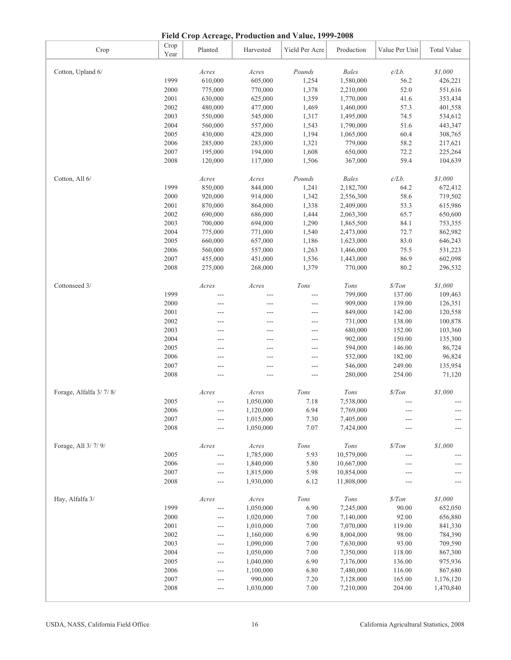| Cotton, All 6/         |      | Acres          | Acres          | Pounds         | <b>Bales</b> | $\phi/Lb$ .      | \$1,000        |
|------------------------|------|----------------|----------------|----------------|--------------|------------------|----------------|
|                        | 1999 | 850,000        | 844,000        | 1,241          | 2,182,700    | 64.2             | 672,412        |
|                        | 2000 | 920,000        | 914,000        | 1,342          | 2,556,300    | 58.6             | 719,502        |
|                        | 2001 | 870,000        | 864,000        | 1,338          | 2,409,000    | 53.3             | 615,986        |
|                        | 2002 | 690,000        | 686,000        | 1,444          | 2,063,300    | 65.7             | 650,600        |
|                        | 2003 | 700,000        | 694,000        | 1,290          | 1,865,500    | 84.1             | 753,355        |
|                        | 2004 | 775,000        | 771,000        | 1,540          | 2,473,000    | 72.7             | 862,982        |
|                        | 2005 | 660,000        | 657,000        | 1,186          | 1,623,000    | 83.0             | 646,243        |
|                        | 2006 | 560,000        | 557,000        | 1,263          | 1,466,000    | 75.5             | 531,223        |
|                        | 2007 | 455,000        | 451,000        | 1,536          | 1,443,000    | 86.9             | 602,098        |
|                        | 2008 | 275,000        | 268,000        | 1,379          | 770,000      | 80.2             | 296,532        |
| Cottonseed 3/          |      | Acres          | Acres          | Tons           | Tons         | \$/ Ton          | \$1,000        |
|                        | 1999 | $\overline{a}$ | ---            | $\overline{a}$ | 799,000      | 137.00           | 109,463        |
|                        | 2000 | $\sim$         | ---            | ---            | 909,000      | 139.00           | 126,351        |
|                        | 2001 | $\overline{a}$ | $\overline{a}$ | $\overline{a}$ | 849,000      | 142.00           | 120,558        |
|                        | 2002 | $\overline{a}$ | ---            | $\overline{a}$ | 731,000      | 138.00           | 100,878        |
|                        | 2003 | ---            | $---$          | $\overline{a}$ | 680,000      | 152.00           | 103,360        |
|                        | 2004 | ---            | ---            | $\overline{a}$ | 902,000      | 150.00           | 135,300        |
|                        | 2005 | $\sim$         | $---$          | $\overline{a}$ | 594,000      | 146.00           | 86,724         |
|                        | 2006 | $\overline{a}$ | $---$          | $\overline{a}$ | 532,000      | 182.00           | 96,824         |
|                        | 2007 | ---            | ---            | ---            | 546,000      | 249.00           | 135,954        |
|                        | 2008 | $\overline{a}$ | $---$          | $\overline{a}$ | 280,000      | 254.00           | 71,120         |
| Forage, Alfalfa 3/7/8/ |      | Acres          | Acres          | Tons           | Tons         | $\frac{s}{T}$ on | \$1,000        |
|                        | 2005 | ---            | 1,050,000      | 7.18           | 7,538,000    | $---$            |                |
|                        | 2006 | $\overline{a}$ | 1,120,000      | 6.94           | 7,769,000    | $\overline{a}$   |                |
|                        | 2007 | $\overline{a}$ | 1,015,000      | 7.30           | 7,405,000    | $---$            |                |
|                        | 2008 | $\overline{a}$ | 1,050,000      | 7.07           | 7,424,000    | ---              |                |
| Forage, All 3/7/9/     |      | Acres          | Acres          | Tons           | Tons         | \$/ Ton          | \$1,000        |
|                        | 2005 | $\overline{a}$ | 1,785,000      | 5.93           | 10,579,000   | ---              |                |
|                        | 2006 | $\overline{a}$ | 1,840,000      | 5.80           | 10,667,000   | ---              |                |
|                        | 2007 | $\overline{a}$ | 1,815,000      | 5.98           | 10,854,000   | $---$            |                |
|                        | 2008 | $\overline{a}$ | 1,930,000      | 6.12           | 11,808,000   | $\overline{a}$   | $\overline{a}$ |
| Hay, Alfalfa 3/        |      | Acres          | Acres          | Tons           | Tons         | \$/ Ton          | \$1,000        |
|                        | 1999 | $\overline{a}$ | 1,050,000      | 6.90           | 7,245,000    | 90.00            | 652,050        |
|                        | 2000 | $\overline{a}$ | 1,020,000      | 7.00           | 7,140,000    | 92.00            | 656,880        |
|                        | 2001 | $\overline{a}$ | 1,010,000      | 7.00           | 7,070,000    | 119.00           | 841,330        |
|                        | 2002 | $---$          | 1,160,000      | 6.90           | 8,004,000    | 98.00            | 784,390        |
|                        | 2003 | $\overline{a}$ | 1,090,000      | 7.00           | 7,630,000    | 93.00            | 709,590        |
|                        | 2004 | $\overline{a}$ | 1,050,000      | 7.00           | 7,350,000    | 118.00           | 867,300        |
|                        | 2005 | $---$          | 1,040,000      | 6.90           | 7,176,000    | 136.00           | 975,936        |
|                        | 2006 | $\overline{a}$ | 1,100,000      | 6.80           | 7,480,000    | 116.00           | 867,680        |
|                        | 2007 | $\overline{a}$ | 990,000        | 7.20           | 7,128,000    | 165.00           | 1,176,120      |
|                        | 2008 | $\sim$         | 1,030,000      | 7.00           | 7,210,000    | 204.00           | 1,470,840      |

Cotton, Upland 6/ *Acres Acres Pounds Bales ¢/Lb. \$1,000*

Year Planted Harvested Yield Per Acre Production Value Per Unit Total Value

1999 610,000 605,000 1,254 1,580,000 56.2 426,221 2000 775,000 770,000 1,378 2,210,000 52.0 551,616 2001 630,000 625,000 1,359 1,770,000 41.6 353,434 2002 480,000 477,000 1,469 1,460,000 57.3 401,558 2003 550,000 545,000 1,317 1,495,000 74.5 534,612 2004 560,000 557,000 1,543 1,790,000 51.6 443,347 2005 430,000 428,000 1,194 1,065,000 60.4 308,765 2006 285,000 283,000 1,321 779,000 58.2 217,621 2007 195,000 194,000 1,608 650,000 72.2 225,264 2008 120,000 117,000 1,506 367,000 59.4 104,639

Crop Crop Crop Crop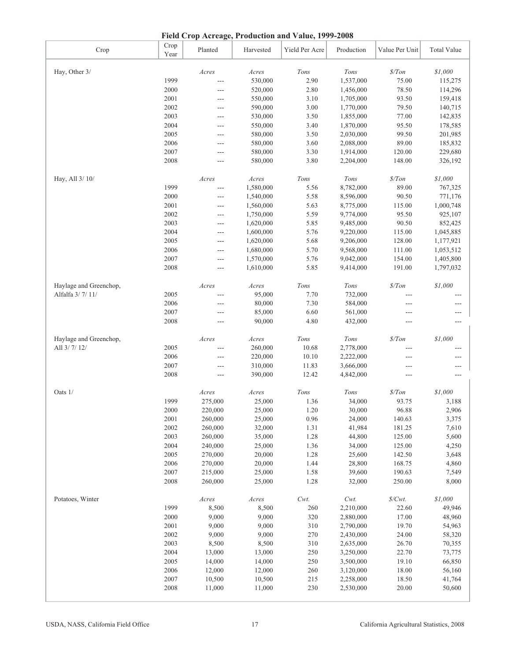**Field Crop Acreage, Production and Value, 1999-2008**

|                        |              | $1 \text{ rad}$ of $0$ and $0 \text{ rad}$ , $1 \text{ rad}$ and $0 \text{ rad}$ , $1 \text{ rad}$ |           |                |            |                   |                    |
|------------------------|--------------|----------------------------------------------------------------------------------------------------|-----------|----------------|------------|-------------------|--------------------|
| Crop                   | Crop<br>Year | Planted                                                                                            | Harvested | Yield Per Acre | Production | Value Per Unit    | <b>Total Value</b> |
| Hay, Other 3/          |              | Acres                                                                                              | $A$ cres  | Tons           | Tons       | $\frac{\$}{T}$ on | \$1,000            |
|                        | 1999         | $\overline{a}$                                                                                     | 530,000   | 2.90           | 1,537,000  | 75.00             | 115,275            |
|                        | 2000         |                                                                                                    | 520,000   | 2.80           | 1,456,000  | 78.50             | 114,296            |
|                        | 2001         | $---$                                                                                              | 550,000   | 3.10           | 1,705,000  | 93.50             | 159,418            |
|                        | 2002         | $\overline{a}$                                                                                     | 590,000   | 3.00           | 1,770,000  | 79.50             | 140,715            |
|                        | 2003         | $---$                                                                                              | 530,000   | 3.50           | 1,855,000  | 77.00             | 142,835            |
|                        | 2004         | $---$                                                                                              | 550,000   | 3.40           | 1,870,000  | 95.50             | 178,585            |
|                        | 2005         | ---                                                                                                | 580,000   | 3.50           | 2,030,000  | 99.50             | 201,985            |
|                        | 2006         | ---                                                                                                | 580,000   | 3.60           | 2,088,000  | 89.00             | 185,832            |
|                        | 2007         | ---                                                                                                | 580,000   | 3.30           | 1,914,000  | 120.00            | 229,680            |
|                        | 2008         | $---$                                                                                              | 580,000   | 3.80           | 2,204,000  | 148.00            | 326,192            |
| Hay, All 3/ 10/        |              | Acres                                                                                              | Acres     | $Tons$         | Tons       | $\$/Ton$          | \$1,000            |
|                        | 1999         | $\overline{a}$                                                                                     | 1,580,000 | 5.56           | 8,782,000  | 89.00             | 767,325            |
|                        | 2000         | $---$                                                                                              | 1,540,000 | 5.58           | 8,596,000  | 90.50             | 771,176            |
|                        | 2001         | $---$                                                                                              | 1,560,000 | 5.63           | 8,775,000  | 115.00            | 1,000,748          |
|                        | 2002         | ---                                                                                                | 1,750,000 | 5.59           | 9,774,000  | 95.50             | 925,107            |
|                        | 2003         |                                                                                                    |           | 5.85           | 9,485,000  | 90.50             |                    |
|                        |              | $---$                                                                                              | 1,620,000 |                |            |                   | 852,425            |
|                        | 2004         | $\overline{a}$                                                                                     | 1,600,000 | 5.76           | 9,220,000  | 115.00            | 1,045,885          |
|                        | 2005         | $\overline{a}$                                                                                     | 1,620,000 | 5.68           | 9,206,000  | 128.00            | 1,177,921          |
|                        | 2006         | $---$                                                                                              | 1,680,000 | 5.70           | 9,568,000  | 111.00            | 1,053,512          |
|                        | 2007         | $---$                                                                                              | 1,570,000 | 5.76           | 9,042,000  | 154.00            | 1,405,800          |
|                        | 2008         | $---$                                                                                              | 1,610,000 | 5.85           | 9,414,000  | 191.00            | 1,797,032          |
| Haylage and Greenchop, |              | Acres                                                                                              | Acres     | Tons           | Tons       | $\frac{\$}{T}$ on | $\$1,000$          |
| Alfalfa 3/7/11/        | 2005         |                                                                                                    | 95,000    | 7.70           | 732,000    |                   | ---                |
|                        | 2006         |                                                                                                    | 80,000    | 7.30           | 584,000    | ---               | ---                |
|                        | 2007         |                                                                                                    | 85,000    | 6.60           | 561,000    | $---$             | ---                |
|                        | 2008         | $---$                                                                                              | 90,000    | 4.80           | 432,000    | ---               | $---$              |
| Haylage and Greenchop, |              | Acres                                                                                              | Acres     | $Tons$         | Tons       | $\frac{s}{T}$     | \$1,000            |
| All 3/7/12/            | 2005         | $---$                                                                                              | 260,000   | 10.68          | 2,778,000  | ---               |                    |
|                        | 2006         |                                                                                                    | 220,000   | 10.10          |            |                   | ---                |
|                        | 2007         |                                                                                                    |           | 11.83          | 2,222,000  | ---               | ---                |
|                        |              | ---                                                                                                | 310,000   |                | 3,666,000  | ---               | ---                |
|                        | 2008         |                                                                                                    | 390,000   | 12.42          | 4,842,000  | ---               | ---                |
| Oats 1/                |              | Acres                                                                                              | Acres     | Tons           | Tons       | \$/ Ton           | \$1,000            |
|                        | 1999         | 275,000                                                                                            | 25,000    | 1.36           | 34,000     | 93.75             | 3,188              |
|                        | $2000\,$     | 220,000                                                                                            | 25,000    | 1.20           | 30,000     | 96.88             | 2,906              |
|                        | 2001         | 260,000                                                                                            | 25,000    | 0.96           | 24,000     | 140.63            | 3,375              |
|                        | 2002         | 260,000                                                                                            | 32,000    | 1.31           | 41,984     | 181.25            | 7,610              |
|                        | 2003         | 260,000                                                                                            | 35,000    | 1.28           | 44,800     | 125.00            | 5,600              |
|                        | 2004         | 240,000                                                                                            | 25,000    | 1.36           | 34,000     | 125.00            | 4,250              |
|                        | 2005         | 270,000                                                                                            | 20,000    | 1.28           | 25,600     | 142.50            | 3,648              |
|                        | 2006         | 270,000                                                                                            | 20,000    | 1.44           | 28,800     | 168.75            | 4,860              |
|                        | 2007         | 215,000                                                                                            | 25,000    | 1.58           | 39,600     | 190.63            | 7,549              |
|                        | 2008         | 260,000                                                                                            | 25,000    | 1.28           | 32,000     | 250.00            | 8,000              |
| Potatoes, Winter       |              | Acres                                                                                              | Acres     | $Cwt$ .        | $Cwt$ .    | $\frac{S}{Wt}$ .  | \$1,000            |
|                        | 1999         | 8,500                                                                                              | 8,500     | 260            | 2,210,000  | 22.60             | 49,946             |
|                        | 2000         | 9,000                                                                                              | 9,000     | 320            | 2,880,000  | 17.00             | 48,960             |
|                        | 2001         | 9,000                                                                                              | 9,000     | 310            | 2,790,000  | 19.70             | 54,963             |
|                        | 2002         | 9,000                                                                                              | 9,000     | 270            | 2,430,000  | 24.00             | 58,320             |
|                        | 2003         | 8,500                                                                                              | 8,500     | 310            |            | 26.70             |                    |
|                        |              |                                                                                                    |           |                | 2,635,000  |                   | 70,355             |
|                        | 2004         | 13,000                                                                                             | 13,000    | 250            | 3,250,000  | 22.70             | 73,775             |
|                        | 2005         | 14,000                                                                                             | 14,000    | 250            | 3,500,000  | 19.10             | 66,850             |
|                        | 2006         | 12,000                                                                                             | 12,000    | 260            | 3,120,000  | 18.00             | 56,160             |
|                        | 2007         | 10,500                                                                                             | 10,500    | 215            | 2,258,000  | 18.50             | 41,764             |
|                        | 2008         | 11,000                                                                                             | 11,000    | 230            | 2,530,000  | 20.00             | 50,600             |
|                        |              |                                                                                                    |           |                |            |                   |                    |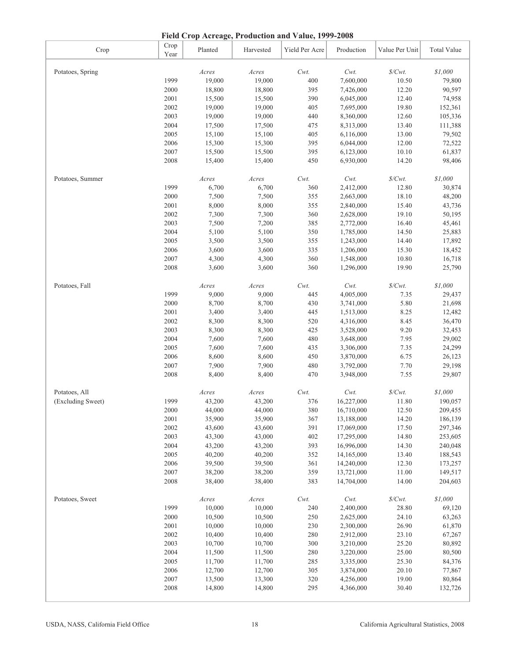**Field Crop Acreage, Production and Value, 1999-2008**

|                   |              | There is the relation of the contraction and $\lambda$ and $\lambda$ , $\lambda$ , $\lambda$ , $\lambda$ , $\lambda$ , $\lambda$ , $\lambda$ , $\lambda$ , $\lambda$ , $\lambda$ , $\lambda$ , $\lambda$ , $\lambda$ , $\lambda$ , $\lambda$ , $\lambda$ , $\lambda$ , $\lambda$ , $\lambda$ , $\lambda$ , $\lambda$ , $\lambda$ , $\lambda$ , $\lambda$ , $\lambda$ , $\lambda$ , $\lambda$ , $\lambda$ , |           |                |            |                     |                    |
|-------------------|--------------|------------------------------------------------------------------------------------------------------------------------------------------------------------------------------------------------------------------------------------------------------------------------------------------------------------------------------------------------------------------------------------------------------------|-----------|----------------|------------|---------------------|--------------------|
| Crop              | Crop<br>Year | Planted                                                                                                                                                                                                                                                                                                                                                                                                    | Harvested | Yield Per Acre | Production | Value Per Unit      | <b>Total Value</b> |
| Potatoes, Spring  |              | Acres                                                                                                                                                                                                                                                                                                                                                                                                      | Acres     | $Cwt$ .        | Cwt.       | $\mathcal{S}/Cwt.$  | \$1,000            |
|                   | 1999         | 19,000                                                                                                                                                                                                                                                                                                                                                                                                     | 19,000    | 400            | 7,600,000  | 10.50               | 79,800             |
|                   | 2000         | 18,800                                                                                                                                                                                                                                                                                                                                                                                                     | 18,800    | 395            | 7,426,000  | 12.20               | 90,597             |
|                   | 2001         | 15,500                                                                                                                                                                                                                                                                                                                                                                                                     | 15,500    | 390            | 6,045,000  | 12.40               | 74,958             |
|                   | 2002         | 19,000                                                                                                                                                                                                                                                                                                                                                                                                     | 19,000    | 405            | 7,695,000  | 19.80               | 152,361            |
|                   | 2003         | 19,000                                                                                                                                                                                                                                                                                                                                                                                                     | 19,000    | 440            | 8,360,000  | 12.60               | 105,336            |
|                   | 2004         | 17,500                                                                                                                                                                                                                                                                                                                                                                                                     |           | 475            |            | 13.40               |                    |
|                   |              |                                                                                                                                                                                                                                                                                                                                                                                                            | 17,500    |                | 8,313,000  |                     | 111,388            |
|                   | 2005         | 15,100                                                                                                                                                                                                                                                                                                                                                                                                     | 15,100    | 405            | 6,116,000  | 13.00               | 79,502             |
|                   | 2006         | 15,300                                                                                                                                                                                                                                                                                                                                                                                                     | 15,300    | 395            | 6,044,000  | 12.00               | 72,522             |
|                   | 2007         | 15,500                                                                                                                                                                                                                                                                                                                                                                                                     | 15,500    | 395            | 6,123,000  | 10.10               | 61,837             |
|                   | 2008         | 15,400                                                                                                                                                                                                                                                                                                                                                                                                     | 15,400    | 450            | 6,930,000  | 14.20               | 98,406             |
| Potatoes, Summer  |              | Acres                                                                                                                                                                                                                                                                                                                                                                                                      | Acres     | $Cwt$ .        | $Cwt$ .    | $\frac{S}{Cwt}$ .   | \$1,000            |
|                   | 1999         | 6,700                                                                                                                                                                                                                                                                                                                                                                                                      | 6,700     | 360            | 2,412,000  | 12.80               | 30,874             |
|                   | 2000         | 7,500                                                                                                                                                                                                                                                                                                                                                                                                      | 7,500     | 355            | 2,663,000  | 18.10               | 48,200             |
|                   | 2001         | 8,000                                                                                                                                                                                                                                                                                                                                                                                                      | 8,000     | 355            | 2,840,000  | 15.40               | 43,736             |
|                   | 2002         | 7,300                                                                                                                                                                                                                                                                                                                                                                                                      | 7,300     | 360            | 2,628,000  | 19.10               | 50,195             |
|                   | 2003         | 7,500                                                                                                                                                                                                                                                                                                                                                                                                      | 7,200     | 385            | 2,772,000  | 16.40               | 45,461             |
|                   | 2004         | 5,100                                                                                                                                                                                                                                                                                                                                                                                                      | 5,100     | 350            | 1,785,000  | 14.50               | 25,883             |
|                   | 2005         | 3,500                                                                                                                                                                                                                                                                                                                                                                                                      | 3,500     | 355            | 1,243,000  | 14.40               | 17,892             |
|                   | 2006         | 3,600                                                                                                                                                                                                                                                                                                                                                                                                      | 3,600     | 335            | 1,206,000  | 15.30               | 18,452             |
|                   | 2007         | 4,300                                                                                                                                                                                                                                                                                                                                                                                                      | 4,300     | 360            | 1,548,000  | 10.80               | 16,718             |
|                   | 2008         | 3,600                                                                                                                                                                                                                                                                                                                                                                                                      | 3,600     | 360            | 1,296,000  | 19.90               | 25,790             |
|                   |              |                                                                                                                                                                                                                                                                                                                                                                                                            |           |                |            |                     |                    |
| Potatoes, Fall    |              | Acres                                                                                                                                                                                                                                                                                                                                                                                                      | Acres     | $Cwt$ .        | Cwt.       | $\frac{Cwt}{k}$     | $\$1,000$          |
|                   | 1999         | 9,000                                                                                                                                                                                                                                                                                                                                                                                                      | 9,000     | 445            | 4,005,000  | 7.35                | 29,437             |
|                   | 2000         | 8,700                                                                                                                                                                                                                                                                                                                                                                                                      | 8,700     | 430            | 3,741,000  | 5.80                | 21,698             |
|                   | 2001         | 3,400                                                                                                                                                                                                                                                                                                                                                                                                      | 3,400     | 445            | 1,513,000  | 8.25                | 12,482             |
|                   | 2002         | 8,300                                                                                                                                                                                                                                                                                                                                                                                                      | 8,300     | 520            | 4,316,000  | 8.45                | 36,470             |
|                   | 2003         | 8,300                                                                                                                                                                                                                                                                                                                                                                                                      | 8,300     | 425            | 3,528,000  | 9.20                | 32,453             |
|                   | 2004         | 7,600                                                                                                                                                                                                                                                                                                                                                                                                      | 7,600     | 480            | 3,648,000  | 7.95                | 29,002             |
|                   | 2005         | 7,600                                                                                                                                                                                                                                                                                                                                                                                                      | 7,600     | 435            | 3,306,000  | 7.35                | 24,299             |
|                   | 2006         | 8,600                                                                                                                                                                                                                                                                                                                                                                                                      | 8,600     | 450            | 3,870,000  | 6.75                | 26,123             |
|                   | 2007         | 7,900                                                                                                                                                                                                                                                                                                                                                                                                      | 7,900     | 480            | 3,792,000  | 7.70                | 29,198             |
|                   | 2008         | 8,400                                                                                                                                                                                                                                                                                                                                                                                                      | 8,400     | 470            | 3,948,000  | 7.55                | 29,807             |
|                   |              |                                                                                                                                                                                                                                                                                                                                                                                                            |           |                |            |                     |                    |
| Potatoes, All     |              | Acres                                                                                                                                                                                                                                                                                                                                                                                                      | Acres     | $Cwt$ .        | Cwt.       | $\frac{S}{Cwt}$ .   | \$1,000            |
| (Excluding Sweet) | 1999         | 43,200                                                                                                                                                                                                                                                                                                                                                                                                     | 43,200    | 376            | 16,227,000 | 11.80               | 190,057            |
|                   | $2000\,$     | 44,000                                                                                                                                                                                                                                                                                                                                                                                                     | 44,000    | 380            | 16,710,000 | 12.50               | 209,455            |
|                   | 2001         | 35,900                                                                                                                                                                                                                                                                                                                                                                                                     | 35,900    | 367            | 13,188,000 | 14.20               | 186,139            |
|                   | 2002         | 43,600                                                                                                                                                                                                                                                                                                                                                                                                     | 43,600    | 391            | 17,069,000 | 17.50               | 297,346            |
|                   | 2003         | 43,300                                                                                                                                                                                                                                                                                                                                                                                                     | 43,000    | 402            | 17,295,000 | 14.80               | 253,605            |
|                   | 2004         | 43,200                                                                                                                                                                                                                                                                                                                                                                                                     | 43,200    | 393            | 16,996,000 | 14.30               | 240,048            |
|                   | 2005         | 40,200                                                                                                                                                                                                                                                                                                                                                                                                     | 40,200    | 352            | 14,165,000 | 13.40               | 188,543            |
|                   | 2006         | 39,500                                                                                                                                                                                                                                                                                                                                                                                                     | 39,500    | 361            | 14,240,000 | 12.30               | 173,257            |
|                   | 2007         | 38,200                                                                                                                                                                                                                                                                                                                                                                                                     | 38,200    | 359            | 13,721,000 | 11.00               | 149,517            |
|                   | 2008         | 38,400                                                                                                                                                                                                                                                                                                                                                                                                     | 38,400    | 383            | 14,704,000 | 14.00               | 204,603            |
| Potatoes, Sweet   |              | Acres                                                                                                                                                                                                                                                                                                                                                                                                      | Acres     | $Cwt$ .        | $Cwt$ .    | $\mathcal{S}/Cwt$ . | \$1,000            |
|                   | 1999         | 10,000                                                                                                                                                                                                                                                                                                                                                                                                     | 10,000    | 240            | 2,400,000  | 28.80               | 69,120             |
|                   | 2000         | 10,500                                                                                                                                                                                                                                                                                                                                                                                                     | 10,500    | 250            | 2,625,000  | 24.10               | 63,263             |
|                   | 2001         | 10,000                                                                                                                                                                                                                                                                                                                                                                                                     | 10,000    | 230            | 2,300,000  | 26.90               | 61,870             |
|                   | 2002         | 10,400                                                                                                                                                                                                                                                                                                                                                                                                     | 10,400    | 280            | 2,912,000  | 23.10               | 67,267             |
|                   |              |                                                                                                                                                                                                                                                                                                                                                                                                            |           |                |            |                     |                    |
|                   | 2003         | 10,700                                                                                                                                                                                                                                                                                                                                                                                                     | 10,700    | 300            | 3,210,000  | 25.20               | 80,892             |
|                   | 2004         | 11,500                                                                                                                                                                                                                                                                                                                                                                                                     | 11,500    | 280            | 3,220,000  | 25.00               | 80,500             |
|                   | 2005         | 11,700                                                                                                                                                                                                                                                                                                                                                                                                     | 11,700    | 285            | 3,335,000  | 25.30               | 84,376             |
|                   | 2006         | 12,700                                                                                                                                                                                                                                                                                                                                                                                                     | 12,700    | 305            | 3,874,000  | 20.10               | 77,867             |
|                   | 2007         | 13,500                                                                                                                                                                                                                                                                                                                                                                                                     | 13,300    | 320            | 4,256,000  | 19.00               | 80,864             |
|                   | 2008         | 14,800                                                                                                                                                                                                                                                                                                                                                                                                     | 14,800    | 295            | 4,366,000  | 30.40               | 132,726            |
|                   |              |                                                                                                                                                                                                                                                                                                                                                                                                            |           |                |            |                     |                    |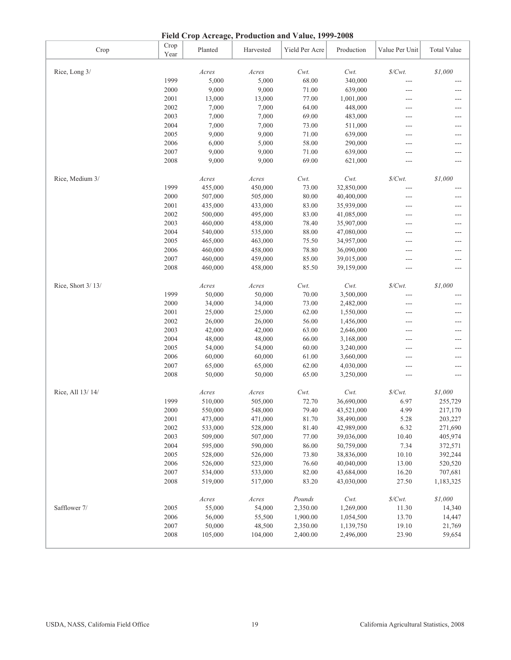**Field Crop Acreage, Production and Value, 1999-2008**

|                   |              | Presu Crop Acreage, Production and Value, 1999-2000 |           |                |            |                    |                    |
|-------------------|--------------|-----------------------------------------------------|-----------|----------------|------------|--------------------|--------------------|
| Crop              | Crop<br>Year | Planted                                             | Harvested | Yield Per Acre | Production | Value Per Unit     | <b>Total Value</b> |
| Rice, Long 3/     |              | Acres                                               | $A$ cres  | $Cwt$ .        | Cwt.       | $\mathcal{S}/Cwt.$ | \$1,000            |
|                   | 1999         | 5,000                                               | 5,000     | 68.00          | 340,000    | ---                |                    |
|                   | 2000         | 9,000                                               | 9,000     | 71.00          | 639,000    | ---                |                    |
|                   | 2001         | 13,000                                              | 13,000    | 77.00          | 1,001,000  | ---                | ---                |
|                   | 2002         | 7,000                                               | 7,000     | 64.00          | 448,000    |                    |                    |
|                   |              |                                                     |           |                |            | ---                |                    |
|                   | 2003         | 7,000                                               | 7,000     | 69.00          | 483,000    | ---                | ---                |
|                   | 2004         | 7,000                                               | 7,000     | 73.00          | 511,000    | ---                | ---                |
|                   | 2005         | 9,000                                               | 9,000     | 71.00          | 639,000    | ---                | ---                |
|                   | 2006         | 6,000                                               | 5,000     | 58.00          | 290,000    | ---                | ---                |
|                   | 2007         | 9,000                                               | 9,000     | 71.00          | 639,000    | ---                | ---                |
|                   | 2008         | 9,000                                               | 9,000     | 69.00          | 621,000    | ---                | ---                |
| Rice, Medium 3/   |              | Acres                                               | Acres     | $Cwt$ .        | $Cwt$ .    | $\frac{S}{Cwt}$ .  | \$1,000            |
|                   | 1999         | 455,000                                             | 450,000   | 73.00          | 32,850,000 | ---                |                    |
|                   | 2000         | 507,000                                             | 505,000   | 80.00          | 40,400,000 | ---                | ---                |
|                   | 2001         | 435,000                                             | 433,000   | 83.00          | 35,939,000 | ---                | ---                |
|                   | 2002         | 500,000                                             | 495,000   | 83.00          | 41,085,000 | ---                | ---                |
|                   | 2003         | 460,000                                             | 458,000   | 78.40          | 35,907,000 | ---                | $---$              |
|                   | 2004         | 540,000                                             | 535,000   | 88.00          | 47,080,000 | ---                | ---                |
|                   | 2005         | 465,000                                             | 463,000   | 75.50          | 34,957,000 | ---                | ---                |
|                   | 2006         | 460,000                                             | 458,000   | 78.80          | 36,090,000 | ---                | ---                |
|                   | 2007         | 460,000                                             | 459,000   | 85.00          | 39,015,000 | ---                | ---                |
|                   | 2008         | 460,000                                             | 458,000   | 85.50          | 39,159,000 | ---                | ---                |
| Rice, Short 3/13/ |              | Acres                                               | Acres     | $Cwt$ .        | $Cwt$ .    | $\mathcal{S}/Cwt.$ | \$1,000            |
|                   | 1999         | 50,000                                              | 50,000    | 70.00          | 3,500,000  | ---                | ---                |
|                   | 2000         | 34,000                                              | 34,000    | 73.00          | 2,482,000  | ---                | ---                |
|                   | 2001         | 25,000                                              | 25,000    | 62.00          | 1,550,000  | ---                | ---                |
|                   | 2002         | 26,000                                              | 26,000    | 56.00          | 1,456,000  | ---                | ---                |
|                   | 2003         | 42,000                                              | 42,000    | 63.00          | 2,646,000  | ---                | ---                |
|                   | 2004         | 48,000                                              | 48,000    | 66.00          | 3,168,000  | ---                | ---                |
|                   | 2005         | 54,000                                              | 54,000    | 60.00          | 3,240,000  | ---                | ---                |
|                   | 2006         | 60,000                                              | 60,000    | 61.00          | 3,660,000  | ---                | ---                |
|                   | 2007         | 65,000                                              | 65,000    | 62.00          | 4,030,000  | ---                | ---                |
|                   | 2008         | 50,000                                              | 50,000    | 65.00          | 3,250,000  | ---                | ---                |
| Rice, All 13/14/  |              | Acres                                               | Acres     | $Cwt$ .        | Cwt.       | $\mathcal{S}/Cwt.$ | \$1,000            |
|                   | 1999         | 510,000                                             | 505,000   | 72.70          | 36,690,000 | 6.97               | 255,729            |
|                   | $2000\,$     | 550,000                                             | 548,000   | 79.40          | 43,521,000 | 4.99               | 217,170            |
|                   | 2001         | 473,000                                             | 471,000   | 81.70          | 38,490,000 | 5.28               | 203,227            |
|                   | 2002         | 533,000                                             | 528,000   | 81.40          | 42,989,000 | 6.32               | 271,690            |
|                   | 2003         | 509,000                                             | 507,000   | 77.00          | 39,036,000 | 10.40              | 405,974            |
|                   | 2004         | 595,000                                             | 590,000   | 86.00          | 50,759,000 | 7.34               | 372,571            |
|                   | 2005         | 528,000                                             | 526,000   | 73.80          | 38,836,000 | 10.10              | 392,244            |
|                   | 2006         | 526,000                                             | 523,000   | 76.60          | 40,040,000 | 13.00              | 520,520            |
|                   | 2007         | 534,000                                             | 533,000   | 82.00          | 43,684,000 | 16.20              | 707,681            |
|                   | 2008         | 519,000                                             | 517,000   | 83.20          | 43,030,000 | 27.50              | 1,183,325          |
|                   |              |                                                     |           |                |            |                    |                    |
|                   |              | Acres                                               | Acres     | Pounds         | Cwt.       | $\frac{S}{Wt}$ .   | \$1,000            |
| Safflower 7/      | 2005         | 55,000                                              | 54,000    | 2,350.00       | 1,269,000  | 11.30              | 14,340             |
|                   | 2006         | 56,000                                              | 55,500    | 1,900.00       | 1,054,500  | 13.70              | 14,447             |
|                   | 2007         | 50,000                                              | 48,500    | 2,350.00       | 1,139,750  | 19.10              | 21,769             |
|                   | 2008         | 105,000                                             | 104,000   | 2,400.00       | 2,496,000  | 23.90              | 59,654             |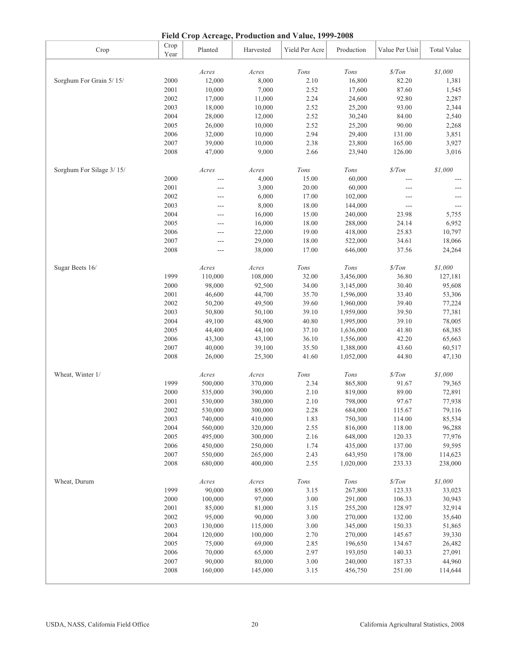### **Field Crop Acreage, Production and Value, 1999-2008**

|                          |              | Figure Crop Ticketage, Frounchon and A and $(1222 - 2000)$ |           |                |            |                  |                    |
|--------------------------|--------------|------------------------------------------------------------|-----------|----------------|------------|------------------|--------------------|
| Crop                     | Crop<br>Year | Planted                                                    | Harvested | Yield Per Acre | Production | Value Per Unit   | <b>Total Value</b> |
|                          |              | Acres                                                      | Acres     | Tons           | Tons       | $\frac{s}{T}$    | \$1,000            |
| Sorghum For Grain 5/15/  | 2000         | 12,000                                                     | 8,000     | 2.10           | 16,800     | 82.20            | 1,381              |
|                          | 2001         | 10,000                                                     | 7,000     | 2.52           | 17,600     | 87.60            | 1,545              |
|                          | 2002         | 17,000                                                     | 11,000    | 2.24           | 24,600     | 92.80            | 2,287              |
|                          |              |                                                            |           |                |            |                  |                    |
|                          | 2003         | 18,000                                                     | 10,000    | 2.52           | 25,200     | 93.00            | 2,344              |
|                          | 2004         | 28,000                                                     | 12,000    | 2.52           | 30,240     | 84.00            | 2,540              |
|                          | 2005         | 26,000                                                     | 10,000    | 2.52           | 25,200     | 90.00            | 2,268              |
|                          | 2006         | 32,000                                                     | 10,000    | 2.94           | 29,400     | 131.00           | 3,851              |
|                          | 2007         | 39,000                                                     | 10,000    | 2.38           | 23,800     | 165.00           | 3,927              |
|                          | 2008         | 47,000                                                     | 9,000     | 2.66           | 23,940     | 126.00           | 3,016              |
| Sorghum For Silage 3/15/ |              | Acres                                                      | Acres     | $Tons$         | Tons       | $\frac{s}{T}$    | $\$1,000$          |
|                          | 2000         |                                                            | 4,000     | 15.00          | 60,000     |                  |                    |
|                          | 2001         | ---                                                        | 3,000     | 20.00          | 60,000     | ---              |                    |
|                          | 2002         | ---                                                        | 6,000     | 17.00          | 102,000    | ---              | ---                |
|                          | 2003         | ---                                                        | 8,000     | 18.00          |            | $---$            |                    |
|                          |              |                                                            |           |                | 144,000    |                  | ---                |
|                          | 2004         | ---                                                        | 16,000    | 15.00          | 240,000    | 23.98            | 5,755              |
|                          | 2005         | ---                                                        | 16,000    | 18.00          | 288,000    | 24.14            | 6,952              |
|                          | 2006         | ---                                                        | 22,000    | 19.00          | 418,000    | 25.83            | 10,797             |
|                          | 2007         | ---                                                        | 29,000    | 18.00          | 522,000    | 34.61            | 18,066             |
|                          | 2008         |                                                            | 38,000    | 17.00          | 646,000    | 37.56            | 24,264             |
| Sugar Beets 16/          |              | Acres                                                      | Acres     | $Tons$         | Tons       | $\$/Ton$         | \$1,000            |
|                          | 1999         | 110,000                                                    | 108,000   | 32.00          | 3,456,000  | 36.80            | 127,181            |
|                          | 2000         | 98,000                                                     | 92,500    | 34.00          | 3,145,000  | 30.40            | 95,608             |
|                          | 2001         | 46,600                                                     | 44,700    | 35.70          | 1,596,000  | 33.40            | 53,306             |
|                          | 2002         | 50,200                                                     | 49,500    | 39.60          | 1,960,000  | 39.40            | 77,224             |
|                          | 2003         | 50,800                                                     | 50,100    | 39.10          | 1,959,000  | 39.50            | 77,381             |
|                          | 2004         | 49,100                                                     | 48,900    | 40.80          | 1,995,000  | 39.10            | 78,005             |
|                          | 2005         | 44,400                                                     | 44,100    | 37.10          | 1,636,000  | 41.80            | 68,385             |
|                          | 2006         |                                                            |           | 36.10          |            | 42.20            |                    |
|                          |              | 43,300                                                     | 43,100    |                | 1,556,000  |                  | 65,663             |
|                          | 2007         | 40,000                                                     | 39,100    | 35.50          | 1,388,000  | 43.60            | 60,517             |
|                          | 2008         | 26,000                                                     | 25,300    | 41.60          | 1,052,000  | 44.80            | 47,130             |
| Wheat, Winter 1/         |              | $A$ cres                                                   | Acres     | $Tons$         | Tons       | $\frac{s}{T}$ on | \$1,000            |
|                          | 1999         | 500,000                                                    | 370,000   | 2.34           | 865,800    | 91.67            | 79,365             |
|                          | 2000         | 535,000                                                    | 390,000   | 2.10           | 819,000    | 89.00            | 72,891             |
|                          | 2001         | 530,000                                                    | 380,000   | 2.10           | 798,000    | 97.67            | 77,938             |
|                          | 2002         | 530,000                                                    | 300,000   | 2.28           | 684,000    | 115.67           | 79,116             |
|                          | 2003         | 740,000                                                    | 410,000   | 1.83           | 750,300    | 114.00           | 85,534             |
|                          | 2004         | 560,000                                                    | 320,000   | 2.55           | 816,000    | 118.00           | 96,288             |
|                          | 2005         | 495,000                                                    | 300,000   | 2.16           | 648,000    | 120.33           | 77,976             |
|                          | 2006         | 450,000                                                    | 250,000   | 1.74           | 435,000    | 137.00           | 59,595             |
|                          | 2007         | 550,000                                                    | 265,000   | 2.43           | 643,950    | 178.00           | 114,623            |
|                          | 2008         | 680,000                                                    | 400,000   | 2.55           | 1,020,000  | 233.33           | 238,000            |
|                          |              |                                                            |           |                |            |                  |                    |
| Wheat, Durum             |              | Acres                                                      | Acres     | Tons           | Tons       | $\frac{s}{T}$    | \$1,000            |
|                          | 1999         | 90,000                                                     | 85,000    | 3.15           | 267,800    | 123.33           | 33,023             |
|                          | 2000         | 100,000                                                    | 97,000    | 3.00           | 291,000    | 106.33           | 30,943             |
|                          | $2001\,$     | 85,000                                                     | 81,000    | 3.15           | 255,200    | 128.97           | 32,914             |
|                          | 2002         | 95,000                                                     | 90,000    | 3.00           | 270,000    | 132.00           | 35,640             |
|                          | 2003         | 130,000                                                    | 115,000   | 3.00           | 345,000    | 150.33           | 51,865             |
|                          | 2004         | 120,000                                                    | 100,000   | 2.70           | 270,000    | 145.67           | 39,330             |
|                          | 2005         | 75,000                                                     | 69,000    | 2.85           | 196,650    | 134.67           | 26,482             |
|                          | 2006         | 70,000                                                     | 65,000    | 2.97           | 193,050    | 140.33           | 27,091             |
|                          | 2007         | 90,000                                                     | 80,000    | 3.00           | 240,000    | 187.33           | 44,960             |
|                          | 2008         | 160,000                                                    | 145,000   | 3.15           | 456,750    | 251.00           | 114,644            |
|                          |              |                                                            |           |                |            |                  |                    |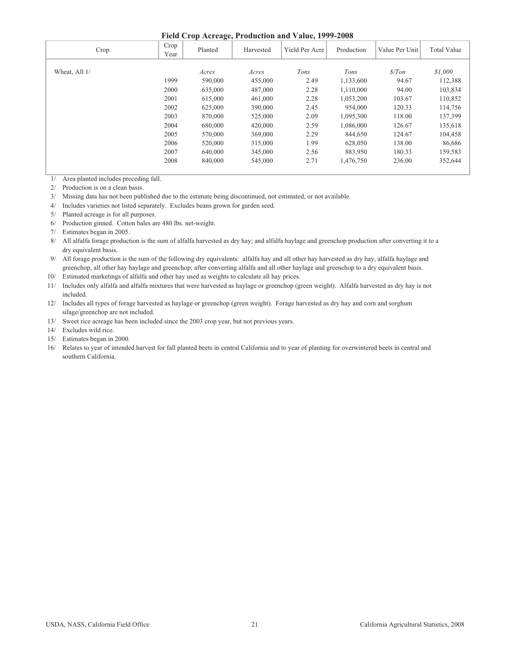#### **Field Crop Acreage, Production and Value, 1999-2008**

| Crop          | Crop<br>Year | Planted | Harvested | Yield Per Acre | Production | Value Per Unit   | <b>Total Value</b> |
|---------------|--------------|---------|-----------|----------------|------------|------------------|--------------------|
| Wheat, All 1/ |              | Acres   | Acres     | Tons           | Tons       | $\frac{s}{T}$ on | \$1,000            |
|               | 1999         | 590,000 | 455,000   | 2.49           | 1,133,600  | 94.67            | 112,388            |
|               | 2000         | 635,000 | 487,000   | 2.28           | 1,110,000  | 94.00            | 103,834            |
|               | 2001         | 615,000 | 461,000   | 2.28           | 1,053,200  | 103.67           | 110,852            |
|               | 2002         | 625,000 | 390,000   | 2.45           | 954,000    | 120.33           | 114,756            |
|               | 2003         | 870,000 | 525,000   | 2.09           | 1,095,300  | 118.00           | 137,399            |
|               | 2004         | 680,000 | 420,000   | 2.59           | 1,086,000  | 126.67           | 135,618            |
|               | 2005         | 570,000 | 369,000   | 2.29           | 844,650    | 124.67           | 104,458            |
|               | 2006         | 520,000 | 315,000   | 1.99           | 628,050    | 138.00           | 86,686             |
|               | 2007         | 640,000 | 345,000   | 2.56           | 883,950    | 180.33           | 159,583            |
|               | 2008         | 840,000 | 545,000   | 2.71           | 1,476,750  | 236.00           | 352,644            |

1/ Area planted includes preceding fall.

2/ Production is on a clean basis.

3/ Missing data has not been published due to the estimate being discontinued, not estimated, or not available.

4/ Includes varieties not listed separately. Excludes beans grown for garden seed.

5/ Planted acreage is for all purposes.

6/ Production ginned. Cotton bales are 480 lbs. net-weight.

7/ Estimates began in 2005.

 8/ All alfalfa forage production is the sum of alfalfa harvested as dry hay; and alfalfa haylage and greenchop production after converting it to a dry equivalent basis.

 9/ All forage production is the sum of the following dry equivalents: alfalfa hay and all other hay harvested as dry hay, alfalfa haylage and greenchop, all other hay haylage and greenchop; after converting alfalfa and all other haylage and greenchop to a dry equivalent basis.

10/ Estimated marketings of alfalfa and other hay used as weights to calculate all hay prices.

11/ Includes only alfalfa and alfalfa mixtures that were harvested as haylage or greenchop (green weight). Alfalfa harvested as dry hay is not included.

12/ Includes all types of forage harvested as haylage or greenchop (green weight). Forage harvested as dry hay and corn and sorghum silage/greenchop are not included.

13/ Sweet rice acreage has been included since the 2003 crop year, but not previous years.

14/ Excludes wild rice.

15/ Estimates began in 2000.

16/ Relates to year of intended harvest for fall planted beets in central California and to year of planting for overwintered beets in central and southern California.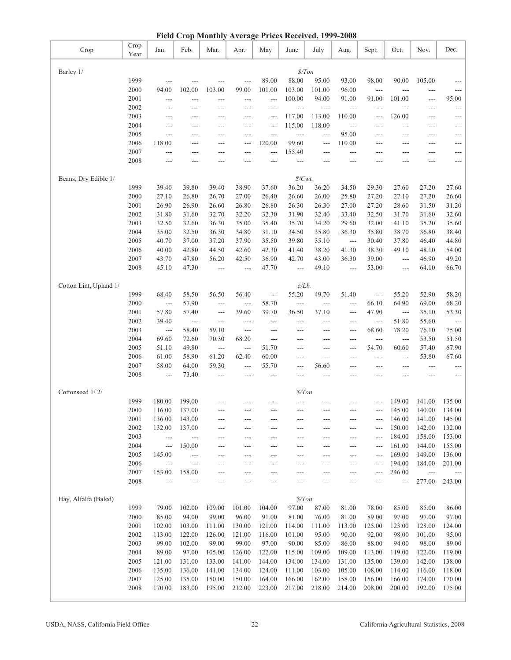| Field Crop Monthly Average Prices Received, 1999-2008 |                  |                          |                             |                      |                          |                 |                     |                 |                            |                      |                                        |                                    |                     |
|-------------------------------------------------------|------------------|--------------------------|-----------------------------|----------------------|--------------------------|-----------------|---------------------|-----------------|----------------------------|----------------------|----------------------------------------|------------------------------------|---------------------|
| Crop                                                  | Crop<br>Year     | Jan.                     | Feb.                        | Mar.                 | Apr.                     | May             | June                | July            | Aug.                       | Sept.                | Oct.                                   | Nov.                               | Dec.                |
|                                                       |                  |                          |                             |                      |                          |                 | \$/ Ton             |                 |                            |                      |                                        |                                    |                     |
| Barley 1/                                             | 1999             | $-$                      | ---                         | ---                  | $---$                    | 89.00           | 88.00               | 95.00           | 93.00                      | 98.00                | 90.00                                  | 105.00                             | $---$               |
|                                                       | 2000             | 94.00                    | 102.00                      | 103.00               | 99.00                    | 101.00          | 103.00              | 101.00          | 96.00                      | $\sim$ $\sim$ $\sim$ | ---                                    | ---                                | $---$               |
|                                                       | 2001             | $---$                    | ---                         | ---                  | ---                      | ---             | 100.00              | 94.00           | 91.00                      | 91.00                | 101.00                                 | $\scriptstyle\cdots$               | 95.00               |
|                                                       | 2002             | $---$                    | ---                         | ---                  |                          | ---             | $\qquad \qquad - -$ | ---             | $---$                      | ---                  | ---                                    | ---                                | $---$               |
|                                                       | 2003             | $---$                    | ---                         | $---$                | $---$                    | ---             | 117.00              | 113.00          | 110.00                     | ---                  | 126.00                                 | ---                                | $\qquad \qquad - -$ |
|                                                       | 2004             | ---                      | ---                         | $---$                | $---$                    | ---             | 115.00              | 118.00          | $\qquad \qquad - -$        | ---                  | ---                                    | ---                                | $---$               |
|                                                       | 2005             | $\overline{a}$           | ---                         | $---$                | $---$                    | ---             | $\overline{a}$      | ---             | 95.00                      | ---                  | ---                                    | ---                                | $---$               |
|                                                       | 2006             | 118.00                   | ---                         | $---$                | $---$                    | 120.00          | 99.60               | $---$           | 110.00                     | $---$                | $---$                                  | $---$                              | $---$               |
|                                                       | 2007             | $\overline{a}$           | $---$                       | $---$                | $---$                    | $---$           | 155.40              | $---$           | $---$                      | ---                  | ---                                    | $---$                              | $---$               |
|                                                       | 2008             | $---$                    | ---                         |                      |                          | $---$           | ---                 |                 |                            | ---                  | ---                                    | ---                                | $---$               |
| Beans, Dry Edible 1/                                  |                  |                          |                             |                      |                          |                 | \$/Cwt.             |                 |                            |                      |                                        |                                    |                     |
|                                                       | 1999             | 39.40                    | 39.80                       | 39.40                | 38.90                    | 37.60           | 36.20               | 36.20           | 34.50                      | 29.30                | 27.60                                  | 27.20                              | 27.60               |
|                                                       | 2000             | 27.10                    | 26.80                       | 26.70                | 27.00                    | 26.40           | 26.60               | 26.00           | 25.80                      | 27.20                | 27.10                                  | 27.20                              | 26.60               |
|                                                       | 2001             | 26.90                    | 26.90                       | 26.60                | 26.80                    | 26.80           | 26.30               | 26.30           | 27.00                      | 27.20                | 28.60                                  | 31.50                              | 31.20               |
|                                                       | 2002             | 31.80                    | 31.60                       | 32.70                | 32.20                    | 32.30           | 31.90               | 32.40           | 33.40                      | 32.50                | 31.70                                  | 31.60                              | 32.60               |
|                                                       | 2003             | 32.50                    | 32.60                       | 36.30                | 35.00                    | 35.40           | 35.70               | 34.20           | 29.60                      | 32.00                | 41.10                                  | 35.20                              | 35.60               |
|                                                       | 2004             | 35.00                    | 32.50                       | 36.30                | 34.80                    | 31.10           | 34.50               | 35.80           | 36.30                      | 35.80                | 38.70                                  | 36.80                              | 38.40               |
|                                                       | 2005             | 40.70                    | 37.00                       | 37.20                | 37.90                    | 35.50           | 39.80               | 35.10           | $\hspace{0.05cm} \ldots$ . | 30.40                | 37.80                                  | 46.40                              | 44.80               |
|                                                       | 2006             | 40.00                    | 42.80                       | 44.50                | 42.60                    | 42.30           | 41.40               | 38.20           | 41.30                      | 38.30                | 49.10                                  | 48.10                              | 54.00               |
|                                                       | 2007             | 43.70                    | 47.80                       | 56.20                | 42.50                    | 36.90           | 42.70               | 43.00           | 36.30                      | 39.00                | $\cdots$                               | 46.90                              | 49.20               |
|                                                       | 2008             | 45.10                    | 47.30                       | $---$                | $---$                    | 47.70           | $---$               | 49.10           | $\sim$ $\sim$ $\sim$       | 53.00                | $\cdots$                               | 64.10                              | 66.70               |
| Cotton Lint, Upland 1/                                |                  |                          |                             |                      |                          |                 | $\phi/Lb$ .         |                 |                            |                      |                                        |                                    |                     |
|                                                       | 1999             | 68.40                    | 58.50                       | 56.50                | 56.40                    | $\frac{1}{2}$   | 55.20               | 49.70           | 51.40                      | $\sim$ $\sim$ $\sim$ | 55.20                                  | 52.90                              | 58.20               |
|                                                       | 2000             | $\overline{a}$           | 57.90                       | $---$                | $\overline{\phantom{a}}$ | 58.70           | $\overline{a}$      | $\overline{a}$  | $---$                      | 66.10                | 64.90                                  | 69.00                              | 68.20               |
|                                                       | 2001             | 57.80                    | 57.40                       | $---$                | 39.60                    | 39.70           | 36.50               | 37.10           | $---$                      | 47.90                | $\overline{\phantom{a}}$               | 35.10                              | 53.30               |
|                                                       | 2002             | 39.40                    | $\qquad \qquad -$           | ---                  | $---$                    | ---             | ---                 | ---             | ---                        | $\overline{a}$       | 51.80                                  | 55.60                              | $\qquad \qquad - -$ |
|                                                       | 2003             | $---$                    | 58.40                       | 59.10                | $\qquad \qquad -$        | ---             | ---                 | ---             | ---                        | 68.60                | 78.20                                  | 76.10                              | 75.00               |
|                                                       | 2004             | 69.60                    | 72.60                       | 70.30                | 68.20                    | $---$           | $---$               | ---             | $---$                      | $\overline{a}$       | $\scriptstyle\cdots\scriptstyle\cdots$ | 53.50                              | 51.50               |
|                                                       | 2005             | 51.10                    | 49.80                       | $\sim$ $\sim$ $\sim$ | $---$                    | 51.70           | $---$               | ---             | $---$                      | 54.70                | 60.60                                  | 57.40                              | 67.90               |
|                                                       | 2006             | 61.00                    | 58.90                       | 61.20                | 62.40                    | 60.00           | $---$               | $---$           | ---                        | $---$                | ---                                    | 53.80                              | 67.60               |
|                                                       | 2007             | 58.00                    | 64.00                       | 59.30                | $---$                    | 55.70           | $---$               | 56.60           | ---                        | ---                  | ---                                    | $---$                              | $---$               |
|                                                       | 2008             | $\frac{1}{2}$            | 73.40                       | ---                  | $---$                    | $---$           | $---$               | $---$           | ---                        | ---                  | ---                                    | $---$                              | $---$               |
| Cottonseed 1/2/                                       |                  |                          |                             |                      |                          |                 | \$/ Ton             |                 |                            |                      |                                        |                                    |                     |
|                                                       | 1999             | 180.00                   | 199.00                      |                      |                          |                 |                     |                 |                            |                      | 149.00                                 | 141.00                             | 135.00              |
|                                                       | $2000\,$         | 116.00                   | 137.00                      |                      |                          |                 | ---                 |                 |                            | ---                  | 145.00                                 | 140.00                             | 134.00              |
|                                                       | 2001             | 136.00                   | 143.00                      | ---                  | ---                      | ---             | ---                 | ---             | ---                        | ---                  | 146.00                                 | 141.00                             | 145.00              |
|                                                       | 2002             | 132.00                   | 137.00                      | $---$                | ---                      | ---             | ---                 | ---             | ---                        | ---                  | 150.00                                 | 142.00                             | 132.00              |
|                                                       | 2003             | $\overline{a}$           | $\overline{\phantom{a}}$    | $---$                | ---                      | ---             | $---$               | ---             | ---                        | $---$                | 184.00                                 | 158.00                             | 153.00              |
|                                                       | 2004             | $---$                    | 150.00                      | $---$                | ---                      | ---             | ---                 | ---             | ---                        | ---                  | 161.00                                 | 144.00                             | 155.00              |
|                                                       | 2005             | 145.00                   | $\qquad \qquad -$           | ---                  | $---$                    | ---             | ---                 | ---             | ---                        | ---                  | 169.00                                 | 149.00                             | 136.00              |
|                                                       | 2006<br>2007     | $\overline{a}$<br>153.00 | $\qquad \qquad -$<br>158.00 | ---                  | ---                      | ---             | ---                 | ---             | ---                        | ---                  | 194.00<br>246.00                       | 184.00                             | 201.00              |
|                                                       | 2008             | $---$                    | ---                         | ---<br>$---$         | ---                      | ---<br>---      | ---                 | ---<br>---      | ---                        | ---                  | $---$                                  | $\overline{\phantom{a}}$<br>277.00 | 243.00              |
|                                                       |                  |                          |                             |                      |                          |                 |                     |                 |                            |                      |                                        |                                    |                     |
| Hay, Alfalfa (Baled)                                  |                  |                          |                             |                      |                          |                 | \$/ Ton             |                 |                            |                      |                                        |                                    |                     |
|                                                       | 1999             | 79.00                    | 102.00                      | 109.00               | 101.00                   | 104.00          | 97.00               | 87.00           | 81.00                      | 78.00                | 85.00                                  | 85.00<br>97.00                     | 86.00               |
|                                                       | $2000\,$<br>2001 | 85.00<br>102.00          | 94.00<br>103.00             | 99.00<br>111.00      | 96.00<br>130.00          | 91.00<br>121.00 | 81.00<br>114.00     | 76.00           | 81.00<br>113.00            | 89.00<br>125.00      | 97.00<br>123.00                        | 128.00                             | 97.00<br>124.00     |
|                                                       | 2002             | 113.00                   | 122.00                      | 126.00               | 121.00                   | 116.00          | 101.00              | 111.00<br>95.00 | 90.00                      | 92.00                | 98.00                                  | 101.00                             | 95.00               |
|                                                       | 2003             | 99.00                    | 102.00                      | 99.00                | 99.00                    | 97.00           | 90.00               | 85.00           | 86.00                      | 88.00                | 94.00                                  | 98.00                              | 89.00               |
|                                                       | 2004             | 89.00                    | 97.00                       | 105.00               | 126.00                   | 122.00          | 115.00              | 109.00          | 109.00                     | 113.00               | 119.00                                 | 122.00                             | 119.00              |
|                                                       | 2005             | 121.00                   | 131.00                      | 133.00               | 141.00                   | 144.00          | 134.00              | 134.00          | 131.00                     | 135.00               | 139.00                                 | 142.00                             | 138.00              |
|                                                       | 2006             | 135.00                   | 136.00                      | 141.00               | 134.00                   | 124.00          | 111.00              | 103.00          | 105.00                     | 108.00               | 114.00                                 | 116.00                             | 118.00              |
|                                                       | 2007             | 125.00                   | 135.00                      | 150.00               | 150.00                   | 164.00          | 166.00              | 162.00          | 158.00                     | 156.00               | 166.00                                 | 174.00                             | 170.00              |
|                                                       | 2008             | 170.00                   | 183.00                      | 195.00               | 212.00                   | 223.00          | 217.00              | 218.00          | 214.00                     | 208.00               | 200.00                                 | 192.00                             | 175.00              |
|                                                       |                  |                          |                             |                      |                          |                 |                     |                 |                            |                      |                                        |                                    |                     |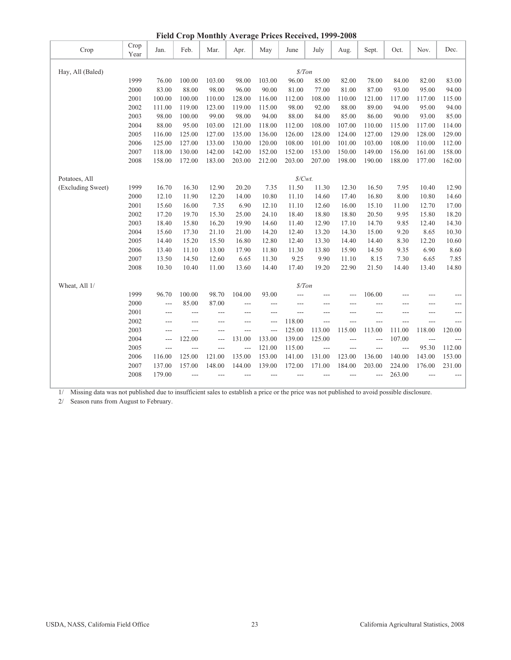| Field Crop Monthly Average Prices Received, 1999-2008 |              |                |        |        |                |                |                   |                      |        |                |        |                |                |
|-------------------------------------------------------|--------------|----------------|--------|--------|----------------|----------------|-------------------|----------------------|--------|----------------|--------|----------------|----------------|
| Crop                                                  | Crop<br>Year | Jan.           | Feb.   | Mar.   | Apr.           | May            | June              | July                 | Aug.   | Sept.          | Oct.   | Nov.           | Dec.           |
| Hay, All (Baled)                                      |              |                |        |        |                |                | \$/ Ton           |                      |        |                |        |                |                |
|                                                       | 1999         | 76.00          | 100.00 | 103.00 | 98.00          | 103.00         | 96.00             | 85.00                | 82.00  | 78.00          | 84.00  | 82.00          | 83.00          |
|                                                       | 2000         | 83.00          | 88.00  | 98.00  | 96.00          | 90.00          | 81.00             | 77.00                | 81.00  | 87.00          | 93.00  | 95.00          | 94.00          |
|                                                       | 2001         | 100.00         | 100.00 | 110.00 | 128.00         | 116.00         | 112.00            | 108.00               | 110.00 | 121.00         | 117.00 | 117.00         | 115.00         |
|                                                       | 2002         | 111.00         | 119.00 | 123.00 | 119.00         | 115.00         | 98.00             | 92.00                | 88.00  | 89.00          | 94.00  | 95.00          | 94.00          |
|                                                       | 2003         | 98.00          | 100.00 | 99.00  | 98.00          | 94.00          | 88.00             | 84.00                | 85.00  | 86.00          | 90.00  | 93.00          | 85.00          |
|                                                       | 2004         | 88.00          | 95.00  | 103.00 | 121.00         | 118.00         | 112.00            | 108.00               | 107.00 | 110.00         | 115.00 | 117.00         | 114.00         |
|                                                       | 2005         | 116.00         | 125.00 | 127.00 | 135.00         | 136.00         | 126.00            | 128.00               | 124.00 | 127.00         | 129.00 | 128.00         | 129.00         |
|                                                       | 2006         | 125.00         | 127.00 | 133.00 | 130.00         | 120.00         | 108.00            | 101.00               | 101.00 | 103.00         | 108.00 | 110.00         | 112.00         |
|                                                       | 2007         | 118.00         | 130.00 | 142.00 | 142.00         | 152.00         | 152.00            | 153.00               | 150.00 | 149.00         | 156.00 | 161.00         | 158.00         |
|                                                       | 2008         | 158.00         | 172.00 | 183.00 | 203.00         | 212.00         | 203.00            | 207.00               | 198.00 | 190.00         | 188.00 | 177.00         | 162.00         |
| Potatoes, All                                         |              |                |        |        |                |                | $\frac{S}{Cwt}$ . |                      |        |                |        |                |                |
| (Excluding Sweet)                                     | 1999         | 16.70          | 16.30  | 12.90  | 20.20          | 7.35           | 11.50             | 11.30                | 12.30  | 16.50          | 7.95   | 10.40          | 12.90          |
|                                                       | 2000         | 12.10          | 11.90  | 12.20  | 14.00          | 10.80          | 11.10             | 14.60                | 17.40  | 16.80          | 8.00   | 10.80          | 14.60          |
|                                                       | 2001         | 15.60          | 16.00  | 7.35   | 6.90           | 12.10          | 11.10             | 12.60                | 16.00  | 15.10          | 11.00  | 12.70          | 17.00          |
|                                                       | 2002         | 17.20          | 19.70  | 15.30  | 25.00          | 24.10          | 18.40             | 18.80                | 18.80  | 20.50          | 9.95   | 15.80          | 18.20          |
|                                                       | 2003         | 18.40          | 15.80  | 16.20  | 19.90          | 14.60          | 11.40             | 12.90                | 17.10  | 14.70          | 9.85   | 12.40          | 14.30          |
|                                                       | 2004         | 15.60          | 17.30  | 21.10  | 21.00          | 14.20          | 12.40             | 13.20                | 14.30  | 15.00          | 9.20   | 8.65           | 10.30          |
|                                                       | 2005         | 14.40          | 15.20  | 15.50  | 16.80          | 12.80          | 12.40             | 13.30                | 14.40  | 14.40          | 8.30   | 12.20          | 10.60          |
|                                                       | 2006         | 13.40          | 11.10  | 13.00  | 17.90          | 11.80          | 11.30             | 13.80                | 15.90  | 14.50          | 9.35   | 6.90           | 8.60           |
|                                                       | 2007         | 13.50          | 14.50  | 12.60  | 6.65           | 11.30          | 9.25              | 9.90                 | 11.10  | 8.15           | 7.30   | 6.65           | 7.85           |
|                                                       | 2008         | 10.30          | 10.40  | 11.00  | 13.60          | 14.40          | 17.40             | 19.20                | 22.90  | 21.50          | 14.40  | 13.40          | 14.80          |
| Wheat, All 1/                                         |              |                |        |        |                |                | $\frac{s}{T}$ on  |                      |        |                |        |                |                |
|                                                       | 1999         | 96.70          | 100.00 | 98.70  | 104.00         | 93.00          | ---               | ---                  | ---    | 106.00         |        |                |                |
|                                                       | 2000         | $\overline{a}$ | 85.00  | 87.00  | ---            | ---            | ---               | ---                  | ---    | ---            | ---    |                |                |
|                                                       | 2001         | $---$          | ---    | ---    | ---            | ---            | $---$             | ---                  | ---    | ---            | ---    | $---$          | ---            |
|                                                       | 2002         | $\overline{a}$ | $---$  | $---$  | $\overline{a}$ | $\overline{a}$ | 118.00            | $---$                | $---$  | $---$          | $---$  | $---$          | $\overline{a}$ |
|                                                       | 2003         | $---$          | ---    | $---$  | $---$          | $\overline{a}$ | 125.00            | 113.00               | 115.00 | 113.00         | 111.00 | 118.00         | 120.00         |
|                                                       | 2004         | $---$          | 122.00 | ---    | 131.00         | 133.00         | 139.00            | 125.00               | ---    | ---            | 107.00 | $\overline{a}$ | $---$          |
|                                                       | 2005         | $\overline{a}$ | ---    | ---    | ---            | 121.00         | 115.00            | $\sim$ $\sim$ $\sim$ | ---    | $\overline{a}$ | $---$  | 95.30          | 112.00         |
|                                                       | 2006         | 116.00         | 125.00 | 121.00 | 135.00         | 153.00         | 141.00            | 131.00               | 123.00 | 136.00         | 140.00 | 143.00         | 153.00         |
|                                                       | 2007         | 137.00         | 157.00 | 148.00 | 144.00         | 139.00         | 172.00            | 171.00               | 184.00 | 203.00         | 224.00 | 176.00         | 231.00         |
|                                                       | 2008         | 179.00         | ---    | ---    |                | ---            |                   | ---                  | ---    | ---            | 263.00 | $---$          |                |

**Field Crop Monthly Average Prices Received, 1999-2008**

1/ Missing data was not published due to insufficient sales to establish a price or the price was not published to avoid possible disclosure.

2/ Season runs from August to February.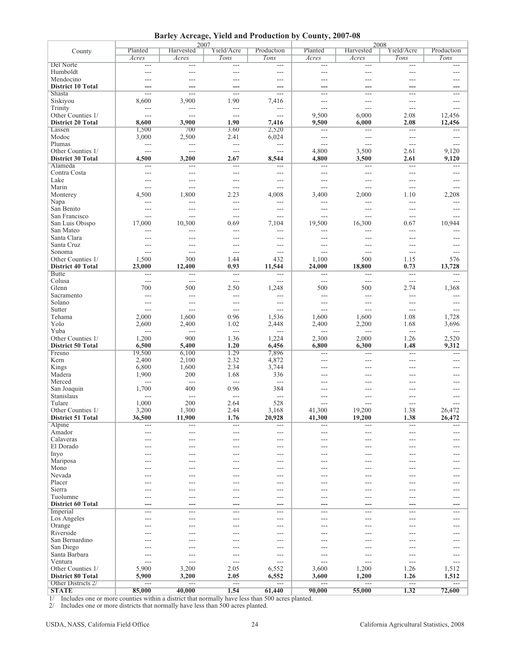|  |  |  |  | Barley Acreage, Yield and Production by County, 2007-08 |
|--|--|--|--|---------------------------------------------------------|
|--|--|--|--|---------------------------------------------------------|

|                          |                      | 2007              |                          |                          |                |                      | 2008                     |                |
|--------------------------|----------------------|-------------------|--------------------------|--------------------------|----------------|----------------------|--------------------------|----------------|
| County                   | Planted              | Harvested         | Yield/Acre               | Production               | Planted        | Harvested            | Yield/Acre               | Production     |
|                          | Acres                | Acres             | Tons                     | Tons                     | Acres          | Acres                | Tons                     | Tons           |
| Del Norte                |                      |                   |                          |                          |                |                      |                          |                |
|                          | $\scriptstyle\cdots$ | $\qquad \qquad -$ | $---$                    | $\qquad \qquad -$        | $---$          | $\qquad \qquad - -$  | $---$                    | ---            |
| Humboldt                 | $---$                | $---$             | $---$                    | $---$                    | $---$          | $---$                | $\overline{a}$           | $---$          |
| Mendocino                | ---                  | ---               | $---$                    | $---$                    | ---            | $---$                | ---                      | $---$          |
| <b>District 10 Total</b> | ---                  | ---               | ---                      | ---                      | ---            | ---                  | ---                      | ---            |
| Shasta                   | $\overline{a}$       | $---$             | $---$                    | $---$                    | ---            | $---$                | ---                      | $---$          |
| Siskiyou                 | 8,600                | 3,900             | 1.90                     | 7,416                    | $---$          | $---$                | $---$                    | $---$          |
|                          |                      |                   |                          |                          |                |                      |                          |                |
| Trinity                  | ---                  | $---$             | ---                      | $\overline{a}$           | ---            | $---$                | ---                      | ---            |
| Other Counties 1/        | $\overline{a}$       | ---               | $\overline{a}$           | $\overline{a}$           | 9,500          | 6,000                | 2.08                     | 12,456         |
| <b>District 20 Total</b> | 8,600                | 3,900             | 1.90                     | 7,416                    | 9,500          | 6,000                | 2.08                     | 12,456         |
| Lassen                   | 1,500                | 700               | 3.60                     | 2,520                    | $---$          | $\overline{a}$       | $---$                    | $---$          |
| Modoc                    | 3,000                | 2,500             | 2.41                     | 6,024                    | $\overline{a}$ | $\overline{a}$       | ---                      | $---$          |
| Plumas                   | $\overline{a}$       | $\overline{a}$    | $\overline{a}$           | $\overline{a}$           | $\overline{a}$ | $\overline{a}$       | ---                      | $---$          |
|                          |                      |                   |                          |                          |                |                      |                          |                |
| Other Counties 1/        | $\frac{1}{2}$        | $\overline{a}$    | $\overline{a}$           | $\overline{a}$           | 4,800          | 3,500                | 2.61                     | 9,120          |
| <b>District 30 Total</b> | 4,500                | 3,200             | 2.67                     | 8,544                    | 4,800          | 3,500                | 2.61                     | 9,120          |
| Alameda                  | ---                  | ---               | $---$                    | $---$                    | $---$          | $---$                | ---                      | ---            |
| Contra Costa             | $\sim$               | $---$             | $---$                    | $---$                    | $---$          | $---$                | ---                      | ---            |
| Lake                     | ---                  | ---               | $---$                    | $---$                    | ---            | $---$                | ---                      | ---            |
| Marin                    | $\overline{a}$       | $\overline{a}$    | $\overline{a}$           | $---$                    | $---$          | $\overline{a}$       | $\overline{\phantom{a}}$ | $---$          |
|                          |                      |                   |                          |                          |                |                      |                          |                |
| Monterey                 | 4,500                | 1,800             | 2.23                     | 4,008                    | 3,400          | 2,000                | 1.10                     | 2,208          |
| Napa                     | $\overline{a}$       | ---               | $\overline{a}$           | $\overline{a}$           | ---            | $\overline{a}$       | ---                      | ---            |
| San Benito               | $---$                | $---$             | ---                      | $\overline{a}$           | ---            | $---$                | ---                      | ---            |
| San Francisco            | $\overline{a}$       | ---               | $\overline{a}$           | $\overline{a}$           | $---$          | $\overline{a}$       | ---                      | ---            |
| San Luis Obispo          | 17,000               | 10,300            | 0.69                     | 7,104                    | 19,500         | 16,300               | 0.67                     | 10,944         |
|                          |                      |                   |                          |                          |                |                      |                          |                |
| San Mateo                | $\sim$               | $---$             | $---$                    | $\overline{a}$           | $---$          | $\overline{a}$       | $---$                    | $---$          |
| Santa Clara              | $---$                | $---$             | $---$                    | $---$                    | ---            | $---$                | ---                      |                |
| Santa Cruz               | ---                  | $\overline{a}$    | $---$                    | $\cdots$                 | ---            | $---$                | ---                      | ---            |
| Sonoma                   | $\overline{a}$       | $---$             | $\overline{a}$           | $\overline{a}$           | $---$          | $\overline{a}$       | ---                      | $---$          |
| Other Counties 1/        | 1,500                | 300               | 1.44                     | 432                      | 1,100          | 500                  | 1.15                     | 576            |
| <b>District 40 Total</b> | 23,000               |                   | 0.93                     | 11,544                   | 24,000         | 18,800               | 0.73                     |                |
|                          |                      | 12,400            |                          |                          |                |                      |                          | 13,728         |
| <b>Butte</b>             | $\overline{a}$       | $---$             | $\overline{a}$           | $\overline{a}$           | ---            | $\overline{a}$       | $\overline{\phantom{a}}$ | ---            |
| Colusa                   | $\overline{a}$       | $\overline{a}$    | $\overline{a}$           | $---$                    | $---$          | $\overline{a}$       | $\overline{a}$           | $---$          |
| Glenn                    | 700                  | 500               | 2.50                     | 1,248                    | 500            | 500                  | 2.74                     | 1,368          |
| Sacramento               | $\overline{a}$       | $\overline{a}$    | $\overline{\phantom{a}}$ | $\overline{a}$           | $\overline{a}$ | $\overline{a}$       | ---                      | ---            |
| Solano                   | $---$                | $---$             | $\qquad \qquad -$        | $---$                    | $---$          | $\sim$ $\sim$        | ---                      | $---$          |
|                          | $\overline{a}$       | $\overline{a}$    | $\overline{a}$           | $---$                    | $\overline{a}$ | $\overline{a}$       | $\overline{a}$           |                |
| Sutter                   |                      |                   |                          |                          |                |                      |                          | $---$          |
| Tehama                   | 2,000                | 1,600             | 0.96                     | 1,536                    | 1,600          | 1,600                | 1.08                     | 1,728          |
| Yolo                     | 2,600                | 2,400             | 1.02                     | 2,448                    | 2,400          | 2,200                | 1.68                     | 3,696          |
| Yuba                     | $\frac{1}{2}$        | $\overline{a}$    | $\overline{a}$           | $\overline{\phantom{a}}$ | $---$          | $\sim$ $\sim$ $\sim$ | $\sim$ $\sim$            | $\overline{a}$ |
| Other Counties 1/        | 1,200                | 900               | 1.36                     | 1,224                    | 2,300          | 2,000                | 1.26                     | 2,520          |
| <b>District 50 Total</b> | 6,500                | 5,400             | 1.20                     | 6,456                    | 6,800          | 6,300                | 1.48                     | 9,312          |
|                          | 19,500               | 6,100             | 1.29                     | 7,896                    |                |                      |                          |                |
| Fresno                   |                      |                   |                          |                          | ---            | $\overline{a}$       | ---                      | ---            |
| Kern                     | 2,400                | 2,100             | 2.32                     | 4,872                    | ---            | $---$                | ---                      | ---            |
| Kings                    | 6,800                | 1,600             | 2.34                     | 3,744                    | ---            | $---$                | $\overline{a}$           | $---$          |
| Madera                   | 1,900                | 200               | 1.68                     | 336                      | $---$          | $---$                | ---                      | $---$          |
| Merced                   | $\overline{a}$       | $\overline{a}$    | $\overline{a}$           | $\overline{a}$           | ---            | $---$                | ---                      | ---            |
| San Joaquin              | 1,700                | 400               | 0.96                     | 384                      | ---            | ---                  |                          | ---            |
|                          |                      |                   |                          |                          |                |                      |                          |                |
| Stanislaus               | $\sim$               | $\overline{a}$    | $\overline{a}$           | $\overline{a}$           | $- - -$        | $- - -$              | ---                      | $---$          |
| Tulare                   | 1,000                | 200               | 2.64                     | 528                      | $-$            | $---$                | ---                      | $---$          |
| Other Counties 1/        | 3,200                | 1,300             | 2.44                     | 3,168                    | 41.300         | 19.200               | 1.38                     | 26,472         |
| <b>District 51 Total</b> | 36,500               | 11,900            | 1.76                     | 20,928                   | 41,300         | 19,200               | 1.38                     | 26,472         |
| Alpine                   | $\overline{a}$       | $---$             | $\qquad \qquad -$        | $---$                    | $---$          | $\sim$ $\sim$        | $\sim$ $\sim$            | $\overline{a}$ |
| Amador                   | $---$                | $---$             | $---$                    | $---$                    | ---            | $---$                | ---                      | $---$          |
| Calaveras                |                      |                   |                          |                          |                |                      |                          |                |
|                          | ---                  | ---               | $---$                    | $---$                    | ---            | $---$                | ---                      | ---            |
| El Dorado                | $---$                | ---               | $---$                    | ---                      | ---            | $---$                | ---                      | $---$          |
| Inyo                     | ---                  | ---               | $---$                    | ---                      | ---            | $---$                | ---                      | ---            |
| Mariposa                 | ---                  | ---               | $---$                    | ---                      | $---$          | $---$                | ---                      | ---            |
| Mono                     | ---                  | ---               | $---$                    | ---                      | ---            | $---$                | ---                      | ---            |
| Nevada                   | ---                  | ---               | $---$                    | ---                      | ---            | $---$                | ---                      | ---            |
| Placer                   |                      |                   |                          |                          |                |                      | ---                      |                |
|                          | ---                  | ---               | $---$                    | ---                      | ---            | $---$                |                          | ---            |
| Sierra                   | ---                  | ---               | $---$                    | $---$                    | $---$          | $---$                | ---                      | $---$          |
| Tuolumne                 | $---$                | $---$             | $---$                    | $---$                    | ---            | $---$                | ---                      | ---            |
| <b>District 60 Total</b> | ---                  | ---               | ---                      | ---                      | ---            | ---                  | ---                      | ---            |
| Imperial                 | $---$                | ---               | $---$                    | $\qquad \qquad -$        | ---            | $\qquad \qquad - -$  | ---                      | $---$          |
| Los Angeles              | $---$                | ---               | $---$                    | ---                      | $---$          | $---$                | ---                      | ---            |
|                          |                      |                   |                          |                          |                |                      |                          |                |
| Orange                   | ---                  | ---               | $---$                    | ---                      | ---            | $---$                | ---                      | ---            |
| Riverside                | ---                  | ---               | $---$                    | ---                      | ---            | $---$                | ---                      | ---            |
| San Bernardino           |                      |                   | ---                      | ---                      | ---            | $---$                | ---                      | ---            |
| San Diego                | $---$                | ---               | $---$                    | $---$                    | $---$          | $---$                | ---                      | $---$          |
| Santa Barbara            | $---$                | ---               | $---$                    | $---$                    | ---            | $---$                | ---                      | ---            |
| Ventura                  | $---$                | $---$             | $\qquad \qquad -$        | $---$                    | ---            | $- - -$              | ---                      | $---$          |
|                          |                      |                   |                          |                          |                |                      |                          |                |
| Other Counties 1/        | 5,900                | 3,200             | 2.05                     | 6,552                    | 3,600          | 1,200                | 1.26                     | 1,512          |
| <b>District 80 Total</b> | 5,900                | 3,200             | 2.05                     | 6,552                    | 3,600          | 1,200                | 1.26                     | 1,512          |
| Other Districts 2/       | ---                  | ---               | $---$                    | ---                      | ---            | ---                  | $---$                    | $---$          |
| <b>STATE</b>             | 85,000               | 40,000            | 1.54                     | 61,440                   | 90,000         | 55,000               | 1.32                     | 72,600         |

1/ Includes one or more counties within a district that normally have less than 500 acres planted.

2/ Includes one or more districts that normally have less than 500 acres planted.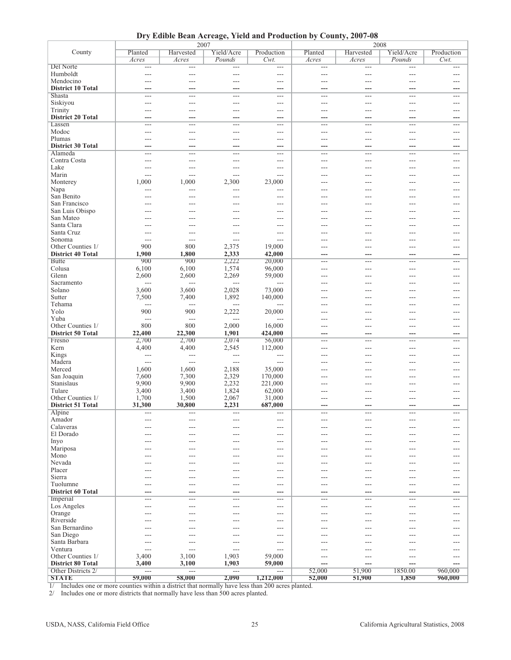**Dry Edible Bean Acreage, Yield and Production by County, 2007-08**

|                             |                   | 2007                     |                          | 2008           |                |                |                |              |
|-----------------------------|-------------------|--------------------------|--------------------------|----------------|----------------|----------------|----------------|--------------|
| County                      | Planted           | Harvested                | Yield/Acre               | Production     | Planted        | Harvested      | Yield/Acre     | Production   |
|                             | Acres             | Acres                    | Pounds                   | $Cwt$ .        | Acres          | Acres          | Pounds         | $Cwt$ .      |
| Del Norte                   | $\overline{a}$    | ---                      | ---                      | $---$          | $\overline{a}$ | $---$          | $---$          | $---$        |
| Humboldt                    | ---               | ---                      | ---                      | ---            | $---$          | ---            | ---            | ---          |
| Mendocino                   | ---               | ---                      | $---$                    | ---            | $---$          | $---$          | ---            | $---$        |
| <b>District 10 Total</b>    |                   | ---                      | ---                      | ---            |                |                |                |              |
| Shasta                      | $\sim$            | $\overline{a}$           | $---$                    | ---            | ---            | $---$          | ---            | $---$        |
| Siskiyou                    | ---               | ---                      | $---$                    | ---            | ---            | ---            | ---            | $---$        |
| Trinity                     | ---               | $---$                    | $---$                    | ---            | $---$          | $---$          | ---            | $---$        |
| <b>District 20 Total</b>    | ---               | ---                      | ---                      | ---            | ---            | ---            | ---            | ---          |
| Lassen                      | ---               | $\overline{a}$           | $---$                    | ---            | $---$          | $---$          | $\overline{a}$ | $---$        |
| Modoc                       | ---               | ---                      | $---$                    | ---            | $---$          | ---            | ---            | $---$        |
| Plumas                      | ---               | ---                      | $---$                    | $---$          | $---$          | $---$          | ---            | $---$        |
| <b>District 30 Total</b>    |                   | ---                      | ---                      | ---            | ---            | ---            | ---            |              |
| Alameda                     | $\overline{a}$    | $\overline{a}$           | $---$                    | ---            | ---            | $---$          | $\overline{a}$ | $---$        |
| Contra Costa                | ---               | ---                      | ---                      | ---            | ---            | ---            | ---            | $---$        |
| Lake                        | $---$             | ---                      | $\overline{a}$           | ---            | $---$          | ---            | ---            | $---$        |
| Marin                       | $---$             | $---$                    | $---$                    | $---$          | ---            | $---$          | ---            | ---          |
| Monterey                    | 1,000             | 1,000                    | 2,300                    | 23,000         | $---$          | ---            | ---            | $---$        |
| Napa                        | ---               | ---                      | $---$                    | ---            |                |                | ---            |              |
| San Benito                  |                   | ---                      | ---                      | ---            |                |                |                |              |
| San Francisco               |                   |                          |                          | ---            |                |                |                |              |
| San Luis Obispo             |                   | ---                      | $---$                    | $---$          | $---$          | ---            | ---            | $- - -$      |
| San Mateo                   |                   | ---                      | $---$                    | ---            |                |                | ---            | ---          |
| Santa Clara                 |                   |                          | ---                      | ---            |                |                | ---            |              |
| Santa Cruz                  |                   |                          | ---                      | ---            |                |                |                |              |
| Sonoma                      | $---$             | $---$                    | $---$                    | $\overline{a}$ | ---            | $---$          | ---            | $---$        |
| Other Counties 1/           | 900               | 800                      | 2,375                    | 19,000         | $---$          | $---$          | ---            | $---$        |
| <b>District 40 Total</b>    | 1,900             | 1,800                    | 2,333                    | 42,000         |                |                |                |              |
| <b>Butte</b>                | 900               | 900                      | 2,222                    | 20,000         | $---$          | $---$          | ---            | $---$        |
| Colusa                      | 6,100             | 6,100                    | 1,574                    | 96,000         | $---$          | $---$          | ---            | $---$        |
| Glenn                       | 2,600             | 2,600                    | 2,269                    | 59,000         | $---$          | ---            | ---            | $---$        |
| Sacramento                  | $---$             | ---                      | $\overline{\phantom{a}}$ | ---            |                |                | ---            |              |
| Solano                      | 3,600             | 3,600                    | 2,028                    | 73,000         | ---            | ---            | ---            | ---          |
| Sutter                      | 7,500             | 7,400                    | 1,892                    | 140,000        | ---            | $---$          | ---            | $---$        |
| Tehama                      | $---$             | ---                      | ---                      | ---            | ---            | $---$          | ---            | ---          |
| Yolo                        | 900               | 900                      | 2,222                    | 20,000         | ---            | ---            | ---            | ---          |
| Yuba                        | $\overline{a}$    | $\overline{a}$           | ---                      | ---            | ---            |                |                | ---          |
| Other Counties 1/           | 800               | 800                      | 2,000                    | 16,000         | $---$          | $---$          | ---            | $---$        |
| <b>District 50 Total</b>    | 22,400            | 22,300                   | 1,901                    | 424,000        |                |                |                |              |
| Fresno                      | 2,700             | 2,700                    | 2,074                    | 56,000         | $---$          | $---$          | ---            | $---$        |
| Kern                        | 4,400             | 4,400                    | 2,545                    | 112,000        | $---$          | $---$          | ---            | $---$        |
| Kings                       | $---$             | $\overline{a}$           | $---$                    | $---$          | ---            | $---$          | ---            | ---          |
| Madera                      | $\overline{a}$    | $\overline{\phantom{a}}$ | $---$                    | $\overline{a}$ | ---            | $---$          | ---            | $---$        |
| Merced                      | 1,600             | 1,600                    | 2,188                    | 35,000         | ---            | ---            | ---            |              |
| San Joaquin                 | 7,600             | 7,300                    | 2,329                    | 170,000        | ---            | ---            | ---            |              |
| Stanislaus                  | 9,900             | 9,900                    | 2,232                    | 221,000        |                |                |                |              |
| Tulare                      | 3,400             | 3,400                    | 1,824                    | 62,000         | ---            | ---            | ---            | $---$        |
| Other Counties 1/           | 1,700             | 1,500                    | 2,067                    | 31,000         |                |                |                | $---$        |
| <b>District 51 Total</b>    | 31,300            | 30,800                   | 2,231                    | 687,000        |                |                |                |              |
| Alpine                      | $---$             | $--$                     | $---$                    |                |                |                |                |              |
| Amador                      | $---$             | ---                      | $---$                    | ---            | $---$          | $---$          | ---            | $---$        |
| Calaveras                   | $---$             | ---                      | $---$                    | ---            | $---$          | $---$          | ---            | $---$        |
| El Dorado                   | ---               | ---                      | $---$                    | ---            | ---            | ---            | ---            | ---          |
| Inyo                        | ---               | ---                      | ---                      | ---            | ---            | ---            | ---            | ---          |
| Mariposa                    | ---               | ---                      | $---$                    | ---            | $---$          | $---$          | ---            | ---          |
| Mono                        | $---$             | ---                      | ---                      | ---            | ---            | ---            | ---            | $---$        |
| Nevada                      | ---               | ---                      | $---$                    | ---            | ---            | $---$          | ---            | ---          |
| Placer                      |                   | ---                      | ---                      | ---            | ---            | ---            | ---            | ---          |
| Sierra                      | $---$             | ---                      | $---$                    | $---$          | $---$          | $---$          | ---            | $---$        |
| Tuolumne                    | ---               | ---                      | $---$                    | $---$          | $---$          | $---$          | ---            | $---$        |
| <b>District 60 Total</b>    | ---               | ---                      | ---                      | ---            | ---            | ---            | ---            | ---          |
| Imperial                    | ---               | ---                      | ---                      | ---            | $---$          | $---$          | ---            | $---$        |
| Los Angeles                 | $---$             | ---                      | $---$                    | $---$          | $---$          | $---$          | ---            | $---$        |
| Orange                      | ---               | ---                      | $---$                    | ---            | $---$          | $---$          | ---            | $---$        |
| Riverside                   | ---               | ---                      | ---                      | ---            | ---            | ---            | ---            | ---          |
| San Bernardino<br>San Diego | $---$             | ---<br>---               | ---<br>$---$             | ---<br>$---$   | ---<br>$---$   | $---$          | ---<br>---     | ---<br>$---$ |
| Santa Barbara               |                   |                          | $---$                    | $---$          |                |                |                |              |
| Ventura                     | $\cdots$<br>$---$ | $---$<br>---             | ---                      | ---            | $---$<br>---   | $---$<br>$---$ | $---$<br>---   | $---$<br>--- |
| Other Counties 1/           | 3,400             | 3,100                    | 1,903                    | 59,000         | $---$          | $---$          |                |              |
| <b>District 80 Total</b>    | 3,400             | 3,100                    | 1,903                    | 59,000         | ---            |                | ---            | $---$<br>--- |
| Other Districts 2/          | $---$             | $\overline{a}$           | $\overline{a}$           | ---            | 52,000         | ---<br>51,900  | ---<br>1850.00 | 960,000      |
| <b>STATE</b>                | 59,000            | 58,000                   | 2,090                    | 1,212,000      | 52,000         | 51,900         | 1,850          | 960,000      |
|                             |                   |                          |                          |                |                |                |                |              |

1/ Includes one or more counties within a district that normally have less than 200 acres planted.

2/ Includes one or more districts that normally have less than 500 acres planted.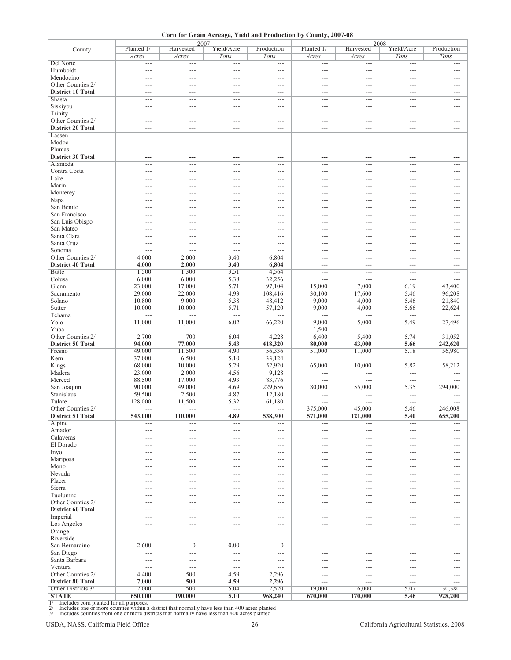**Corn for Grain Acreage, Yield and Production by County, 2007-08**

|                          | Planted 1/       | 2007<br>Harvested | Yield/Acre               | Production       | Planted 1/               | 2008<br>Harvested | Yield/Acre     | Production   |
|--------------------------|------------------|-------------------|--------------------------|------------------|--------------------------|-------------------|----------------|--------------|
| County                   | Acres            | Acres             | Tons                     | Tons             | Acres                    | Acres             | Tons           | Tons         |
| Del Norte                | ---              | $---$             | $---$                    | $---$            | $---$                    | ---               | $---$          | ---          |
| Humboldt                 | ---              | ---               | $\overline{a}$           | $\overline{a}$   | $\overline{\phantom{a}}$ | ---               | ---            | $---$        |
| Mendocino                |                  | $---$             | ---                      | ---              | ---                      | ---               | $---$          | ---          |
| Other Counties 2/        |                  | ---               | ---                      | $---$            | ---                      | ---               |                | ---          |
| <b>District 10 Total</b> |                  | ---               | ---                      | ---              | ---                      | ---               | $---$          | ---          |
| Shasta                   | $---$            | ---               | $---$                    | $---$            | $---$                    | ---               | $---$          | $---$        |
| Siskiyou                 | ---              | ---               | ---                      | ---              | ---                      | $---$             | $---$          | ---          |
| Trinity                  |                  | $---$             | ---                      | ---              | ---                      | ---               |                | ---          |
| Other Counties 2/        | ---              | ---               | $---$                    | ---              | ---                      | ---               | ---            | ---          |
| <b>District 20 Total</b> | ---              | ---               | ---                      | ---              | ---                      | ---               | ---            | ---          |
| Lassen                   | $---$            | ---               | ---                      | $---$            | ---                      | ---               | $---$          | ---          |
| Modoc                    | $---$            | ---               | ---                      | ---              | ---                      | ---               | $---$          | ---          |
| Plumas                   |                  | ---               | $---$                    | $---$            | ---                      | ---               | $---$          | ---          |
| <b>District 30 Total</b> |                  | ---               | ---                      | ---              | ---                      | ---               |                |              |
| Alameda<br>Contra Costa  | $---$            | ---<br>$---$      | $---$<br>$---$           | $---$            | $---$<br>---             | ---<br>---        | ---<br>$---$   | $---$<br>--- |
| Lake                     | ---              | ---               |                          | ---              | ---                      | ---               | $---$          | ---          |
| Marin                    | ---              | ---               | ---<br>---               | ---<br>---       | ---                      | ---               | ---            | ---          |
| Monterey                 |                  | ---               | ---                      | $---$            | ---                      | ---               | ---            | $---$        |
| Napa                     |                  |                   | ---                      | $---$            | ---                      | ---               | ---            | ---          |
| San Benito               |                  |                   | ---                      | ---              |                          | ---               |                | ---          |
| San Francisco            |                  |                   | ---                      | $---$            |                          |                   |                | ---          |
| San Luis Obispo          |                  |                   | ---                      | $---$            | ---                      | ---               | ---            | ---          |
| San Mateo                |                  |                   | ---                      | $---$            | ---                      |                   |                | ---          |
| Santa Clara              |                  |                   | ---                      | ---              |                          |                   |                | ---          |
| Santa Cruz               | ---              | ---               | $---$                    | $---$            | ---                      | ---               | ---            | ---          |
| Sonoma                   | $---$            | ---               | $---$                    | $\overline{a}$   | ---                      | ---               | ---            | ---          |
| Other Counties 2/        | 4,000            | 2,000             | 3.40                     | 6,804            | ---                      | ---               | ---            | $---$        |
| <b>District 40 Total</b> | 4,000            | 2,000             | 3.40                     | 6,804            | ---                      | ---               |                |              |
| <b>Butte</b>             | 1,500            | 1,300             | 3.51                     | 4,564            | $---$                    | ---               | $---$          | $---$        |
| Colusa                   | 6,000            | 6,000             | 5.38                     | 32,256           | $\overline{\phantom{a}}$ | ---               | ---            | $---$        |
| Glenn                    | 23,000           | 17,000            | 5.71                     | 97,104           | 15,000                   | 7,000             | 6.19           | 43,400       |
| Sacramento               | 29,000           | 22,000            | 4.93                     | 108,416          | 30,100                   | 17,600            | 5.46           | 96,208       |
| Solano                   | 10,800           | 9,000             | 5.38                     | 48,412           | 9,000                    | 4,000             | 5.46           | 21,840       |
| Sutter                   | 10,000           | 10,000            | 5.71                     | 57,120           | 9,000                    | 4,000             | 5.66           | 22,624       |
| Tehama                   | $---$            | ---               | $\overline{a}$           | $---$            | $---$                    | ---               | $---$          |              |
| Yolo                     | 11,000           | 11,000            | 6.02                     | 66,220           | 9,000                    | 5,000             | 5.49           | 27,496       |
| Yuba                     | $---$            | ---               | $\overline{\phantom{a}}$ | $\overline{a}$   | 1,500                    | $---$             | $---$          | $---$        |
| Other Counties 2/        | 2,700            | 700               | 6.04                     | 4,228            | 6,400                    | 5,400             | 5.74           | 31,052       |
| <b>District 50 Total</b> | 94,000           | 77,000            | 5.43                     | 418,320          | 80,000                   | 43,000            | 5.66           | 242,620      |
| Fresno<br>Kern           | 49,000<br>37,000 | 11,500<br>6,500   | 4.90<br>5.10             | 56,336<br>33,124 | 51,000                   | 11,000            | 5.18<br>$---$  | 56,980       |
| Kings                    | 68,000           | 10,000            | 5.29                     | 52,920           | ---<br>65,000            | ---<br>10,000     | 5.82           | 58,212       |
| Madera                   | 23,000           | 2,000             | 4.56                     | 9,128            | $---$                    | ---               | $\overline{a}$ | $---$        |
| Merced                   | 88,500           | 17,000            | 4.93                     | 83,776           | ---                      | $\overline{a}$    | $\overline{a}$ |              |
| San Joaquin              | 90,000           | 49,000            | 4.69                     | 229,656          | 80,000                   | 55,000            | 5.35           | 294,000      |
| Stanislaus               | 59,500           | 2,500             | 4.87                     | 12,180           | $---$                    | ---               | ---            |              |
| Tulare                   | 128,000          | 11,500            | 5.32                     | 61,180           | $---$                    | ---               | $---$          | $---$        |
| Other Counties 2/        | $---$            | $---$             | $---$                    | $---$            | 375,000                  | 45,000            | 5.46           | 246,008      |
| District 51 Total        | 543,000          | 110,000           | 4.89                     | 538,300          | 571,000                  | 121,000           | 5.40           | 655,200      |
| Alpine                   | $---$            | $---$             | $---$                    | $---$            | $---$                    | ---               | $---$          | $---$        |
| Amador                   | ---              | ---               | $---$                    | ---              | $---$                    | ---               | ---            | $---$        |
| Calaveras                | ---              | ---               | ---                      | ---              | ---                      | ---               | $---$          | ---          |
| El Dorado                |                  |                   | ---                      | ---              | ---                      | ---               |                | ---          |
| Inyo                     | ---              | ---               | $---$                    | $---$            | ---                      | ---               | $---$          | ---          |
| Mariposa                 | ---              | ---               | $---$                    | $---$            | ---                      | ---               | $---$          | ---          |
| Mono                     | ---              | ---               | ---                      | ---              | ---                      | ---               | ---            | ---          |
| Nevada                   | ---              | ---               | ---                      | ---              | ---                      | ---               | ---            | ---          |
| Placer                   | ---              | ---               | $---$                    | $---$            | ---                      | ---               | $---$          | ---          |
| Sierra<br>Tuolumne       | ---              | $---$             | $---$                    | ---<br>---       | $---$                    | ---               | $---$          | $---$        |
| Other Counties 2/        | ---              | ---               | ---                      |                  | ---                      | ---               | $---$          | ---          |
| <b>District 60 Total</b> | ---<br>---       | ---<br>---        | ---<br>---               | ---<br>---       | ---<br>---               | ---<br>---        | ---<br>---     | ---<br>---   |
| Imperial                 | ---              | $---$             | $---$                    | $---$            | $---$                    | ---               | $---$          | $---$        |
| Los Angeles              | ---              | $---$             | $---$                    | $---$            | $---$                    | $---$             | ---            | $---$        |
| Orange                   | ---              | ---               | $---$                    | ---              | ---                      | ---               | $---$          | ---          |
| Riverside                | $---$            | ---               | $---$                    | ---              |                          | ---               | ---            | ---          |
| San Bernardino           | 2,600            | $\boldsymbol{0}$  | 0.00                     | $\boldsymbol{0}$ | ---                      | ---               | $---$          | ---          |
| San Diego                | $---$            | $---$             | $---$                    | $---$            | $---$                    | ---               | $---$          | $---$        |
| Santa Barbara            | ---              | ---               | $---$                    | ---              | ---                      | ---               | $---$          | ---          |
| Ventura                  | ---              | ---               | $---$                    | ---              | ---                      | ---               | ---            | ---          |
| Other Counties 2/        | 4,400            | 500               | 4.59                     | 2,296            | $---$                    | ---               | $---$          | ---          |
| <b>District 80 Total</b> | 7,000            | 500               | 4.59                     | 2,296            | ---                      | ---               | ---            | ---          |
| Other Districts 3/       | 2,000            | 500               | 5.04                     | 2,520            | 19,000                   | 6,000             | 5.07           | 30,380       |
| <b>STATE</b>             | 650,000          | 190,000           | 5.10                     | 968,240          | 670,000                  | 170,000           | 5.46           | 928,200      |

1/ Includes corn planted for all purposes.<br>2/ Includes one or more counties within a district that normally have less than 400 acres planted<br>3/ Includes counties from one or more districts that normally have less than 400

USDA, NASS, California Field Office 26 26 California Agricultural Statistics, 2008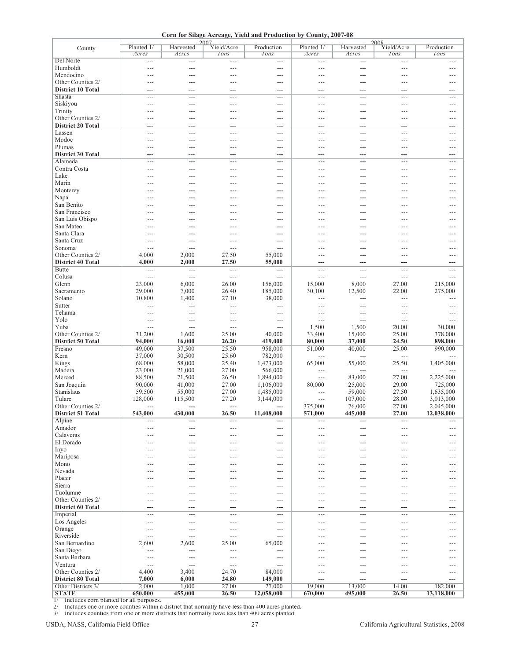**Corn for Silage Acreage, Yield and Production by County, 2007-08**

| County                                                                                                                                                              | Planted 1/<br>Acres      | Harvested<br>Acres       | 2007<br>Yield/Acre<br><b>Tons</b> | Production<br>$I$ <sub>Ons</sub> | Planted 1/<br>Acres | Harvested<br>Acres | 2008<br>Yield/Acre<br>$I$ <sub>Ons</sub> | Production<br><b>Tons</b> |
|---------------------------------------------------------------------------------------------------------------------------------------------------------------------|--------------------------|--------------------------|-----------------------------------|----------------------------------|---------------------|--------------------|------------------------------------------|---------------------------|
| Del Norte                                                                                                                                                           | $---$                    | ---                      | $---$                             | $---$                            | $---$               | $---$              | $---$                                    | $---$                     |
| Humboldt                                                                                                                                                            | $---$                    | ---                      | $---$                             | ---                              | $---$               | $---$              | $---$                                    | ---                       |
| Mendocino                                                                                                                                                           |                          | ---                      |                                   | ---                              |                     | ---                | $---$                                    |                           |
| Other Counties 2/                                                                                                                                                   | $---$                    | ---                      | $---$                             | $---$                            | $---$               | ---                | $---$                                    | $---$                     |
| <b>District 10 Total</b><br>Shasta                                                                                                                                  | ---<br>$---$             | ---<br>---               | ---<br>$---$                      | ---<br>$---$                     | ---<br>$---$        | ---<br>$---$       | ---<br>$\hspace{1.5cm} \textbf{---}$     | ---<br>$---$              |
| Siskiyou                                                                                                                                                            | $---$                    | $---$                    | $---$                             | $---$                            | $---$               | $---$              | $---$                                    | ---                       |
| Trinity                                                                                                                                                             |                          | $---$                    | ---                               | $---$                            |                     | $---$              | $---$                                    | ---                       |
| Other Counties 2/                                                                                                                                                   | ---                      | $---$                    | ---                               | $---$                            | ---                 | ---                | $---$                                    | $---$                     |
| <b>District 20 Total</b>                                                                                                                                            |                          | ---                      |                                   | ---                              | ---                 | ---                | ---                                      | ---                       |
| Lassen<br>Modoc                                                                                                                                                     | ---                      | ---                      | $---$                             | ---                              | ---                 | ---                | $---$                                    | ---                       |
| Plumas                                                                                                                                                              | ---<br>---               | ---<br>---               | $---$<br>$---$                    | $---$<br>$---$                   | $---$<br>$---$      | $---$<br>$---$     | $---$<br>$---$                           | ---<br>$---$              |
| <b>District 30 Total</b>                                                                                                                                            | ---                      | ---                      | ---                               | ---                              | ---                 | ---                | ---                                      | ---                       |
| Alameda                                                                                                                                                             | ---                      | ---                      | $---$                             | $---$                            | $---$               | ---                | $\hspace{1.5cm} \textbf{---}$            | $---$                     |
| Contra Costa                                                                                                                                                        | $---$                    | $---$                    | $---$                             | $---$                            | $---$               | $---$              | $---$                                    | ---                       |
| Lake                                                                                                                                                                | ---                      | $---$                    | ---                               | $---$                            | ---                 | $---$              | $---$                                    | ---                       |
| Marin<br>Monterey                                                                                                                                                   |                          | $---$<br>---             |                                   | $---$<br>$---$                   |                     | ---<br>---         | $---$<br>---                             | ---<br>---                |
| Napa                                                                                                                                                                |                          | ---                      |                                   | ---                              |                     | ---                | ---                                      |                           |
| San Benito                                                                                                                                                          | ---                      | $---$                    | ---                               | $---$                            | ---                 | ---                | ---                                      | ---                       |
| San Francisco                                                                                                                                                       | $---$                    | ---                      | ---                               | $---$                            | ---                 | ---                | $---$                                    | $---$                     |
| San Luis Obispo                                                                                                                                                     |                          | ---                      | ---                               | $---$                            |                     | ---                | ---                                      | ---                       |
| San Mateo<br>Santa Clara                                                                                                                                            |                          | ---                      |                                   | ---                              |                     | ---                | ---                                      | ---                       |
| Santa Cruz                                                                                                                                                          | $---$                    | $---$<br>$---$           | ---                               | $---$<br>$---$                   |                     | ---                | $---$                                    | ---<br>---                |
| Sonoma                                                                                                                                                              | $---$                    | ---                      | $---$                             | ---                              |                     | ---                |                                          |                           |
| Other Counties 2/                                                                                                                                                   | 4,000                    | 2,000                    | 27.50                             | 55,000                           | ---                 | ---                | ---                                      | ---                       |
| <b>District 40 Total</b>                                                                                                                                            | 4,000                    | 2,000                    | 27.50                             | 55,000                           | ---                 | ---                | ---                                      | ---                       |
| <b>Butte</b>                                                                                                                                                        | $\overline{\phantom{a}}$ | $\overline{a}$           | $---$                             | $\overline{a}$                   | $---$               | ---                | $\overline{\phantom{a}}$                 | $---$                     |
| Colusa<br>Glenn                                                                                                                                                     | $---$<br>23,000          | ---<br>6,000             | $---$<br>26.00                    | ---<br>156,000                   | $---$<br>15,000     | $---$<br>8,000     | $---$<br>27.00                           | $---$<br>215,000          |
| Sacramento                                                                                                                                                          | 29,000                   | 7,000                    | 26.40                             | 185,000                          | 30,100              | 12,500             | 22.00                                    | 275,000                   |
| Solano                                                                                                                                                              | 10,800                   | 1,400                    | 27.10                             | 38,000                           | $---$               | $---$              | $---$                                    | $---$                     |
| Sutter                                                                                                                                                              | $---$                    | ---                      | ---                               | ---                              | $---$               | $---$              | ---                                      | $---$                     |
| Tehama                                                                                                                                                              | ---                      | ---                      | $---$                             | ---                              | ---                 | ---                | ---                                      |                           |
| Yolo<br>Yuba                                                                                                                                                        | $---$<br>---             | $---$<br>$\overline{a}$  | $---$<br>$---$                    | $---$<br>$\overline{a}$          | $---$<br>1,500      | $---$<br>1,500     | $---$<br>20.00                           | $---$<br>30,000           |
| Other Counties 2/                                                                                                                                                   | 31,200                   | 1,600                    | 25.00                             | 40,000                           | 33,400              | 15,000             | 25.00                                    | 378,000                   |
| <b>District 50 Total</b>                                                                                                                                            | 94,000                   | 16,000                   | 26.20                             | 419,000                          | 80,000              | 37,000             | 24.50                                    | 898,000                   |
| Fresno                                                                                                                                                              | 49,000                   | 37,500                   | 25.50                             | 958,000                          | 51,000              | 40,000             | 25.00                                    | 990,000                   |
| Kern                                                                                                                                                                | 37,000                   | 30,500                   | 25.60                             | 782,000                          | $---$               | ---                | $---$                                    |                           |
| Kings                                                                                                                                                               | 68,000                   | 58,000                   | 25.40                             | 1,473,000                        | 65,000              | 55,000             | 25.50                                    | 1,405,000                 |
| Madera<br>Merced                                                                                                                                                    | 23,000<br>88,500         | 21,000<br>71,500         | 27.00<br>26.50                    | 566,000<br>1,894,000             | $---$<br>---        | ---<br>83,000      | $---$<br>27.00                           | 2,225,000                 |
| San Joaquin                                                                                                                                                         | 90,000                   | 41,000                   | 27.00                             | 1,106,000                        | 80,000              | 25,000             | 29.00                                    | 725,000                   |
| Stanislaus                                                                                                                                                          | 59,500                   | 55,000                   | 27.00                             | 1,485,000                        | $---$               | 59,000             | 27.50                                    | 1,635,000                 |
| Tulare                                                                                                                                                              | 128,000                  | 115,500                  | 27.20                             | 3,144,000                        | ---                 | 107,000            | 28.00                                    | 3,013,000                 |
| Other Counties 2/                                                                                                                                                   | $---$                    | $\overline{\phantom{a}}$ | $---$                             | ---                              | 375,000             | 76,000             | 27.00                                    | 2,045,000                 |
| <b>District 51 Total</b><br>Alpine                                                                                                                                  | 543,000<br>---           | 430,000<br>$---$         | 26.50<br>$---$                    | 11,408,000<br>$---$              | 571,000<br>$---$    | 445,000<br>$---$   | 27.00<br>$---$                           | 12,038,000                |
| Amador                                                                                                                                                              |                          | $---$                    | ---                               | $---$                            | ---                 |                    |                                          |                           |
| Calaveras                                                                                                                                                           |                          | ---                      |                                   | ---                              |                     |                    |                                          |                           |
| El Dorado                                                                                                                                                           |                          | ---                      | ---                               | ---                              | ---                 |                    | $---$                                    |                           |
| Inyo                                                                                                                                                                | ---                      | $---$                    | ---                               | ---                              | ---                 | ---                | $---$                                    | ---                       |
| Mariposa<br>Mono                                                                                                                                                    | ---                      | ---                      | ---                               | ---<br>---                       | ---                 | ---                | ---                                      | ---                       |
| Nevada                                                                                                                                                              |                          | ---                      | ---                               | $---$                            | ---                 |                    |                                          |                           |
| Placer                                                                                                                                                              |                          | ---                      |                                   | $---$                            |                     |                    |                                          |                           |
| Sierra                                                                                                                                                              |                          | ---                      | ---                               | ---                              | ---                 |                    |                                          |                           |
| Tuolumne                                                                                                                                                            |                          | ---                      |                                   | ---                              |                     |                    |                                          |                           |
| Other Counties 2/<br><b>District 60 Total</b>                                                                                                                       | ---                      | $---$                    | ---                               | $---$                            | ---                 | ---                | ---                                      | ---                       |
| Imperial                                                                                                                                                            | ---<br>---               | ---<br>$---$             | ---<br>---                        | ---<br>$---$                     | ---<br>---          | ---<br>---         | ---<br>$---$                             | ---<br>---                |
| Los Angeles                                                                                                                                                         | ---                      | ---                      | $---$                             | ---                              | $---$               | ---                | $---$                                    | $---$                     |
| Orange                                                                                                                                                              |                          | ---                      |                                   | ---                              |                     |                    |                                          |                           |
| Riverside                                                                                                                                                           | $---$                    | $---$                    | ---                               | $---$                            |                     |                    |                                          |                           |
| San Bernardino                                                                                                                                                      | 2,600                    | 2,600                    | 25.00                             | 65,000                           |                     |                    |                                          |                           |
| San Diego                                                                                                                                                           | ---                      | ---                      | $---$                             | ---                              | ---                 |                    |                                          |                           |
| Santa Barbara<br>Ventura                                                                                                                                            | ---<br>$---$             | ---<br>---               | ---<br>$---$                      | ---<br>$---$                     | ---                 |                    |                                          |                           |
| Other Counties 2/                                                                                                                                                   | 4,400                    | 3,400                    | 24.70                             | 84,000                           | $---$               | $---$              | $---$                                    | ---                       |
| <b>District 80 Total</b>                                                                                                                                            | 7,000                    | 6,000                    | 24.80                             | 149,000                          | ---                 | ---                | ---                                      |                           |
| Other Districts 3/                                                                                                                                                  | 2,000                    | 1,000                    | 27.00                             | 27,000                           | 19,000              | 13,000             | 14.00                                    | 182,000                   |
| <b>STATE</b>                                                                                                                                                        | 650,000                  | 455,000                  | 26.50                             | 12,058,000                       | 670,000             | 495,000            | 26.50                                    | 13,118,000                |
| Includes corn planted for all purposes.<br>$\overline{1/}$<br>Includes one or more counties within a district that normally have less than 400 acres planted.<br>2/ |                          |                          |                                   |                                  |                     |                    |                                          |                           |
| Includes counties from one or more districts that normally have less than 400 acres planted.<br>3/                                                                  |                          |                          |                                   |                                  |                     |                    |                                          |                           |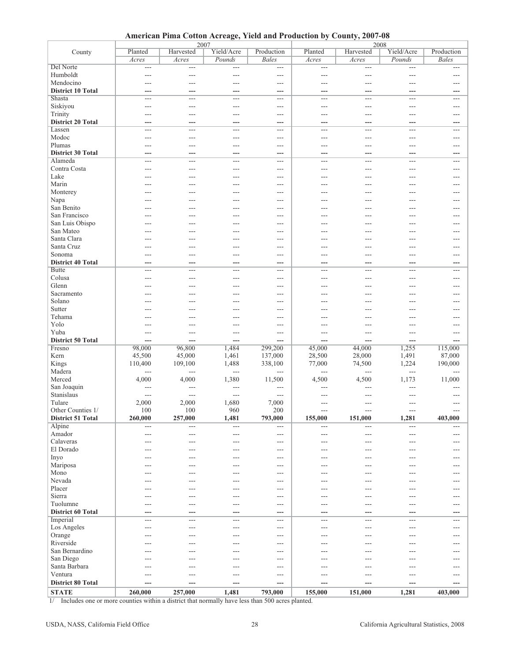**American Pima Cotton Acreage, Yield and Production by County, 2007-08**

|                          |                | 2007           |                |                | 2008           |                |                |                |  |
|--------------------------|----------------|----------------|----------------|----------------|----------------|----------------|----------------|----------------|--|
| County                   | Planted        | Harvested      | Yield/Acre     | Production     | Planted        | Harvested      | Yield/Acre     | Production     |  |
|                          | Acres          | Acres          | Pounds         | <b>Bales</b>   | Acres          | Acres          | Pounds         | <b>Bales</b>   |  |
| Del Norte                | $---$          | $\overline{a}$ | $---$          | ---            | $\overline{a}$ | $---$          | ---            | $---$          |  |
| Humboldt                 | ---            | ---            | ---            | ---            | ---            | ---            | ---            | $---$          |  |
| Mendocino                | ---            | ---            | $\overline{a}$ | ---            | $---$          | $---$          | ---            | $---$          |  |
| <b>District 10 Total</b> | ---            | ---            | ---            | ---            | ---            | ---            | ---            |                |  |
| Shasta                   | $\overline{a}$ | $---$          | $---$          | $---$          | $---$          | $\overline{a}$ | $---$          | $---$          |  |
|                          |                |                |                |                |                |                |                |                |  |
| Siskiyou                 | ---            | ---            | $\overline{a}$ | ---            | ---            | $---$          | ---            | $---$          |  |
| Trinity                  | ---            | ---            | $---$          | ---            | ---            | ---            | ---            | $---$          |  |
| <b>District 20 Total</b> | ---            | ---            | ---            | ---            | ---            | ---            | ---            | ---            |  |
| Lassen                   | $---$          | $---$          | ---            | $---$          | $---$          | $\overline{a}$ | ---            | $---$          |  |
| Modoc                    | ---            | ---            | $---$          | ---            | $---$          | $---$          | ---            | $---$          |  |
| Plumas                   | $---$          | ---            | $\overline{a}$ | ---            | $---$          | $---$          | ---            | $---$          |  |
| <b>District 30 Total</b> | ---            | ---            | ---            | ---            | ---            | ---            | ---            | ---            |  |
| Alameda                  | ---            | ---            | $---$          | $---$          | $---$          | ---            | ---            | $---$          |  |
| Contra Costa             | ---            | ---            | ---            | ---            | ---            | $---$          | ---            | $---$          |  |
| Lake                     | $---$          | $-$            | $---$          | ---            | $---$          | $---$          | ---            | $---$          |  |
| Marin                    | $---$          | ---            | $---$          | $---$          | ---            | $---$          | ---            | $---$          |  |
| Monterey                 |                | ---            | ---            | ---            |                |                |                | ---            |  |
|                          |                |                |                |                |                |                |                |                |  |
| Napa                     |                |                | ---            | ---            | ---            |                | ---            | ---            |  |
| San Benito               |                | ---            | $---$          | ---            | ---            | ---            | ---            | $---$          |  |
| San Francisco            | ---            | ---            | $---$          | ---            | ---            | $---$          | ---            | $---$          |  |
| San Luis Obispo          |                |                | $---$          | ---            |                |                |                | ---            |  |
| San Mateo                |                |                | ---            | ---            |                |                | ---            |                |  |
| Santa Clara              | ---            | ---            | $---$          | ---            | ---            | $---$          | ---            | $---$          |  |
| Santa Cruz               | ---            | ---            | $\overline{a}$ | ---            | ---            | $\cdots$       | ---            | $---$          |  |
| Sonoma                   | $---$          | $---$          | $---$          | $---$          | $---$          | $---$          | ---            | $---$          |  |
| <b>District 40 Total</b> | ---            | ---            | ---            | ---            | ---            | ---            | ---            | ---            |  |
| <b>Butte</b>             | ---            | ---            | $---$          | ---            | $---$          | $---$          | ---            | $---$          |  |
| Colusa                   | $---$          | ---            | $---$          | ---            | $---$          | $---$          | ---            | $---$          |  |
| Glenn                    | $---$          | ---            | $---$          | $---$          | $---$          | $---$          | ---            | $---$          |  |
|                          |                |                |                |                |                |                |                |                |  |
| Sacramento               |                |                | $---$          | ---            |                |                |                | ---            |  |
| Solano                   |                | ---            | ---            | ---            | ---            | ---            | ---            | ---            |  |
| Sutter                   |                | ---            | $---$          | ---            | $---$          | $---$          | ---            | $---$          |  |
| Tehama                   | $---$          | ---            | $---$          | ---            | ---            | $---$          | ---            | $---$          |  |
| Yolo                     |                |                | ---            | ---            | ---            | ---            | ---            | $-$            |  |
| Yuba                     | ---            | ---            | $---$          | ---            | ---            | ---            | ---            | $---$          |  |
| <b>District 50 Total</b> | ---            | ---            | ---            | ---            | $\overline{a}$ | $\overline{a}$ | ---            | $\overline{a}$ |  |
| Fresno                   | 98,000         | 96,800         | 1,484          | 299,200        | 45,000         | 44,000         | 1,255          | 115,000        |  |
| Kern                     | 45,500         | 45,000         | 1,461          | 137,000        | 28,500         | 28,000         | 1,491          | 87,000         |  |
| Kings                    | 110,400        | 109,100        | 1,488          | 338,100        | 77,000         | 74,500         | 1,224          | 190,000        |  |
| Madera                   | ---            | $---$          | $\overline{a}$ | $\overline{a}$ | $\overline{a}$ | $\overline{a}$ | $\overline{a}$ |                |  |
|                          |                |                |                |                |                |                |                |                |  |
| Merced                   | 4,000          | 4,000          | 1,380          | 11,500         | 4,500          | 4,500          | 1,173          | 11,000         |  |
| San Joaquin              | $---$          | $---$          | $---$          | $---$          | $---$          | $---$          | $\overline{a}$ | $---$          |  |
| Stanislaus               | $---$          | $---$          | $---$          | ---            | ---            |                | ---            | ---            |  |
| Tulare                   | 2,000          | 2,000          | 1,680          | 7,000          | ---            | ---            | ---            | $---$          |  |
| Other Counties 1/        | 100            | 100            | 960            | 200            | $---$          | $---$          | ---            | $---$          |  |
| <b>District 51 Total</b> | 260,000        | 257,000        | 1,481          | 793,000        | 155,000        | 151,000        | 1,281          | 403,000        |  |
| Alpine                   | $---$          | ---            | $---$          | ---            | $---$          | $---$          | ---            | $---$          |  |
| Amador                   | ---            | ---            | $---$          | ---            | $---$          | $---$          | ---            | $---$          |  |
| Calaveras                | $---$          | ---            | $---$          | ---            | $---$          | $---$          | $---$          | $---$          |  |
| El Dorado                | $---$          | ---            | $---$          | ---            | ---            | $---$          | ---            | $---$          |  |
| Inyo                     |                |                | ---            | ---            |                |                |                | ---            |  |
| Mariposa                 |                | ---            | ---            | ---            | ---            | ---            | ---            | ---            |  |
|                          |                |                |                |                |                |                |                |                |  |
| Mono                     | ---            | ---            | $---$          | ---            | ---            | $---$          | ---            | $---$          |  |
| Nevada                   | ---            | ---            | $---$          | ---            | ---            | $---$          | ---            | $---$          |  |
| Placer                   |                | ---            | $---$          | ---            | ---            | ---            | ---            | ---            |  |
| Sierra                   | ---            | ---            | ---            | ---            | ---            | ---            | ---            | $---$          |  |
| Tuolumne                 | ---            | ---            | $---$          | ---            | $---$          | $\frac{1}{2}$  | ---            | ---            |  |
| <b>District 60 Total</b> | ---            | ---            | ---            | ---            | ---            | ---            | ---            | ---            |  |
| Imperial                 | $---$          | $---$          | ---            | $---$          | $---$          | $---$          | ---            | $---$          |  |
| Los Angeles              | ---            | ---            | $---$          | ---            | $---$          | $---$          | ---            | $---$          |  |
| Orange                   | ---            | ---            | ---            | ---            | ---            | ---            | ---            | ---            |  |
| Riverside                | $---$          | ---            | $---$          | $---$          | ---            | $---$          | ---            | $---$          |  |
| San Bernardino           |                |                |                |                |                |                |                |                |  |
|                          | ---            | ---            | $---$          | ---            | ---            | ---            | ---            | ---            |  |
| San Diego                | ---            | ---            | ---            | ---            | ---            | ---            | ---            | ---            |  |
| Santa Barbara            | ---            | ---            | $---$          | ---            | ---            | $\frac{1}{2}$  | ---            | $---$          |  |
| Ventura                  | $---$          | ---            | $---$          | $---$          | $---$          | $---$          | $---$          | $---$          |  |
| <b>District 80 Total</b> | ---            | ---            | ---            | ---            | ---            | ---            | ---            | ---            |  |
| <b>STATE</b>             | 260,000        | 257,000        | 1,481          | 793,000        | 155,000        | 151,000        | 1,281          | 403,000        |  |
|                          |                |                |                |                |                |                |                |                |  |

1/ Includes one or more counties within a district that normally have less than 500 acres planted.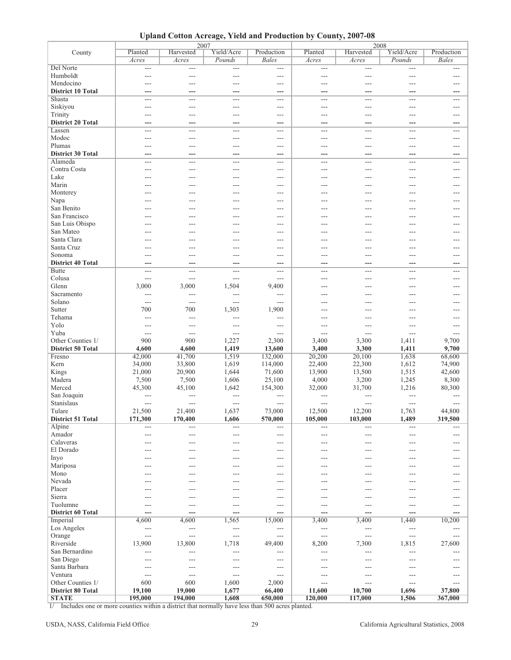**Upland Cotton Acreage, Yield and Production by County, 2007-08**

|                          |                | 2007                     |                          |                | 2008           |                |                          |                |
|--------------------------|----------------|--------------------------|--------------------------|----------------|----------------|----------------|--------------------------|----------------|
| County                   | Planted        | Harvested                | Yield/Acre               | Production     | Planted        | Harvested      | Yield/Acre               | Production     |
|                          | Acres          | Acres                    | Pounds                   | <b>Bales</b>   | Acres          | Acres          | Pounds                   | <b>Bales</b>   |
| Del Norte                | ---            | $---$                    | $\qquad \qquad -$        | ---            | $---$          | ---            | $---$                    | ---            |
| Humboldt                 | ---            | ---                      | $---$                    | ---            | ---            | ---            | ---                      | $---$          |
| Mendocino                | ---            | $-$                      | $---$                    | ---            | $---$          | ---            | $\overline{a}$           | $---$          |
| <b>District 10 Total</b> | ---            | ---                      | ---                      | ---            | ---            | ---            | ---                      | ---            |
| Shasta                   | $---$          | $---$                    | $---$                    | ---            | $---$          | ---            | $---$                    | ---            |
| Siskiyou                 | ---            | $---$                    | $---$                    | ---            | ---            | ---            | $---$                    | ---            |
|                          |                |                          |                          |                |                |                |                          |                |
| Trinity                  | $---$          | $\overline{a}$           | $---$                    | ---            | $---$          | ---            | $---$                    | $---$          |
| <b>District 20 Total</b> | ---            | ---                      | ---                      | ---            | ---            | ---            | ---                      | ---            |
| Lassen                   | $\overline{a}$ | $---$                    | $---$                    | ---            | $---$          | $---$          | $---$                    | $---$          |
| Modoc                    | ---            | $---$                    | $---$                    | ---            | ---            | ---            | $---$                    | ---            |
| Plumas                   | ---            | ---                      | $---$                    | ---            | ---            | ---            | ---                      | $---$          |
| <b>District 30 Total</b> | ---            | ---                      | ---                      | ---            | ---            | ---            | ---                      | ---            |
| Alameda                  | ---            | $---$                    | $---$                    | ---            | $---$          | $\overline{a}$ | $\overline{a}$           | $---$          |
| Contra Costa             | ---            | ---                      | $\overline{a}$           | ---            | ---            | ---            | ---                      | ---            |
| Lake                     | ---            | $---$                    | $---$                    | ---            | $---$          | ---            | $---$                    | $---$          |
| Marin                    |                | $---$                    | $---$                    | $---$          | $---$          | ---            | ---                      | $---$          |
|                          |                |                          |                          |                |                |                |                          |                |
| Monterey                 |                | ---                      | ---                      | ---            | ---            |                |                          | ---            |
| Napa                     |                | ---                      | $---$                    | ---            | ---            | ---            | ---                      | ---            |
| San Benito               | ---            | $---$                    | $---$                    | ---            | $---$          | ---            | $\overline{a}$           | $---$          |
| San Francisco            | ---            | ---                      | $---$                    | ---            | ---            | ---            | ---                      | ---            |
| San Luis Obispo          |                | ---                      | $---$                    | ---            |                |                |                          |                |
| San Mateo                | ---            | $---$                    | $---$                    | $---$          | $---$          | ---            | $---$                    | $---$          |
| Santa Clara              |                | ---                      | $\overline{a}$           | ---            | ---            | ---            | ---                      | ---            |
| Santa Cruz               | ---            | $---$                    | $---$                    | ---            | ---            | ---            | $---$                    | ---            |
| Sonoma                   | ---            | $---$                    | $---$                    | $---$          | $---$          | ---            | $---$                    | $---$          |
| <b>District 40 Total</b> | ---            | ---                      | ---                      | ---            | ---            | ---            | ---                      | ---            |
| <b>Butte</b>             | ---            | $---$                    | $---$                    | ---            | ---            | $\overline{a}$ | ---                      | $---$          |
| Colusa                   | ---            | ---                      | $\overline{a}$           | ---            | ---            | $-$            | $\overline{a}$           | $---$          |
| Glenn                    | 3,000          | 3,000                    | 1,504                    | 9,400          | ---            | $---$          | $---$                    | $---$          |
| Sacramento               | ---            | $---$                    | $---$                    | ---            |                |                |                          |                |
| Solano                   | $\overline{a}$ | $---$                    | $---$                    | ---            | ---            |                | ---                      |                |
| Sutter                   | 700            | 700                      | 1,303                    | 1,900          |                |                |                          |                |
|                          |                |                          |                          |                | $---$          |                | $---$                    | ---            |
| Tehama                   | $---$          | $---$                    | $\overline{\phantom{a}}$ | ---            | $---$          | ---            | $---$                    | $---$          |
| Yolo                     | ---            | ---                      | $---$                    | ---            | ---            | ---            | ---                      | ---            |
| Yuba                     | $---$          | $---$                    | $---$                    | ---            | ---            | $---$          | $---$                    | $---$          |
| Other Counties 1/        | 900            | 900                      | 1,227                    | 2,300          | 3,400          | 3,300          | 1,411                    | 9,700          |
| <b>District 50 Total</b> | 4,600          | 4,600                    | 1,419                    | 13,600         | 3,400          | 3,300          | 1,411                    | 9,700          |
| Fresno                   | 42,000         | 41,700                   | 1,519                    | 132,000        | 20,200         | 20,100         | 1,638                    | 68,600         |
| Kern                     | 34,000         | 33,800                   | 1,619                    | 114,000        | 22,400         | 22,300         | 1,612                    | 74,900         |
| Kings                    | 21,000         | 20,900                   | 1,644                    | 71,600         | 13,900         | 13,500         | 1,515                    | 42,600         |
| Madera                   | 7,500          | 7,500                    | 1,606                    | 25,100         | 4,000          | 3,200          | 1,245                    | 8,300          |
| Merced                   | 45,300         | 45,100                   | 1,642                    | 154,300        | 32,000         | 31,700         | 1,216                    | 80,300         |
| San Joaquin              |                | ---                      | $\overline{a}$           | ---            | ---            | ---            | ---                      |                |
| Stanislaus               | $\sim$         | $\overline{a}$           | $---$                    | ---            | $---$          | $\overline{a}$ | $\overline{a}$           |                |
| Tulare                   | 21,500         | 21,400                   | 1,637                    | 73,000         | 12,500         | 12,200         |                          | 44,800         |
|                          | 171,300        | 170,400                  |                          |                | 105,000        | 103,000        | 1,763                    |                |
| <b>District 51 Total</b> |                |                          | 1,606                    | 570,000        |                |                | 1,489                    | 319,500        |
| Alpine                   | $---$          | $---$                    | $---$                    | ---            | $---$          | ---            | ---                      | $\overline{a}$ |
| Amador                   | ---            | ---                      | $\overline{a}$           | ---            | ---            | ---            | ---                      | $---$          |
| Calaveras                | ---            | $---$                    | $---$                    | ---            | ---            | ---            | $---$                    | ---            |
| El Dorado                | ---            | $---$                    | $---$                    | ---            | ---            | ---            | $---$                    | ---            |
| Inyo                     |                | ---                      | ---                      | ---            | ---            | ---            |                          | ---            |
| Mariposa                 | ---            | ---                      | $---$                    | ---            | ---            | ---            | ---                      | ---            |
| Mono                     | ---            | $---$                    | $---$                    | ---            | ---            | ---            | $---$                    | $---$          |
| Nevada                   | ---            | $---$                    | $---$                    | ---            | ---            | ---            | $---$                    | ---            |
| Placer                   |                |                          |                          | ---            |                |                |                          |                |
| Sierra                   |                | ---                      | $---$                    | ---            | ---            | ---            | $---$                    | ---            |
| Tuolumne                 | ---            | $---$                    | $---$                    | ---            | $---$          | $---$          | $---$                    | $---$          |
| <b>District 60 Total</b> | ---            | ---                      | $---$                    | ---            | ---            | ---            | ---                      |                |
| Imperial                 | 4,600          | 4,600                    | 1,565                    | 15,000         | 3,400          | 3,400          | 1,440                    | 10,200         |
| Los Angeles              | ---            | $\overline{\phantom{a}}$ | $\sim$ $\sim$ $\sim$     | $\overline{a}$ | $\overline{a}$ | $\overline{a}$ | $---$                    | $---$          |
| Orange                   | $---$          | $---$                    | $---$                    | ---            | ---            | ---            | $\overline{\phantom{a}}$ | $---$          |
| Riverside                | 13,900         | 13,800                   | 1,718                    | 49,400         | 8,200          | 7,300          | 1,815                    | 27,600         |
| San Bernardino           | ---            | $---$                    | $---$                    | ---            | ---            | $---$          | $---$                    |                |
| San Diego                | ---            | ---                      | $\overline{a}$           | ---            | ---            | ---            | ---                      |                |
| Santa Barbara            |                |                          |                          |                |                |                |                          |                |
|                          | ---            | $---$                    | $---$                    | ---            | ---            | ---            | $---$                    | ---            |
| Ventura                  | $---$          | $---$                    | $---$                    | $\overline{a}$ | $---$          | $---$          | $---$                    | $---$          |
| Other Counties 1/        | 600            | 600                      | 1,600                    | 2,000          | $---$          | $--$           | $---$                    | $---$          |
| <b>District 80 Total</b> | 19,100         | 19,000                   | 1,677                    | 66,400         | 11,600         | 10,700         | 1,696                    | 37,800         |
| <b>STATE</b>             | 195,000        | 194,000                  | 1,608                    | 650,000        | 120,000        | 117,000        | 1,506                    | 367,000        |

1/ Includes one or more counties within a district that normally have less than 500 acres planted.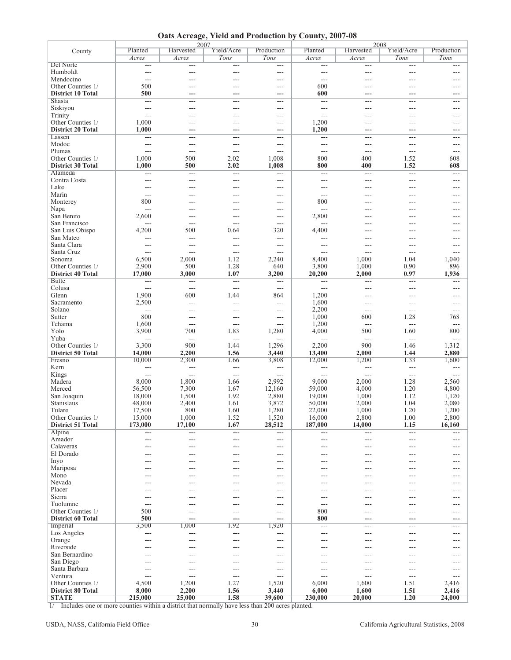**Oats Acreage, Yield and Production by County, 2007-08**

|                          |                | 2007           |                |                   |                | 2008                 |                     |            |
|--------------------------|----------------|----------------|----------------|-------------------|----------------|----------------------|---------------------|------------|
| County                   | Planted        | Harvested      | Yield/Acre     | Production        | Planted        | Harvested            | Yield/Acre          | Production |
|                          | Acres          | Acres          | Tons           | Tons              | Acres          | Acres                | Tons                | Tons       |
| Del Norte                | $---$          | $---$          | ---            | $\cdots$          | ---            | $---$                | ---                 | ---        |
| Humboldt                 | $---$          | ---            | ---            | $\overline{a}$    | $---$          | $---$                | ---                 | ---        |
| Mendocino                | $\sim$         | ---            | $---$          | $\overline{a}$    | $-$            | $- - -$              | ---                 | $---$      |
| Other Counties 1/        | 500            | ---            | ---            | ---               | 600            | $---$                | ---                 | $---$      |
| <b>District 10 Total</b> | 500            | ---            | ---            | ---               | 600            |                      | ---                 | ---        |
| <b>Shasta</b>            | $- - -$        | ---            | ---            | ---               | $---$          | $---$                | ---                 | ---        |
| Siskiyou                 | $\overline{a}$ | $---$          | ---            | $---$             | $---$          | $---$                | $\overline{a}$      | $---$      |
| Trinity                  | $---$          | ---            | $---$          | ---               | ---            | $---$                | ---                 | $---$      |
| Other Counties 1/        | 1,000          | ---            | ---            | ---               | 1,200          | ---                  | ---                 | ---        |
| <b>District 20 Total</b> | 1,000          | ---            | ---            | ---               | 1,200          |                      |                     |            |
| Lassen                   | $\overline{a}$ | $---$          | $---$          | $---$             | $---$          | $---$                | $---$               | $---$      |
| Modoc                    | $---$          | $\overline{a}$ | ---            | ---               | $---$          | $---$                | ---                 | $---$      |
|                          |                |                |                |                   |                |                      |                     |            |
| Plumas                   | $---$          | $---$          | ---            | ---               | ---            | $---$                | ---                 | ---        |
| Other Counties 1/        | 1,000          | 500            | 2.02           | 1,008             | 800            | 400                  | 1.52                | 608        |
| <b>District 30 Total</b> | 1,000          | 500            | 2.02           | 1,008             | 800            | 400                  | 1.52                | 608        |
| Alameda                  | ---            | ===            | ===            | ---               | <u></u>        | $\overline{a}$       | ---                 | $---$      |
| Contra Costa             | $---$          | ---            | ---            | ---               | ---            | $---$                | ---                 | ---        |
| Lake                     | $---$          | ---            | ---            | ---               | ---            | ---                  | ---                 | ---        |
| Marin                    | $---$          | ---            | $---$          | $---$             | $-$            | $- - -$              | ---                 | $---$      |
| Monterey                 | 800            | ---            | ---            | ---               | 800            | $---$                | ---                 | $---$      |
| Napa                     | $\overline{a}$ | $---$          | $---$          | $\overline{a}$    | ---            |                      |                     | $---$      |
| San Benito               | 2,600          | ---            | ---            | ---               | 2,800          | ---                  | ---                 | ---        |
| San Francisco            | $\overline{a}$ | $---$          | ---            | $---$             | $\overline{a}$ | $---$                | ---                 | $---$      |
| San Luis Obispo          | 4,200          | 500            | 0.64           | 320               | 4,400          | $---$                | ---                 | ---        |
| San Mateo                | $\overline{a}$ | $\overline{a}$ | ---            | $---$             | ---            | $\sim$               | $\overline{a}$      | $---$      |
| Santa Clara              | $---$          | ---            | ---            | ---               | ---            | ---                  | ---                 | ---        |
| Santa Cruz               | $\overline{a}$ | $\overline{a}$ | $---$          | $---$             | $---$          | $\overline{a}$       | ---                 | $---$      |
| Sonoma                   | 6,500          | 2,000          | 1.12           | 2,240             | 8,400          | 1,000                | 1.04                | 1,040      |
| Other Counties 1/        | 2,900          | 500            | 1.28           | 640               | 3,800          | 1,000                | 0.90                | 896        |
| <b>District 40 Total</b> | 17,000         | 3,000          | 1.07           | 3,200             | 20,200         | 2,000                | 0.97                | 1,936      |
| <b>Butte</b>             |                | $\overline{a}$ | ---            | $---$             |                |                      |                     |            |
|                          | $\overline{a}$ |                |                |                   | ---            | $\overline{a}$       | $---$               | ---        |
| Colusa                   | $---$          | $\overline{a}$ | $\overline{a}$ | ---               | $---$          | $---$                | ---                 | $---$      |
| Glenn                    | 1,900          | 600            | 1.44           | 864               | 1,200          | $---$                | ---                 | $---$      |
| Sacramento               | 2,500          | $\overline{a}$ | $---$          | $---$             | 1,600          | $---$                | ---                 | ---        |
| Solano                   | $\overline{a}$ | ---            | ---            | ---               | 2,200          | $\overline{a}$       | ---                 | ---        |
| Sutter                   | 800            | $---$          | $---$          | $---$             | 1,000          | 600                  | 1.28                | 768        |
| Tehama                   | 1,600          | $---$          | ---            | ---               | 1,200          | $\overline{a}$       | ---                 | ---        |
| Yolo                     | 3,900          | 700            | 1.83           | 1,280             | 4,000          | 500                  | 1.60                | 800        |
| Yuba                     | $---$          | $\overline{a}$ | $---$          | $\overline{a}$    | ---            | $\sim$ $\sim$ $\sim$ | $---$               | ---        |
| Other Counties 1/        | 3,300          | 900            | 1.44           | 1,296             | 2,200          | 900                  | 1.46                | 1,312      |
| <b>District 50 Total</b> | 14,000         | 2,200          | 1.56           | 3,440             | 13,400         | 2,000                | 1.44                | 2,880      |
| Fresno                   | 10,000         | 2,300          | 1.66           | 3,808             | 12,000         | 1,200                | 1.33                | 1,600      |
| Kern                     | $\sim$ $\sim$  | $\rightarrow$  | $---$          | $\sim$ $\sim$     | $---$          | $\sim$ $\sim$ $\sim$ | $\overline{a}$      | $---$      |
| Kings                    | $\overline{a}$ | $---$          | $\overline{a}$ | $---$             | $---$          | $\overline{a}$       | $\overline{a}$      | $---$      |
| Madera                   | 8,000          | 1,800          | 1.66           | 2,992             | 9,000          | 2,000                | 1.28                | 2,560      |
| Merced                   | 56,500         | 7,300          | 1.67           | 12,160            | 59,000         | 4,000                | 1.20                | 4,800      |
| San Joaquin              | 18,000         | 1,500          | 1.92           | 2,880             | 19,000         | 1,000                | 1.12                | 1,120      |
| Stanislaus               |                | 2,400          | 1.61           |                   |                |                      | 1.04                | 2,080      |
|                          | 48,000         |                |                | 3,872             | 50,000         | 2,000                |                     |            |
| Tulare                   | 17,500         | 800            | 1.60           | 1,280             | 22,000         | 1,000                | 1.20                | 1,200      |
| Other Counties 1/        | 15,000         | 1,000          | 1.52           | 1,520             | 16,000         | 2,800                | 1.00                | 2,800      |
| <b>District 51 Total</b> | 173,000        | 17,100         | 1.67           | 28,512            | 187,000        | 14,000               | 1.15                | 16,160     |
| Alpine                   | $---$          | $---$          | $\overline{a}$ | $\cdots$          | $---$          | $\sim$ $\sim$        | $\qquad \qquad - -$ | $---$      |
| Amador                   | $---$          | $---$          | $---$          | $---$             | $---$          | $---$                | ---                 | $---$      |
| Calaveras                | $---$          | $---$          | $---$          | $---$             | ---            | $---$                | ---                 | $---$      |
| El Dorado                | $---$          | $---$          | ---            | ---               | ---            | $---$                | ---                 | $---$      |
| Inyo                     | ---            | ---            | ---            | ---               | ---            | $---$                | ---                 | ---        |
| Mariposa                 | $---$          | $---$          | $---$          | $---$             | ---            | $---$                | ---                 | $---$      |
| Mono                     | $---$          | $---$          | $---$          | ---               | ---            | $---$                | ---                 | $---$      |
| Nevada                   | $---$          | $---$          | ---            | $\qquad \qquad -$ | ---            | $---$                | ---                 | ---        |
| Placer                   | ---            | ---            | ---            | ---               | ---            | ---                  | ---                 | ---        |
| Sierra                   | $---$          | ---            | $---$          | ---               | ---            | $---$                | ---                 | $---$      |
| Tuolumne                 | $---$          | $---$          | ---            | ---               | $\overline{a}$ | $---$                | ---                 | $---$      |
| Other Counties 1/        | 500            | ---            | ---            | $---$             | 800            | $---$                | ---                 | $---$      |
| <b>District 60 Total</b> | 500            | ---            | ---            | ---               | 800            | ---                  | ---                 | ---        |
| Imperial                 | 3,500          | 1,000          | 1.92           | 1,920             | $---$          | $---$                | ---                 | $---$      |
| Los Angeles              | $\overline{a}$ | ---            | ---            | $---$             | $---$          | $---$                | $---$               | $---$      |
| Orange                   | $---$          | ---            | ---            | ---               | ---            | $---$                | ---                 | ---        |
| Riverside                | $---$          | ---            | ---            | $---$             | ---            | $---$                | ---                 | $---$      |
| San Bernardino           |                |                |                |                   |                |                      |                     |            |
|                          | $---$          | ---            | $---$          | $---$             | ---            | $---$                | ---                 | $---$      |
| San Diego                | $---$          | $---$          | ---            | ---               | ---            | $---$                | ---                 | $---$      |
| Santa Barbara            | $---$          | $\overline{a}$ | ---            | ---               | ---            | $---$                | ---                 | $---$      |
| Ventura                  | $---$          | $---$          | ---            | ---               | ---            | $---$                | ---                 | ---        |
| Other Counties 1/        | 4,500          | 1,200          | 1.27           | 1,520             | 6,000          | 1,600                | 1.51                | 2,416      |
| <b>District 80 Total</b> | 8,000          | 2,200          | 1.56           | 3,440             | 6,000          | 1,600                | 1.51                | 2,416      |
| <b>STATE</b>             | 215,000        | 25,000         | 1.58           | 39,600            | 230,000        | 20,000               | 1.20                | 24,000     |

1/ Includes one or more counties within a district that normally have less than 200 acres planted.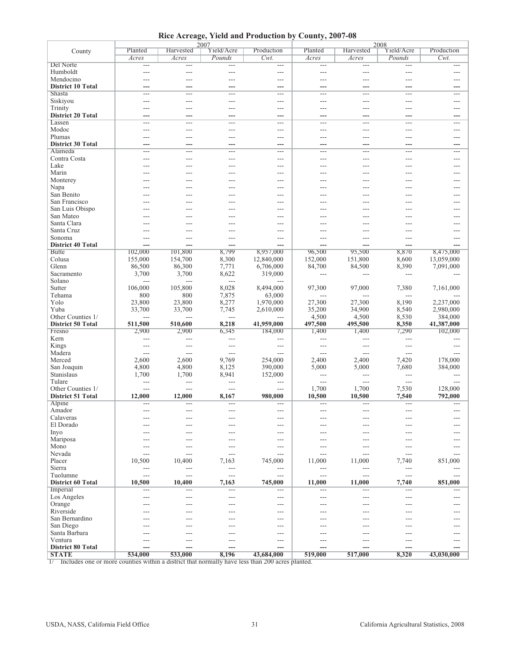**Rice Acreage, Yield and Production by County, 2007-08**

|                          |               |           | 2007       |                          | 2008           |                |            |            |  |
|--------------------------|---------------|-----------|------------|--------------------------|----------------|----------------|------------|------------|--|
| County                   | Planted       | Harvested | Yield/Acre | Production               | Planted        | Harvested      | Yield/Acre | Production |  |
|                          | Acres         | Acres     | Pounds     | $Cwt$ .                  | Acres          | Acres          | Pounds     | $Cwt$ .    |  |
| Del Norte                | $---$         | $---$     | $---$      | ---                      | ---            | $\overline{a}$ | $---$      | $---$      |  |
| Humboldt                 | $---$         | ---       | $---$      | ---                      | $---$          | ---            | ---        | $---$      |  |
| Mendocino                | ---           | ---       |            | ---                      | ---            |                | ---        |            |  |
| <b>District 10 Total</b> | ---           | ---       |            | ---                      |                | ---            | ---        |            |  |
| <b>Shasta</b>            | $---$         | $---$     | $---$      | $---$                    | $---$          | $---$          | $---$      | $---$      |  |
| Siskiyou                 | $---$         | ---       | $---$      | ---                      | $---$          | ---            | ---        | ---        |  |
| Trinity                  | ---           |           |            | ---                      |                |                | ---        | ---        |  |
| <b>District 20 Total</b> | ---           |           |            | ---                      |                |                | ---        |            |  |
| Lassen                   | $---$         | $---$     | $---$      | $---$                    | $---$          | $---$          | $---$      | $---$      |  |
| Modoc                    | $---$         | ---       | $---$      | $---$                    | $---$          | ---            | ---        | $---$      |  |
| Plumas                   | ---           | ---       | ---        | ---                      | ---            | ---            | ---        | ---        |  |
| <b>District 30 Total</b> | ---           |           |            | ---                      |                |                | ---        |            |  |
| Alameda                  | $---$         | $---$     | $---$      | $---$                    | $---$          | $---$          | $---$      | $---$      |  |
| Contra Costa             | ---           | ---       | $---$      | ---                      | $---$          | ---            | ---        | ---        |  |
| Lake                     | ---           | ---       |            | ---                      |                |                | ---        |            |  |
| Marin                    |               |           |            |                          |                |                |            |            |  |
| Monterey                 |               |           |            | ---                      |                |                | ---        |            |  |
|                          | $---$         | ---       | $---$      | $---$                    | $---$          | ---            | ---        | ---        |  |
| Napa                     | ---           | ---       | $---$      | $---$                    | $---$          | ---            | ---        | ---        |  |
| San Benito               |               |           |            | ---                      |                |                |            |            |  |
| San Francisco            |               |           |            | ---                      |                |                | ---        |            |  |
| San Luis Obispo          |               |           |            | $---$                    |                |                | $-$        |            |  |
| San Mateo                | $---$         | ---       | ---        | $---$                    | $---$          |                | ---        | ---        |  |
| Santa Clara              |               |           |            | $\overline{a}$           |                |                | ---        |            |  |
| Santa Cruz               | ---           | ---       |            | ---                      | ---            |                | ---        |            |  |
| Sonoma                   | $---$         | $---$     | $---$      | $---$                    | $---$          | ---            | $---$      | $---$      |  |
| <b>District 40 Total</b> | ---           |           |            | ---                      |                |                | ---        |            |  |
| <b>Butte</b>             | 102,000       | 101,800   | 8,799      | 8,957,000                | 96,500         | 95,500         | 8,870      | 8,475,000  |  |
| Colusa                   | 155,000       | 154,700   | 8,300      | 12,840,000               | 152,000        | 151,800        | 8,600      | 13,059,000 |  |
| Glenn                    | 86,500        | 86,300    | 7,771      | 6,706,000                | 84,700         | 84,500         | 8,390      | 7,091,000  |  |
| Sacramento               | 3,700         | 3,700     | 8,622      | 319,000                  | $---$          | ---            | ---        |            |  |
| Solano                   | $---$         | $---$     | $---$      | $\overline{a}$           |                |                |            |            |  |
| Sutter                   | 106,000       | 105,800   | 8,028      | 8,494,000                | 97,300         | 97,000         | 7,380      | 7,161,000  |  |
| Tehama                   | 800           | 800       | 7,875      | 63,000                   | $\sim$         | ---            | $---$      |            |  |
| Yolo                     | 23,800        | 23,800    | 8,277      | 1,970,000                | 27,300         | 27,300         | 8,190      | 2,237,000  |  |
| Yuba                     | 33,700        |           |            |                          |                | 34,900         | 8,540      |            |  |
|                          |               | 33,700    | 7,745      | 2,610,000                | 35,200         |                |            | 2,980,000  |  |
| Other Counties 1/        | ---           |           | $---$      | ---                      | 4,500          | 4,500          | 8,530      | 384,000    |  |
| <b>District 50 Total</b> | 511,500       | 510,600   | 8,218      | 41,959,000               | 497,500        | 495,500        | 8,350      | 41,387,000 |  |
| Fresno                   | 2,900         | 2,900     | 6,345      | 184,000                  | 1,400          | 1,400          | 7,290      | 102,000    |  |
| Kern                     | $---$         | $-$       | $---$      | $---$                    | $\sim$         | $---$          | $---$      |            |  |
| Kings                    | $---$         | ---       | $---$      | ---                      | ---            | ---            | ---        | ---        |  |
| Madera                   | $---$         | $---$     | $---$      | $---$                    | $---$          | $\overline{a}$ | $---$      | $---$      |  |
| Merced                   | 2,600         | 2,600     | 9,769      | 254,000                  | 2,400          | 2,400          | 7,420      | 178,000    |  |
| San Joaquin              | 4,800         | 4,800     | 8,125      | 390,000                  | 5,000          | 5,000          | 7,680      | 384,000    |  |
| Stanislaus               | 1,700         | 1,700     | 8,941      | 152,000                  | $---$          | ---            | ---        |            |  |
| Tulare                   | $\frac{1}{2}$ | $---$     | $---$      | $\overline{a}$           | $\overline{a}$ | $---$          | $---$      | $---$      |  |
| Other Counties 1/        | ---           | ---       | $---$      | ---                      | 1,700          | 1,700          | 7,530      | 128,000    |  |
| <b>District 51 Total</b> | 12,000        | 12,000    | 8,167      | 980,000                  | 10,500         | 10,500         | 7,540      | 792,000    |  |
| Alpine                   | ---           | ---       | $---$      | ---                      | $---$          | ---            | ---        |            |  |
| Amador                   | ---           | ---       | ---        | ---                      | ---            | ---            | ---        | $---$      |  |
| Calaveras                |               |           |            | ---                      |                |                |            |            |  |
| El Dorado                | $---$         | $---$     | $---$      | $---$                    | $---$          | ---            | ---        | $---$      |  |
| Inyo                     | ---           | ---       | $---$      | ---                      | $---$          | ---            | ---        | ---        |  |
| Mariposa                 | ---           | ---       |            | $---$                    | ---            |                | ---        |            |  |
| Mono                     | ---           | ---       |            | ---                      | ---            |                | ---        |            |  |
| Nevada                   | $---$         | $---$     | $---$      | $---$                    | $---$          | ---            | $---$      | $---$      |  |
| Placer                   | 10,500        | 10,400    | 7,163      |                          | 11,000         | 11,000         | 7,740      | 851,000    |  |
|                          |               |           |            | 745,000                  |                |                |            |            |  |
| Sierra                   | $---$         | $---$     | $---$      | $\cdots$                 | $--$           | $---$          | $---$      | ---        |  |
| Tuolumne                 | ---           | ---       | $---$      | ---                      | $---$          | ---            | ---        | ---        |  |
| <b>District 60 Total</b> | 10,500        | 10,400    | 7,163      | 745,000                  | 11,000         | 11,000         | 7,740      | 851,000    |  |
| Imperial                 | ---           | ---       | $---$      | $\overline{\phantom{a}}$ | ---            | ---            | $---$      | ---        |  |
| Los Angeles              | ---           | ---       | ---        | $---$                    | ---            | ---            | ---        | $---$      |  |
| Orange                   |               |           |            | ---                      |                |                |            |            |  |
| Riverside                | $---$         | ---       | ---        | $---$                    | $---$          | ---            | $---$      | ---        |  |
| San Bernardino           | ---           | ---       |            | ---                      | $---$          |                | ---        |            |  |
| San Diego                | ---           | ---       |            | ---                      | ---            |                | ---        |            |  |
| Santa Barbara            |               |           |            | ---                      |                |                |            |            |  |
| Ventura                  | $---$         | $---$     | $---$      | $---$                    | $---$          | ---            | $---$      | ---        |  |
| <b>District 80 Total</b> | ---           | ---       |            | ---                      | ---            | ---            | ---        |            |  |
| <b>STATE</b>             | 534,000       | 533,000   | 8,196      | 43,684,000               | 519,000        | 517,000        | 8,320      | 43,030,000 |  |
|                          |               |           |            |                          |                |                |            |            |  |

1/ Includes one or more counties within a district that normally have less than 200 acres planted.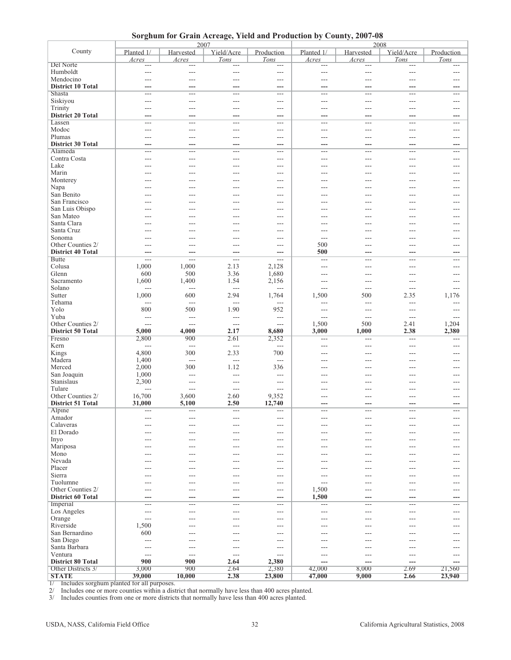**Sorghum for Grain Acreage, Yield and Production by County, 2007-08**

|                                    |                | 2007           |                        |                          | 2008       |                |                |                |  |
|------------------------------------|----------------|----------------|------------------------|--------------------------|------------|----------------|----------------|----------------|--|
| County                             | Planted 1/     | Harvested      | Yield/Acre             | Production               | Planted 1/ | Harvested      | Yield/Acre     | Production     |  |
|                                    | Acres          | Acres          | Tons                   | Tons                     | Acres      | Acres          | Tons           | Tons           |  |
| Del Norte                          |                | ---            |                        |                          |            |                |                |                |  |
| Humboldt                           | ---            | ---            | $\overline{a}$         | ---                      | $---$      | $---$          | ---            | $---$          |  |
| Mendocino                          | ---            | ---            | $---$                  | $---$                    | $-$        | $- - -$        | ---            | $---$          |  |
| <b>District 10 Total</b>           |                | ---            | ---                    | ---                      | ---        | ---            |                |                |  |
| Shasta                             | $\sim$         | $\overline{a}$ | $---$                  | ---                      | ---        | $---$          | $\overline{a}$ | $---$          |  |
| Siskiyou                           | ---            | ---            | $---$                  | ---                      | $---$      | ---            | ---            | $---$          |  |
| Trinity                            | $- - -$        | ---            | $\overline{a}$         | ---                      | $---$      | $---$          | ---            | $---$          |  |
| <b>District 20 Total</b>           | ---            | ---            | ---                    | ---                      | ---        | ---            | ---            | ---            |  |
| Lassen                             | ---            | ---            | $---$                  | $---$                    | $---$      | $\overline{a}$ | ---            | $---$          |  |
| Modoc                              | ---            | ---            | $---$                  | ---                      | $---$      | $---$          | ---            | $---$          |  |
| Plumas                             | ---            | ---            |                        |                          | $---$      | $---$          | ---            | $---$          |  |
|                                    |                |                | $---$                  | ---                      |            |                |                |                |  |
| <b>District 30 Total</b>           |                | ---            | ---                    | ---                      |            |                |                |                |  |
| Alameda                            | $---$          | $\overline{a}$ | $---$                  | ---                      | ---        | $---$          | ---            | $---$          |  |
| Contra Costa                       | ---            | ---            | $---$                  | ---                      | $---$      | $---$          | ---            | $---$          |  |
| Lake                               | ---            | ---            | $---$                  | ---                      | $---$      | $- - -$        | $\overline{a}$ | $---$          |  |
| Marin                              |                | ---            | $---$                  | ---                      | ---        | ---            | ---            | $---$          |  |
| Monterey                           |                | ---            | $---$                  | ---                      | ---        | $---$          | ---            | $---$          |  |
| Napa                               |                | ---            | ---                    | ---                      | ---        | ---            | ---            | ---            |  |
| San Benito                         |                |                | $---$                  | ---                      | ---        |                |                |                |  |
| San Francisco                      |                |                | ---                    | ---                      | ---        | ---            | ---            | ---            |  |
| San Luis Obispo                    |                | ---            | ---                    | $---$                    | ---        |                | ---            | ---            |  |
| San Mateo                          |                | ---            | ---                    | ---                      | ---        | ---            | ---            | ---            |  |
| Santa Clara                        |                |                | $\overline{a}$         | ---                      |            |                |                |                |  |
| Santa Cruz                         |                |                | ---                    | ---                      | ---        |                |                |                |  |
| Sonoma                             | $---$          | ---            | $---$                  | $---$                    | $---$      | $---$          | ---            | $---$          |  |
| Other Counties 2/                  | ---            | ---            | $---$                  | ---                      | 500        | ---            | ---            | $---$          |  |
| <b>District 40 Total</b>           | ---            | ---            | ---                    | ---                      | 500        | ---            | ---            | ---            |  |
| <b>Butte</b>                       | $---$          | ---            | $---$                  | ---                      | $---$      | ---            | ---            | ---            |  |
| Colusa                             | 1,000          | 1,000          | 2.13                   | 2,128                    | $---$      | $---$          | ---            | $---$          |  |
| Glenn                              | 600            | 500            | 3.36                   | 1,680                    | $---$      |                | ---            |                |  |
| Sacramento                         | 1,600          | 1,400          | 1.54                   | 2,156                    | ---        |                | ---            |                |  |
| Solano                             |                | ---            | $\overline{a}$         | ---                      | $---$      | $\sim$         | ---            | ---            |  |
| Sutter                             | 1,000          | 600            | 2.94                   | 1,764                    | 1,500      | 500            | 2.35           | 1,176          |  |
| Tehama                             | $---$          | $\overline{a}$ | $\overline{a}$         | $---$                    | $---$      | $---$          | ---            | $---$          |  |
| Yolo                               | 800            | 500            | 1.90                   | 952                      | ---        | ---            | ---            | ---            |  |
| Yuba                               | $\overline{a}$ | $---$          | $\overline{a}$         | $\overline{\phantom{a}}$ | $---$      | $---$          | ---            |                |  |
| Other Counties 2/                  | $\overline{a}$ | $---$          | $---$                  | $---$                    | 1,500      | 500            | 2.41           | $---$<br>1,204 |  |
|                                    | 5,000          | 4,000          | 2.17                   |                          | 3,000      |                |                | 2,380          |  |
| <b>District 50 Total</b><br>Fresno | 2,800          | 900            | 2.61                   | 8,680<br>2,352           |            | 1,000          | 2.38           |                |  |
|                                    |                |                |                        |                          | ---        | ---            | ---            | $---$          |  |
| Kern                               | $---$<br>4,800 | $---$<br>300   | $\overline{a}$<br>2.33 | ---<br>700               | ---        | ---            | ---            | ---            |  |
| Kings                              |                |                |                        |                          | $---$      | $---$          | ---            | $---$          |  |
| Madera                             | 1,400          | ---            | $---$                  | $---$                    | ---        | ---            | ---            | $---$          |  |
| Merced                             | 2,000          | 300            | 1.12                   | 336                      | ---        | ---            | ---            |                |  |
| San Joaquin                        | 1,000          | ---            | $---$                  | $\overline{a}$           |            |                |                |                |  |
| Stanislaus                         | 2,300          | $---$          | $---$                  | $\overline{a}$           | $---$      | ---            | ---            | $- - -$        |  |
| Tulare                             | $---$          | $---$          | $---$                  | ---                      |            |                |                | ---            |  |
| Other Counties 2/                  | 16,700         | 3,600          | 2.60                   | 9,352                    | $---$      | ---            | ---            | $---$          |  |
| <b>District 51 Total</b>           | 31,000         | 5,100          | 2.50                   | 12,740                   | ---        | ---            | ---            |                |  |
| Alpine                             | $---$          | $---$          | $---$                  | ---                      | $---$      | $---$          | $---$          | $---$          |  |
| Amador                             | $---$          | ---            | $---$                  | ---                      | $---$      | $---$          | ---            | $---$          |  |
| Calaveras                          | $---$          | ---            | $---$                  | ---                      | $---$      | $---$          | ---            | $---$          |  |
| El Dorado                          | $---$          | ---            | $---$                  | ---                      | $---$      | $---$          | ---            | $---$          |  |
| Inyo                               | ---            | ---            | ---                    | ---                      | ---        | ---            | ---            | ---            |  |
| Mariposa                           | $---$          | ---            | $---$                  | ---                      | ---        | $---$          | ---            | $---$          |  |
| Mono                               | ---            | ---            | $---$                  | ---                      | $---$      | $---$          | ---            | $---$          |  |
| Nevada                             | ---            | ---            | ---                    | ---                      | $---$      | ---            | ---            | $---$          |  |
| Placer                             | ---            | ---            | $---$                  | ---                      | $---$      | ---            | ---            | $---$          |  |
| Sierra                             | ---            | ---            | $---$                  | $---$                    | $---$      | $---$          | ---            | $---$          |  |
| Tuolumne                           | $---$          | ---            | $---$                  | $---$                    | $---$      | $---$          | $---$          | $---$          |  |
| Other Counties 2/                  | ---            | ---            | ---                    | ---                      | 1,500      | $---$          | ---            | $---$          |  |
| <b>District 60 Total</b>           | ---            | ---            | ---                    | ---                      | 1,500      | ---            | ---            | ---            |  |
| Imperial                           | $---$          | ---            | $---$                  | $---$                    | $---$      | $\cdots$       | $---$          | $---$          |  |
| Los Angeles                        | $---$          | ---            | $---$                  | ---                      | $---$      | $\cdots$       | ---            | $---$          |  |
| Orange                             | $---$          | ---            | ---                    | ---                      | $---$      | $---$          | ---            | ---            |  |
| Riverside                          | 1,500          | ---            | ---                    | ---                      | ---        | ---            | ---            | ---            |  |
| San Bernardino                     | 600            | $---$          | $---$                  | $---$                    | $---$      | $\cdots$       | $---$          | $---$          |  |
| San Diego                          | $---$          | ---            | $---$                  | $---$                    | $---$      | $---$          | ---            | ---            |  |
| Santa Barbara                      | $---$          | ---            | $---$                  | ---                      | ---        | ---            | ---            | $---$          |  |
| Ventura                            | $---$          | $---$          | $---$                  | $---$                    | $---$      | ---            | ---            | ---            |  |
| <b>District 80 Total</b>           | 900            | 900            | 2.64                   | 2,380                    | ---        | ---            | ---            | ---            |  |
| Other Districts 3/                 | 3,000          | 900            | 2.64                   | 2,380                    | 42,000     | 8,000          | 2.69           | 21,560         |  |
| <b>STATE</b>                       | 39,000         | 10,000         | 2.38                   | 23,800                   | 47,000     | 9,000          | 2.66           | 23,940         |  |

1/ Includes sorghum planted for all purposes.

2/ Includes one or more counties within a district that normally have less than 400 acres planted.

3/ Includes counties from one or more districts that normally have less than 400 acres planted.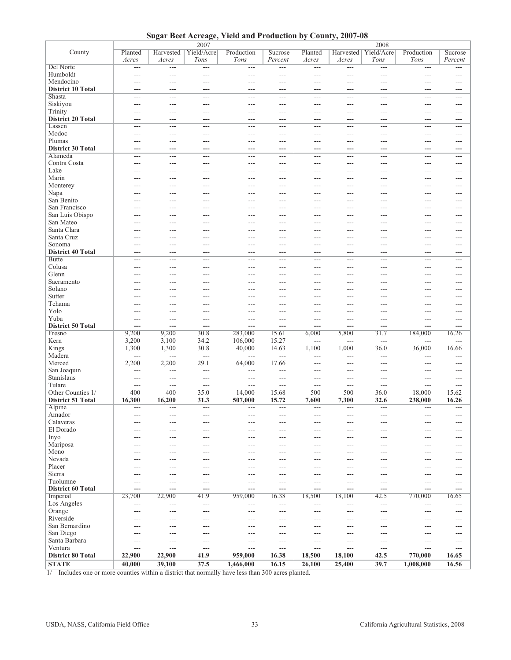**Sugar Beet Acreage, Yield and Production by County, 2007-08**

|                                     |                 | 2007                     |                          |                   |                       |                | 2008                  |                        |                  |              |  |
|-------------------------------------|-----------------|--------------------------|--------------------------|-------------------|-----------------------|----------------|-----------------------|------------------------|------------------|--------------|--|
| County                              | Planted         |                          | Harvested   Yield/Acre   | Production        | Sucrose               | Planted        |                       | Harvested   Yield/Acre | Production       | Sucrose      |  |
|                                     | Acres           | Acres                    | Tons                     | Tons              | Percent               | Acres          | Acres                 | Tons                   | Tons             | Percent      |  |
| Del Norte                           | $\overline{a}$  | ---                      | $\overline{\phantom{a}}$ | $---$             | $\overline{a}$        | $\overline{a}$ | ---                   | ---                    | $---$            | ---          |  |
| Humboldt                            | ---             | ---                      | ---                      | ---               | ---                   | ---            | ---                   | ---                    | ---              | ---          |  |
| Mendocino                           | ---             | ---                      | ---                      | ---               | ---                   | ---            | ---                   | ---                    | ---              | ---          |  |
| <b>District 10 Total</b>            | ---             | ---                      | ---                      | ---               | ---                   | ---            | ---                   | ---                    | ---              | ---          |  |
| Shasta                              | $---$           | $---$                    | $---$                    | $\qquad \qquad -$ | $---$                 | $---$          | $---$                 | $\qquad \qquad -$      | $\cdots$         | ---          |  |
| Siskiyou                            | ---             | $---$                    | ---                      | ---               | ---                   | ---            | ---                   | $---$                  | ---              | ---          |  |
| Trinity                             | ---             | $---$                    | ---                      | ---               | ---                   | ---            | ---                   | $---$                  | ---              | ---          |  |
| <b>District 20 Total</b>            | ---             | ---                      | ---                      | ---               | ---                   | ---            | ---                   | ---                    | ---              | ---          |  |
| Lassen                              | $---$           | $---$                    | $---$                    | $---$             | $---$                 | $---$          | $---$                 | $---$                  | $---$            | $---$        |  |
| Modoc                               | $---$           | $---$                    | $---$                    | $---$             | $---$                 | $---$          | $---$                 | $---$                  | $\overline{a}$   | $---$        |  |
| Plumas<br><b>District 30 Total</b>  | $---$           | ---                      | ---                      | ---               | $\overline{a}$<br>--- | $---$          | $\overline{a}$<br>--- | $---$                  | $---$            | $---$        |  |
| Alameda                             | ---<br>$---$    | ---<br>---               | ---<br>$---$             | ---<br>$---$      | $---$                 | ---<br>---     | ---                   | ---<br>$---$           | ---<br>$---$     | ---<br>$---$ |  |
| Contra Costa                        | $---$           | $---$                    | $---$                    | $---$             | $---$                 | ---            | ---                   | $\overline{a}$         | ---              | ---          |  |
| Lake                                | ---             | $---$                    | $---$                    | ---               | $---$                 | ---            | ---                   | $\overline{a}$         | ---              | ---          |  |
| Marin                               | ---             | ---                      | $---$                    | ---               | ---                   | ---            | ---                   | $\overline{a}$         | ---              | ---          |  |
| Monterey                            | $---$           | ---                      | $---$                    | $---$             | $---$                 | $---$          | ---                   | $---$                  | $---$            | $---$        |  |
| Napa                                | $---$           | $---$                    | $---$                    | $---$             | $---$                 | $---$          | $---$                 | $---$                  | $---$            | $---$        |  |
| San Benito                          | $---$           | $---$                    | $---$                    | $---$             | $---$                 | ---            | $---$                 | $---$                  | $---$            | $---$        |  |
| San Francisco                       | $---$           | $---$                    | $---$                    | $---$             | $---$                 | $---$          | $---$                 | $---$                  | $---$            | $---$        |  |
| San Luis Obispo                     | $---$           | $---$                    | $---$                    | $---$             | $---$                 | $---$          | ---                   | $---$                  | $---$            | $---$        |  |
| San Mateo                           | $---$           | $---$                    | $---$                    | $---$             | $---$                 | $---$          | $---$                 | $---$                  | $---$            | ---          |  |
| Santa Clara                         | $---$           | ---                      | $---$                    | $---$             | $---$                 | ---            | ---                   | $---$                  | ---              | ---          |  |
| Santa Cruz                          | ---             | ---                      | $---$                    | ---               | $---$                 | ---            | ---                   | $---$                  | ---              | ---          |  |
| Sonoma                              | ---             | $---$                    | $---$                    | ---               | $---$                 | ---            | ---                   | $---$                  | ---              | ---          |  |
| <b>District 40 Total</b>            | ---             | ---                      | ---                      | ---               | ---                   | ---            | ---                   | ---                    | ---              | ---          |  |
| <b>Butte</b>                        | $---$           | $---$                    | $---$                    | $---$             | $---$                 | ---            | ---                   | ---                    | ---              | ---          |  |
| Colusa                              | ---             | $---$                    | ---                      | ---               | $---$                 | $---$          | ---                   | ---                    | ---              | ---          |  |
| Glenn                               | ---             | $---$                    | ---                      | ---               | ---                   | $---$          | ---                   | ---                    | ---              | ---          |  |
| Sacramento                          | ---             | $---$                    | ---                      | ---               | $---$                 | ---            | ---                   | ---                    | ---              | ---          |  |
| Solano                              | ---             | ---                      | ---                      | ---               | ---                   | ---            | ---                   | ---                    | ---              | ---          |  |
| Sutter<br>Tehama                    | ---<br>$---$    | ---<br>$---$             | ---<br>$---$             | ---<br>$---$      | $---$<br>$---$        | ---<br>$---$   | ---<br>$---$          | ---<br>$---$           | ---<br>$---$     | ---<br>$---$ |  |
| Yolo                                | $---$           | $---$                    | $---$                    | $---$             | $---$                 | $---$          | $---$                 | $---$                  | $\overline{a}$   | $---$        |  |
| Yuba                                | $---$           | $\overline{a}$           | $---$                    | $---$             | $\overline{a}$        | $---$          | $\overline{a}$        | $---$                  | $---$            | $---$        |  |
| <b>District 50 Total</b>            | ---             | ---                      | ---                      | ---               | ---                   | ---            | ---                   | ---                    | ---              | ---          |  |
| Fresno                              | 9,200           | 9,200                    | 30.8                     | 283,000           | 15.61                 | 6,000          | 5,800                 | 31.7                   | 184,000          | 16.26        |  |
| Kern                                | 3,200           | 3,100                    | 34.2                     | 106,000           | 15.27                 | $\overline{a}$ | ---                   | ---                    | $\overline{a}$   | ---          |  |
| Kings                               | 1,300           | 1,300                    | 30.8                     | 40,000            | 14.63                 | 1,100          | 1,000                 | 36.0                   | 36,000           | 16.66        |  |
| Madera                              | $---$           | $\overline{a}$           | $\frac{1}{2}$            | $---$             | ---                   | ---            | ---                   | $---$                  | ---              | ---          |  |
| Merced                              | 2,200           | 2,200                    | 29.1                     | 64,000            | 17.66                 | ---            | ---                   | $\overline{a}$         | ---              | ---          |  |
| San Joaquin                         | $---$           | $---$                    | $\overline{a}$           | $---$             | $---$                 | $---$          | ---                   | $---$                  | ---              | $---$        |  |
| Stanislaus                          | $---$           | $---$                    | $---$                    | $---$             | $---$                 | $---$          | $---$                 | $---$                  | $---$            | $---$        |  |
| Tulare                              | $---$           | $---$                    | $---$                    | $\overline{a}$    | $---$                 | $---$          | $---$                 | $---$                  | $---$            | $---$        |  |
| Other Counties 1/                   | 400             | 400                      | 35.0                     | 14,000            | 15.68                 | 500            | 500                   | 36.0                   | 18,000           | 15.62        |  |
| <b>District 51 Total</b>            | 16,300          | 16,200                   | 31.3                     | 507,000           | 15.72                 | 7,600          | 7,300                 | 32.6                   | 238,000          | 16.26        |  |
| Alpine                              | $---$           | $\overline{\phantom{a}}$ | $\overline{a}$           | $---$             | ---                   | $---$          | ---                   | $---$                  | $---$            | $\sim$       |  |
| Amador<br>Calaveras                 | $---$           | $---$                    | $---$                    | $---$             | $---$                 | $\cdots$       | $---$                 | $---$<br>$---$         | $---$            |              |  |
| El Dorado                           | ---             | ---                      | $---$                    | $---$             | $---$                 | $---$          | ---                   | $---$                  | $---$            | ---<br>---   |  |
| Inyo                                | ---             | ---                      | ---                      | ---               | ---                   |                | ---                   | ---                    | ---              | ---          |  |
| Mariposa                            | ---             |                          | ---                      | ---               | $---$                 |                |                       | ---                    | ---              | ---          |  |
| Mono                                | ---             | ---                      | ---                      | ---               | ---                   |                | ---                   | ---                    | ---              | ---          |  |
| Nevada                              |                 |                          | ---                      |                   | ---                   |                |                       | ---                    | ---              | ---          |  |
| Placer                              |                 |                          | ---                      | ---               | ---                   |                |                       |                        | ---              | ---          |  |
| Sierra                              |                 |                          |                          |                   | ---                   |                |                       |                        |                  |              |  |
| Tuolumne                            | ---             | ---                      | ---                      | ---               | ---                   | ---            | ---                   | ---                    | ---              | ---          |  |
| <b>District 60 Total</b>            | ---             | ---                      | ---                      | ---               | ---                   | ---            | ---                   | ---                    | ---              | ---          |  |
| Imperial                            | 23,700          | 22,900                   | 41.9                     | 959,000           | 16.38                 | 18,500         | 18,100                | 42.5                   | 770,000          | 16.65        |  |
| Los Angeles                         | $---$           | $---$                    | $---$                    | $---$             | $---$                 | $---$          | $\overline{a}$        | $---$                  | $---$            | $---$        |  |
| Orange                              | $---$           | $---$                    | $---$                    | $---$             | ---                   | $---$          | ---                   | $---$                  | $---$            | ---          |  |
| Riverside                           | ---             | ---                      | ---                      | ---               | $---$                 |                | ---                   | $---$                  | ---              | ---          |  |
| San Bernardino                      | ---             | $---$                    | ---                      | ---               | $---$                 |                | ---                   | ---                    | ---              | ---          |  |
| San Diego                           | $---$           | ---                      | ---                      | ---               | $---$                 |                | ---                   | ---                    | ---              | ---          |  |
| Santa Barbara                       | $---$           | ---                      | ---                      | ---               | ---                   | ---            | ---                   | $---$                  | ---              | ---          |  |
| Ventura<br><b>District 80 Total</b> | $---$<br>22,900 | $---$<br>22,900          | $---$<br>41.9            | ---<br>959,000    | ---<br>16.38          | ---<br>18,500  | ---<br>18,100         | $---$<br>42.5          | $---$<br>770,000 | ---<br>16.65 |  |
| <b>STATE</b>                        |                 | 39,100                   | 37.5                     |                   | 16.15                 | 26,100         |                       | 39.7                   |                  | 16.56        |  |
|                                     | 40,000          |                          |                          | 1,466,000         |                       |                | 25,400                |                        | 1,008,000        |              |  |

1/ Includes one or more counties within a district that normally have less than 300 acres planted.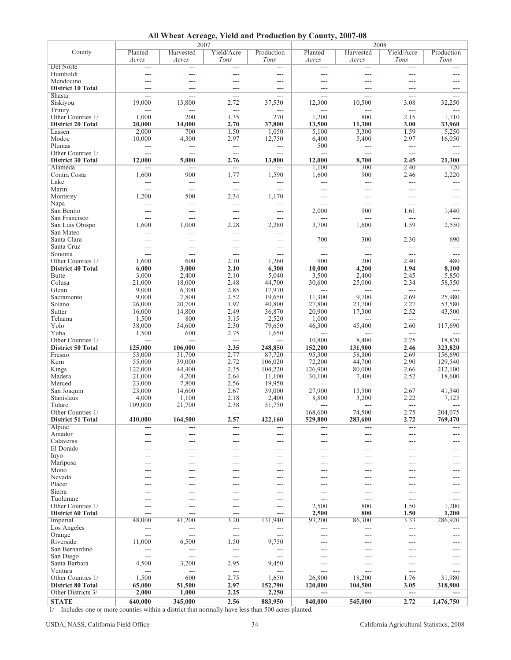| All Wheat Acreage, Yield and Production by County, 2007-08 |  |  |  |  |
|------------------------------------------------------------|--|--|--|--|
|------------------------------------------------------------|--|--|--|--|

|                                          |                | 2007                     |                        |                          | 2008           |                |                      |                |  |
|------------------------------------------|----------------|--------------------------|------------------------|--------------------------|----------------|----------------|----------------------|----------------|--|
| County                                   | Planted        | Harvested                | Yield/Acre             | Production               | Planted        | Harvested      | Yield/Acre           | Production     |  |
|                                          | Acres          | Acres                    | Tons                   | Tons                     | Acres          | Acres          | Tons                 | Tons           |  |
| Del Norte                                | $\cdots$       | $---$                    | $\scriptstyle\cdots$   | $\cdots$                 | $\overline{a}$ | $\cdots$       | $\scriptstyle\cdots$ | $---$          |  |
| Humboldt                                 | $---$          | $---$                    | $---$                  | $---$                    | $---$          | $\overline{a}$ | $---$                | $---$          |  |
| Mendocino                                | $\overline{a}$ | ---                      | $---$                  | $---$                    | ---            | $---$          | ---                  | ---            |  |
| <b>District 10 Total</b>                 | ---            | ---                      | ---                    | ---                      | ---            | ---            |                      |                |  |
| Shasta                                   | $\overline{a}$ | $\overline{a}$           | $\overline{a}$         | $\cdots$                 | $---$          | $\overline{a}$ | $\overline{a}$       | ---            |  |
| Siskiyou                                 | 19,000         | 13,800                   | 2.72                   | 37,530                   | 12,300         | 10,500         | 3.08                 | 32,250         |  |
| Trinity                                  | $\overline{a}$ | $---$                    | $\overline{a}$         | $---$                    | ---            | $\overline{a}$ | $\overline{a}$       | $\overline{a}$ |  |
| Other Counties 1/                        | 1,000          | 200                      | 1.35                   | 270                      | 1,200          | 800            | 2.15                 | 1,710          |  |
| <b>District 20 Total</b>                 | 20,000         | 14,000                   | 2.70                   | 37,800                   | 13,500         | 11,300         | 3.00                 | 33,960         |  |
| Lassen                                   | 2,000          | 700                      | 1.50                   | 1,050                    | 5,100          | 3,300          | 1.59                 | 5,250          |  |
| Modoc                                    | 10,000         | 4,300                    | 2.97                   | 12,750                   | 6,400          | 5,400          | 2.97                 | 16,050         |  |
| Plumas                                   | ---            | $\overline{a}$           | $\overline{a}$         | $\qquad \qquad -$        | 500            | $\overline{a}$ | $\overline{a}$       | $---$          |  |
| Other Counties 1/                        | $\frac{1}{2}$  | $\overline{a}$           | $\overline{a}$         | $\overline{a}$           | $\overline{a}$ | $\overline{a}$ | $\sim$ $\sim$        | ---            |  |
| <b>District 30 Total</b>                 | 12,000         | 5,000                    | 2.76                   | 13,800                   | 12,000         | 8,700          | 2.45                 | 21,300         |  |
| Alameda                                  | ---            | $\overline{\phantom{a}}$ | $\overline{a}$         | ---                      | 1,100          | 300            | 2.40                 | 720            |  |
| Contra Costa                             | 1,600          | 900                      | 1.77                   | 1,590                    | 1,600          | 900            | 2.46                 | 2,220          |  |
| Lake                                     | ---            | $\overline{a}$           | $\overline{a}$         | $\overline{\phantom{a}}$ | $\overline{a}$ | $\overline{a}$ | $\overline{a}$       | ---            |  |
| Marin                                    | ---            | $---$                    | $\overline{a}$         | $---$                    | $---$          | $\overline{a}$ | ---                  | $---$          |  |
| Monterey                                 | 1,200          | 500                      | 2.34                   | 1,170                    | $---$          | $\overline{a}$ | $---$                | $---$          |  |
| Napa                                     | ---            | $\overline{\phantom{a}}$ | ---                    | $\overline{a}$           | ---            | $\overline{a}$ | ---                  | ---            |  |
| San Benito                               | ---            | $---$                    | $\overline{a}$         | ---                      | 2,000          | 900            | 1.61                 | 1,440          |  |
| San Francisco                            | ---            | ---                      | $  \sim$               | $---$                    | ---            | ---            | $\overline{a}$       |                |  |
| San Luis Obispo                          | 1,600          | 1,000                    | 2.28                   | 2,280                    | 3,700          | 1,600          | 1.59                 | 2,550          |  |
| San Mateo                                | ---            | $---$                    | $---$                  | ---                      | ---            | $---$          | ---                  |                |  |
| Santa Clara                              | ---            | $---$                    | ---                    | ---                      | 700            | 300            | 2.30                 | 690            |  |
| Santa Cruz                               | ---            | $---$                    | $---$                  | $\cdots$                 | ---            | $\overline{a}$ | ---                  |                |  |
| Sonoma<br>Other Counties 1/              | $---$<br>1,600 | $---$<br>600             | $\overline{a}$<br>2.10 | $---$                    | $---$<br>900   | $---$<br>200   | $---$<br>2.40        | $---$<br>480   |  |
|                                          | 6,000          | 3,000                    | 2.10                   | 1,260<br>6,300           | 10,000         | 4,200          | 1.94                 | 8,100          |  |
| <b>District 40 Total</b><br><b>Butte</b> | 3,000          | 2,400                    | 2.10                   | 5,040                    | 3,500          | 2,400          | 2.45                 | 5,850          |  |
| Colusa                                   | 21,000         | 18,000                   | 2.48                   | 44,700                   | 30,600         | 25,000         | 2.34                 | 58,350         |  |
| Glenn                                    | 9,000          | 6,300                    | 2.85                   | 17,970                   | $\overline{a}$ | $\overline{a}$ | $\overline{a}$       | ---            |  |
| Sacramento                               | 9,000          | 7,800                    | 2.52                   | 19,650                   | 11,300         | 9,700          | 2.69                 | 25,980         |  |
| Solano                                   | 26,000         | 20,700                   | 1.97                   | 40,800                   | 27,800         | 23,700         | 2.27                 | 53,580         |  |
| Sutter                                   | 16,000         | 14,800                   | 2.49                   | 36,870                   | 20,900         | 17,300         | 2.52                 | 43,500         |  |
| Tehama                                   | 1,500          | 800                      | 3.15                   | 2,520                    | 1,000          | $\overline{a}$ | ---                  |                |  |
| Yolo                                     | 38,000         | 34,600                   | 2.30                   | 79,650                   | 46,300         | 45,400         | 2.60                 | 117,690        |  |
| Yuba                                     | 1,500          | 600                      | 2.75                   | 1,650                    | ---            | $\overline{a}$ | ---                  |                |  |
| Other Counties 1/                        | $\overline{a}$ | $\overline{a}$           | $\overline{a}$         | $---$                    | 10,800         | 8,400          | 2.25                 | 18,870         |  |
| <b>District 50 Total</b>                 | 125,000        | 106,000                  | 2.35                   | 248,850                  | 152,200        | 131,900        | 2.46                 | 323,820        |  |
| Fresno                                   | 53,000         | 31,700                   | 2.77                   | 87,720                   | 95,300         | 58,300         | 2.69                 | 156,690        |  |
| Kern                                     | 55,000         | 39,000                   | 2.72                   | 106,020                  | 72,200         | 44,700         | 2.90                 | 129,540        |  |
| Kings                                    | 122,000        | 44,400                   | 2.35                   | 104,220                  | 126,900        | 80,000         | 2.66                 | 212,100        |  |
| Madera                                   | 21,000         | 4,200                    | 2.64                   | 11,100                   | 30,100         | 7,400          | 2.52                 | 18,600         |  |
| Merced                                   | 23,000         | 7,800                    | 2.56                   | 19,950                   |                |                | ---                  |                |  |
| San Joaquin                              | 23,000         | 14,600                   | 2.67                   | 39,000                   | 27,900         | 15,500         | 2.67                 | 41,340         |  |
| Stanislaus                               | 4,000          | 1,100                    | 2.18                   | 2,400                    | 8,800          | 3,200          | 2.22                 | 7,125          |  |
| Tulare                                   | 109,000        | 21,700                   | 2.38                   | 51,750                   | $---$          | $---$          | $---$                | ---            |  |
| Other Counties 1/                        |                |                          |                        |                          | 168,600        | 74,500         | 2.75                 | 204,075        |  |
| <b>District 51 Total</b>                 | 410,000        | 164,500                  | 2.57                   | 422,160                  | 529,800        | 283,600        | 2.72                 | 769,470        |  |
| Alpine                                   | ---            | $---$                    | $---$                  | ---                      | ---            | $---$          | ---                  |                |  |
| Amador                                   | ---            | ---                      | $---$                  | $---$                    | ---            | $---$          | ---                  | ---            |  |
| Calaveras                                | ---            | ---                      | $---$                  | ---                      | $---$          | $---$          | ---                  | $---$          |  |
| El Dorado                                | ---            | ---                      | $---$                  | ---                      | ---            | $---$          | ---                  | ---            |  |
| Inyo                                     |                | ---                      | ---                    | ---                      | ---            | $---$          | ---                  | ---            |  |
| Mariposa                                 |                |                          | $---$                  | ---                      | ---            |                |                      | ---            |  |
| Mono                                     | ---            | $---$                    | $---$                  | ---                      | ---            | $---$          | ---                  | ---            |  |
| Nevada                                   |                |                          | ---                    | ---                      |                |                |                      | ---            |  |
| Placer                                   |                |                          | ---                    | ---                      | ---            |                | ---                  | ---            |  |
| Sierra                                   | $---$          | $---$                    | $---$                  | $---$                    | ---            | $---$          | ---                  | $---$          |  |
| Tuolumne                                 | ---            | ---                      | ---                    | ---                      | ---            | ---            | ---                  | ---            |  |
| Other Counties 1/                        | ---            | ---                      | ---                    | ---                      | 2,500          | 800            | 1.50                 | 1,200          |  |
| <b>District 60 Total</b>                 |                | ---                      | ---                    |                          | 2,500          | 800            | 1.50                 | 1,200          |  |
| Imperial                                 | 48,000         | 41,200                   | 3.20                   | 131,940                  | 93,200         | 86,300         | 3.33                 | 286,920        |  |
| Los Angeles                              | ---            | $---$                    | $---$                  | $---$                    | ---            | ---            | ---                  |                |  |
| Orange                                   | ---            | $---$                    | $---$                  | ---                      | ---            | ---            | ---                  | ---            |  |
| Riverside                                | 11,000         | 6,500                    | 1.50                   | 9,750                    | ---            | ---            | ---                  |                |  |
| San Bernardino                           | $---$          | $---$                    | $---$                  | $\cdots$                 | ---            | $---$          | ---                  | $---$          |  |
| San Diego                                | $---$          | $---$                    | $---$                  | $---$                    | ---            | ---            | ---                  | $---$          |  |
| Santa Barbara                            | 4,500          | 3,200                    | 2.95                   | 9,450                    | $---$          | ---            | ---                  | ---            |  |
| Ventura                                  | ---            | $---$                    | $---$                  | ---                      | ---            | $---$          | ---                  | ---            |  |
| Other Counties 1/                        | 1,500          | 600                      | 2.75                   | 1,650                    | 26,800         | 18,200         | 1.76                 | 31,980         |  |
| <b>District 80 Total</b>                 | 65,000         | 51,500                   | 2.97                   | 152,790                  | 120,000        | 104,500        | 3.05                 | 318,900        |  |
| Other Districts 3/                       | 2,000          | 1,000                    | 2.25                   | 2,250                    |                |                | ---                  |                |  |
| <b>STATE</b>                             | 640,000        | 345,000                  | 2.56                   | 883,950                  | 840,000        | 545,000        | 2.72                 | 1,476,750      |  |

1/ Includes one or more counties within a district that normally have less than 500 acres planted.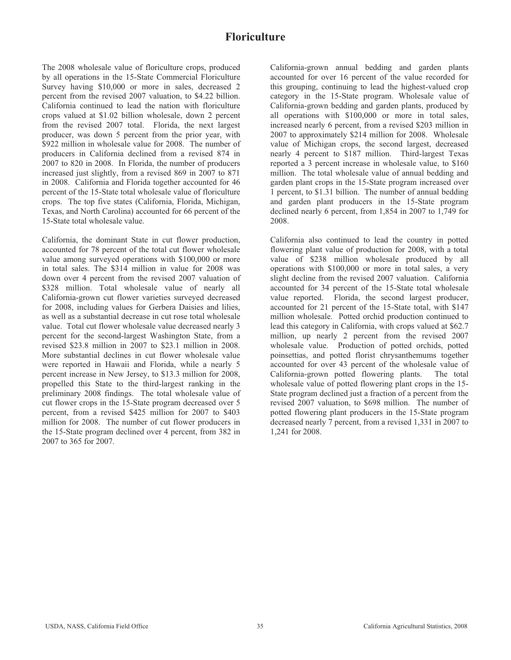## **Floriculture**

The 2008 wholesale value of floriculture crops, produced by all operations in the 15-State Commercial Floriculture Survey having \$10,000 or more in sales, decreased 2 percent from the revised 2007 valuation, to \$4.22 billion. California continued to lead the nation with floriculture crops valued at \$1.02 billion wholesale, down 2 percent from the revised 2007 total. Florida, the next largest producer, was down 5 percent from the prior year, with \$922 million in wholesale value for 2008. The number of producers in California declined from a revised 874 in 2007 to 820 in 2008. In Florida, the number of producers increased just slightly, from a revised 869 in 2007 to 871 in 2008. California and Florida together accounted for 46 percent of the 15-State total wholesale value of floriculture crops. The top five states (California, Florida, Michigan, Texas, and North Carolina) accounted for 66 percent of the 15-State total wholesale value.

California, the dominant State in cut flower production, accounted for 78 percent of the total cut flower wholesale value among surveyed operations with \$100,000 or more in total sales. The \$314 million in value for 2008 was down over 4 percent from the revised 2007 valuation of \$328 million. Total wholesale value of nearly all California-grown cut flower varieties surveyed decreased for 2008, including values for Gerbera Daisies and lilies, as well as a substantial decrease in cut rose total wholesale value. Total cut flower wholesale value decreased nearly 3 percent for the second-largest Washington State, from a revised \$23.8 million in 2007 to \$23.1 million in 2008. More substantial declines in cut flower wholesale value were reported in Hawaii and Florida, while a nearly 5 percent increase in New Jersey, to \$13.3 million for 2008, propelled this State to the third-largest ranking in the preliminary 2008 findings. The total wholesale value of cut flower crops in the 15-State program decreased over 5 percent, from a revised \$425 million for 2007 to \$403 million for 2008. The number of cut flower producers in the 15-State program declined over 4 percent, from 382 in 2007 to 365 for 2007.

California-grown annual bedding and garden plants accounted for over 16 percent of the value recorded for this grouping, continuing to lead the highest-valued crop category in the 15-State program. Wholesale value of California-grown bedding and garden plants, produced by all operations with \$100,000 or more in total sales, increased nearly 6 percent, from a revised \$203 million in 2007 to approximately \$214 million for 2008. Wholesale value of Michigan crops, the second largest, decreased nearly 4 percent to \$187 million. Third-largest Texas reported a 3 percent increase in wholesale value, to \$160 million. The total wholesale value of annual bedding and garden plant crops in the 15-State program increased over 1 percent, to \$1.31 billion. The number of annual bedding and garden plant producers in the 15-State program declined nearly 6 percent, from 1,854 in 2007 to 1,749 for 2008.

California also continued to lead the country in potted flowering plant value of production for 2008, with a total value of \$238 million wholesale produced by all operations with \$100,000 or more in total sales, a very slight decline from the revised 2007 valuation. California accounted for 34 percent of the 15-State total wholesale value reported. Florida, the second largest producer, accounted for 21 percent of the 15-State total, with \$147 million wholesale. Potted orchid production continued to lead this category in California, with crops valued at \$62.7 million, up nearly 2 percent from the revised 2007 wholesale value. Production of potted orchids, potted poinsettias, and potted florist chrysanthemums together accounted for over 43 percent of the wholesale value of California-grown potted flowering plants. The total wholesale value of potted flowering plant crops in the 15- State program declined just a fraction of a percent from the revised 2007 valuation, to \$698 million. The number of potted flowering plant producers in the 15-State program decreased nearly 7 percent, from a revised 1,331 in 2007 to 1,241 for 2008.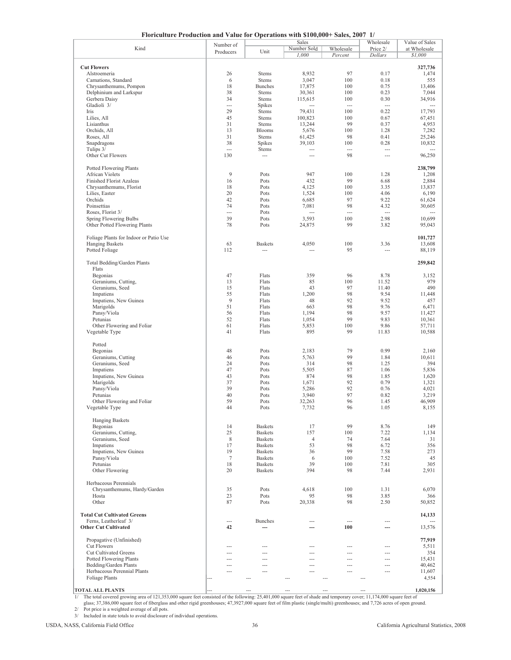| Floriculture Production and Value for Operations with \$100,000+ Sales, 2007 1/ |                 |                          |                |                 |                          |                |  |  |  |  |
|---------------------------------------------------------------------------------|-----------------|--------------------------|----------------|-----------------|--------------------------|----------------|--|--|--|--|
|                                                                                 | Number of       |                          | Sales          |                 | Wholesale                | Value of Sales |  |  |  |  |
| Kind                                                                            | Producers       | Unit                     | Number Sold    | Wholesale       | Price 2/                 | at Wholesale   |  |  |  |  |
|                                                                                 |                 |                          | 1,000          | Percent         | <b>Dollars</b>           | \$1,000        |  |  |  |  |
| <b>Cut Flowers</b>                                                              |                 |                          |                |                 |                          | 327,736        |  |  |  |  |
| Alstroemeria                                                                    | 26              | <b>Stems</b>             | 8,932          | 97              | 0.17                     | 1,474          |  |  |  |  |
| Carnations, Standard                                                            | 6               | Stems                    | 3,047          | 100             | 0.18                     | 555            |  |  |  |  |
| Chrysanthemums, Pompon                                                          | 18              | <b>Bunches</b>           | 17,875         | 100             | 0.75                     | 13,406         |  |  |  |  |
| Delphinium and Larkspur                                                         | 38              | <b>Stems</b>             | 30,361         | 100             | 0.23                     | 7,044          |  |  |  |  |
| Gerbera Daisy                                                                   | 34              | <b>Stems</b>             | 115,615        | 100             | 0.30                     | 34,916         |  |  |  |  |
| Gladioli 3/                                                                     | ---             | Spikes                   | $\overline{a}$ | $\overline{a}$  | ---                      | $\overline{a}$ |  |  |  |  |
| Iris                                                                            | 29              | Stems                    | 79,431         | 100             | 0.22                     | 17,793         |  |  |  |  |
| Lilies, All                                                                     | 45              | Stems                    | 100,823        | 100             | 0.67                     | 67,451         |  |  |  |  |
| Lisianthus                                                                      | 31              | Stems                    | 13,244         | 99              | 0.37                     | 4,953          |  |  |  |  |
| Orchids, All                                                                    | 13              | <b>Blooms</b>            | 5,676          | 100             | 1.28                     | 7,282          |  |  |  |  |
| Roses, All                                                                      | 31              | Stems                    | 61,425         | 98              | 0.41                     | 25,246         |  |  |  |  |
| Snapdragons                                                                     | 38              | Spikes                   | 39,103         | 100             | 0.28                     | 10,832         |  |  |  |  |
| Tulips 3/                                                                       | ---             | <b>Stems</b>             | ---            | ---             | ---                      |                |  |  |  |  |
| Other Cut Flowers                                                               | 130             | ---                      | ---            | 98              | ---                      | 96,250         |  |  |  |  |
| Potted Flowering Plants                                                         |                 |                          |                |                 |                          | 238,799        |  |  |  |  |
| <b>African Violets</b>                                                          | 9               | Pots                     | 947            | 100             | 1.28                     | 1,208          |  |  |  |  |
| <b>Finished Florist Azaleas</b>                                                 | 16              | Pots                     | 432            | 99              | 6.68                     | 2,884          |  |  |  |  |
| Chrysanthemums, Florist                                                         | 18              | Pots                     | 4,125          | 100             | 3.35                     | 13,837         |  |  |  |  |
| Lilies, Easter                                                                  | 20              | Pots                     | 1,524          | 100             | 4.06                     | 6,190          |  |  |  |  |
| Orchids                                                                         | 42              | Pots                     | 6,685          | 97              | 9.22                     | 61,624         |  |  |  |  |
| Poinsettias                                                                     | 74              | Pots                     | 7,081          | 98              | 4.32                     | 30,605         |  |  |  |  |
| Roses, Florist 3/                                                               | $\overline{a}$  | Pots                     | $\overline{a}$ | $\overline{a}$  | ---                      |                |  |  |  |  |
| Spring Flowering Bulbs                                                          | 39              | Pots                     | 3,593          | 100             | 2.98                     | 10,699         |  |  |  |  |
| Other Potted Flowering Plants                                                   | 78              | Pots                     | 24,875         | 99              | 3.82                     | 95,043         |  |  |  |  |
|                                                                                 |                 |                          |                |                 |                          |                |  |  |  |  |
| Foliage Plants for Indoor or Patio Use                                          |                 |                          |                |                 |                          | 101,727        |  |  |  |  |
| <b>Hanging Baskets</b>                                                          | 63              | <b>Baskets</b>           | 4,050          | 100             | 3.36                     | 13,608         |  |  |  |  |
| Potted Foliage                                                                  | 112             | $\overline{\phantom{a}}$ | $\sim$         | 95              | $\overline{\phantom{a}}$ | 88,119         |  |  |  |  |
|                                                                                 |                 |                          |                |                 |                          |                |  |  |  |  |
| Total Bedding/Garden Plants                                                     |                 |                          |                |                 |                          | 259,842        |  |  |  |  |
| Flats                                                                           |                 |                          |                |                 |                          |                |  |  |  |  |
| Begonias                                                                        | 47              | Flats                    | 359            | 96              | 8.78                     | 3,152          |  |  |  |  |
| Geraniums, Cutting,                                                             | 13              | Flats                    | 85             | 100             | 11.52                    | 979            |  |  |  |  |
| Geraniums, Seed                                                                 | 15              | Flats                    | 43             | 97              | 11.40                    | 490            |  |  |  |  |
| Impatiens                                                                       | 55<br>9         | Flats                    | 1,200          | 98              | 9.54                     | 11,448         |  |  |  |  |
| Impatiens, New Guinea                                                           | 51              | Flats<br>Flats           | 48             | 92<br>98        | 9.52<br>9.76             | 457<br>6,471   |  |  |  |  |
| Marigolds<br>Pansy/Viola                                                        | 56              | Flats                    | 663<br>1,194   | 98              | 9.57                     | 11,427         |  |  |  |  |
| Petunias                                                                        | 52              | Flats                    | 1,054          | 99              | 9.83                     | 10,361         |  |  |  |  |
| Other Flowering and Foliar                                                      | 61              | Flats                    | 5,853          | 100             | 9.86                     | 57,711         |  |  |  |  |
| Vegetable Type                                                                  | 41              | Flats                    | 895            | 99              | 11.83                    | 10,588         |  |  |  |  |
|                                                                                 |                 |                          |                |                 |                          |                |  |  |  |  |
| Potted                                                                          |                 |                          |                |                 |                          |                |  |  |  |  |
| Begonias                                                                        | 48              | Pots                     | 2,183          | 79              | 0.99                     | 2,160          |  |  |  |  |
| Geraniums, Cutting                                                              | 46              | Pots                     | 5,763          | 99              | 1.84                     | 10,611         |  |  |  |  |
| Geraniums, Seed                                                                 | 24              | Pots                     | 314            | 98              | 1.25                     | 394            |  |  |  |  |
| Impatiens                                                                       | 47              | Pots                     | 5,505          | 87              | 1.06                     | 5,836          |  |  |  |  |
| Impatiens, New Guinea                                                           | 43              | Pots                     | 874            | 98              | 1.85                     | 1,620          |  |  |  |  |
| Marigolds                                                                       | 37              | Pots                     | 1,671          | 92              | 0.79                     | 1,321          |  |  |  |  |
| Pansy/Viola                                                                     | 39              | Pots                     | 5,286          | 92              | 0.76                     | 4,021          |  |  |  |  |
| Petunias                                                                        | 40              | Pots                     | 3,940          | 97              | 0.82                     | 3,219          |  |  |  |  |
| Other Flowering and Foliar                                                      | 59              | Pots                     | 32,263         | 96              | 1.45                     | 46,909         |  |  |  |  |
| Vegetable Type                                                                  | 44              | Pots                     | 7,732          | 96              | 1.05                     | 8,155          |  |  |  |  |
|                                                                                 |                 |                          |                |                 |                          |                |  |  |  |  |
| Hanging Baskets<br>Begonias                                                     | 14              | <b>Baskets</b>           | 17             | 99              | 8.76                     | 149            |  |  |  |  |
| Geraniums, Cutting,                                                             | 25              | <b>Baskets</b>           | 157            | 100             | 7.22                     | 1,134          |  |  |  |  |
| Geraniums, Seed                                                                 | 8               | <b>Baskets</b>           | $\overline{4}$ | 74              | 7.64                     | 31             |  |  |  |  |
| Impatiens                                                                       | 17              | <b>Baskets</b>           | 53             | 98              | 6.72                     | 356            |  |  |  |  |
| Impatiens, New Guinea                                                           | 19              | <b>Baskets</b>           | 36             | 99              | 7.58                     | 273            |  |  |  |  |
| Pansy/Viola                                                                     | $7\phantom{.0}$ | <b>Baskets</b>           | 6              | 100             | 7.52                     | 45             |  |  |  |  |
| Petunias                                                                        | 18              | <b>Baskets</b>           | 39             | 100             | 7.81                     | 305            |  |  |  |  |
| Other Flowering                                                                 | 20              | <b>Baskets</b>           | 394            | 98              | 7.44                     | 2,931          |  |  |  |  |
|                                                                                 |                 |                          |                |                 |                          |                |  |  |  |  |
| Herbaceous Perennials                                                           |                 |                          |                |                 |                          |                |  |  |  |  |
| Chrysanthemums, Hardy/Garden                                                    | 35              | Pots                     | 4,618          | 100             | 1.31                     | 6,070          |  |  |  |  |
| Hosta                                                                           | 23              | Pots                     | 95             | 98              | 3.85                     | 366            |  |  |  |  |
| Other                                                                           | 87              | Pots                     | 20,338         | 98              | 2.50                     | 50,852         |  |  |  |  |
|                                                                                 |                 |                          |                |                 |                          |                |  |  |  |  |
| <b>Total Cut Cultivated Greens</b>                                              |                 |                          |                |                 |                          | 14,133         |  |  |  |  |
| Ferns, Leatherleaf 3/                                                           | ---             | <b>Bunches</b>           | $\overline{a}$ |                 | $\overline{a}$           |                |  |  |  |  |
| <b>Other Cut Cultivated</b>                                                     | 42              |                          |                | 100             | ---                      | 13,576         |  |  |  |  |
|                                                                                 |                 |                          |                |                 |                          |                |  |  |  |  |
| Propagative (Unfinished)                                                        |                 | $\sim$                   |                |                 |                          | 77,919         |  |  |  |  |
| <b>Cut Flowers</b>                                                              | $\overline{a}$  |                          |                | $---$<br>$\sim$ | $\sim$<br>$\overline{a}$ | 5,511          |  |  |  |  |
| <b>Cut Cultivated Greens</b><br><b>Potted Flowering Plants</b>                  | $\overline{a}$  | $\overline{a}$           | $\overline{a}$ | $\overline{a}$  | $\overline{\phantom{a}}$ | 354<br>15,431  |  |  |  |  |
| Bedding/Garden Plants                                                           | ---             | $\overline{a}$           | $\sim$         | $\overline{a}$  | $\overline{a}$           | 40,462         |  |  |  |  |
| Herbaceous Perennial Plants                                                     |                 |                          | $\sim$         | $\sim$          | $\sim$                   | 11,607         |  |  |  |  |
| Foliage Plants                                                                  |                 |                          |                |                 |                          | 4,554          |  |  |  |  |
|                                                                                 |                 |                          |                |                 |                          |                |  |  |  |  |
| <b>TOTAL ALL PLANTS</b>                                                         |                 |                          | $\overline{a}$ |                 | $\overline{a}$           | 1,020,156      |  |  |  |  |

**TOTAL ALL PLANTS**<br>1000,156<br>17 The total covered growing area of 121,353,000 square feet consisted of the following: 25,401,000 square feet of shade and temporary cover; 11,174,000 square feet of The total covered growing area of 121,353,000 square feet consisted of the following: 25,401,000 square feet of shade and temporary cover; 11,174,000 square feet of shade and temporary cover; 11,174,000 square feet of fibe

2/ 3/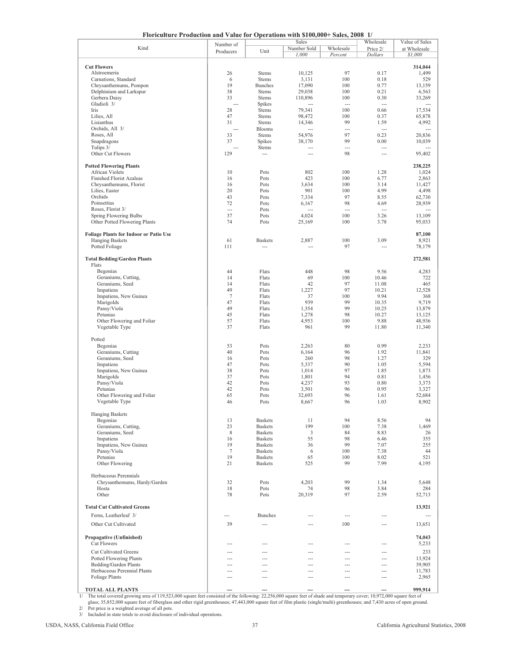**Floriculture Production and Value for Operations with \$100,000+ Sales, 2008 1/**

| Floriculture Production and Value for Operations with \$100,000+ Sales, 2008 |                |                |                |                | $\mathbf{I}$             |                |
|------------------------------------------------------------------------------|----------------|----------------|----------------|----------------|--------------------------|----------------|
|                                                                              | Number of      |                | Sales          |                | Wholesale                | Value of Sales |
| Kind                                                                         | Producers      | Unit           | Number Sold    | Wholesale      | Price 2/                 | at Wholesale   |
|                                                                              |                |                | 1,000          | Percent        | <b>Dollars</b>           | \$1,000        |
|                                                                              |                |                |                |                |                          |                |
| <b>Cut Flowers</b>                                                           |                |                |                |                |                          | 314,044        |
| Alstroemeria                                                                 | 26             | <b>Stems</b>   | 10,125         | 97             | 0.17                     | 1,499          |
| Carnations, Standard                                                         | 6              | <b>Stems</b>   | 3,131          | 100            | 0.18                     | 529            |
|                                                                              |                |                |                |                |                          |                |
| Chrysanthemums, Pompon                                                       | 19             | <b>Bunches</b> | 17,090         | 100            | 0.77                     | 13,159         |
| Delphinium and Larkspur                                                      | 38             | <b>Stems</b>   | 29,038         | 100            | 0.21                     | 6,563          |
| Gerbera Daisy                                                                | 33             | <b>Stems</b>   | 110,896        | 100            | 0.30                     | 33,269         |
| Gladioli 3/                                                                  | $\overline{a}$ | Spikes         | $---$          | $---$          | $\overline{a}$           | $\overline{a}$ |
| Iris                                                                         | 28             | <b>Stems</b>   | 79,341         | 100            | 0.66                     | 17,534         |
| Lilies, All                                                                  | 47             | <b>Stems</b>   | 98,472         | 100            | 0.37                     | 65,878         |
| Lisianthus                                                                   | 31             | <b>Stems</b>   | 14,346         | 99             | 1.59                     | 4,992          |
| Orchids, All 3/                                                              | $---$          |                |                | ---            |                          | $\sim$         |
|                                                                              |                | <b>Blooms</b>  |                |                | $\overline{\phantom{a}}$ |                |
| Roses, All                                                                   | 33             | <b>Stems</b>   | 54,976         | 97             | 0.23                     | 20,836         |
| Snapdragons                                                                  | 37             | Spikes         | 38,170         | 99             | 0.00                     | 10,039         |
| Tulips 3/                                                                    |                | Stems          | $---$          | $\overline{a}$ | $\overline{a}$           |                |
| Other Cut Flowers                                                            | 129            | ---            | $\overline{a}$ | 98             | ---                      | 95,402         |
|                                                                              |                |                |                |                |                          |                |
| <b>Potted Flowering Plants</b>                                               |                |                |                |                |                          | 238,225        |
|                                                                              |                |                |                | 100            |                          | 1,024          |
| African Violets                                                              | 10             | Pots           | 802            |                | 1.28                     |                |
| <b>Finished Florist Azaleas</b>                                              | 16             | Pots           | 423            | 100            | 6.77                     | 2,863          |
| Chrysanthemums, Florist                                                      | 16             | Pots           | 3,634          | 100            | 3.14                     | 11,427         |
| Lilies, Easter                                                               | 20             | Pots           | 901            | 100            | 4.99                     | 4,498          |
| Orchids                                                                      | 43             | Pots           | 7,334          | 97             | 8.55                     | 62,730         |
| Poinsettias                                                                  | 72             | Pots           | 6,167          | 98             | 4.69                     | 28,939         |
| Roses, Florist 3/                                                            | $\overline{a}$ | Pots           | $\overline{a}$ | $\overline{a}$ | $\overline{\phantom{a}}$ | $---$          |
|                                                                              |                |                |                |                |                          |                |
| Spring Flowering Bulbs                                                       | 37             | Pots           | 4,024          | 100            | 3.26                     | 13,109         |
| Other Potted Flowering Plants                                                | 74             | Pots           | 25,169         | 100            | 3.78                     | 95,033         |
|                                                                              |                |                |                |                |                          |                |
| <b>Foliage Plants for Indoor or Patio Use</b>                                |                |                |                |                |                          | 87,100         |
| <b>Hanging Baskets</b>                                                       | 61             | <b>Baskets</b> | 2,887          | 100            | 3.09                     | 8,921          |
| Potted Foliage                                                               | 111            | $\overline{a}$ | $---$          | 97             | $\overline{a}$           | 78,179         |
|                                                                              |                |                |                |                |                          |                |
|                                                                              |                |                |                |                |                          |                |
| <b>Total Bedding/Garden Plants</b>                                           |                |                |                |                |                          | 272,581        |
| Flats                                                                        |                |                |                |                |                          |                |
| Begonias                                                                     | 44             | Flats          | 448            | 98             | 9.56                     | 4,283          |
| Geraniums, Cutting,                                                          | 14             | Flats          | 69             | 100            | 10.46                    | 722            |
| Geraniums, Seed                                                              | 14             | Flats          | 42             | 97             | 11.08                    | 465            |
|                                                                              |                |                |                |                |                          |                |
| Impatiens                                                                    | 49             | Flats          | 1,227          | 97             | 10.21                    | 12,528         |
| Impatiens, New Guinea                                                        | $\tau$         | Flats          | 37             | 100            | 9.94                     | 368            |
| Marigolds                                                                    | 47             | Flats          | 939            | 99             | 10.35                    | 9,719          |
| Pansy/Viola                                                                  | 49             | Flats          | 1,354          | 99             | 10.25                    | 13,879         |
| Petunias                                                                     | 45             | Flats          | 1,278          | 98             | 10.27                    | 13,125         |
|                                                                              |                |                |                |                |                          |                |
| Other Flowering and Foliar                                                   | 57             | Flats          | 4,953          | 100            | 9.88                     | 48,936         |
| Vegetable Type                                                               | 37             | Flats          | 961            | 99             | 11.80                    | 11,340         |
|                                                                              |                |                |                |                |                          |                |
| Potted                                                                       |                |                |                |                |                          |                |
| Begonias                                                                     | 53             | Pots           | 2,263          | 80             | 0.99                     | 2,233          |
| Geraniums, Cutting                                                           | 40             | Pots           | 6,164          | 96             | 1.92                     | 11,841         |
| Geraniums, Seed                                                              | 16             | Pots           | 260            | 98             | 1.27                     | 329            |
|                                                                              |                |                |                |                |                          |                |
| Impatiens                                                                    | 47             | Pots           | 5,337          | 90             | 1.05                     | 5,594          |
| Impatiens, New Guinea                                                        | 38             | Pots           | 1,014          | 97             | 1.85                     | 1,873          |
| Marigolds                                                                    | 37             | Pots           | 1,801          | 94             | 0.81                     | 1,456          |
| Pansy/Viola                                                                  | 42             | Pots           | 4,237          | 93             | 0.80                     | 3,373          |
| Petunias                                                                     | 42             | Pots           | 3,501          | 96             | 0.95                     | 3,327          |
| Other Flowering and Foliar                                                   | 65             | Pots           | 32,693         | 96             | 1.61                     | 52,684         |
|                                                                              |                |                |                |                |                          |                |
| Vegetable Type                                                               | 46             | Pots           | 8,667          | 96             | 1.03                     | 8,902          |
|                                                                              |                |                |                |                |                          |                |
| <b>Hanging Baskets</b>                                                       |                |                |                |                |                          |                |
| Begonias                                                                     | 13             | <b>Baskets</b> | 11             | 94             | 8.56                     | 94             |
| Geraniums, Cutting,                                                          | 23             | <b>Baskets</b> | 199            | 100            | 7.38                     | 1,469          |
| Geraniums, Seed                                                              | 8              | <b>Baskets</b> | 3              | 84             | 8.83                     | 26             |
| Impatiens                                                                    | 16             | <b>Baskets</b> | 55             | 98             | 6.46                     | 355            |
|                                                                              |                |                |                |                |                          |                |
| Impatiens, New Guinea                                                        | 19             | <b>Baskets</b> | 36             | 99             | 7.07                     | 255            |
| Pansy/Viola                                                                  | $\tau$         | <b>Baskets</b> | 6              | 100            | 7.38                     | 44             |
| Petunias                                                                     | 19             | <b>Baskets</b> | 65             | 100            | 8.02                     | 521            |
| Other Flowering                                                              | 21             | <b>Baskets</b> | 525            | 99             | 7.99                     | 4,195          |
|                                                                              |                |                |                |                |                          |                |
| Herbaceous Perennials                                                        |                |                |                |                |                          |                |
| Chrysanthemums, Hardy/Garden                                                 | 32             | Pots           | 4,203          | 99             | 1.34                     | 5,648          |
|                                                                              |                |                |                |                |                          |                |
| Hosta                                                                        | 18             | Pots           | 74             | 98             | 3.84                     | 284            |
| Other                                                                        | 78             | Pots           | 20,319         | 97             | 2.59                     | 52,713         |
|                                                                              |                |                |                |                |                          |                |
| <b>Total Cut Cultivated Greens</b>                                           |                |                |                |                |                          | 13,921         |
| Ferns, Leatherleaf 3/                                                        | ---            | <b>Bunches</b> | $---$          | $\sim$         | $\overline{a}$           |                |
|                                                                              |                |                |                |                |                          |                |
| Other Cut Cultivated                                                         | 39             | $\sim$         | $---$          | 100            | $\sim$                   | 13,651         |
|                                                                              |                |                |                |                |                          |                |
| Propagative (Unfinished)                                                     |                |                |                |                |                          | 74,043         |
|                                                                              |                |                |                |                |                          |                |
| <b>Cut Flowers</b>                                                           |                | ---            | ---            | ---            | ---                      | 5,233          |
| <b>Cut Cultivated Greens</b>                                                 | $---$          | $\sim$         | $---$          | $\sim$         | $\sim$                   | 233            |
| <b>Potted Flowering Plants</b>                                               |                | ---            | $\sim$         |                | $\overline{a}$           | 13,924         |
|                                                                              |                |                |                |                |                          |                |
| Bedding/Garden Plants                                                        | ---            | $\overline{a}$ | $---$          | $---$          | ---                      | 39,905         |
| Herbaceous Perennial Plants                                                  | ---            | $\overline{a}$ | $---$          | $---$          | ---                      | 11,783         |
| Foliage Plants                                                               | ---            | ---            | $---$          | $---$          | ---                      | 2,965          |
|                                                                              |                |                |                |                |                          |                |
| <b>TOTAL ALL PLANTS</b>                                                      | $\overline{a}$ | $\overline{a}$ | ---            | $\sim$         | $\overline{a}$           | 999,914        |

**--- --- --- ---- ---- 999,914**<br>1/ The total covered growing area of 119,523,000 square feet consisted of the following: 22,256,000 square feet of shade and temporary cover; 10,972,000 square feet of glass; 35,852,000 square feet of fiberglass and other rigid greenhouses; 47,443,000 square feet of film plastic (single/multi) greenhouses; and 7,430 acres of open ground. Pot price is a weighted average of all pots. TOTAL ALL PLANTS **TOTAL ALL PLANTS 1999**, The total covered growing area of 119,523,000 square feet consisted of the following: 22,256,000 square feet of shade and temporary cover; 10,972,000 square feet of shade and tem

Included in state totals to avoid disclosure of individual operations.

2/ 3/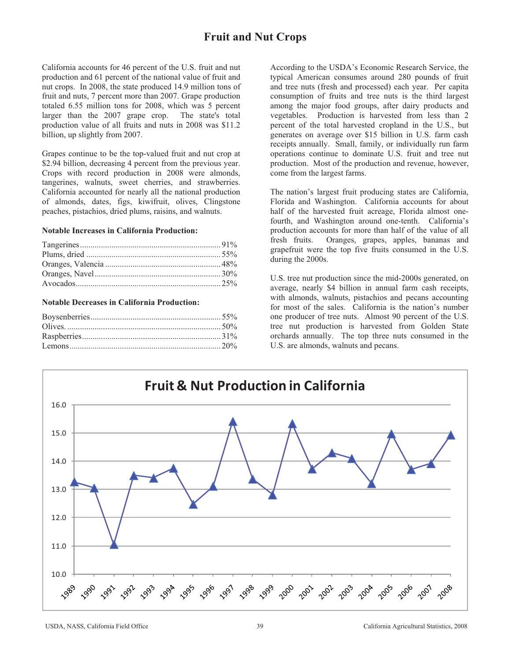# **Fruit and Nut Crops**

California accounts for 46 percent of the U.S. fruit and nut production and 61 percent of the national value of fruit and nut crops. In 2008, the state produced 14.9 million tons of fruit and nuts, 7 percent more than 2007. Grape production totaled 6.55 million tons for 2008, which was 5 percent larger than the 2007 grape crop. The state's total production value of all fruits and nuts in 2008 was \$11.2 billion, up slightly from 2007.

Grapes continue to be the top-valued fruit and nut crop at \$2.94 billion, decreasing 4 percent from the previous year. Crops with record production in 2008 were almonds, tangerines, walnuts, sweet cherries, and strawberries. California accounted for nearly all the national production of almonds, dates, figs, kiwifruit, olives, Clingstone peaches, pistachios, dried plums, raisins, and walnuts.

### **Notable Increases in California Production:**

### **Notable Decreases in California Production:**

According to the USDA's Economic Research Service, the typical American consumes around 280 pounds of fruit and tree nuts (fresh and processed) each year. Per capita consumption of fruits and tree nuts is the third largest among the major food groups, after dairy products and vegetables. Production is harvested from less than 2 percent of the total harvested cropland in the U.S., but generates on average over \$15 billion in U.S. farm cash receipts annually. Small, family, or individually run farm operations continue to dominate U.S. fruit and tree nut production. Most of the production and revenue, however, come from the largest farms.

The nation's largest fruit producing states are California, Florida and Washington. California accounts for about half of the harvested fruit acreage, Florida almost onefourth, and Washington around one-tenth. California's production accounts for more than half of the value of all fresh fruits. Oranges, grapes, apples, bananas and grapefruit were the top five fruits consumed in the U.S. during the 2000s.

U.S. tree nut production since the mid-2000s generated, on average, nearly \$4 billion in annual farm cash receipts, with almonds, walnuts, pistachios and pecans accounting for most of the sales. California is the nation's number one producer of tree nuts. Almost 90 percent of the U.S. tree nut production is harvested from Golden State orchards annually. The top three nuts consumed in the U.S. are almonds, walnuts and pecans.

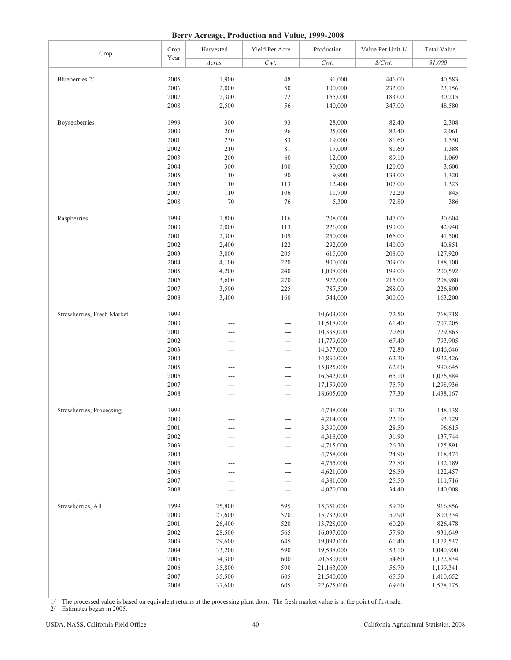**Berry Acreage, Production and Value, 1999-2008**

| Crop                       | Crop         | Harvested | Yield Per Acre | Production               | Value Per Unit 1/ | <b>Total Value</b>     |
|----------------------------|--------------|-----------|----------------|--------------------------|-------------------|------------------------|
|                            | Year         | Acres     | Cwt.           | Cwt.                     | $\$/Cwt$ .        | $\sqrt{$1,000}$        |
|                            |              |           |                |                          |                   |                        |
| Blueberries 2/             | 2005         | 1,900     | 48             | 91,000                   | 446.00            | 40,583                 |
|                            | 2006         | 2,000     | 50             | 100,000                  | 232.00            | 23,156                 |
|                            | 2007         | 2,300     | 72             | 165,000                  | 183.00            | 30,215                 |
|                            | 2008         | 2,500     | 56             | 140,000                  | 347.00            | 48,580                 |
|                            |              |           |                |                          |                   |                        |
| Boysenberries              | 1999         | 300       | 93             | 28,000                   | 82.40             | 2,308                  |
|                            | 2000         | 260       | 96             | 25,000                   | 82.40             | 2,061                  |
|                            | 2001         | 230       | 83             | 19,000                   | 81.60             | 1,550                  |
|                            | 2002         | 210       | 81             | 17,000                   | 81.60             | 1,388                  |
|                            | 2003         | 200       | 60             | 12,000                   | 89.10             | 1,069                  |
|                            | 2004         | 300       | 100            | 30,000                   | 120.00            | 3,600                  |
|                            | 2005         | 110       | 90             | 9,900                    | 133.00            | 1,320                  |
|                            | 2006         | 110       | 113            | 12,400                   | 107.00            | 1,323                  |
|                            | 2007         | 110       | 106            | 11,700                   | 72.20             | 845                    |
|                            | 2008         | 70        | 76             | 5,300                    | 72.80             | 386                    |
| Raspberries                | 1999         | 1,800     | 116            | 208,000                  | 147.00            | 30,604                 |
|                            | 2000         | 2,000     | 113            | 226,000                  | 190.00            | 42,940                 |
|                            | 2001         | 2,300     | 109            | 250,000                  | 166.00            | 41,500                 |
|                            | 2002         | 2,400     | 122            | 292,000                  | 140.00            | 40,851                 |
|                            | 2003         | 3,000     | 205            | 615,000                  | 208.00            | 127,920                |
|                            | 2004         | 4,100     | 220            | 900,000                  | 209.00            | 188,100                |
|                            | 2005         | 4,200     | 240            | 1,008,000                | 199.00            | 200,592                |
|                            | 2006         | 3,600     | 270            | 972,000                  | 215.00            | 208,980                |
|                            | 2007         | 3,500     | 225            | 787,500                  | 288.00            | 226,800                |
|                            | 2008         | 3,400     | 160            | 544,000                  | 300.00            | 163,200                |
|                            |              |           |                |                          |                   |                        |
| Strawberries, Fresh Market | 1999         | ---       | ---            | 10,603,000               | 72.50             | 768,718                |
|                            | 2000         | ---       | ---            | 11,518,000               | 61.40             | 707,205                |
|                            | 2001         | ---       | ---            | 10,338,000               | 70.60             | 729,863                |
|                            | 2002         | ---       | ---            | 11,779,000               | 67.40             | 793,905                |
|                            | 2003         | ---       | ---            | 14,377,000               | 72.80             | 1,046,646              |
|                            | 2004         | ---       | ---            | 14,830,000               | 62.20             | 922,426                |
|                            | 2005         | ---       | ---            | 15,825,000               | 62.60             | 990,645                |
|                            | 2006         | ---       | ---            | 16,542,000               | 65.10             | 1,076,884              |
|                            | 2007<br>2008 | ---       | ---<br>---     | 17,159,000<br>18,605,000 | 75.70<br>77.30    | 1,298,936<br>1,438,167 |
|                            |              |           |                |                          |                   |                        |
| Strawberries, Processing   | 1999         |           |                | 4,748,000                | 31.20             | 148,138                |
|                            | 2000         | ---       | ---            | 4,214,000                | 22.10             | 93,129                 |
|                            | 2001         | ---       | ---            | 3,390,000                | 28.50             | 96,615                 |
|                            | 2002         |           | ---            | 4,318,000                | 31.90             | 137,744                |
|                            | 2003         | ---       | ---            | 4,715,000                | 26.70             | 125,891                |
|                            | 2004         | ---       | ---            | 4,758,000                | 24.90             | 118,474                |
|                            | 2005         | ---       | ---            | 4,755,000                | 27.80             | 132,189                |
|                            | 2006         |           | ---            | 4,621,000                | 26.50             | 122,457                |
|                            | 2007         |           | ---            | 4,381,000                | 25.50             | 111,716                |
|                            | 2008         |           | ---            | 4,070,000                | 34.40             | 140,008                |
| Strawberries, All          | 1999         | 25,800    | 595            | 15,351,000               | 59.70             | 916,856                |
|                            | 2000         | 27,600    | 570            | 15,732,000               | 50.90             | 800,334                |
|                            | 2001         | 26,400    | 520            | 13,728,000               | 60.20             | 826,478                |
|                            | 2002         | 28,500    | 565            | 16,097,000               | 57.90             | 931,649                |
|                            | 2003         | 29,600    | 645            | 19,092,000               | 61.40             | 1,172,537              |
|                            | 2004         | 33,200    | 590            | 19,588,000               | 53.10             | 1,040,900              |
|                            | 2005         | 34,300    | 600            | 20,580,000               | 54.60             | 1,122,834              |
|                            | 2006         | 35,800    | 590            | 21,163,000               | 56.70             | 1,199,341              |
|                            | 2007         | 35,500    | 605            | 21,540,000               | 65.50             | 1,410,652              |
|                            | 2008         | 37,600    | 605            | 22,675,000               | 69.60             | 1,578,175              |
|                            |              |           |                |                          |                   |                        |

1/ The processed value is based on equivalent returns at the processing plant door. The fresh market value is at the point of first sale.

2/ Estimates began in 2005.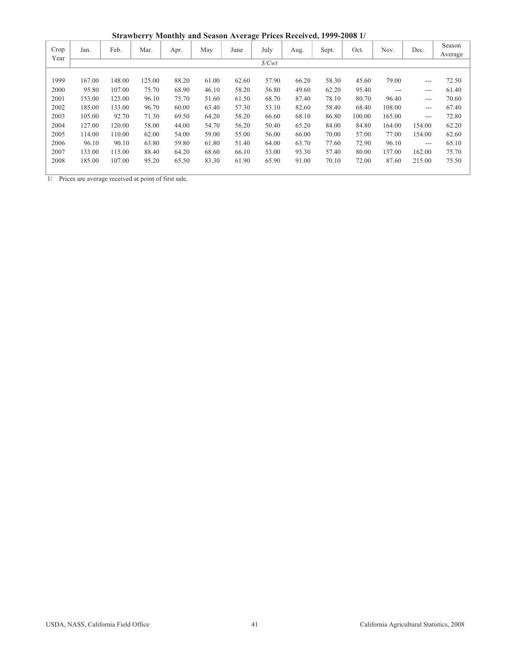**Strawberry Monthly and Season Average Prices Received, 1999-2008 1/**

|              |        |        |        |       |       |       | ∽               |       |       |        |        |        |                   |
|--------------|--------|--------|--------|-------|-------|-------|-----------------|-------|-------|--------|--------|--------|-------------------|
| Crop<br>Year | Jan.   | Feb.   | Mar.   | Apr.  | May   | June  | July            | Aug.  | Sept. | Oct.   | Nov.   | Dec.   | Season<br>Average |
|              |        |        |        |       |       |       | $\frac{s}{Cwt}$ |       |       |        |        |        |                   |
|              |        |        |        |       |       |       |                 |       |       |        |        |        |                   |
| 1999         | 167.00 | 148.00 | 125.00 | 88.20 | 61.00 | 62.60 | 57.90           | 66.20 | 58.30 | 45.60  | 79.00  | ---    | 72.50             |
| 2000         | 95.80  | 107.00 | 75.70  | 68.90 | 46.10 | 58.20 | 56.80           | 49.60 | 62.20 | 95.40  | ---    | ---    | 61.40             |
| 2001         | 153.00 | 125.00 | 96.10  | 75.70 | 51.60 | 61.50 | 68.70           | 87.40 | 78.10 | 80.70  | 96.40  | ---    | 70.60             |
| 2002         | 185.00 | 133.00 | 96.70  | 60.00 | 63.40 | 57.30 | 53.10           | 82.60 | 58.40 | 68.40  | 108.00 | $---$  | 67.40             |
| 2003         | 105.00 | 92.70  | 71.30  | 69.50 | 64.20 | 58.20 | 66.60           | 68.10 | 86.80 | 100.00 | 165.00 | $---$  | 72.80             |
| 2004         | 127.00 | 120.00 | 58.00  | 44.00 | 54.70 | 56.20 | 50.40           | 65.20 | 84.00 | 84.80  | 164.00 | 154.00 | 62.20             |
| 2005         | 114.00 | 110.00 | 62.00  | 54.00 | 59.00 | 55.00 | 56.00           | 66.00 | 70.00 | 57.00  | 77.00  | 154.00 | 62.60             |
| 2006         | 96.10  | 90.10  | 63.80  | 59.80 | 61.80 | 51.40 | 64.00           | 63.70 | 77.60 | 72.90  | 96.10  | $---$  | 65.10             |
| 2007         | 133.00 | 115.00 | 88.40  | 64.20 | 68.60 | 66.10 | 53.00           | 93.30 | 57.40 | 80.00  | 137.00 | 162.00 | 75.70             |
| 2008         | 185.00 | 107.00 | 95.20  | 65.50 | 83.30 | 61.90 | 65.90           | 91.00 | 70.10 | 72.00  | 87.60  | 215.00 | 75.50             |
|              |        |        |        |       |       |       |                 |       |       |        |        |        |                   |

 $\frac{1}{1}$  Prices are average received at point of first sale.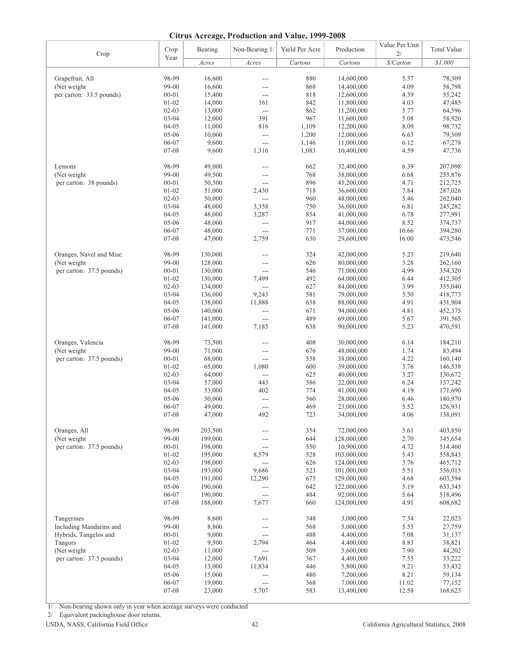|  | <b>Citrus Acreage, Production and Value, 1999-2008</b> |  |
|--|--------------------------------------------------------|--|
|  |                                                        |  |

| Crop                     | Crop      | Bearing | Non-Bearing 1/           | Yield Per Acre | Production  | Value Per Unit<br>2/ | <b>Total Value</b> |
|--------------------------|-----------|---------|--------------------------|----------------|-------------|----------------------|--------------------|
|                          | Year      | Acres   | Acres                    | Cartons        | Cartons     | \$/Carton            | \$1,000            |
| Grapefruit, All          | 98-99     | 16,600  | ---                      | 880            | 14,600,000  | 5.37                 | 78,309             |
| (Net weight              | 99-00     | 16,600  | ---                      | 868            | 14,400,000  | 4.09                 | 58,798             |
| per carton: 33.5 pounds) | $00 - 01$ | 15,400  | $---$                    | 818            | 12,600,000  | 4.39                 | 55,242             |
|                          | $01 - 02$ | 14,000  | 161                      | 842            | 11,800,000  | 4.03                 | 47,485             |
|                          | $02 - 03$ | 13,000  | $\overline{a}$           | 862            | 11,200,000  | 5.77                 | 64,596             |
|                          | $03 - 04$ | 12,000  | 391                      | 967            | 11,600,000  | 5.08                 | 58,920             |
|                          | $04 - 05$ | 11,000  | 816                      | 1,109          | 12,200,000  | 8.09                 | 98,732             |
|                          | 05-06     | 10,000  | $\overline{a}$           | 1,200          | 12,000,000  | 6.63                 | 79,509             |
|                          | 06-07     | 9,600   | $\overline{a}$           | 1,146          | 11,000,000  | 6.12                 | 67,278             |
|                          | 07-08     | 9,600   | 1,316                    | 1,083          | 10,400,000  | 4.59                 | 47,736             |
| Lemons                   | 98-99     | 49,000  | ---                      | 662            | 32,400,000  | 6.39                 | 207,098            |
| (Net weight)             | 99-00     | 49,500  | $---$                    | 768            | 38,000,000  | 6.68                 | 253,876            |
| per carton: 38 pounds)   | $00 - 01$ | 50,500  | $\overline{a}$           | 896            | 45,200,000  | 4.71                 | 212,725            |
|                          | $01 - 02$ | 51,000  | 2,430                    | 718            | 36,600,000  | 7.84                 | 287,026            |
|                          | $02 - 03$ | 50,000  | $\overline{a}$           | 960            | 48,000,000  | 5.46                 | 262,040            |
|                          | $03 - 04$ | 48,000  | 3,358                    | 750            | 36,000,000  | 6.81                 | 245,282            |
|                          | $04 - 05$ | 48,000  | 3,287                    | 854            | 41,000,000  | 6.78                 | 277,991            |
|                          | $05 - 06$ | 48,000  | $\overline{\phantom{a}}$ | 917            | 44,000,000  | 8.52                 | 374,737            |
|                          | 06-07     | 48,000  | $\overline{a}$           | 771            | 37,000,000  | 10.66                | 394,280            |
|                          | 07-08     | 47,000  | 2,759                    | 630            | 29,600,000  | 16.00                | 473,546            |
| Oranges, Navel and Misc. | 98-99     | 130,000 | ---                      | 324            | 42,000,000  | 5.23                 | 219,640            |
| (Net weight              | 99-00     | 128,000 | $---$                    | 626            | 80,000,000  | 3.28                 | 262,160            |
| per carton: 37.5 pounds) | $00 - 01$ | 130,000 | $---$                    | 546            | 71,000,000  | 4.99                 | 354,320            |
|                          | $01 - 02$ | 130,000 | 7,499                    | 492            | 64,000,000  | 6.44                 | 412,305            |
|                          | $02 - 03$ | 134,000 | $\overline{a}$           | 627            | 84,000,000  | 3.99                 | 335,040            |
|                          | $03 - 04$ | 136,000 | 9,243                    | 581            | 79,000,000  | 5.30                 | 418,773            |
|                          | $04 - 05$ | 138,000 | 11,888                   | 638            | 88,000,000  | 4.91                 | 431,904            |
|                          | $05 - 06$ | 140,000 | $\overline{a}$           | 671            | 94,000,000  | 4.81                 | 452,375            |
|                          | 06-07     | 141,000 | $\overline{a}$           | 489            | 69,000,000  | 5.67                 | 391,565            |
|                          | 07-08     | 141,000 | 7,185                    | 638            | 90,000,000  | 5.23                 | 470,591            |
| Oranges, Valencia        | 98-99     | 73,500  | $---$                    | 408            | 30,000,000  | 6.14                 | 184,210            |
| (Net weight              | 99-00     | 71,000  | ---                      | 676            | 48,000,000  | 1.74                 | 83,494             |
| per carton: 37.5 pounds) | $00 - 01$ | 68,000  | $\overline{a}$           | 558            | 38,000,000  | 4.22                 | 160,140            |
|                          | $01 - 02$ | 65,000  | 1,080                    | 600            | 39,000,000  | 3.76                 | 146,538            |
|                          | $02 - 03$ | 64,000  | $\overline{a}$           | 625            | 40,000,000  | 3.27                 | 130,672            |
|                          | $03 - 04$ | 57,000  | 443                      | 386            | 22,000,000  | 6.24                 | 137,242            |
|                          | $04 - 05$ | 53,000  | 402                      | 774            | 41,000,000  | 4.19                 | 171,690            |
|                          | 05-06     | 50,000  | $\overline{a}$           | 560            | 28,000,000  | 6.46                 | 180,970            |
|                          | 06-07     | 49,000  | $\cdots$                 | 469            | 23,000,000  | 5.52                 | 126,931            |
|                          | $07 - 08$ | 47,000  | 492                      | 723            | 34,000,000  | 4.06                 | 138,091            |
| Oranges, All             | 98-99     | 203,500 |                          | 354            | 72,000,000  | 5.61                 | 403,850            |
| (Net weight              | 99-00     | 199,000 |                          | 644            | 128,000,000 | 2.70                 | 345,654            |
| per carton: 37.5 pounds) | $00 - 01$ | 198,000 | $\cdots$                 | 550            | 10,900,000  | 4.72                 | 514,460            |
|                          | $01 - 02$ | 195,000 | 8,579                    | 528            | 103,000,000 | 5.43                 | 558,843            |
|                          | $02 - 03$ | 198,000 | $\overline{a}$           | 626            | 124,000,000 | 3.76                 | 465,712            |
|                          | $03 - 04$ | 193,000 | 9,686                    | 523            | 101,000,000 | 5.51                 | 556,015            |
|                          | $04 - 05$ | 191,000 | 12,290                   | 675            | 129,000,000 | 4.68                 | 603,594            |
|                          | 05-06     | 190,000 | $---$                    | 642            | 122,000,000 | 5.19                 | 633,345            |
|                          | 06-07     | 190,000 | $\overline{a}$           | 484            | 92,000,000  | 5.64                 | 518,496            |
|                          | 07-08     | 188,000 | 7,677                    | 660            | 124,000,000 | 4.91                 | 608,682            |
| Tangerines               | 98-99     | 8,600   | ---                      | 348            | 3,000,000   | 7.34                 | 22,023             |
| Including Mandarins and  | 99-00     | 8,800   |                          | 568            | 5,000,000   | 5.55                 | 27,759             |
| Hybrids, Tangelos and    | $00 - 01$ | 9,000   | ---                      | 488            | 4,400,000   | 7.08                 | 31,137             |
| Tangors                  | $01 - 02$ | 9,500   | 2,794                    | 464            | 4,400,000   | 8.83                 | 38,821             |
| (Net weight              | $02 - 03$ | 11,000  | $\overline{a}$           | 509            | 5,600,000   | 7.90                 | 44,202             |
| per carton: 37.5 pounds) | $03 - 04$ | 12,000  | 7,691                    | 367            | 4,400,000   | 7.55                 | 33,222             |
|                          | $04 - 05$ | 13,000  | 11,834                   | 446            | 5,800,000   | 9.21                 | 53,432             |
|                          | 05-06     | 15,000  | $---$                    | 480            | 7,200,000   | 8.21                 | 59,134             |
|                          | 06-07     | 19,000  | $\overline{a}$           | 368            | 7,000,000   | 11.02                | 77,152             |
|                          | 07-08     | 23,000  | 5,707                    | 583            | 13,400,000  | 12.58                | 168,623            |

1/ Non-bearing shown only in year when acreage surveys were conducted

2/ Equivalent packinghouse door returns.

USDA, NASS, California Field Office 42 California Agricultural Statistics, 2008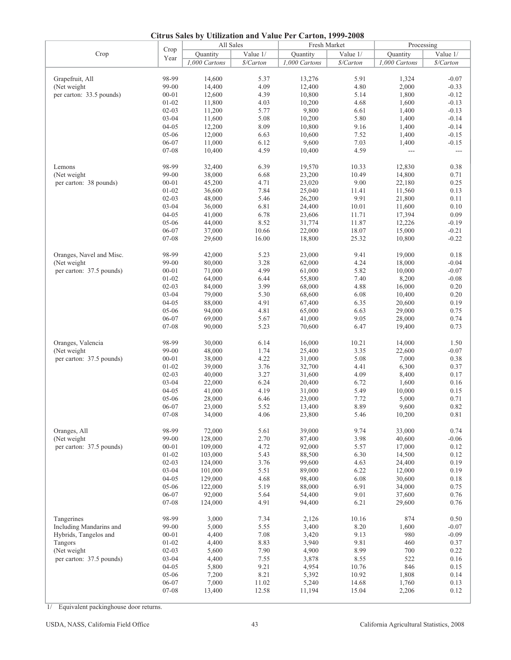|                          | $\sim$ iti us duits $\sigma$ y | All Sales     |           | Comparison and $\lambda$ and $\lambda$ of $\lambda$ can come $1/2$<br>Fresh Market |           | Processing       |                |
|--------------------------|--------------------------------|---------------|-----------|------------------------------------------------------------------------------------|-----------|------------------|----------------|
|                          | Crop                           |               |           |                                                                                    |           |                  |                |
| Crop                     | Year                           | Quantity      | Value 1/  | Quantity                                                                           | Value 1/  | Ouantity         | Value 1/       |
|                          |                                | 1,000 Cartons | \$/Carton | 1,000 Cartons                                                                      | \$/Carton | 1,000 Cartons    | \$/Carton      |
|                          |                                |               |           |                                                                                    |           |                  |                |
| Grapefruit, All          | 98-99                          | 14,600        | 5.37      | 13,276                                                                             | 5.91      | 1,324            | $-0.07$        |
| (Net weight)             | 99-00                          | 14,400        | 4.09      | 12,400                                                                             | 4.80      | 2,000            | $-0.33$        |
| per carton: 33.5 pounds) | $00 - 01$                      | 12,600        | 4.39      | 10,800                                                                             | 5.14      | 1,800            | $-0.12$        |
|                          |                                |               |           |                                                                                    |           |                  |                |
|                          | $01 - 02$                      | 11,800        | 4.03      | 10,200                                                                             | 4.68      | 1,600            | $-0.13$        |
|                          | $02 - 03$                      | 11,200        | 5.77      | 9,800                                                                              | 6.61      | 1,400            | $-0.13$        |
|                          | 03-04                          | 11,600        | 5.08      | 10,200                                                                             | 5.80      | 1,400            | $-0.14$        |
|                          | $04 - 05$                      | 12,200        | 8.09      | 10,800                                                                             | 9.16      | 1,400            | $-0.14$        |
|                          | 05-06                          | 12,000        | 6.63      | 10,600                                                                             | 7.52      | 1,400            | $-0.15$        |
|                          | 06-07                          | 11,000        | 6.12      | 9,600                                                                              | 7.03      | 1,400            | $-0.15$        |
|                          |                                |               |           |                                                                                    |           |                  |                |
|                          | 07-08                          | 10,400        | 4.59      | 10,400                                                                             | 4.59      | $\overline{a}$   | $\overline{a}$ |
| Lemons                   | 98-99                          | 32,400        | 6.39      | 19,570                                                                             | 10.33     | 12,830           | 0.38           |
| (Net weight)             | 99-00                          | 38,000        | 6.68      | 23,200                                                                             | 10.49     | 14,800           | 0.71           |
|                          |                                |               |           |                                                                                    |           |                  |                |
| per carton: 38 pounds)   | $00 - 01$                      | 45,200        | 4.71      | 23,020                                                                             | 9.00      | 22,180           | 0.25           |
|                          | $01 - 02$                      | 36,600        | 7.84      | 25,040                                                                             | 11.41     | 11,560           | 0.13           |
|                          | $02 - 03$                      | 48,000        | 5.46      | 26,200                                                                             | 9.91      | 21,800           | 0.11           |
|                          | 03-04                          | 36,000        | 6.81      | 24,400                                                                             | 10.01     | 11,600           | 0.10           |
|                          | $04 - 05$                      | 41,000        | 6.78      | 23,606                                                                             | 11.71     | 17,394           | 0.09           |
|                          | 05-06                          | 44,000        | 8.52      | 31,774                                                                             | 11.87     | 12,226           | $-0.19$        |
|                          |                                |               |           |                                                                                    |           |                  |                |
|                          | 06-07                          | 37,000        | 10.66     | 22,000                                                                             | 18.07     | 15,000           | $-0.21$        |
|                          | 07-08                          | 29,600        | 16.00     | 18,800                                                                             | 25.32     | 10,800           | $-0.22$        |
| Oranges, Navel and Misc. | 98-99                          | 42,000        | 5.23      | 23,000                                                                             | 9.41      | 19,000           | $0.18\,$       |
| (Net weight              |                                |               |           |                                                                                    |           |                  |                |
|                          | 99-00                          | 80,000        | 3.28      | 62,000                                                                             | 4.24      | 18,000           | $-0.04$        |
| per carton: 37.5 pounds) | $00 - 01$                      | 71,000        | 4.99      | 61,000                                                                             | 5.82      | 10,000           | $-0.07$        |
|                          | $01 - 02$                      | 64,000        | 6.44      | 55,800                                                                             | 7.40      | 8,200            | $-0.08$        |
|                          | $02 - 03$                      | 84,000        | 3.99      | 68,000                                                                             | 4.88      | 16,000           | $0.20\,$       |
|                          | $03 - 04$                      | 79,000        | 5.30      | 68,600                                                                             | 6.08      | 10,400           | 0.20           |
|                          | $04 - 05$                      |               |           |                                                                                    |           |                  |                |
|                          |                                | 88,000        | 4.91      | 67,400                                                                             | 6.35      | 20,600           | 0.19           |
|                          | 05-06                          | 94,000        | 4.81      | 65,000                                                                             | 6.63      | 29,000           | 0.75           |
|                          | 06-07                          | 69,000        | 5.67      | 41,000                                                                             | 9.05      | 28,000           | 0.74           |
|                          | 07-08                          | 90,000        | 5.23      | 70,600                                                                             | 6.47      | 19,400           | 0.73           |
|                          |                                |               |           |                                                                                    |           |                  |                |
| Oranges, Valencia        | 98-99                          | 30,000        | 6.14      | 16,000                                                                             | 10.21     | 14,000           | 1.50           |
| (Net weight)             | 99-00                          | 48,000        | 1.74      | 25,400                                                                             | 3.35      | 22,600           | $-0.07$        |
| per carton: 37.5 pounds) | $00 - 01$                      | 38,000        | 4.22      | 31,000                                                                             | 5.08      | 7,000            | 0.38           |
|                          | $01 - 02$                      | 39,000        | 3.76      | 32,700                                                                             | 4.41      | 6,300            | 0.37           |
|                          |                                |               |           |                                                                                    |           |                  |                |
|                          | $02 - 03$                      | 40,000        | 3.27      | 31,600                                                                             | 4.09      | 8,400            | 0.17           |
|                          | $03 - 04$                      | 22,000        | 6.24      | 20,400                                                                             | 6.72      | 1,600            | 0.16           |
|                          | $04 - 05$                      | 41,000        | 4.19      | 31,000                                                                             | 5.49      | 10,000           | 0.15           |
|                          | 05-06                          | 28,000        | 6.46      | 23,000                                                                             | 7.72      | 5,000            | 0.71           |
|                          | 06-07                          | 23,000        | 5.52      | 13,400                                                                             | 8.89      | 9,600            | 0.82           |
|                          |                                |               |           |                                                                                    |           |                  |                |
|                          | $07 - 08$                      | 34,000        | 4.06      | 23,800                                                                             | 5.46      | 10,200           | 0.81           |
| Oranges, All             | 98-99                          | 72,000        | 5.61      | 39,000                                                                             | 9.74      | 33,000           | 0.74           |
| (Net weight              | 99-00                          | 128,000       | 2.70      | 87,400                                                                             | 3.98      | 40,600           | $-0.06$        |
|                          |                                |               |           |                                                                                    |           |                  |                |
| per carton: 37.5 pounds) | $00 - 01$                      | 109,000       | 4.72      | 92,000                                                                             | 5.57      | 17,000           | 0.12           |
|                          | $01 - 02$                      | 103,000       | 5.43      | 88,500                                                                             | 6.30      | 14,500           | 0.12           |
|                          | $02 - 03$                      | 124,000       | 3.76      | 99,600                                                                             | 4.63      | 24,400           | 0.19           |
|                          | $03 - 04$                      | 101,000       | 5.51      | 89,000                                                                             | 6.22      | 12,000           | 0.19           |
|                          | $04 - 05$                      | 129,000       | 4.68      | 98,400                                                                             | 6.08      | 30,600           | $0.18\,$       |
|                          | 05-06                          | 122,000       | 5.19      | 88,000                                                                             | 6.91      |                  | 0.75           |
|                          |                                |               |           |                                                                                    |           | 34,000<br>37,600 |                |
|                          | 06-07                          | 92,000        | 5.64      | 54,400                                                                             | 9.01      |                  | 0.76           |
|                          | $07 - 08$                      | 124,000       | 4.91      | 94,400                                                                             | 6.21      | 29,600           | 0.76           |
|                          |                                |               |           |                                                                                    |           |                  |                |
| Tangerines               | 98-99                          | 3,000         | 7.34      | 2,126                                                                              | 10.16     | 874              | 0.50           |
| Including Mandarins and  | 99-00                          | 5,000         | 5.55      | 3,400                                                                              | $8.20\,$  | 1,600            | $-0.07$        |
| Hybrids, Tangelos and    | $00 - 01$                      | 4,400         | 7.08      | 3,420                                                                              | 9.13      | 980              | $-0.09$        |
| Tangors                  | $01 - 02$                      | 4,400         | 8.83      | 3,940                                                                              | 9.81      | 460              | 0.37           |
| (Net weight)             | $02 - 03$                      | 5,600         | 7.90      | 4,900                                                                              | 8.99      | 700              | 0.22           |
| per carton: 37.5 pounds) | 03-04                          | 4,400         | 7.55      | 3,878                                                                              | 8.55      | 522              | 0.16           |
|                          |                                |               |           |                                                                                    |           |                  |                |
|                          | $04 - 05$                      | 5,800         | 9.21      | 4,954                                                                              | 10.76     | 846              | 0.15           |
|                          | 05-06                          | 7,200         | 8.21      | 5,392                                                                              | 10.92     | 1,808            | 0.14           |
|                          | 06-07                          | 7,000         | 11.02     | 5,240                                                                              | 14.68     | 1,760            | 0.13           |
|                          | $07 - 08$                      | 13,400        | 12.58     | 11,194                                                                             | 15.04     | 2,206            | 0.12           |
|                          |                                |               |           |                                                                                    |           |                  |                |

1/ Equivalent packinghouse door returns.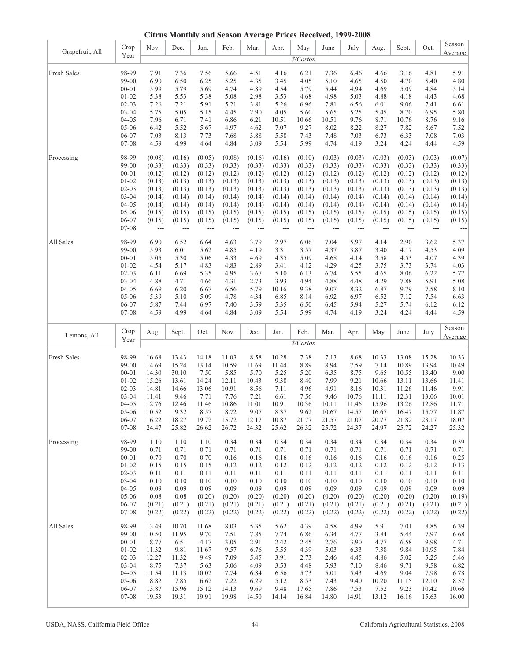**Citrus Monthly and Season Average Prices Received, 1999-2008**

| Grapefruit, All | Crop                   | Nov.                               | Dec.             | Jan.             | Feb.             | Mar.             | Apr.             | May              | June             | July             | Aug.             | Sept.            | Oct.             | Season<br>Average |
|-----------------|------------------------|------------------------------------|------------------|------------------|------------------|------------------|------------------|------------------|------------------|------------------|------------------|------------------|------------------|-------------------|
|                 | Year                   |                                    |                  |                  |                  |                  |                  | \$/Carton        |                  |                  |                  |                  |                  |                   |
| Fresh Sales     | 98-99                  | 7.91                               | 7.36             | 7.56             | 5.66             | 4.51             | 4.16             | 6.21             | 7.36             | 6.46             | 4.66             | 3.16             | 4.81             | 5.91              |
|                 | 99-00                  | 6.90                               | 6.50             | 6.25             | 5.25             | 4.35             | 3.45             | 4.05             | 5.10             | 4.65             | 4.50             | 4.70             | 5.40             | 4.80              |
|                 | $00 - 01$              | 5.99                               | 5.79             | 5.69             | 4.74             | 4.89             | 4.54             | 5.79             | 5.44             | 4.94             | 4.69             | 5.09             | 4.84             | 5.14              |
|                 | $01 - 02$<br>$02 - 03$ | 5.38<br>7.26                       | 5.53<br>7.21     | 5.38<br>5.91     | 5.08<br>5.21     | 2.98<br>3.81     | 3.53<br>5.26     | 4.68<br>6.96     | 4.98<br>7.81     | 5.03<br>6.56     | 4.88<br>6.01     | 4.18<br>9.06     | 4.43<br>7.41     | 4.68<br>6.61      |
|                 | $03 - 04$              | 5.75                               | 5.05             | 5.15             | 4.45             | 2.90             | 4.05             | 5.60             | 5.65             | 5.25             | 5.45             | 8.70             | 6.95             | 5.80              |
|                 | $04 - 05$              | 7.96                               | 6.71             | 7.41             | 6.86             | 6.21             | 10.51            | 10.66            | 10.51            | 9.76             | 8.71             | 10.76            | 8.76             | 9.16              |
|                 | 05-06                  | 6.42                               | 5.52             | 5.67             | 4.97             | 4.62             | 7.07             | 9.27             | 8.02             | 8.22             | 8.27             | 7.82             | 8.67             | 7.52              |
|                 | 06-07                  | 7.03                               | 8.13             | 7.73             | 7.68             | 3.88             | 5.58             | 7.43             | 7.48             | 7.03             | 6.73             | 6.33             | 7.08             | 7.03              |
|                 | 07-08                  | 4.59                               | 4.99             | 4.64             | 4.84             | 3.09             | 5.54             | 5.99             | 4.74             | 4.19             | 3.24             | 4.24             | 4.44             | 4.59              |
| Processing      | 98-99                  | (0.08)                             | (0.16)           | (0.05)           | (0.08)           | (0.16)           | (0.16)           | (0.10)           | (0.03)           | (0.03)           | (0.03)           | (0.03)           | (0.03)           | (0.07)            |
|                 | 99-00                  | (0.33)                             | (0.33)           | (0.33)           | (0.33)           | (0.33)           | (0.33)           | (0.33)           | (0.33)           | (0.33)           | (0.33)           | (0.33)           | (0.33)           | (0.33)            |
|                 | $00 - 01$<br>$01 - 02$ | (0.12)<br>(0.13)                   | (0.12)<br>(0.13) | (0.12)<br>(0.13) | (0.12)<br>(0.13) | (0.12)<br>(0.13) | (0.12)<br>(0.13) | (0.12)<br>(0.13) | (0.12)<br>(0.13) | (0.12)<br>(0.13) | (0.12)<br>(0.13) | (0.12)<br>(0.13) | (0.12)<br>(0.13) | (0.12)<br>(0.13)  |
|                 | $02-03$                | (0.13)                             | (0.13)           | (0.13)           | (0.13)           | (0.13)           | (0.13)           | (0.13)           | (0.13)           | (0.13)           | (0.13)           | (0.13)           | (0.13)           | (0.13)            |
|                 | $03 - 04$              | (0.14)                             | (0.14)           | (0.14)           | (0.14)           | (0.14)           | (0.14)           | (0.14)           | (0.14)           | (0.14)           | (0.14)           | (0.14)           | (0.14)           | (0.14)            |
|                 | $04 - 05$              | (0.14)                             | (0.14)           | (0.14)           | (0.14)           | (0.14)           | (0.14)           | (0.14)           | (0.14)           | (0.14)           | (0.14)           | (0.14)           | (0.14)           | (0.14)            |
|                 | $05-06$                | (0.15)                             | (0.15)           | (0.15)           | (0.15)           | (0.15)           | (0.15)           | (0.15)           | (0.15)           | (0.15)           | (0.15)           | (0.15)           | (0.15)           | (0.15)            |
|                 | 06-07<br>07-08         | (0.15)<br>$\overline{\phantom{a}}$ | (0.15)           | (0.15)<br>---    | (0.15)<br>$---$  | (0.15)<br>$---$  | (0.15)<br>---    | (0.15)           | (0.15)<br>---    | (0.15)<br>---    | (0.15)<br>$---$  | (0.15)<br>---    | (0.15)<br>---    | (0.15)<br>$---$   |
| All Sales       | 98-99                  | 6.90                               | 6.52             | 6.64             | 4.63             | 3.79             | 2.97             | 6.06             | 7.04             | 5.97             | 4.14             | 2.90             | 3.62             | 5.37              |
|                 | 99-00                  | 5.93                               | 6.01             | 5.62             | 4.85             | 4.19             | 3.31             | 3.57             | 4.37             | 3.87             | 3.40             | 4.17             | 4.53             | 4.09              |
|                 | $00 - 01$              | 5.05                               | 5.30             | 5.06             | 4.33             | 4.69             | 4.35             | 5.09             | 4.68             | 4.14             | 3.58             | 4.53             | 4.07             | 4.39              |
|                 | $01 - 02$              | 4.54                               | 5.17             | 4.83             | 4.83             | 2.89             | 3.41             | 4.12             | 4.29             | 4.25             | 3.75             | 3.73             | 3.74             | 4.03              |
|                 | $02 - 03$              | 6.11                               | 6.69             | 5.35             | 4.95             | 3.67             | 5.10             | 6.13             | 6.74             | 5.55             | 4.65             | 8.06             | 6.22             | 5.77              |
|                 | $03 - 04$<br>$04 - 05$ | 4.88<br>6.69                       | 4.71<br>6.20     | 4.66<br>6.67     | 4.31<br>6.56     | 2.73<br>5.79     | 3.93<br>10.16    | 4.94<br>9.38     | 4.88<br>9.07     | 4.48<br>8.32     | 4.29<br>6.87     | 7.88<br>9.79     | 5.91<br>7.58     | 5.08<br>8.10      |
|                 | $05 - 06$              | 5.39                               | 5.10             | 5.09             | 4.78             | 4.34             | 6.85             | 8.14             | 6.92             | 6.97             | 6.52             | 7.12             | 7.54             | 6.63              |
|                 | 06-07                  | 5.87                               | 7.44             | 6.97             | 7.40             | 3.59             | 5.35             | 6.50             | 6.45             | 5.94             | 5.27             | 5.74             | 6.12             | 6.12              |
|                 | 07-08                  | 4.59                               | 4.99             | 4.64             | 4.84             | 3.09             | 5.54             | 5.99             | 4.74             | 4.19             | 3.24             | 4.24             | 4.44             | 4.59              |
|                 |                        |                                    |                  |                  |                  |                  |                  |                  |                  |                  |                  |                  |                  |                   |
|                 | Crop                   | Aug.                               | Sept.            | Oct.             | Nov.             | Dec.             | Jan.             | Feb.             | Mar.             | Apr.             | May              | June             | July             | Season            |
| Lemons, All     | Year                   |                                    |                  |                  |                  |                  |                  | \$/Carton        |                  |                  |                  |                  |                  | Average           |
|                 |                        |                                    |                  |                  |                  |                  |                  |                  |                  |                  |                  |                  |                  |                   |
| Fresh Sales     | 98-99<br>99-00         | 16.68<br>14.69                     | 13.43<br>15.24   | 14.18<br>13.14   | 11.03<br>10.59   | 8.58<br>11.69    | 10.28<br>11.44   | 7.38<br>8.89     | 7.13<br>8.94     | 8.68<br>7.59     | 10.33<br>7.14    | 13.08<br>10.89   | 15.28<br>13.94   | 10.33<br>10.49    |
|                 | $00 - 01$              | 14.30                              | 30.10            | 7.50             | 5.85             | 5.70             | 5.25             | 5.20             | 6.35             | 8.75             | 9.65             | 10.55            | 13.40            | 9.00              |
|                 | $01 - 02$              | 15.26                              | 13.61            | 14.24            | 12.11            | 10.43            | 9.38             | 8.40             | 7.99             | 9.21             | 10.66            | 13.11            | 13.66            | 11.41             |
|                 | $02-03$                | 14.81                              | 14.66            | 13.06            | 10.91            | 8.56             | 7.11             | 4.96             | 4.91             | 8.16             | 10.31            | 11.26            | 11.46            | 9.91              |
|                 | $03 - 04$              | 11.41                              | 9.46             | 7.71             | 7.76             | 7.21             | 6.61             | 7.56             | 9.46             | 10.76            | 11.11            | 12.31            | 13.06            | 10.01             |
|                 | $04 - 05$              | 12.76                              | 12.46            | 11.46            | 10.86            | 11.01            | 10.91            | 10.36            | 10.11            | 11.46            | 15.96            | 13.26            | 12.86            | 11.71             |
|                 | 05-06<br>06-07         | 10.52<br>16.22                     | 9.32             | 8.57<br>19.72    | 8.72<br>15.72    | 9.07<br>12.17    | 8.37<br>10.87    | 9.62<br>21.77    | 10.67<br>21.57   | 14.57<br>21.07   | 16.67<br>20.77   | 16.47<br>21.82   | 15.77<br>23.17   | 11.87<br>18.07    |
|                 | 07-08                  | 24.47                              | 18.27<br>25.82   | 26.62            | 26.72            | 24.32            | 25.62            | 26.32            | 25.72            | 24.37            | 24.97            | 25.72            | 24.27            | 25.32             |
| Processing      | 98-99                  | 1.10                               | 1.10             | 1.10             | 0.34             | 0.34             | 0.34             | 0.34             | 0.34             | 0.34             | 0.34             | 0.34             | 0.34             | 0.39              |
|                 | 99-00                  | 0.71                               | 0.71             | 0.71             | 0.71             | 0.71             | 0.71             | 0.71             | 0.71             | 0.71             | 0.71             | 0.71             | 0.71             | 0.71              |
|                 | $00 - 01$              | 0.70                               | 0.70             | 0.70             | 0.16             | 0.16             | 0.16             | 0.16             | 0.16             | 0.16             | 0.16             | 0.16             | 0.16             | 0.25              |
|                 | $01 - 02$              | 0.15                               | 0.15             | 0.15             | 0.12             | 0.12             | 0.12             | 0.12             | 0.12             | 0.12             | 0.12             | 0.12             | 0.12             | 0.13              |
|                 | $02 - 03$<br>$03 - 04$ | 0.11<br>0.10                       | 0.11<br>0.10     | 0.11<br>0.10     | 0.11<br>0.10     | 0.11<br>0.10     | 0.11<br>0.10     | 0.11<br>0.10     | 0.11<br>0.10     | 0.11<br>0.10     | 0.11<br>0.10     | 0.11<br>0.10     | 0.11<br>0.10     | 0.11<br>0.10      |
|                 | $04 - 05$              | 0.09                               | 0.09             | 0.09             | 0.09             | 0.09             | 0.09             | 0.09             | 0.09             | 0.09             | 0.09             | 0.09             | 0.09             | 0.09              |
|                 | 05-06                  | 0.08                               | 0.08             | (0.20)           | (0.20)           | (0.20)           | (0.20)           | (0.20)           | (0.20)           | (0.20)           | (0.20)           | (0.20)           | (0.20)           | (0.19)            |
|                 | 06-07<br>$07 - 08$     | (0.21)<br>(0.22)                   | (0.21)<br>(0.22) | (0.21)<br>(0.22) | (0.21)<br>(0.22) | (0.21)<br>(0.22) | (0.21)<br>(0.22) | (0.21)<br>(0.22) | (0.21)<br>(0.22) | (0.21)<br>(0.22) | (0.21)<br>(0.22) | (0.21)<br>(0.22) | (0.21)<br>(0.22) | (0.21)<br>(0.22)  |
|                 |                        |                                    |                  |                  |                  |                  |                  |                  |                  |                  |                  |                  |                  |                   |
| All Sales       | 98-99<br>99-00         | 13.49                              | 10.70<br>11.95   | 11.68<br>9.70    | 8.03             | 5.35             | 5.62             | 4.39             | 4.58             | 4.99<br>4.77     | 5.91             | 7.01<br>5.44     | 8.85<br>7.97     | 6.39              |
|                 | $00 - 01$              | 10.50<br>8.77                      | 6.51             | 4.17             | 7.51<br>3.05     | 7.85<br>2.91     | 7.74<br>2.42     | 6.86<br>2.45     | 6.34<br>2.76     | 3.90             | 3.84<br>4.77     | 6.58             | 9.98             | 6.68<br>4.71      |
|                 | $01 - 02$              | 11.32                              | 9.81             | 11.67            | 9.57             | 6.76             | 5.55             | 4.39             | 5.03             | 6.33             | 7.38             | 9.84             | 10.95            | 7.84              |
|                 | $02 - 03$              | 12.27                              | 11.32            | 9.49             | 7.09             | 5.45             | 3.91             | 2.73             | 2.46             | 4.45             | 4.86             | 5.02             | 5.25             | 5.46              |
|                 | $03 - 04$              | 8.75                               | 7.37             | 5.63             | 5.06             | 4.09             | 3.53             | 4.48             | 5.93             | 7.10             | 8.46             | 9.71             | 9.58             | 6.82              |
|                 | $04 - 05$              | 11.54                              | 11.13            | 10.02            | 7.74             | 6.84             | 6.56             | 5.73             | 5.01             | 5.43             | 4.69             | 9.04             | 7.98             | 6.78              |
|                 | 05-06<br>06-07         | 8.82<br>13.87                      | 7.85<br>15.96    | 6.62<br>15.12    | 7.22<br>14.13    | 6.29<br>9.69     | 5.12<br>9.48     | 8.53<br>17.65    | 7.43<br>7.86     | 9.40<br>7.53     | 10.20<br>7.52    | 11.15<br>9.23    | 12.10<br>10.42   | 8.52<br>10.66     |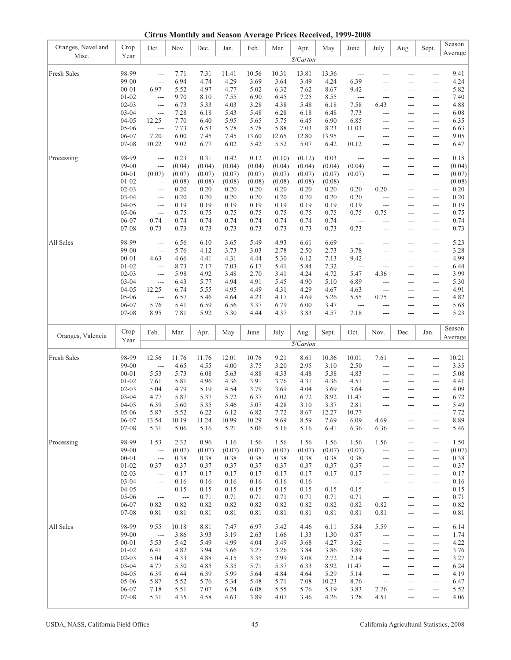**Citrus Monthly and Season Average Prices Received, 1999-2008**

| Oranges, Navel and | Crop      | Oct.                          | Nov.                     | Dec.     | Jan.   | Feb.   | Mar.   | Apr.      | May            | June                     | July           | Aug.              | Sept.                    | Season         |
|--------------------|-----------|-------------------------------|--------------------------|----------|--------|--------|--------|-----------|----------------|--------------------------|----------------|-------------------|--------------------------|----------------|
| Misc.              | Year      |                               |                          |          |        |        |        |           |                |                          |                |                   |                          | Average        |
|                    |           |                               |                          |          |        |        |        | \$/Carton |                |                          |                |                   |                          |                |
|                    |           |                               |                          |          |        |        |        |           |                |                          |                |                   |                          |                |
| Fresh Sales        | 98-99     | ---                           | 7.71                     | 7.31     | 11.41  | 10.56  | 10.31  | 13.81     | 13.36          | ---                      | ---            | ---               | ---                      | 9.41           |
|                    | 99-00     | ---                           | 6.94                     | 4.74     | 4.29   | 3.69   | 3.64   | 3.49      | 4.24           | 6.39                     | ---            | ---               | ---                      | 4.24           |
|                    | $00 - 01$ | 6.97                          | 5.52                     | 4.97     | 4.77   | 5.02   | 6.32   | 7.62      | 8.67           | 9.42                     | $---$          | ---               | ---                      | 5.82           |
|                    | $01 - 02$ | $---$                         | 9.70                     | 8.10     | 7.55   | 6.90   | 6.45   | 7.25      | 8.55           | $\overline{\phantom{a}}$ | ---            | ---               | ---                      | 7.40           |
|                    |           |                               |                          |          |        |        |        |           |                |                          |                |                   |                          |                |
|                    | $02 - 03$ | $\overline{\phantom{a}}$      | 6.73                     | 5.33     | 4.03   | 3.28   | 4.38   | 5.48      | 6.18           | 7.58                     | 6.43           | ---               | ---                      | 4.88           |
|                    | $03 - 04$ | $\overline{\phantom{a}}$      | 7.28                     | 6.18     | 5.43   | 5.48   | 6.28   | 6.18      | 6.48           | 7.73                     | ---            | ---               | ---                      | 6.08           |
|                    | 04-05     | 12.25                         | 7.70                     | 6.40     | 5.95   | 5.65   | 5.75   | 6.45      | 6.90           | 6.85                     | ---            | $---$             | ---                      | 6.35           |
|                    | $05-06$   | $\overline{a}$                | 7.73                     | 6.53     | 5.78   | 5.78   | 5.88   | 7.03      | 8.23           | 11.03                    | ---            | ---               | ---                      | 6.63           |
|                    | 06-07     | 7.20                          | 6.00                     | 7.45     | 7.45   | 13.60  | 12.65  | 12.80     | 13.95          | $\overline{a}$           | ---            | ---               | ---                      | 9.05           |
|                    | 07-08     | 10.22                         | 9.02                     | 6.77     | 6.02   | 5.42   | 5.52   | 5.07      | 6.42           | 10.12                    | ---            | ---               | ---                      | 6.47           |
|                    |           |                               |                          |          |        |        |        |           |                |                          |                |                   |                          |                |
| Processing         | 98-99     | $---$                         | 0.23                     | 0.31     | 0.42   | 0.12   | (0.10) | (0.12)    | 0.03           | ---                      | ---            | ---               | ---                      | 0.18           |
|                    |           |                               |                          |          |        | (0.04) |        |           |                |                          |                |                   |                          |                |
|                    | 99-00     | $\overline{a}$                | (0.04)                   | (0.04)   | (0.04) |        | (0.04) | (0.04)    | (0.04)         | (0.04)                   | ---            | ---               | ---                      | (0.04)         |
|                    | $00 - 01$ | (0.07)                        | (0.07)                   | (0.07)   | (0.07) | (0.07) | (0.07) | (0.07)    | (0.07)         | (0.07)                   | ---            | ---               | $\overline{\phantom{a}}$ | (0.07)         |
|                    | $01 - 02$ | $\overline{\phantom{a}}$      | (0.08)                   | (0.08)   | (0.08) | (0.08) | (0.08) | (0.08)    | (0.08)         | $\overline{\phantom{a}}$ | ---            | ---               | ---                      | (0.08)         |
|                    | $02 - 03$ | $---$                         | 0.20                     | 0.20     | 0.20   | 0.20   | 0.20   | 0.20      | 0.20           | 0.20                     | 0.20           | ---               | ---                      | 0.20           |
|                    | $03 - 04$ | $\overline{\phantom{a}}$      | 0.20                     | 0.20     | 0.20   | 0.20   | 0.20   | 0.20      | 0.20           | 0.20                     | ---            | ---               | ---                      | 0.20           |
|                    | $04 - 05$ | $\overline{\phantom{a}}$      | 0.19                     | 0.19     | 0.19   | 0.19   | 0.19   | 0.19      | 0.19           | 0.19                     | $\overline{a}$ | ---               | ---                      | 0.19           |
|                    | 05-06     |                               | 0.75                     |          |        | 0.75   |        | 0.75      |                | 0.75                     | 0.75           |                   |                          | 0.75           |
|                    |           | ---                           |                          | 0.75     | 0.75   |        | 0.75   |           | 0.75           |                          |                | ---               | ---                      |                |
|                    | 06-07     | 0.74                          | 0.74                     | 0.74     | 0.74   | 0.74   | 0.74   | 0.74      | 0.74           | $\overline{a}$           | ---            | $---$             | $---$                    | 0.74           |
|                    | 07-08     | 0.73                          | 0.73                     | 0.73     | 0.73   | 0.73   | 0.73   | 0.73      | 0.73           | 0.73                     | ---            | ---               | ---                      | 0.73           |
|                    |           |                               |                          |          |        |        |        |           |                |                          |                |                   |                          |                |
| All Sales          | 98-99     | ---                           | 6.56                     | 6.10     | 3.65   | 5.49   | 4.93   | 6.61      | 6.69           | $\sim$ $\sim$            | ---            | ---               | ---                      | 5.23           |
|                    | 99-00     | $---$                         | 5.76                     | 4.12     | 3.73   | 3.03   | 2.78   | 2.50      | 2.73           | 3.78                     | ---            | ---               | ---                      | 3.28           |
|                    | $00 - 01$ | 4.63                          | 4.66                     | 4.41     | 4.31   | 4.44   | 5.30   | 6.12      | 7.13           | 9.42                     | ---            | ---               | ---                      | 4.99           |
|                    | $01 - 02$ | $\overline{a}$                | 8.73                     | 7.17     | 7.03   | 6.17   | 5.41   | 5.84      | 7.32           | $\overline{\phantom{a}}$ |                |                   |                          | 6.44           |
|                    |           |                               |                          |          |        |        |        |           |                |                          | ---            | ---               | ---                      |                |
|                    | $02 - 03$ | $\overline{a}$                | 5.98                     | 4.92     | 3.48   | 2.70   | 3.41   | 4.24      | 4.72           | 5.47                     | 4.36           | ---               | ---                      | 3.99           |
|                    | $03 - 04$ | $\overline{a}$                | 6.43                     | 5.77     | 4.94   | 4.91   | 5.45   | 4.90      | 5.10           | 6.89                     | ---            | ---               | ---                      | 5.30           |
|                    | $04 - 05$ | 12.25                         | 6.74                     | 5.55     | 4.95   | 4.49   | 4.31   | 4.29      | 4.67           | 4.63                     | $---$          | ---               | ---                      | 4.91           |
|                    | 05-06     | $\overline{a}$                | 6.57                     | 5.46     | 4.64   | 4.23   | 4.17   | 4.69      | 5.26           | 5.55                     | 0.75           | ---               | ---                      | 4.82           |
|                    | 06-07     | 5.76                          | 5.41                     | 6.59     | 6.56   | 3.37   | 6.79   | 6.00      | 3.47           | $\overline{a}$           |                | ---               | ---                      | 5.68           |
|                    | 07-08     | 8.95                          | 7.81                     | 5.92     | 5.30   | 4.44   | 4.37   | 3.83      | 4.57           | 7.18                     | $---$          | $\overline{a}$    | $\overline{a}$           | 5.23           |
|                    |           |                               |                          |          |        |        |        |           |                |                          |                |                   |                          |                |
|                    |           |                               |                          |          |        |        |        |           |                |                          |                |                   |                          |                |
|                    |           |                               |                          |          |        |        |        |           |                |                          |                |                   |                          |                |
|                    | Crop      | Feb.                          | Mar.                     | Apr.     | May    | June   | July   | Aug.      | Sept.          | Oct.                     | Nov.           | Dec.              | Jan.                     | Season         |
| Oranges, Valencia  |           |                               |                          |          |        |        |        |           |                |                          |                |                   |                          | Average        |
|                    | Year      |                               |                          |          |        |        |        | \$/Carton |                |                          |                |                   |                          |                |
|                    |           |                               |                          |          |        |        |        |           |                |                          |                |                   |                          |                |
| Fresh Sales        | 98-99     | 12.56                         | 11.76                    | 11.76    | 12.01  | 10.76  | 9.21   | 8.61      | 10.36          | 10.01                    | 7.61           | ---               | ---                      | 10.21          |
|                    | 99-00     | $\overline{a}$                | 4.65                     | 4.55     | 4.00   | 3.75   | 3.20   | 2.95      | 3.10           | 2.50                     | ---            | ---               | ---                      | 3.35           |
|                    | $00 - 01$ | 5.53                          | 5.73                     | 6.08     | 5.63   | 4.88   | 4.33   | 4.48      | 5.38           | 4.83                     | ---            | ---               | ---                      | 5.08           |
|                    |           |                               |                          |          |        |        |        |           |                |                          | ---            | ---               | ---                      |                |
|                    | $01 - 02$ | 7.61                          | 5.81                     | 4.96     | 4.36   | 3.91   | 3.76   | 4.31      | 4.36           | 4.51                     |                | ---               |                          | 4.41           |
|                    | $02 - 03$ | 5.04                          | 4.79                     | 5.19     | 4.54   | 3.79   | 3.69   | 4.04      | 3.69           | 3.64                     | ---            |                   | ---                      | 4.09           |
|                    | $03 - 04$ | 4.77                          | 5.87                     | 5.37     | 5.72   | 6.37   | 6.02   | 6.72      | 8.92           | 11.47                    | $---$          | $---$             | $---$                    | 6.72           |
|                    | $04 - 05$ | 6.39                          | 5.60                     | 5.35     | 5.46   | 5.07   | 4.28   | 3.10      | 3.37           | 2.81                     | ---            | ---               | $\overline{\phantom{a}}$ | 5.49           |
|                    | 05-06     | 5.87                          | 5.52                     | 6.22     | 6.12   | 6.82   | 7.72   | 8.67      | 12.27          | 10.77                    | $---$          |                   | ---                      | 7.72           |
|                    | 06-07     | 13.54                         | 10.19                    | 11.24    | 10.99  | 10.29  | 9.69   | 8.59      | 7.69           | 6.09                     | 4.69           | $---$             | ---                      | 8.89           |
|                    | 07-08     | 5.31                          | 5.06                     | 5.16     | 5.21   | 5.06   | 5.16   | 5.16      | 6.41           | 6.36                     | 6.36           | ---               | ---                      | 5.46           |
|                    |           |                               |                          |          |        |        |        |           |                |                          |                |                   |                          |                |
| Processing         | 98-99     | 1.53                          | 2.32                     | 0.96     | 1.16   | 1.56   | 1.56   | 1.56      | 1.56           | 1.56                     | 1.56           | $\qquad \qquad -$ | $---$                    | 1.50           |
|                    | 99-00     | $\overline{\phantom{a}}$      | (0.07)                   |          |        |        | (0.07) | (0.07)    |                | (0.07)                   | $\overline{a}$ | $---$             | $\overline{a}$           |                |
|                    |           |                               |                          | (0.07)   | (0.07) | (0.07) |        |           | (0.07)         |                          | $---$          | $---$             |                          |                |
|                    | $00 - 01$ | $\overline{\phantom{a}}$      | 0.38                     | 0.38     | 0.38   | 0.38   | 0.38   | 0.38      | 0.38           | 0.38                     |                |                   | $\cdots$                 | 0.38           |
|                    | $01 - 02$ | 0.37                          | 0.37                     | 0.37     | 0.37   | 0.37   | 0.37   | 0.37      | 0.37           | 0.37                     | $---$          | $---$             | $\overline{a}$           | 0.37           |
|                    | $02 - 03$ | $\overline{a}$                | 0.17                     | 0.17     | 0.17   | 0.17   | 0.17   | 0.17      | 0.17           | 0.17                     | $---$          | ---               | $\cdots$                 | 0.17           |
|                    | 03-04     | $\overline{a}$                | 0.16                     | 0.16     | 0.16   | 0.16   | 0.16   | 0.16      | $\overline{a}$ | $\overline{a}$           | ---            | ---               | $\overline{a}$           | 0.16           |
|                    | $04 - 05$ | $\hspace{0.05cm} \ldots$      | 0.15                     | 0.15     | 0.15   | 0.15   | 0.15   | 0.15      | 0.15           | 0.15                     | $---$          | $---$             | $---$                    | 0.15           |
|                    | 05-06     | $\hspace{1.5cm} \textbf{---}$ | $\overline{\phantom{a}}$ | 0.71     | 0.71   | 0.71   | 0.71   | 0.71      | 0.71           | 0.71                     | $\sim$ $\sim$  | ---               | $---$                    | 0.71           |
|                    |           |                               |                          |          |        |        |        |           |                |                          |                | ---               | $\overline{a}$           |                |
|                    | 06-07     | 0.82                          | 0.82                     | 0.82     | 0.82   | 0.82   | 0.82   | 0.82      | 0.82           | 0.82                     | 0.82           | ---               |                          | 0.82           |
|                    | 07-08     | 0.81                          | 0.81                     | $0.81\,$ | 0.81   | 0.81   | 0.81   | 0.81      | 0.81           | 0.81                     | 0.81           |                   | $---$                    | 0.81           |
|                    |           |                               |                          |          |        |        |        |           |                |                          |                |                   |                          |                |
| All Sales          | 98-99     | 9.55                          | 10.18                    | 8.81     | 7.47   | 6.97   | 5.42   | 4.46      | 6.11           | 5.84                     | 5.59           | $\cdots$          | $---$                    | 6.14           |
|                    | 99-00     | $\overline{\phantom{a}}$      | 3.86                     | 3.93     | 3.19   | 2.63   | 1.66   | 1.33      | 1.30           | 0.87                     | $\overline{a}$ | $---$             | $---$                    | 1.74           |
|                    | $00 - 01$ | 5.53                          | 5.42                     | 5.49     | 4.99   | 4.04   | 3.49   | 3.68      | 4.27           | 3.62                     | ---            | ---               | $---$                    | 4.22           |
|                    | $01 - 02$ | 6.41                          | 4.82                     | 3.94     | 3.66   | 3.27   | 3.26   | 3.84      | 3.86           | 3.89                     | $---$          | $---$             | $\overline{a}$           | 3.76           |
|                    | $02 - 03$ | 5.04                          | 4.33                     | 4.88     | 4.15   | 3.35   | 2.99   | 3.08      | 2.72           | 2.14                     | $---$          | $---$             | $\cdots$                 | 3.27           |
|                    |           |                               |                          |          |        |        |        |           |                |                          | $---$          | $---$             | $\overline{a}$           |                |
|                    | $03 - 04$ | 4.77                          | 5.30                     | 4.85     | 5.35   | 5.71   | 5.37   | 6.33      | 8.92           | 11.47                    |                |                   |                          | 6.24           |
|                    | $04 - 05$ | 6.39                          | 6.44                     | 6.39     | 5.99   | 5.64   | 4.84   | 4.64      | 5.29           | 5.14                     | $---$          | ---               | $\cdots$                 | (0.07)<br>4.19 |
|                    | 05-06     | 5.87                          | 5.52                     | 5.76     | 5.34   | 5.48   | 5.71   | 7.08      | 10.23          | 8.76                     | $\sim$ $\sim$  | ---               | $\overline{a}$           | 6.47           |
|                    | 06-07     | 7.18                          | 5.51                     | 7.07     | 6.24   | 6.08   | 5.55   | 5.76      | 5.19           | 3.83                     | 2.76           | $\cdots$          | $---$                    | 5.52           |
|                    | $07 - 08$ | 5.31                          | 4.35                     | 4.58     | 4.63   | 3.89   | 4.07   | 3.46      | 4.26           | 3.28                     | 4.51           | ---               | ---                      | 4.06           |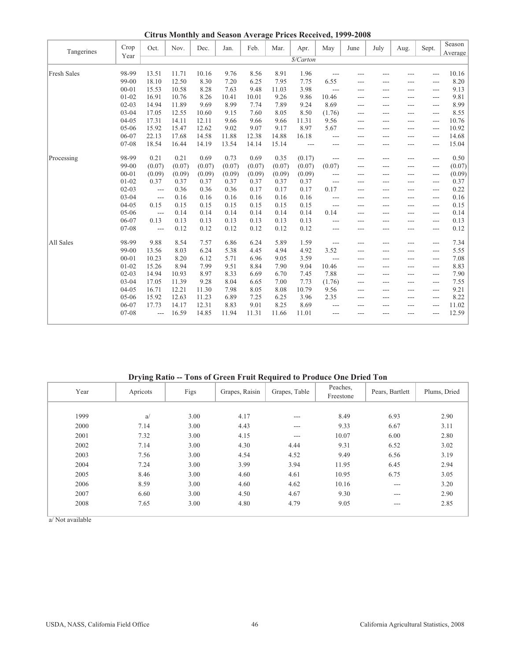**Citrus Monthly and Season Average Prices Received, 1999-2008**

| Tangerines  | Crop      | Oct.           | Nov.   | Dec.   | Jan.   | Feb.   | Mar.   | Apr.      | May            | June  | July | Aug.  | Sept. | Season<br>Average |
|-------------|-----------|----------------|--------|--------|--------|--------|--------|-----------|----------------|-------|------|-------|-------|-------------------|
|             | Year      |                |        |        |        |        |        | \$/Carton |                |       |      |       |       |                   |
| Fresh Sales | 98-99     | 13.51          | 11.71  | 10.16  | 9.76   | 8.56   | 8.91   | 1.96      | ---            |       |      | ---   | $---$ | 10.16             |
|             | 99-00     | 18.10          | 12.50  | 8.30   | 7.20   | 6.25   | 7.95   | 7.75      | 6.55           | ---   | ---  | ---   | ---   | 8.20              |
|             | $00 - 01$ | 15.53          | 10.58  | 8.28   | 7.63   | 9.48   | 11.03  | 3.98      | ---            | ---   | ---  | ---   | $---$ | 9.13              |
|             | $01 - 02$ | 16.91          | 10.76  | 8.26   | 10.41  | 10.01  | 9.26   | 9.86      | 10.46          | ---   |      |       | ---   | 9.81              |
|             | $02 - 03$ | 14.94          | 11.89  | 9.69   | 8.99   | 7.74   | 7.89   | 9.24      | 8.69           |       | ---  | ---   |       | 8.99              |
|             | $03 - 04$ | 17.05          | 12.55  | 10.60  | 9.15   | 7.60   | 8.05   | 8.50      | (1.76)         | ---   | ---  | ---   | $---$ | 8.55              |
|             | $04 - 05$ | 17.31          | 14.11  | 12.11  | 9.66   | 9.66   | 9.66   | 11.31     | 9.56           | $---$ | ---  | ---   | ---   | 10.76             |
|             | $05 - 06$ | 15.92          | 15.47  | 12.62  | 9.02   | 9.07   | 9.17   | 8.97      | 5.67           | $---$ | ---  | ---   | $---$ | 10.92             |
|             | 06-07     | 22.13          | 17.68  | 14.58  | 11.88  | 12.38  | 14.88  | 16.18     | $\overline{a}$ | ---   | ---  | ---   | ---   | 14.68             |
|             | 07-08     | 18.54          | 16.44  | 14.19  | 13.54  | 14.14  | 15.14  | ---       | ---            | ---   | ---  | ---   | ---   | 15.04             |
| Processing  | 98-99     | 0.21           | 0.21   | 0.69   | 0.73   | 0.69   | 0.35   | (0.17)    | ---            | $---$ | ---  | ---   | $---$ | 0.50              |
|             | 99-00     | (0.07)         | (0.07) | (0.07) | (0.07) | (0.07) | (0.07) | (0.07)    | (0.07)         | ---   |      |       | ---   | (0.07)            |
|             | $00 - 01$ | (0.09)         | (0.09) | (0.09) | (0.09) | (0.09) | (0.09) | (0.09)    | ---            | $---$ | ---  | ---   | ---   | (0.09)            |
|             | $01 - 02$ | 0.37           | 0.37   | 0.37   | 0.37   | 0.37   | 0.37   | 0.37      | ---            |       | ---  | ---   | ---   | 0.37              |
|             | $02 - 03$ | $---$          | 0.36   | 0.36   | 0.36   | 0.17   | 0.17   | 0.17      | 0.17           | $---$ | ---  | ---   | $---$ | 0.22              |
|             | $03 - 04$ | ---            | 0.16   | 0.16   | 0.16   | 0.16   | 0.16   | 0.16      | $\overline{a}$ | ---   | ---  | ---   | $---$ | 0.16              |
|             | $04 - 05$ | 0.15           | 0.15   | 0.15   | 0.15   | 0.15   | 0.15   | 0.15      | $\overline{a}$ | $---$ | ---  | ---   | $---$ | 0.15              |
|             | $05-06$   | $---$          | 0.14   | 0.14   | 0.14   | 0.14   | 0.14   | 0.14      | 0.14           | $---$ | ---  | ---   | $---$ | 0.14              |
|             | 06-07     | 0.13           | 0.13   | 0.13   | 0.13   | 0.13   | 0.13   | 0.13      | $\overline{a}$ | ---   | ---  | ---   | $---$ | 0.13              |
|             | 07-08     | ---            | 0.12   | 0.12   | 0.12   | 0.12   | 0.12   | 0.12      | ---            | ---   | ---  | $---$ | ---   | 0.12              |
| All Sales   | 98-99     | 9.88           | 8.54   | 7.57   | 6.86   | 6.24   | 5.89   | 1.59      | $---$          | ---   | ---  | ---   | $---$ | 7.34              |
|             | 99-00     | 13.56          | 8.03   | 6.24   | 5.38   | 4.45   | 4.94   | 4.92      | 3.52           | ---   | ---  |       | ---   | 5.55              |
|             | $00 - 01$ | 10.23          | 8.20   | 6.12   | 5.71   | 6.96   | 9.05   | 3.59      | ---            | $---$ | ---  | ---   | $---$ | 7.08              |
|             | $01 - 02$ | 15.26          | 8.94   | 7.99   | 9.51   | 8.84   | 7.90   | 9.04      | 10.46          | $---$ | ---  | ---   | $---$ | 8.83              |
|             | $02 - 03$ | 14.94          | 10.93  | 8.97   | 8.33   | 6.69   | 6.70   | 7.45      | 7.88           | ---   | ---  | ---   | $---$ | 7.90              |
|             | $03 - 04$ | 17.05          | 11.39  | 9.28   | 8.04   | 6.65   | 7.00   | 7.73      | (1.76)         | $---$ | ---  | ---   | $---$ | 7.55              |
|             | $04-05$   | 16.71          | 12.21  | 11.30  | 7.98   | 8.05   | 8.08   | 10.79     | 9.56           | $---$ | ---  | ---   | $---$ | 9.21              |
|             | $05-06$   | 15.92          | 12.63  | 11.23  | 6.89   | 7.25   | 6.25   | 3.96      | 2.35           | ---   | ---  | ---   | ---   | 8.22              |
|             | 06-07     | 17.73          | 14.17  | 12.31  | 8.83   | 9.01   | 8.25   | 8.69      | ---            |       | ---  | ---   | ---   | 11.02             |
|             | 07-08     | $\overline{a}$ | 16.59  | 14.85  | 11.94  | 11.31  | 11.66  | 11.01     |                | ---   |      |       | $---$ | 12.59             |

**Drying Ratio -- Tons of Green Fruit Required to Produce One Dried Ton**

| Year | $\ddot{\phantom{0}}$<br>Apricots | Figs | Grapes, Raisin | Grapes, Table | Peaches.<br>Freestone | Pears, Bartlett | Plums, Dried |
|------|----------------------------------|------|----------------|---------------|-----------------------|-----------------|--------------|
|      |                                  |      |                |               |                       |                 |              |
| 1999 | a/                               | 3.00 | 4.17           | ---           | 8.49                  | 6.93            | 2.90         |
| 2000 | 7.14                             | 3.00 | 4.43           | ---           | 9.33                  | 6.67            | 3.11         |
| 2001 | 7.32                             | 3.00 | 4.15           | $---$         | 10.07                 | 6.00            | 2.80         |
| 2002 | 7.14                             | 3.00 | 4.30           | 4.44          | 9.31                  | 6.52            | 3.02         |
| 2003 | 7.56                             | 3.00 | 4.54           | 4.52          | 9.49                  | 6.56            | 3.19         |
| 2004 | 7.24                             | 3.00 | 3.99           | 3.94          | 11.95                 | 6.45            | 2.94         |
| 2005 | 8.46                             | 3.00 | 4.60           | 4.61          | 10.95                 | 6.75            | 3.05         |
| 2006 | 8.59                             | 3.00 | 4.60           | 4.62          | 10.16                 | $---$           | 3.20         |
| 2007 | 6.60                             | 3.00 | 4.50           | 4.67          | 9.30                  | $---$           | 2.90         |
| 2008 | 7.65                             | 3.00 | 4.80           | 4.79          | 9.05                  | $---$           | 2.85         |
|      |                                  |      |                |               |                       |                 |              |

a/ Not available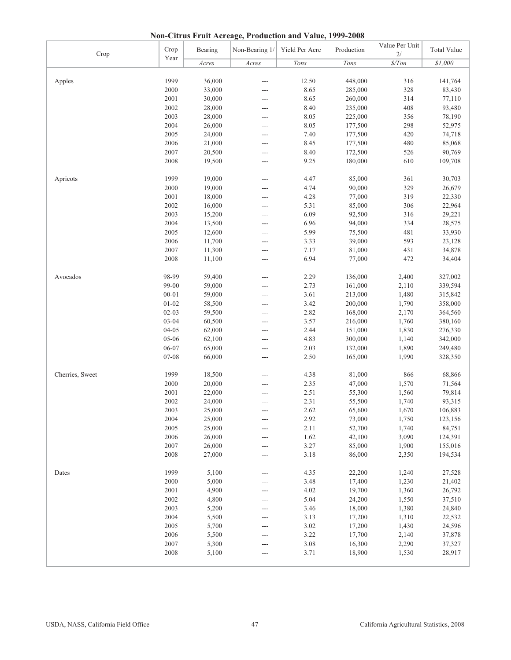**Non-Citrus Fruit Acreage, Production and Value, 1999-2008**

| Crop            | Crop           | Bearing          | Non-Bearing 1/ | Yield Per Acre | Production         | Value Per Unit<br>2/ | <b>Total Value</b> |
|-----------------|----------------|------------------|----------------|----------------|--------------------|----------------------|--------------------|
|                 | Year           | Acres            | Acres          | Tons           | Tons               | $\$/Ton$             | \$1,000            |
|                 |                |                  |                |                |                    |                      |                    |
| Apples          | 1999           | 36,000           | $---$          | 12.50          | 448,000            | 316                  | 141,764            |
|                 | 2000           | 33,000           |                | 8.65           | 285,000            | 328                  | 83,430             |
|                 | 2001           | 30,000           | ---            | 8.65           | 260,000            | 314                  | 77,110             |
|                 | 2002           | 28,000           | $---$          | 8.40           | 235,000            | 408                  | 93,480             |
|                 | 2003           | 28,000           | $---$          | 8.05           | 225,000            | 356                  | 78,190             |
|                 | 2004           | 26,000           |                | 8.05           | 177,500            | 298                  | 52,975             |
|                 | 2005           | 24,000           | ---            | 7.40           | 177,500            | 420                  | 74,718             |
|                 | 2006           | 21,000           | ---            | 8.45           | 177,500            | 480                  | 85,068             |
|                 | 2007           | 20,500           | ---            | 8.40           | 172,500            | 526                  | 90,769             |
|                 | 2008           | 19,500           | $---$          | 9.25           | 180,000            | 610                  | 109,708            |
|                 |                |                  |                |                |                    |                      |                    |
| Apricots        | 1999           | 19,000           | $---$          | 4.47           | 85,000             | 361                  | 30,703             |
|                 | 2000           | 19,000           | $---$          | 4.74           | 90,000             | 329                  | 26,679             |
|                 | 2001           | 18,000           | ---            | 4.28           | 77,000             | 319                  | 22,330             |
|                 | 2002           | 16,000           | ---            | 5.31           | 85,000             | 306                  | 22,964             |
|                 | 2003           | 15,200           | ---            | 6.09           | 92,500             | 316                  | 29,221             |
|                 | 2004           | 13,500           | ---            | 6.96           | 94,000             | 334                  | 28,575             |
|                 | 2005           | 12,600           | $---$          | 5.99           | 75,500             | 481                  | 33,930             |
|                 | 2006           | 11,700           | $---$          | 3.33           | 39,000             | 593                  | 23,128             |
|                 | 2007           | 11,300           | $---$          | 7.17           | 81,000             | 431                  | 34,878             |
|                 | 2008           | 11,100           | $---$          | 6.94           | 77,000             | 472                  | 34,404             |
|                 |                |                  |                |                |                    |                      |                    |
| Avocados        | 98-99          | 59,400           | $---$          | 2.29           | 136,000            | 2,400                | 327,002            |
|                 | 99-00          | 59,000           | ---            | 2.73           | 161,000            | 2,110                | 339,594            |
|                 | $00 - 01$      | 59,000           | $---$          | 3.61           | 213,000            | 1,480                | 315,842            |
|                 | $01 - 02$      | 58,500           | ---            | 3.42           | 200,000            | 1,790                | 358,000            |
|                 | $02 - 03$      | 59,500           | $---$          | 2.82           | 168,000            | 2,170                | 364,560            |
|                 | $03 - 04$      |                  |                | 3.57           |                    | 1,760                |                    |
|                 | $04 - 05$      | 60,500           | ---            |                | 216,000            |                      | 380,160            |
|                 |                | 62,000           | ---            | 2.44           | 151,000            | 1,830                | 276,330            |
|                 | 05-06<br>06-07 | 62,100           | ---            | 4.83<br>2.03   | 300,000            | 1,140<br>1,890       | 342,000            |
|                 | 07-08          | 65,000<br>66,000 | ---            | 2.50           | 132,000<br>165,000 | 1,990                | 249,480<br>328,350 |
|                 |                |                  | ---            |                |                    |                      |                    |
| Cherries, Sweet | 1999           | 18,500           | ---            | 4.38           | 81,000             | 866                  | 68,866             |
|                 | 2000           | 20,000           |                | 2.35           | 47,000             | 1,570                | 71,564             |
|                 | 2001           | 22,000           |                | 2.51           | 55,300             | 1,560                | 79,814             |
|                 | 2002           | 24,000           | $---$          | 2.31           | 55,500             | 1,740                | 93,315             |
|                 | 2003           | 25,000           | $---$          | 2.62           | 65,600             | 1,670                | 106,883            |
|                 | 2004           | 25,000           |                | 2.92           | 73,000             | 1,750                | 123,156            |
|                 | 2005           | 25,000           |                | 2.11           | 52,700             | 1,740                | 84,751             |
|                 | 2006           | 26,000           |                | 1.62           | 42,100             | 3,090                | 124,391            |
|                 | 2007           | 26,000           |                | 3.27           | 85,000             | 1,900                | 155,016            |
|                 | 2008           | 27,000           | ---            | 3.18           | 86,000             | 2,350                | 194,534            |
|                 |                |                  | $---$          |                |                    |                      |                    |
| Dates           | 1999           | 5,100            | ---            | 4.35           | 22,200             | 1,240                | 27,528             |
|                 | 2000           | 5,000            |                | 3.48           | 17,400             | 1,230                | 21,402             |
|                 | 2001           | 4,900            |                | 4.02           | 19,700             | 1,360                | 26,792             |
|                 | 2002           | 4,800            | ---            | 5.04           | 24,200             | 1,550                | 37,510             |
|                 | 2003           | 5,200            |                | 3.46           | 18,000             | 1,380                | 24,840             |
|                 | 2004           | 5,500            | ---            | 3.13           | 17,200             | 1,310                | 22,532             |
|                 |                |                  | ---            |                |                    |                      |                    |
|                 | 2005           | 5,700            | ---            | 3.02           | 17,200             | 1,430                | 24,596             |
|                 | 2006           | 5,500            | ---            | 3.22           | 17,700             | 2,140                | 37,878             |
|                 | 2007           | 5,300            | ---            | 3.08           | 16,300             | 2,290                | 37,327             |
|                 | 2008           | 5,100            | ---            | 3.71           | 18,900             | 1,530                | 28,917             |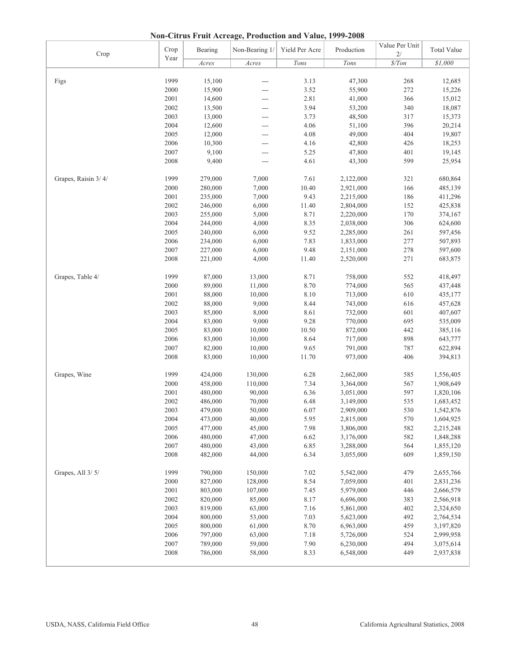**Non-Citrus Fruit Acreage, Production and Value, 1999-2008**

| Crop                | Crop | Bearing | Non-Bearing 1/ | Yield Per Acre | Production | Value Per Unit<br>2/ | <b>Total Value</b> |
|---------------------|------|---------|----------------|----------------|------------|----------------------|--------------------|
|                     | Year | Acres   | Acres          | Tons           | Tons       | $\frac{s}{T}$        | \$1,000            |
|                     |      |         |                |                |            |                      |                    |
| Figs                | 1999 | 15,100  | ---            | 3.13           | 47,300     | 268                  | 12,685             |
|                     | 2000 | 15,900  | ---            | 3.52           | 55,900     | 272                  | 15,226             |
|                     | 2001 | 14,600  | ---            | 2.81           | 41,000     | 366                  | 15,012             |
|                     | 2002 | 13,500  | ---            | 3.94           | 53,200     | 340                  | 18,087             |
|                     | 2003 | 13,000  |                | 3.73           | 48,500     | 317                  | 15,373             |
|                     | 2004 | 12,600  | ---            | 4.06           | 51,100     | 396                  | 20,214             |
|                     | 2005 | 12,000  | ---            | 4.08           | 49,000     | 404                  | 19,807             |
|                     | 2006 | 10,300  | ---            | 4.16           | 42,800     | 426                  | 18,253             |
|                     | 2007 | 9,100   | ---            | 5.25           | 47,800     | 401                  | 19,145             |
|                     | 2008 | 9,400   | $---$          | 4.61           | 43,300     | 599                  | 25,954             |
|                     |      |         |                |                |            |                      |                    |
| Grapes, Raisin 3/4/ | 1999 | 279,000 | 7,000          | 7.61           | 2,122,000  | 321                  | 680,864            |
|                     | 2000 | 280,000 | 7,000          | 10.40          | 2,921,000  | 166                  | 485,139            |
|                     | 2001 | 235,000 | 7,000          | 9.43           | 2,215,000  | 186                  | 411,296            |
|                     | 2002 | 246,000 | 6,000          | 11.40          | 2,804,000  | 152                  | 425,838            |
|                     | 2003 | 255,000 | 5,000          | 8.71           | 2,220,000  | 170                  | 374,167            |
|                     | 2004 | 244,000 | 4,000          | 8.35           | 2,038,000  | 306                  | 624,600            |
|                     | 2005 | 240,000 | 6,000          | 9.52           | 2,285,000  | 261                  | 597,456            |
|                     | 2006 | 234,000 | 6,000          | 7.83           | 1,833,000  | 277                  | 507,893            |
|                     | 2007 | 227,000 | 6,000          | 9.48           | 2,151,000  | 278                  | 597,600            |
|                     | 2008 | 221,000 | 4,000          | 11.40          | 2,520,000  | 271                  | 683,875            |
|                     |      |         |                |                |            |                      |                    |
| Grapes, Table 4/    | 1999 | 87,000  | 13,000         | 8.71           | 758,000    | 552                  | 418,497            |
|                     | 2000 | 89,000  | 11,000         | 8.70           | 774,000    | 565                  | 437,448            |
|                     | 2001 | 88,000  | 10,000         | 8.10           | 713,000    | 610                  | 435,177            |
|                     | 2002 | 88,000  | 9,000          | 8.44           | 743,000    | 616                  | 457,628            |
|                     | 2003 | 85,000  | 8,000          | 8.61           | 732,000    | 601                  | 407,607            |
|                     | 2004 | 83,000  | 9,000          | 9.28           | 770,000    | 695                  | 535,009            |
|                     | 2005 | 83,000  | 10,000         | 10.50          | 872,000    | 442                  | 385,116            |
|                     | 2006 | 83,000  | 10,000         | 8.64           | 717,000    | 898                  | 643,777            |
|                     | 2007 | 82,000  | 10,000         | 9.65           | 791,000    | 787                  | 622,894            |
|                     | 2008 | 83,000  | 10,000         | 11.70          | 973,000    | 406                  | 394,813            |
|                     |      |         |                |                |            |                      |                    |
| Grapes, Wine        | 1999 | 424,000 | 130,000        | 6.28           | 2,662,000  | 585                  | 1,556,405          |
|                     | 2000 | 458,000 | 110,000        | 7.34           | 3,364,000  | 567                  | 1,908,649          |
|                     | 2001 | 480,000 | 90,000         | 6.36           | 3,051,000  | 597                  | 1,820,106          |
|                     | 2002 | 486,000 | 70,000         | 6.48           | 3,149,000  | 535                  | 1,683,452          |
|                     | 2003 | 479,000 | 50,000         | 6.07           | 2,909,000  | 530                  | 1,542,876          |
|                     | 2004 | 473,000 | 40,000         | 5.95           | 2,815,000  | 570                  | 1,604,925          |
|                     | 2005 | 477,000 | 45,000         | 7.98           | 3,806,000  | 582                  | 2,215,248          |
|                     | 2006 | 480,000 | 47,000         | 6.62           | 3,176,000  | 582                  | 1,848,288          |
|                     | 2007 | 480,000 | 43,000         | 6.85           | 3,288,000  | 564                  | 1,855,120          |
|                     | 2008 | 482,000 | 44,000         | 6.34           | 3,055,000  | 609                  | 1,859,150          |
|                     |      |         |                |                |            |                      |                    |
| Grapes, All 3/5/    | 1999 | 790,000 | 150,000        | 7.02           | 5,542,000  | 479                  | 2,655,766          |
|                     | 2000 | 827,000 | 128,000        | 8.54           | 7,059,000  | 401                  | 2,831,236          |
|                     | 2001 | 803,000 | 107,000        | 7.45           | 5,979,000  | 446                  | 2,666,579          |
|                     | 2002 | 820,000 | 85,000         | 8.17           | 6,696,000  | 383                  | 2,566,918          |
|                     | 2003 | 819,000 | 63,000         | 7.16           | 5,861,000  | 402                  | 2,324,650          |
|                     | 2004 | 800,000 | 53,000         | 7.03           | 5,623,000  | 492                  | 2,764,534          |
|                     | 2005 | 800,000 | 61,000         | 8.70           | 6,963,000  | 459                  | 3,197,820          |
|                     | 2006 | 797,000 | 63,000         | 7.18           | 5,726,000  | 524                  | 2,999,958          |
|                     | 2007 | 789,000 | 59,000         | 7.90           | 6,230,000  | 494                  | 3,075,614          |
|                     | 2008 | 786,000 | 58,000         | 8.33           | 6,548,000  | 449                  | 2,937,838          |
|                     |      |         |                |                |            |                      |                    |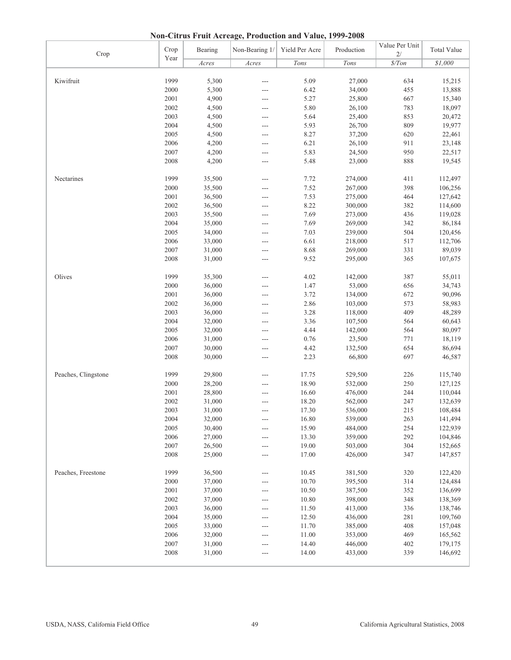**Non-Citrus Fruit Acreage, Production and Value, 1999-2008**

| Crop                | Crop | Bearing | Non-Bearing 1/ | Yield Per Acre | Production | Value Per Unit<br>2/ | <b>Total Value</b> |
|---------------------|------|---------|----------------|----------------|------------|----------------------|--------------------|
|                     | Year | Acres   | Acres          | Tons           | Tons       | $\frac{s}{T}$        | \$1,000            |
|                     |      |         |                |                |            |                      |                    |
| Kiwifruit           | 1999 | 5,300   | ---            | 5.09           | 27,000     | 634                  | 15,215             |
|                     | 2000 | 5,300   | ---            | 6.42           | 34,000     | 455                  | 13,888             |
|                     | 2001 | 4,900   | ---            | 5.27           | 25,800     | 667                  | 15,340             |
|                     | 2002 | 4,500   | ---            | 5.80           | 26,100     | 783                  | 18,097             |
|                     | 2003 | 4,500   | ---            | 5.64           | 25,400     | 853                  | 20,472             |
|                     | 2004 | 4,500   | ---            | 5.93           | 26,700     | 809                  | 19,977             |
|                     | 2005 | 4,500   | ---            | 8.27           | 37,200     | 620                  | 22,461             |
|                     | 2006 | 4,200   | ---            | 6.21           | 26,100     | 911                  | 23,148             |
|                     | 2007 | 4,200   | ---            | 5.83           | 24,500     | 950                  | 22,517             |
|                     | 2008 | 4,200   | ---            | 5.48           | 23,000     | 888                  | 19,545             |
| Nectarines          | 1999 | 35,500  | ---            | 7.72           | 274,000    | 411                  | 112,497            |
|                     | 2000 | 35,500  | ---            | 7.52           | 267,000    | 398                  | 106,256            |
|                     | 2001 | 36,500  | ---            | 7.53           | 275,000    | 464                  | 127,642            |
|                     | 2002 | 36,500  | ---            | 8.22           | 300,000    | 382                  | 114,600            |
|                     | 2003 | 35,500  | ---            | 7.69           | 273,000    | 436                  | 119,028            |
|                     | 2004 | 35,000  | ---            | 7.69           | 269,000    | 342                  | 86,184             |
|                     | 2005 | 34,000  | ---            | 7.03           | 239,000    | 504                  | 120,456            |
|                     | 2006 | 33,000  | ---            | 6.61           | 218,000    | 517                  | 112,706            |
|                     | 2007 | 31,000  | ---            | 8.68           | 269,000    | 331                  | 89,039             |
|                     | 2008 | 31,000  | ---            | 9.52           | 295,000    | 365                  | 107,675            |
|                     |      |         |                |                |            |                      |                    |
| Olives              | 1999 | 35,300  | ---            | 4.02           | 142,000    | 387                  | 55,011             |
|                     | 2000 | 36,000  | ---            | 1.47           | 53,000     | 656                  | 34,743             |
|                     | 2001 | 36,000  | ---            | 3.72           | 134,000    | 672                  | 90,096             |
|                     | 2002 | 36,000  | $---$          | 2.86           | 103,000    | 573                  | 58,983             |
|                     | 2003 | 36,000  | $---$          | 3.28           | 118,000    | 409                  | 48,289             |
|                     | 2004 | 32,000  | ---            | 3.36           | 107,500    | 564                  | 60,643             |
|                     | 2005 | 32,000  | ---            | 4.44           | 142,000    | 564                  | 80,097             |
|                     | 2006 | 31,000  | ---            | 0.76           | 23,500     | 771                  | 18,119             |
|                     | 2007 | 30,000  | ---            | 4.42           | 132,500    | 654                  | 86,694             |
|                     | 2008 | 30,000  | ---            | 2.23           | 66,800     | 697                  | 46,587             |
| Peaches, Clingstone | 1999 | 29,800  | $\overline{a}$ | 17.75          | 529,500    | 226                  | 115,740            |
|                     | 2000 | 28,200  |                | 18.90          | 532,000    | 250                  | 127,125            |
|                     | 2001 | 28,800  |                | 16.60          | 476,000    | 244                  | 110,044            |
|                     | 2002 | 31,000  | ---            | 18.20          | 562,000    | 247                  | 132,639            |
|                     | 2003 | 31,000  |                | 17.30          | 536,000    | 215                  | 108,484            |
|                     | 2004 | 32,000  | ---            | 16.80          | 539,000    | 263                  | 141,494            |
|                     | 2005 | 30,400  | ---            | 15.90          | 484,000    | 254                  | 122,939            |
|                     | 2006 | 27,000  | ---            | 13.30          | 359,000    | 292                  | 104,846            |
|                     | 2007 | 26,500  | ---            | 19.00          | 503,000    | 304                  | 152,665            |
|                     | 2008 | 25,000  | ---            | 17.00          | 426,000    | 347                  | 147,857            |
|                     |      |         |                |                |            |                      |                    |
| Peaches, Freestone  | 1999 | 36,500  | ---            | 10.45          | 381,500    | 320                  | 122,420            |
|                     | 2000 | 37,000  |                | 10.70          | 395,500    | 314                  | 124,484            |
|                     | 2001 | 37,000  | ---            | 10.50          | 387,500    | 352                  | 136,699            |
|                     | 2002 | 37,000  | ---            | 10.80          | 398,000    | 348                  | 138,369            |
|                     | 2003 | 36,000  | ---            | 11.50          | 413,000    | 336                  | 138,746            |
|                     | 2004 | 35,000  | ---            | 12.50          | 436,000    | 281                  | 109,760            |
|                     | 2005 | 33,000  | ---            | 11.70          | 385,000    | 408                  | 157,048            |
|                     | 2006 | 32,000  |                | 11.00          | 353,000    | 469                  | 165,562            |
|                     | 2007 | 31,000  | ---            | 14.40          | 446,000    | 402                  | 179,175            |
|                     | 2008 | 31,000  | ---            | 14.00          | 433,000    | 339                  | 146,692            |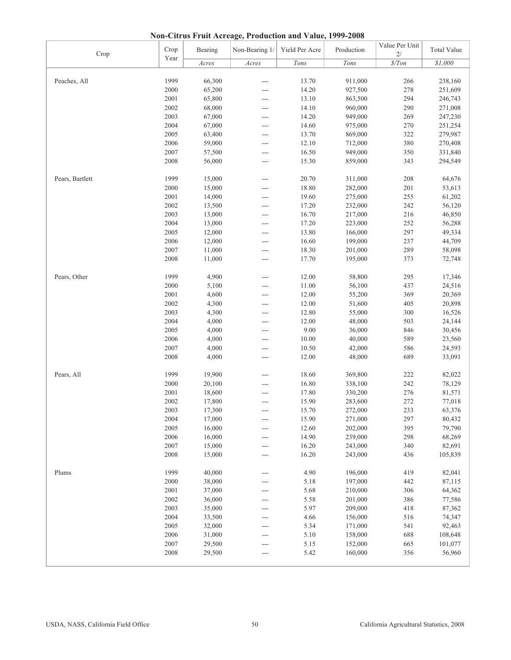**Non-Citrus Fruit Acreage, Production and Value, 1999-2008**

| Crop            | Crop | Bearing | Non-Bearing 1/ | Yield Per Acre | Production       | Value Per Unit<br>2/ | <b>Total Value</b> |
|-----------------|------|---------|----------------|----------------|------------------|----------------------|--------------------|
|                 | Year | Acres   | Acres          | Tons           | Tons             | $\frac{\$}{T}$ on    | \$1,000            |
|                 |      |         |                |                |                  |                      |                    |
| Peaches, All    | 1999 | 66,300  | $---$          | 13.70          | 911,000          | 266                  | 238,160            |
|                 | 2000 | 65,200  | ---            | 14.20          | 927,500          | 278                  | 251,609            |
|                 | 2001 | 65,800  | $---$          | 13.10          | 863,500          | 294                  | 246,743            |
|                 | 2002 | 68,000  | $---$          | 14.10          | 960,000          | 290                  | 271,008            |
|                 | 2003 | 67,000  | ---            | 14.20          | 949,000          | 269                  | 247,230            |
|                 | 2004 | 67,000  | $---$          | 14.60          | 975,000          | 270                  | 251,254            |
|                 | 2005 | 63,400  | ---            | 13.70          | 869,000          | 322                  | 279,987            |
|                 | 2006 | 59,000  | ---            | 12.10          | 712,000          | 380                  | 270,408            |
|                 | 2007 | 57,500  | ---            | 16.50          | 949,000          | 350                  | 331,840            |
|                 | 2008 | 56,000  | $---$          | 15.30          | 859,000          | 343                  | 294,549            |
|                 |      |         |                |                |                  |                      |                    |
| Pears, Bartlett | 1999 | 15,000  | $---$          | 20.70          | 311,000          | 208                  | 64,676             |
|                 | 2000 | 15,000  | $---$          | 18.80          | 282,000          | 201                  | 53,613             |
|                 | 2001 | 14,000  | ---            | 19.60          | 275,000          | 255                  | 61,202             |
|                 | 2002 | 13,500  | ---            | 17.20          | 232,000          | 242                  | 56,120             |
|                 | 2003 | 13,000  | $---$          | 16.70          | 217,000          | 216                  | 46,850             |
|                 | 2004 | 13,000  | ---            | 17.20          | 223,000          | 252                  | 56,288             |
|                 | 2005 | 12,000  | $---$          | 13.80          | 166,000          | 297                  | 49,334             |
|                 | 2006 | 12,000  | ---            | 16.60          | 199,000          | 237                  | 44,709             |
|                 | 2007 | 11,000  | $---$          | 18.30          | 201,000          | 289                  | 58,098             |
|                 | 2008 | 11,000  | $---$          | 17.70          | 195,000          | 373                  | 72,748             |
|                 |      |         |                |                |                  |                      |                    |
| Pears, Other    | 1999 | 4,900   | $---$          | 12.00          | 58,800           | 295                  | 17,346             |
|                 | 2000 | 5,100   |                | 11.00          | 56,100           | 437                  | 24,516             |
|                 | 2001 | 4,600   |                | 12.00          | 55,200           | 369                  | 20,369             |
|                 | 2002 | 4,300   | $---$          | 12.00          | 51,600           | 405                  | 20,898             |
|                 | 2003 | 4,300   | ---            | 12.80          | 55,000           | 300                  | 16,526             |
|                 | 2004 | 4,000   |                | 12.00          | 48,000           | 503                  | 24,144             |
|                 | 2005 | 4,000   | $---$<br>$---$ | 9.00           | 36,000           | 846                  | 30,456             |
|                 | 2006 | 4,000   | $---$          | 10.00          | 40,000           | 589                  |                    |
|                 | 2007 | 4,000   | $---$          | 10.50          |                  | 586                  | 23,560             |
|                 | 2008 | 4,000   |                | 12.00          | 42,000<br>48,000 | 689                  | 24,593<br>33,091   |
|                 |      |         | $---$          |                |                  |                      |                    |
| Pears, All      | 1999 | 19,900  | $---$          | 18.60          | 369,800          | 222                  | 82,022             |
|                 | 2000 | 20,100  | ---            | 16.80          | 338,100          | 242                  | 78,129             |
|                 | 2001 | 18,600  |                | 17.80          | 330,200          | 276                  | 81,571             |
|                 | 2002 | 17,800  |                | 15.90          | 283,600          | 272                  | 77,018             |
|                 | 2003 | 17,300  | $---$          | 15.70          | 272,000          | 233                  | 63,376             |
|                 | 2004 | 17,000  |                | 15.90          | 271,000          | 297                  | 80,432             |
|                 | 2005 | 16,000  |                | 12.60          | 202,000          | 395                  | 79,790             |
|                 | 2006 | 16,000  |                | 14.90          | 239,000          | 298                  | 68,269             |
|                 | 2007 | 15,000  |                | 16.20          | 243,000          | 340                  | 82,691             |
|                 | 2008 | 15,000  |                | 16.20          | 243,000          | 436                  | 105,839            |
|                 |      |         | $---$          |                |                  |                      |                    |
| Plums           | 1999 | 40,000  | $---$          | 4.90           | 196,000          | 419                  | 82,041             |
|                 | 2000 | 38,000  | ---            | 5.18           | 197,000          | 442                  | 87,115             |
|                 | 2001 | 37,000  |                | 5.68           | 210,000          | 306                  | 64,362             |
|                 | 2002 | 36,000  | ---            | 5.58           | 201,000          | 386                  | 77,586             |
|                 | 2003 | 35,000  |                | 5.97           | 209,000          | 418                  | 87,362             |
|                 | 2004 | 33,500  |                | 4.66           | 156,000          | 516                  | 74,347             |
|                 | 2005 | 32,000  | ---            | 5.34           | 171,000          | 541                  | 92,463             |
|                 | 2006 | 31,000  | ---            | 5.10           | 158,000          | 688                  | 108,648            |
|                 | 2007 | 29,500  |                | 5.15           | 152,000          | 665                  | 101,077            |
|                 | 2008 | 29,500  | $---$<br>---   | 5.42           | 160,000          | 356                  | 56,960             |
|                 |      |         |                |                |                  |                      |                    |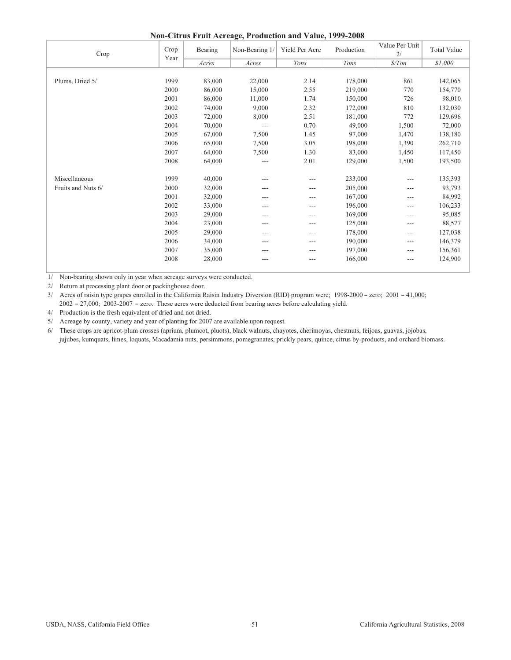| Non-Citrus Fruit Acreage, Production and Value, 1999-2008 |  |  |
|-----------------------------------------------------------|--|--|
|                                                           |  |  |

| Crop               | Crop<br>Year | Bearing | Non-Bearing 1/ | Yield Per Acre | Production | Value Per Unit<br>2/ | <b>Total Value</b> |
|--------------------|--------------|---------|----------------|----------------|------------|----------------------|--------------------|
|                    |              | Acres   | Acres          | Tons           | Tons       | \$/ Ton              | \$1,000            |
|                    |              |         |                |                |            |                      |                    |
| Plums, Dried 5/    | 1999         | 83,000  | 22,000         | 2.14           | 178,000    | 861                  | 142,065            |
|                    | 2000         | 86,000  | 15,000         | 2.55           | 219,000    | 770                  | 154,770            |
|                    | 2001         | 86,000  | 11,000         | 1.74           | 150,000    | 726                  | 98,010             |
|                    | 2002         | 74,000  | 9,000          | 2.32           | 172,000    | 810                  | 132,030            |
|                    | 2003         | 72,000  | 8,000          | 2.51           | 181,000    | 772                  | 129,696            |
|                    | 2004         | 70,000  | $---$          | 0.70           | 49,000     | 1,500                | 72,000             |
|                    | 2005         | 67,000  | 7,500          | 1.45           | 97,000     | 1,470                | 138,180            |
|                    | 2006         | 65,000  | 7,500          | 3.05           | 198,000    | 1,390                | 262,710            |
|                    | 2007         | 64,000  | 7,500          | 1.30           | 83,000     | 1,450                | 117,450            |
|                    | 2008         | 64,000  | ---            | 2.01           | 129,000    | 1,500                | 193,500            |
| Miscellaneous      | 1999         | 40,000  | ---            | $---$          | 233,000    | ---                  | 135,393            |
| Fruits and Nuts 6/ | 2000         | 32,000  | ---            |                | 205,000    | ---                  | 93,793             |
|                    | 2001         | 32,000  | ---            | $- - -$        | 167,000    | ---                  | 84,992             |
|                    | 2002         | 33,000  | ---            | $---$          | 196,000    | ---                  | 106,233            |
|                    | 2003         | 29,000  | ---            | ---            | 169,000    | ---                  | 95,085             |
|                    | 2004         | 23,000  | ---            | $---$          | 125,000    | ---                  | 88,577             |
|                    | 2005         | 29,000  | ---            | $---$          | 178,000    | ---                  | 127,038            |
|                    | 2006         | 34,000  | ---            | $---$          | 190,000    | ---                  | 146,379            |
|                    | 2007         | 35,000  | ---            | $---$          | 197,000    | ---                  | 156,361            |
|                    | 2008         | 28,000  | ---            | ---            | 166,000    | ---                  | 124,900            |

1/ Non-bearing shown only in year when acreage surveys were conducted.

2/ Return at processing plant door or packinghouse door.

 $3/$  Acres of raisin type grapes enrolled in the California Raisin Industry Diversion (RID) program were;  $1998-2000 -$  zero;  $2001 - 41,000$ ;  $2002 - 27,000$ ;  $2003 - 2007 -$  zero. These acres were deducted from bearing acres before calculating yield.

4/ Production is the fresh equivalent of dried and not dried.

5/ Acreage by county, variety and year of planting for 2007 are available upon request.

 jujubes, kumquats, limes, loquats, Macadamia nuts, persimmons, pomegranates, prickly pears, quince, citrus by-products, and orchard biomass. 6/ These crops are apricot-plum crosses (aprium, plumcot, pluots), black walnuts, chayotes, cherimoyas, chestnuts, feijoas, guavas, jojobas,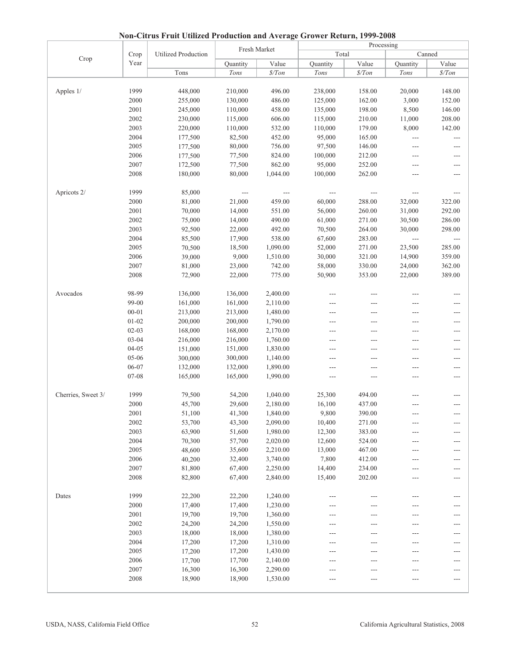|                    |              |                            |                    | Fresh Market             | Processing        |                  |                                   |                                   |  |
|--------------------|--------------|----------------------------|--------------------|--------------------------|-------------------|------------------|-----------------------------------|-----------------------------------|--|
| Crop               | Crop         | <b>Utilized Production</b> |                    |                          | Total             |                  |                                   | Canned                            |  |
|                    | Year         |                            | Quantity           | Value                    | Quantity          | Value            | Quantity                          | Value                             |  |
|                    |              | Tons                       | Tons               | $\frac{s}{T}$            | Tons              | \$/ Ton          | Tons                              | $\$/Ton$                          |  |
|                    |              |                            |                    |                          |                   |                  |                                   |                                   |  |
| Apples 1/          | 1999         | 448,000                    | 210,000            | 496.00                   | 238,000           | 158.00           | 20,000                            | 148.00                            |  |
|                    | 2000         | 255,000                    | 130,000            | 486.00                   | 125,000           | 162.00           | 3,000                             | 152.00                            |  |
|                    | 2001         | 245,000                    | 110,000            | 458.00                   | 135,000           | 198.00           | 8,500                             | 146.00                            |  |
|                    | 2002<br>2003 | 230,000                    | 115,000<br>110,000 | 606.00<br>532.00         | 115,000           | 210.00<br>179.00 | 11,000                            | 208.00                            |  |
|                    | 2004         | 220,000<br>177,500         | 82,500             | 452.00                   | 110,000<br>95,000 | 165.00           | 8,000<br>$\overline{\phantom{a}}$ | 142.00<br>$\overline{a}$          |  |
|                    | 2005         | 177,500                    | 80,000             | 756.00                   | 97,500            | 146.00           |                                   |                                   |  |
|                    | 2006         | 177,500                    | 77,500             | 824.00                   | 100,000           | 212.00           | $---$<br>$---$                    | ---<br>---                        |  |
|                    | 2007         | 172,500                    | 77,500             | 862.00                   | 95,000            | 252.00           | $---$                             | $---$                             |  |
|                    | 2008         | 180,000                    | 80,000             | 1,044.00                 | 100,000           | 262.00           | $---$                             | ---                               |  |
|                    |              |                            |                    |                          |                   |                  |                                   |                                   |  |
| Apricots 2/        | 1999         | 85,000                     | $-\, -\, -$        | $\qquad \qquad - \qquad$ | $-\, -\, -$       | $---$            | $\qquad \qquad - -$               | $---$                             |  |
|                    | 2000         | 81,000                     | 21,000             | 459.00                   | 60,000            | 288.00           | 32,000                            | 322.00                            |  |
|                    | 2001         | 70,000                     | 14,000             | 551.00                   | 56,000            | 260.00           | 31,000                            | 292.00                            |  |
|                    | 2002         | 75,000                     | 14,000             | 490.00                   | 61,000            | 271.00           | 30,500                            | 286.00                            |  |
|                    | 2003         | 92,500                     | 22,000             | 492.00                   | 70,500            | 264.00           | 30,000                            | 298.00                            |  |
|                    | 2004         | 85,500                     | 17,900             | 538.00                   | 67,600            | 283.00           | $\overline{a}$                    | $\overline{a}$                    |  |
|                    | 2005         | 70,500                     | 18,500             | 1,090.00                 | 52,000            | 271.00           | 23,500                            | 285.00                            |  |
|                    | 2006         | 39,000                     | 9,000              | 1,510.00                 | 30,000            | 321.00           | 14,900                            | 359.00                            |  |
|                    | 2007         | 81,000                     | 23,000             | 742.00                   | 58,000            | 330.00           | 24,000                            | 362.00                            |  |
|                    | 2008         | 72,900                     | 22,000             | 775.00                   | 50,900            | 353.00           | 22,000                            | 389.00                            |  |
|                    |              |                            |                    |                          |                   |                  |                                   |                                   |  |
| Avocados           | 98-99        | 136,000                    | 136,000            | 2,400.00                 |                   | ---              | $---$                             | ---                               |  |
|                    | 99-00        | 161,000                    | 161,000            | 2,110.00                 |                   | ---              | ---                               | ---                               |  |
|                    | $00 - 01$    | 213,000                    | 213,000            | 1,480.00                 | $---$             | ---              | ---                               | ---                               |  |
|                    | $01 - 02$    | 200,000                    | 200,000            | 1,790.00                 |                   | $---$            | ---                               | ---                               |  |
|                    | $02 - 03$    | 168,000                    | 168,000            | 2,170.00                 | ---               | ---              | $---$                             | ---                               |  |
|                    | $03 - 04$    | 216,000                    | 216,000            | 1,760.00                 | ---               | ---              | $---$                             | $---$                             |  |
|                    | $04 - 05$    | 151,000                    | 151,000            | 1,830.00                 | $---$             | $---$            | $---$                             | $---$                             |  |
|                    | 05-06        | 300,000                    | 300,000            | 1,140.00                 |                   | ---              | $---$                             | ---                               |  |
|                    | 06-07        | 132,000                    | 132,000            | 1,890.00                 | ---               | $---$            | $---$                             | $---$                             |  |
|                    | $07 - 08$    | 165,000                    | 165,000            | 1,990.00                 | ---               | ---              | ---                               | ---                               |  |
|                    |              |                            |                    |                          |                   |                  |                                   |                                   |  |
| Cherries, Sweet 3/ | 1999         | 79,500                     | 54,200             | 1,040.00                 | 25,300            | 494.00           | ---                               | ---                               |  |
|                    | 2000         | 45,700                     | 29,600             | 2,180.00                 | 16,100            | 437.00           | ---                               | ---                               |  |
|                    | 2001         | 51,100                     | 41,300             | 1,840.00                 | 9,800             | 390.00           |                                   |                                   |  |
|                    | 2002         | 53,700                     | 43,300             | 2,090.00                 | 10,400            | 271.00           | $---$                             | $---$                             |  |
|                    | 2003         | 63,900                     | 51,600             | 1,980.00                 | 12,300            | 383.00           |                                   | ---                               |  |
|                    | 2004         | 70,300                     | 57,700             | 2,020.00                 | 12,600            | 524.00           | ---                               | $---$                             |  |
|                    | 2005         | 48,600                     | 35,600             | 2,210.00                 | 13,000            | 467.00           | $---$                             | $---$                             |  |
|                    | 2006         | 40,200                     | 32,400             | 3,740.00                 | 7,800             | 412.00           | $---$                             | $---$                             |  |
|                    | 2007         | 81,800                     | 67,400             | 2,250.00                 | 14,400            | 234.00           | ---                               | ---                               |  |
|                    | 2008         | 82,800                     | 67,400             | 2,840.00                 | 15,400            | 202.00           | ---                               |                                   |  |
|                    |              |                            |                    |                          |                   |                  |                                   |                                   |  |
| Dates              | 1999         | 22,200                     | 22,200             | 1,240.00                 | ---               |                  | ---                               | ---                               |  |
|                    | 2000         | 17,400                     | 17,400             | 1,230.00                 |                   |                  | ---                               | ---                               |  |
|                    | 2001         | 19,700                     | 19,700             | 1,360.00                 | ---               | ---              | $---$                             | $---$                             |  |
|                    | 2002<br>2003 | 24,200                     | 24,200             | 1,550.00                 |                   | $---$            | ---                               | $---$                             |  |
|                    | 2004         | 18,000                     | 18,000             | 1,380.00                 |                   |                  |                                   | ---                               |  |
|                    | 2005         | 17,200                     | 17,200<br>17,200   | 1,310.00<br>1,430.00     |                   | $---$<br>---     | $---$<br>---                      | $---$<br>$\hspace{0.05cm} \ldots$ |  |
|                    | 2006         | 17,200<br>17,700           | 17,700             | 2,140.00                 |                   |                  |                                   |                                   |  |
|                    | 2007         | 16,300                     | 16,300             | 2,290.00                 |                   | ---              | ---                               | $---$                             |  |
|                    | 2008         | 18,900                     | 18,900             | 1,530.00                 |                   | $---$            | ---                               | $---$<br>$---$                    |  |
|                    |              |                            |                    |                          |                   |                  | ---                               |                                   |  |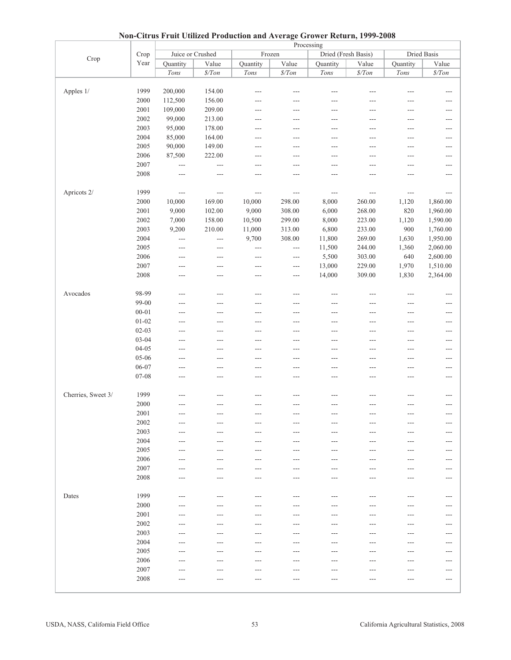|                    | 11 <b>0H</b> |                |                  |                      |                      | Chrus Fruit Cumzeu Frouuetion and Average Grower Tecturity 1777 2000<br>Processing |                     |               |                      |
|--------------------|--------------|----------------|------------------|----------------------|----------------------|------------------------------------------------------------------------------------|---------------------|---------------|----------------------|
|                    | Crop         |                | Juice or Crushed |                      | Frozen               |                                                                                    | Dried (Fresh Basis) |               | <b>Dried Basis</b>   |
| Crop               | Year         | Quantity       | Value            | Quantity             | Value                | Quantity                                                                           | Value               | Quantity      | Value                |
|                    |              |                |                  |                      |                      |                                                                                    |                     |               |                      |
|                    |              | Tons           | $\$/Ton$         | $Tons$               | $\$/Ton$             | Tons                                                                               | $\frac{\$}{T}$ on   | Tons          | $\$/Ton$             |
|                    |              |                |                  |                      |                      |                                                                                    |                     |               |                      |
| Apples 1/          | 1999         | 200,000        | 154.00           | $---$                | $---$                | $---$                                                                              | $---$               | ---           | $---$                |
|                    | 2000         | 112,500        | 156.00           | ---                  | ---                  | ---                                                                                | ---                 | ---           | ---                  |
|                    | 2001         | 109,000        | 209.00           | ---                  | ---                  | ---                                                                                | ---                 | ---           | $---$                |
|                    | 2002         | 99,000         | 213.00           | ---                  |                      | ---                                                                                |                     | ---           | ---                  |
|                    | 2003         | 95,000         | 178.00           | ---                  | ---                  | $---$                                                                              | ---                 | ---           | ---                  |
|                    | 2004         | 85,000         | 164.00           | $---$                | $---$                | $---$                                                                              | ---                 | $---$         | $---$                |
|                    | 2005         | 90,000         | 149.00           | ---                  | ---                  | ---                                                                                |                     | ---           | ---                  |
|                    | 2006         | 87,500         | 222.00           | $---$                | ---                  | $---$                                                                              | ---                 | $---$         | $---$                |
|                    | 2007         | $\overline{a}$ | $\overline{a}$   | $---$                | $---$                | $---$                                                                              | $---$               | $---$         | $---$                |
|                    | 2008         | $---$          |                  | ---                  | ---                  | ---                                                                                |                     | ---           | ---                  |
|                    |              |                |                  |                      |                      |                                                                                    |                     |               |                      |
| Apricots 2/        | 1999         | $\overline{a}$ | $ -$             | $\sim$ $\sim$ $\sim$ | $\sim$ $\sim$ $\sim$ | $\sim$ $\sim$ $\sim$                                                               | $\sim$ $\sim$       | $\sim$ $\sim$ | $\scriptstyle\cdots$ |
|                    | 2000         | 10,000         | 169.00           | 10,000               | 298.00               | 8,000                                                                              | 260.00              | 1,120         | 1,860.00             |
|                    | 2001         | 9,000          | 102.00           | 9,000                | 308.00               | 6,000                                                                              | 268.00              | 820           | 1,960.00             |
|                    | 2002         | 7,000          | 158.00           | 10,500               | 299.00               | 8,000                                                                              | 223.00              | 1,120         | 1,590.00             |
|                    | 2003         |                | 210.00           |                      |                      |                                                                                    | 233.00              | 900           | 1,760.00             |
|                    |              | 9,200          |                  | 11,000               | 313.00               | 6,800                                                                              |                     |               |                      |
|                    | 2004         | $---$          | $\overline{a}$   | 9,700                | 308.00               | 11,800                                                                             | 269.00              | 1,630         | 1,950.00             |
|                    | 2005         | $---$          | $---$            | $\overline{a}$       | $---$                | 11,500                                                                             | 244.00              | 1,360         | 2,060.00             |
|                    | 2006         | $---$          | ---              | $---$                | $---$                | 5,500                                                                              | 303.00              | 640           | 2,600.00             |
|                    | 2007         | $---$          | $---$            | $---$                | $---$                | 13,000                                                                             | 229.00              | 1,970         | 1,510.00             |
|                    | 2008         | $---$          | ---              | $---$                | ---                  | 14,000                                                                             | 309.00              | 1,830         | 2,364.00             |
|                    |              |                |                  |                      |                      |                                                                                    |                     |               |                      |
| Avocados           | 98-99        | $---$          | $---$            | $\sim$               | $-$                  | $---$                                                                              | $---$               | $---$         | $---$                |
|                    | 99-00        | ---            | ---              | ---                  |                      | ---                                                                                |                     | ---           | ---                  |
|                    | $00 - 01$    | ---            | $---$            | ---                  | $---$                | $---$                                                                              | ---                 | $---$         | $---$                |
|                    | $01 - 02$    | $---$          | $---$            | $---$                | $---$                | $---$                                                                              | ---                 | $---$         | $---$                |
|                    | $02 - 03$    | ---            | ---              | ---                  | ---                  | $---$                                                                              | ---                 | ---           | $---$                |
|                    | $03 - 04$    | ---            | $---$            | ---                  | ---                  | $---$                                                                              | ---                 | ---           | $---$                |
|                    | $04 - 05$    | $---$          | $---$            | $---$                | $---$                | $---$                                                                              | ---                 | $---$         | $---$                |
|                    | 05-06        | $---$          | ---              | ---                  | ---                  | $---$                                                                              | ---                 | ---           | $---$                |
|                    | 06-07        | $---$          | $---$            | $---$                | $---$                | $---$                                                                              | $---$               | $---$         | $---$                |
|                    | 07-08        | $---$          | $---$            | $---$                | $---$                | $---$                                                                              | ---                 | ---           | $---$                |
|                    |              |                |                  |                      |                      |                                                                                    |                     |               |                      |
| Cherries, Sweet 3/ | 1999         | $---$          | $- - -$          | $---$                | ---                  | $---$                                                                              | ---                 | ---           | $---$                |
|                    | 2000         | $---$          |                  | ---                  |                      | ---                                                                                |                     |               | ---                  |
|                    | 2001         |                | $---$            |                      | ---                  |                                                                                    |                     |               | $---$                |
|                    | 2002         | $---$          | $\cdots$         | $---$                | $---$                | $---$                                                                              | $---$               | ---           | $---$                |
|                    | 2003         |                | ---              |                      | ---                  |                                                                                    |                     |               |                      |
|                    | 2004         |                |                  |                      |                      |                                                                                    |                     |               | ---                  |
|                    | 2005         | $---$          | $---$            | $---$                | $---$                | $---$                                                                              | ---                 | ---           | $---$                |
|                    |              | $---$          | $---$            | $---$                | $---$                | $---$                                                                              | $---$               | ---           | $---$                |
|                    | 2006         | $---$          | ---              | ---                  | ---                  | ---                                                                                | ---                 | ---           | $---$                |
|                    | 2007         | $---$          | $---$            | ---                  | ---                  | $---$                                                                              | ---                 | ---           | $---$                |
|                    | 2008         | $---$          | $---$            | $---$                | $---$                | ---                                                                                | ---                 | ---           | $---$                |
|                    |              |                |                  |                      |                      |                                                                                    |                     |               |                      |
| Dates              | 1999         | $---$          | $---$            | $---$                | $---$                | $---$                                                                              | $---$               | ---           | $---$                |
|                    | 2000         |                |                  |                      |                      |                                                                                    |                     |               | $---$                |
|                    | 2001         | ---            | ---              | ---                  | ---                  | ---                                                                                | ---                 | ---           | $---$                |
|                    | 2002         | ---            | $---$            | ---                  | ---                  | ---                                                                                | ---                 | ---           | $---$                |
|                    | 2003         | ---            | ---              |                      |                      |                                                                                    |                     | ---           | ---                  |
|                    | 2004         | $---$          | $---$            | ---                  | ---                  | $---$                                                                              | ---                 | ---           | $---$                |
|                    | 2005         | $---$          | $---$            | $---$                | $---$                | $---$                                                                              | ---                 | ---           | $---$                |
|                    | 2006         | $---$          | $---$            | ---                  | ---                  | $---$                                                                              | ---                 | ---           | $---$                |
|                    | 2007         | $---$          | $---$            | ---                  | ---                  | $---$                                                                              | ---                 | ---           | $---$                |
|                    | 2008         |                |                  |                      |                      |                                                                                    |                     |               | $---$                |
|                    |              |                |                  |                      |                      |                                                                                    |                     |               |                      |
|                    |              |                |                  |                      |                      |                                                                                    |                     |               |                      |

**Non-Citrus Fruit Utilized Production and Average Grower Return, 1999-2008**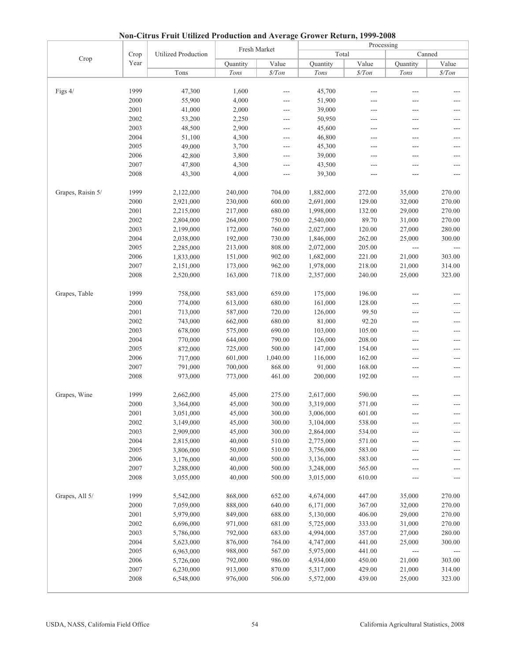|                   |      |                     |              |          | Processing |          |               |          |  |  |
|-------------------|------|---------------------|--------------|----------|------------|----------|---------------|----------|--|--|
|                   | Crop | Utilized Production | Fresh Market |          | Total      |          |               | Canned   |  |  |
| Crop              | Year |                     | Quantity     | Value    | Quantity   | Value    | Quantity      | Value    |  |  |
|                   |      | Tons                | Tons         | \$/ Ton  | Tons       | $\$/Ton$ | Tons          | $\$/Ton$ |  |  |
|                   |      |                     |              |          |            |          |               |          |  |  |
| Figs 4/           | 1999 | 47,300              | 1,600        | ---      | 45,700     |          |               | ---      |  |  |
|                   | 2000 | 55,900              | 4,000        | ---      | 51,900     | $---$    | ---           | ---      |  |  |
|                   | 2001 | 41,000              | 2,000        | ---      | 39,000     | ---      | ---           | ---      |  |  |
|                   | 2002 | 53,200              | 2,250        | ---      | 50,950     | ---      | $---$         | ---      |  |  |
|                   | 2003 | 48,500              | 2,900        | $---$    | 45,600     | ---      | ---           | ---      |  |  |
|                   | 2004 | 51,100              | 4,300        | ---      | 46,800     | ---      | ---           | ---      |  |  |
|                   | 2005 | 49,000              | 3,700        | $---$    | 45,300     | ---      | $---$         | ---      |  |  |
|                   | 2006 | 42,800              | 3,800        | ---      | 39,000     | $---$    | ---           | $---$    |  |  |
|                   | 2007 | 47,800              | 4,300        | ---      | 43,500     | ---      | ---           | ---      |  |  |
|                   | 2008 | 43,300              | 4,000        | ---      | 39,300     | $---$    | $---$         | ---      |  |  |
|                   |      |                     |              |          |            |          |               |          |  |  |
| Grapes, Raisin 5/ | 1999 | 2,122,000           | 240,000      | 704.00   | 1,882,000  | 272.00   | 35,000        | 270.00   |  |  |
|                   | 2000 | 2,921,000           | 230,000      | 600.00   | 2,691,000  | 129.00   | 32,000        | 270.00   |  |  |
|                   | 2001 | 2,215,000           | 217,000      | 680.00   | 1,998,000  | 132.00   | 29,000        | 270.00   |  |  |
|                   | 2002 | 2,804,000           | 264,000      | 750.00   | 2,540,000  | 89.70    | 31,000        | 270.00   |  |  |
|                   | 2003 | 2,199,000           | 172,000      | 760.00   | 2,027,000  | 120.00   | 27,000        | 280.00   |  |  |
|                   | 2004 | 2,038,000           | 192,000      | 730.00   | 1,846,000  | 262.00   | 25,000        | 300.00   |  |  |
|                   | 2005 | 2,285,000           | 213,000      | 808.00   | 2,072,000  | 205.00   | $\sim$ $\sim$ | $---$    |  |  |
|                   | 2006 | 1,833,000           | 151,000      | 902.00   | 1,682,000  | 221.00   | 21,000        | 303.00   |  |  |
|                   | 2007 | 2,151,000           | 173,000      | 962.00   | 1,978,000  | 218.00   | 21,000        | 314.00   |  |  |
|                   | 2008 | 2,520,000           | 163,000      | 718.00   | 2,357,000  | 240.00   | 25,000        | 323.00   |  |  |
|                   |      |                     |              |          |            |          |               |          |  |  |
| Grapes, Table     | 1999 | 758,000             | 583,000      | 659.00   | 175,000    | 196.00   | ---           | ---      |  |  |
|                   | 2000 | 774,000             | 613,000      | 680.00   | 161,000    | 128.00   | ---           | $---$    |  |  |
|                   | 2001 | 713,000             | 587,000      | 720.00   | 126,000    | 99.50    | ---           | ---      |  |  |
|                   | 2002 | 743,000             | 662,000      | 680.00   | 81,000     | 92.20    | ---           | ---      |  |  |
|                   | 2003 | 678,000             | 575,000      | 690.00   | 103,000    | 105.00   | ---           | ---      |  |  |
|                   | 2004 | 770,000             | 644,000      | 790.00   | 126,000    | 208.00   | ---           | $---$    |  |  |
|                   | 2005 | 872,000             | 725,000      | 500.00   | 147,000    | 154.00   | ---           | $---$    |  |  |
|                   | 2006 | 717,000             | 601,000      | 1,040.00 | 116,000    | 162.00   | ---           | ---      |  |  |
|                   | 2007 | 791,000             | 700,000      | 868.00   | 91,000     | 168.00   | ---           | ---      |  |  |
|                   | 2008 | 973,000             | 773,000      | 461.00   | 200,000    | 192.00   | ---           | ---      |  |  |
|                   |      |                     |              |          |            |          |               |          |  |  |
| Grapes, Wine      | 1999 | 2,662,000           | 45,000       | 275.00   | 2,617,000  | 590.00   |               | ---      |  |  |
|                   | 2000 | 3,364,000           | 45,000       | 300.00   | 3,319,000  | 571.00   | ---           | ---      |  |  |
|                   | 2001 | 3,051,000           | 45,000       | 300.00   | 3,006,000  | 601.00   | ---           |          |  |  |
|                   | 2002 | 3,149,000           | 45,000       | 300.00   | 3,104,000  | 538.00   | ---           | ---      |  |  |
|                   | 2003 | 2,909,000           | 45,000       | 300.00   | 2,864,000  | 534.00   | ---           | ---      |  |  |
|                   | 2004 | 2,815,000           | 40,000       | 510.00   | 2,775,000  | 571.00   | ---           | ---      |  |  |
|                   | 2005 | 3,806,000           | 50,000       | 510.00   | 3,756,000  | 583.00   | ---           | ---      |  |  |
|                   | 2006 | 3,176,000           | 40,000       | 500.00   | 3,136,000  | 583.00   | ---           | ---      |  |  |
|                   | 2007 | 3,288,000           | 40,000       | 500.00   | 3,248,000  | 565.00   | ---           | ---      |  |  |
|                   | 2008 | 3,055,000           | 40,000       | 500.00   | 3,015,000  | 610.00   | $---$         | ---      |  |  |
|                   |      |                     |              |          |            |          |               |          |  |  |
| Grapes, All 5/    | 1999 | 5,542,000           | 868,000      | 652.00   | 4,674,000  | 447.00   | 35,000        | 270.00   |  |  |
|                   | 2000 | 7,059,000           | 888,000      | 640.00   | 6,171,000  | 367.00   | 32,000        | 270.00   |  |  |
|                   | 2001 | 5,979,000           | 849,000      | 688.00   | 5,130,000  | 406.00   | 29,000        | 270.00   |  |  |
|                   | 2002 | 6,696,000           | 971,000      | 681.00   | 5,725,000  | 333.00   | 31,000        | 270.00   |  |  |
|                   | 2003 | 5,786,000           | 792,000      | 683.00   | 4,994,000  | 357.00   | 27,000        | 280.00   |  |  |
|                   | 2004 | 5,623,000           | 876,000      | 764.00   | 4,747,000  | 441.00   | 25,000        | 300.00   |  |  |
|                   | 2005 | 6,963,000           | 988,000      | 567.00   | 5,975,000  | 441.00   | ---           |          |  |  |
|                   | 2006 | 5,726,000           | 792,000      | 986.00   | 4,934,000  | 450.00   | 21,000        | 303.00   |  |  |
|                   | 2007 | 6,230,000           | 913,000      | 870.00   | 5,317,000  | 429.00   | 21,000        | 314.00   |  |  |
|                   | 2008 | 6,548,000           | 976,000      | 506.00   | 5,572,000  | 439.00   | 25,000        | 323.00   |  |  |
|                   |      |                     |              |          |            |          |               |          |  |  |

**Non-Citrus Fruit Utilized Production and Average Grower Return, 1999-2008**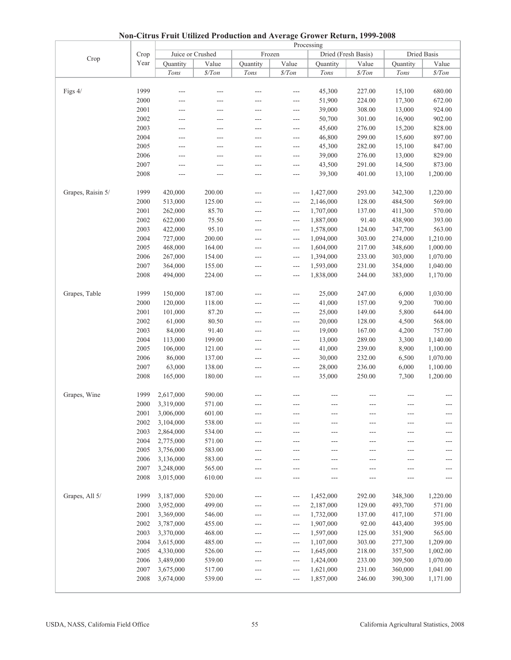|                   |          | Chrus I run Cumbeu I routenon und Iverage Grower Return, 1999 2000 |                  |          | Processing               |           |                     |          |                   |  |  |  |  |  |
|-------------------|----------|--------------------------------------------------------------------|------------------|----------|--------------------------|-----------|---------------------|----------|-------------------|--|--|--|--|--|
|                   | Crop     |                                                                    | Juice or Crushed | Frozen   |                          |           | Dried (Fresh Basis) |          | Dried Basis       |  |  |  |  |  |
| Crop              | Year     | Quantity                                                           | Value            | Quantity | Value                    | Quantity  | Value               | Quantity | Value             |  |  |  |  |  |
|                   |          | Tons                                                               | $\frac{s}{T}$ on | Tons     | $\$/Ton$                 | Tons      | $\frac{\$}{T}$ on   | Tons     | $\frac{\$}{T}$ on |  |  |  |  |  |
|                   |          |                                                                    |                  |          |                          |           |                     |          |                   |  |  |  |  |  |
| Figs 4/           | 1999     | $---$                                                              | $---$            |          | ---                      | 45,300    | 227.00              | 15,100   | 680.00            |  |  |  |  |  |
|                   |          |                                                                    |                  |          |                          |           |                     |          |                   |  |  |  |  |  |
|                   | 2000     | ---                                                                |                  | ---      | $---$                    | 51,900    | 224.00              | 17,300   | 672.00            |  |  |  |  |  |
|                   | 2001     | ---                                                                | $---$            | ---      | $---$                    | 39,000    | 308.00              | 13,000   | 924.00            |  |  |  |  |  |
|                   | 2002     | ---                                                                |                  | ---      | ---                      | 50,700    | 301.00              | 16,900   | 902.00            |  |  |  |  |  |
|                   | 2003     | ---                                                                | $---$            | ---      | $---$                    | 45,600    | 276.00              | 15,200   | 828.00            |  |  |  |  |  |
|                   | 2004     | $---$                                                              | ---              | $---$    | $---$                    | 46,800    | 299.00              | 15,600   | 897.00            |  |  |  |  |  |
|                   | 2005     | ---                                                                | ---              | ---      | ---                      | 45,300    | 282.00              | 15,100   | 847.00            |  |  |  |  |  |
|                   | 2006     | ---                                                                | $---$            | ---      | $---$                    | 39,000    | 276.00              | 13,000   | 829.00            |  |  |  |  |  |
|                   | 2007     | $\sim$                                                             | $---$            | $---$    | ---                      | 43,500    | 291.00              | 14,500   | 873.00            |  |  |  |  |  |
|                   | 2008     | $---$                                                              |                  | ---      | ---                      | 39,300    | 401.00              | 13,100   | 1,200.00          |  |  |  |  |  |
|                   |          |                                                                    |                  |          |                          |           |                     |          |                   |  |  |  |  |  |
| Grapes, Raisin 5/ | 1999     | 420,000                                                            | 200.00           | $---$    | $\scriptstyle\cdots$     | 1,427,000 | 293.00              | 342,300  | 1,220.00          |  |  |  |  |  |
|                   | 2000     | 513,000                                                            | 125.00           |          | ---                      | 2,146,000 | 128.00              | 484,500  | 569.00            |  |  |  |  |  |
|                   | 2001     | 262,000                                                            | 85.70            | $---$    | $---$                    | 1,707,000 | 137.00              | 411,300  | 570.00            |  |  |  |  |  |
|                   | 2002     | 622,000                                                            | 75.50            | $---$    | $\sim$ $\sim$ $\sim$     | 1,887,000 | 91.40               | 438,900  | 393.00            |  |  |  |  |  |
|                   | 2003     | 422,000                                                            | 95.10            | ---      | $\overline{\phantom{a}}$ | 1,578,000 | 124.00              | 347,700  | 563.00            |  |  |  |  |  |
|                   | 2004     | 727,000                                                            | 200.00           | $---$    | $---$                    | 1,094,000 | 303.00              | 274,000  | 1,210.00          |  |  |  |  |  |
|                   | 2005     | 468,000                                                            | 164.00           | ---      | $\overline{\phantom{a}}$ | 1,604,000 | 217.00              | 348,600  | 1,000.00          |  |  |  |  |  |
|                   | 2006     | 267,000                                                            | 154.00           | $---$    | $\sim$ $\sim$ $\sim$     | 1,394,000 | 233.00              | 303,000  | 1,070.00          |  |  |  |  |  |
|                   | 2007     | 364,000                                                            | 155.00           | $---$    | $---$                    | 1,593,000 | 231.00              | 354,000  | 1,040.00          |  |  |  |  |  |
|                   | 2008     | 494,000                                                            | 224.00           | ---      | $\overline{\phantom{a}}$ | 1,838,000 | 244.00              | 383,000  | 1,170.00          |  |  |  |  |  |
|                   |          |                                                                    |                  |          |                          |           |                     |          |                   |  |  |  |  |  |
| Grapes, Table     | 1999     | 150,000                                                            | 187.00           | $---$    | $---$                    | 25,000    | 247.00              | 6,000    | 1,030.00          |  |  |  |  |  |
|                   | 2000     | 120,000                                                            | 118.00           | ---      | ---                      | 41,000    | 157.00              | 9,200    | 700.00            |  |  |  |  |  |
|                   | 2001     | 101,000                                                            | 87.20            | ---      | ---                      | 25,000    | 149.00              | 5,800    | 644.00            |  |  |  |  |  |
|                   | 2002     | 61,000                                                             | 80.50            | $---$    | ---                      | 20,000    | 128.00              | 4,500    | 568.00            |  |  |  |  |  |
|                   | 2003     | 84,000                                                             | 91.40            | ---      | $---$                    | 19,000    | 167.00              | 4,200    | 757.00            |  |  |  |  |  |
|                   | 2004     | 113,000                                                            | 199.00           | ---      | $\overline{\phantom{a}}$ | 13,000    | 289.00              | 3,300    | 1,140.00          |  |  |  |  |  |
|                   | 2005     | 106,000                                                            | 121.00           | $---$    | ---                      | 41,000    | 239.00              | 8,900    | 1,100.00          |  |  |  |  |  |
|                   | 2006     | 86,000                                                             | 137.00           | ---      | $---$                    | 30,000    | 232.00              | 6,500    | 1,070.00          |  |  |  |  |  |
|                   | 2007     | 63,000                                                             | 138.00           | $---$    | $---$                    | 28,000    | 236.00              | 6,000    | 1,100.00          |  |  |  |  |  |
|                   | 2008     | 165,000                                                            | 180.00           | ---      | $-$                      | 35,000    | 250.00              | 7,300    | 1,200.00          |  |  |  |  |  |
|                   |          |                                                                    |                  |          |                          |           |                     |          |                   |  |  |  |  |  |
| Grapes, Wine      | 1999     | 2,617,000                                                          | 590.00           | $---$    |                          |           |                     |          | ---               |  |  |  |  |  |
|                   | 2000     | 3,319,000                                                          | 571.00           |          |                          |           |                     |          |                   |  |  |  |  |  |
|                   | $2001\,$ | 3,006,000                                                          | 601.00           |          |                          |           |                     |          |                   |  |  |  |  |  |
|                   | 2002     | 3,104,000                                                          | 538.00           | $---$    | $---$                    | $---$     | ---                 | $---$    | $---$             |  |  |  |  |  |
|                   | 2003     | 2,864,000                                                          | 534.00           | ---      |                          | ---       |                     | ---      | ---               |  |  |  |  |  |
|                   | 2004     | 2,775,000                                                          | 571.00           | $---$    | ---                      | $---$     | ---                 | ---      | $---$             |  |  |  |  |  |
|                   | 2005     | 3,756,000                                                          | 583.00           | $---$    | ---                      | $---$     | ---                 | ---      | $---$             |  |  |  |  |  |
|                   | 2006     | 3,136,000                                                          | 583.00           | ---      | ---                      | ---       | ---                 | ---      | ---               |  |  |  |  |  |
|                   | 2007     | 3,248,000                                                          | 565.00           | ---      | ---                      | $---$     | ---                 | ---      | ---               |  |  |  |  |  |
|                   | 2008     | 3,015,000                                                          | 610.00           | ---      | ---                      | ---       | ---                 | ---      | ---               |  |  |  |  |  |
|                   |          |                                                                    |                  |          |                          |           |                     |          |                   |  |  |  |  |  |
| Grapes, All 5/    | 1999     | 3,187,000                                                          | 520.00           | $---$    | $-\, -\, -$              | 1,452,000 | 292.00              | 348,300  | 1,220.00          |  |  |  |  |  |
|                   | 2000     | 3,952,000                                                          | 499.00           |          | ---                      | 2,187,000 | 129.00              | 493,700  | 571.00            |  |  |  |  |  |
|                   | 2001     | 3,369,000                                                          | 546.00           | ---      | $---$                    | 1,732,000 | 137.00              | 417,100  | 571.00            |  |  |  |  |  |
|                   | 2002     | 3,787,000                                                          | 455.00           | $---$    | $---$                    | 1,907,000 | 92.00               | 443,400  | 395.00            |  |  |  |  |  |
|                   | 2003     | 3,370,000                                                          | 468.00           | ---      | ---                      | 1,597,000 | 125.00              | 351,900  | 565.00            |  |  |  |  |  |
|                   | 2004     | 3,615,000                                                          | 485.00           | $---$    | $---$                    | 1,107,000 | 303.00              | 277,300  | 1,209.00          |  |  |  |  |  |
|                   | 2005     | 4,330,000                                                          | 526.00           | $---$    | $---$                    | 1,645,000 | 218.00              | 357,500  | 1,002.00          |  |  |  |  |  |
|                   | 2006     | 3,489,000                                                          | 539.00           |          |                          | 1,424,000 | 233.00              | 309,500  | 1,070.00          |  |  |  |  |  |
|                   | 2007     |                                                                    |                  | $---$    | $---$                    |           |                     |          |                   |  |  |  |  |  |
|                   |          | 3,675,000                                                          | 517.00           | $---$    | $---$                    | 1,621,000 | 231.00              | 360,000  | 1,041.00          |  |  |  |  |  |
|                   | 2008     | 3,674,000                                                          | 539.00           | ---      | $---$                    | 1,857,000 | 246.00              | 390,300  | 1,171.00          |  |  |  |  |  |
|                   |          |                                                                    |                  |          |                          |           |                     |          |                   |  |  |  |  |  |

|  |  | Non-Citrus Fruit Utilized Production and Average Grower Return, 1999-2008 |
|--|--|---------------------------------------------------------------------------|
|  |  |                                                                           |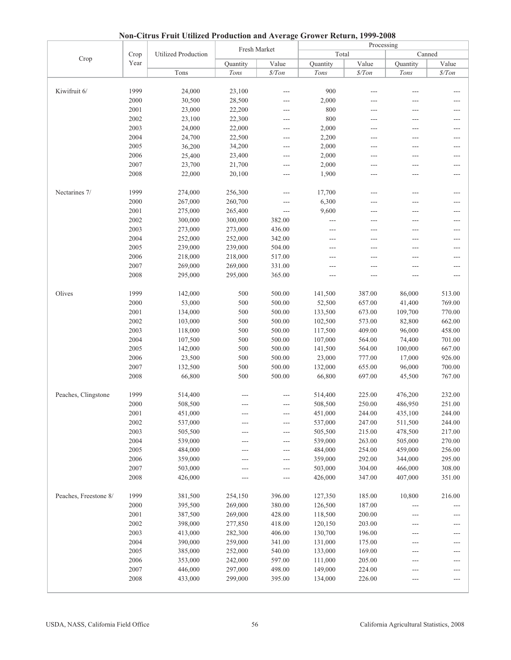|                       |      |                            |              |                     | Processing |                  |          |                  |  |
|-----------------------|------|----------------------------|--------------|---------------------|------------|------------------|----------|------------------|--|
| Crop                  | Crop | <b>Utilized Production</b> | Fresh Market |                     | Total      |                  |          | Canned           |  |
|                       | Year |                            | Quantity     | Value               | Quantity   | Value            | Quantity | Value            |  |
|                       |      | Tons                       | Tons         | $\frac{\$}{T}$ on   | Tons       | $\frac{s}{T}$ on | Tons     | $\frac{s}{T}$ on |  |
|                       |      |                            |              |                     |            |                  |          |                  |  |
| Kiwifruit 6/          | 1999 | 24,000                     | 23,100       | $---$               | 900        | $---$            | ---      |                  |  |
|                       | 2000 | 30,500                     | 28,500       | ---                 | 2,000      | ---              | ---      | ---              |  |
|                       | 2001 | 23,000                     | 22,200       | ---                 | 800        | ---              | ---      | $---$            |  |
|                       | 2002 | 23,100                     | 22,300       | ---                 | 800        | ---              | ---      | ---              |  |
|                       | 2003 | 24,000                     | 22,000       | $\overline{a}$      | 2,000      | $---$            | ---      | ---              |  |
|                       | 2004 | 24,700                     | 22,500       | $---$               | 2,200      | ---              | ---      | ---              |  |
|                       | 2005 | 36,200                     | 34,200       | ---                 | 2,000      | ---              | ---      | ---              |  |
|                       | 2006 | 25,400                     | 23,400       | ---                 | 2,000      | ---              | ---      | $---$            |  |
|                       | 2007 | 23,700                     | 21,700       | ---                 | 2,000      | ---              | ---      |                  |  |
|                       | 2008 | 22,000                     | 20,100       | ---                 | 1,900      | ---              | ---      | ---              |  |
|                       |      |                            |              |                     |            |                  |          |                  |  |
| Nectarines 7/         | 1999 | 274,000                    | 256,300      | ---                 | 17,700     | ---              | ---      | ---              |  |
|                       | 2000 | 267,000                    | 260,700      | ---                 | 6,300      | ---              | ---      | ---              |  |
|                       | 2001 | 275,000                    | 265,400      | $---$               | 9,600      | $---$            | ---      | ---              |  |
|                       | 2002 | 300,000                    | 300,000      | 382.00              | ---        | ---              | ---      |                  |  |
|                       | 2003 | 273,000                    | 273,000      | 436.00              | $---$      | ---              | ---      | ---              |  |
|                       | 2004 | 252,000                    | 252,000      | 342.00              | $---$      | ---              | ---      | ---              |  |
|                       | 2005 | 239,000                    | 239,000      | 504.00              | ---        | $---$            | ---      | ---              |  |
|                       | 2006 | 218,000                    | 218,000      | 517.00              |            | $---$            | $---$    | $---$            |  |
|                       | 2007 | 269,000                    | 269,000      | 331.00              |            | ---              | ---      | ---              |  |
|                       | 2008 | 295,000                    | 295,000      | 365.00              | ---        | ---              | ---      | ---              |  |
|                       |      |                            |              |                     |            |                  |          |                  |  |
| Olives                | 1999 | 142,000                    | 500          | 500.00              | 141,500    | 387.00           | 86,000   | 513.00           |  |
|                       | 2000 | 53,000                     | 500          | 500.00              | 52,500     | 657.00           | 41,400   | 769.00           |  |
|                       | 2001 | 134,000                    | 500          | 500.00              | 133,500    | 673.00           | 109,700  | 770.00           |  |
|                       | 2002 | 103,000                    | 500          | 500.00              | 102,500    | 573.00           | 82,800   | 662.00           |  |
|                       | 2003 | 118,000                    | 500          | 500.00              | 117,500    | 409.00           | 96,000   | 458.00           |  |
|                       | 2004 | 107,500                    | 500          | 500.00              | 107,000    | 564.00           | 74,400   | 701.00           |  |
|                       | 2005 | 142,000                    | 500          | 500.00              | 141,500    | 564.00           | 100,000  | 667.00           |  |
|                       | 2006 | 23,500                     | 500          | 500.00              | 23,000     | 777.00           | 17,000   | 926.00           |  |
|                       | 2007 | 132,500                    | 500          | 500.00              | 132,000    | 655.00           | 96,000   | 700.00           |  |
|                       | 2008 | 66,800                     | 500          | 500.00              | 66,800     | 697.00           | 45,500   | 767.00           |  |
|                       |      |                            |              |                     |            |                  |          |                  |  |
| Peaches, Clingstone   | 1999 | 514,400                    | ---          | ---                 | 514,400    | 225.00           | 476,200  | 232.00           |  |
|                       | 2000 | 508,500                    |              | ---                 | 508,500    | 250.00           | 486,950  | 251.00           |  |
|                       | 2001 | 451,000                    |              |                     | 451,000    | 244.00           | 435,100  | 244.00           |  |
|                       | 2002 | 537,000                    | ---          | $---$               | 537,000    | 247.00           | 511,500  | 244.00           |  |
|                       | 2003 | 505,500                    | ---          | $\qquad \qquad - -$ | 505,500    | 215.00           | 478,500  | 217.00           |  |
|                       | 2004 | 539,000                    | ---          | $---$               | 539,000    | 263.00           | 505,000  | 270.00           |  |
|                       | 2005 | 484,000                    | ---          | ---                 | 484,000    | 254.00           | 459,000  | 256.00           |  |
|                       | 2006 | 359,000                    | ---          | $\overline{a}$      | 359,000    | 292.00           | 344,000  | 295.00           |  |
|                       | 2007 | 503,000                    | ---          | $\qquad \qquad - -$ | 503,000    | 304.00           | 466,000  | 308.00           |  |
|                       | 2008 | 426,000                    | ---          | $---$               | 426,000    | 347.00           | 407,000  | 351.00           |  |
| Peaches, Freestone 8/ | 1999 | 381,500                    | 254,150      | 396.00              | 127,350    | 185.00           | 10,800   | 216.00           |  |
|                       | 2000 | 395,500                    | 269,000      | 380.00              | 126,500    | 187.00           | $---$    |                  |  |
|                       | 2001 | 387,500                    | 269,000      | 428.00              | 118,500    | 200.00           | ---      | ---              |  |
|                       | 2002 | 398,000                    | 277,850      | 418.00              | 120,150    | 203.00           | ---      |                  |  |
|                       | 2003 | 413,000                    | 282,300      | 406.00              | 130,700    | 196.00           | $---$    | ---              |  |
|                       | 2004 | 390,000                    | 259,000      | 341.00              | 131,000    | 175.00           | ---      | ---              |  |
|                       | 2005 | 385,000                    | 252,000      | 540.00              | 133,000    | 169.00           | ---      | ---              |  |
|                       | 2006 | 353,000                    | 242,000      | 597.00              | 111,000    | 205.00           | $---$    | ---              |  |
|                       | 2007 | 446,000                    | 297,000      | 498.00              | 149,000    | 224.00           | ---      | ---              |  |
|                       | 2008 | 433,000                    | 299,000      | 395.00              | 134,000    | 226.00           | ---      | ---              |  |
|                       |      |                            |              |                     |            |                  |          |                  |  |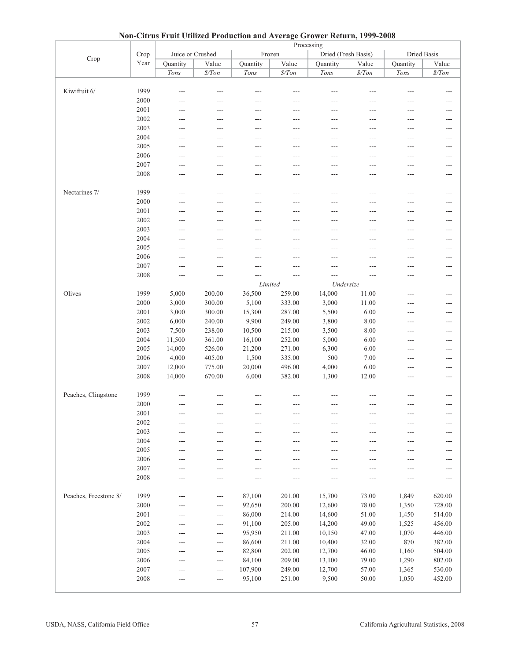| 110H                  |              | Chrus Prun Cumzeu Proudenon and Average Grower Return, 1777-2000<br>Processing |                   |                |          |                |                     |          |             |  |  |  |
|-----------------------|--------------|--------------------------------------------------------------------------------|-------------------|----------------|----------|----------------|---------------------|----------|-------------|--|--|--|
|                       | Crop         | Juice or Crushed                                                               |                   |                | Frozen   |                | Dried (Fresh Basis) |          | Dried Basis |  |  |  |
| Crop                  | Year         | Quantity                                                                       | Value             | Quantity       | Value    | Quantity       | Value               | Quantity | Value       |  |  |  |
|                       |              | Tons                                                                           | $\frac{\$}{T}$ on | Tons           | $\$/Ton$ | Tons           | $\$/Ton$            | Tons     | $\$/Ton$    |  |  |  |
|                       |              |                                                                                |                   |                |          |                |                     |          |             |  |  |  |
| Kiwifruit 6/          | 1999         | ---                                                                            | ---               |                | $---$    |                | ---                 |          | ---         |  |  |  |
|                       |              |                                                                                |                   |                |          |                |                     |          |             |  |  |  |
|                       | 2000         | ---                                                                            |                   | $---$          |          | ---            |                     |          |             |  |  |  |
|                       | 2001         | ---                                                                            | $---$             | ---            | ---      | $---$          | ---                 | ---      | ---         |  |  |  |
|                       | 2002         | ---                                                                            | ---               | ---            | ---      | ---            |                     | ---      | ---         |  |  |  |
|                       | 2003         | ---                                                                            | ---               | $\sim$         | $---$    | $---$          |                     | ---      | ---         |  |  |  |
|                       | 2004         | ---                                                                            | $---$             | $---$          | $---$    | $---$          | ---                 | ---      | ---         |  |  |  |
|                       | 2005         | ---                                                                            | $---$             | ---            | $---$    | ---            | ---                 | ---      | ---         |  |  |  |
|                       | 2006         | $\sim$                                                                         | $---$             | $---$          | $---$    | $---$          |                     | $---$    | $---$       |  |  |  |
|                       | 2007         | ---                                                                            | ---               | ---            |          | ---            |                     | ---      | ---         |  |  |  |
|                       | 2008         | ---                                                                            | ---               | $---$          | ---      | $---$          | ---                 | ---      | ---         |  |  |  |
|                       |              |                                                                                |                   |                |          |                |                     |          |             |  |  |  |
| Nectarines 7/         | 1999         | ---                                                                            | $---$             | ---            | ---      | ---            | ---                 | ---      | ---         |  |  |  |
|                       | 2000         | ---                                                                            | ---               | ---            | $---$    | $---$          | ---                 | ---      | ---         |  |  |  |
|                       | 2001         | $---$                                                                          | $---$             | $---$          | $---$    | $---$          | ---                 | ---      | $---$       |  |  |  |
|                       | 2002         | ---                                                                            | ---               | ---            |          | ---            |                     | ---      | ---         |  |  |  |
|                       | 2003         | ---                                                                            | $---$             | $---$          | ---      | $---$          | ---                 | ---      | ---         |  |  |  |
|                       | 2004         | $---$                                                                          | $---$             | $---$          | $---$    | $---$          | ---                 | ---      | $- - -$     |  |  |  |
|                       | 2005         | ---                                                                            | ---               | ---            | ---      | ---            |                     | ---      | ---         |  |  |  |
|                       | 2006         | ---                                                                            | $---$             | $---$          | $---$    | $---$          | ---                 | ---      | ---         |  |  |  |
|                       | 2007         | $---$                                                                          | ---               | ---            | ---      | ---            |                     | ---      | ---         |  |  |  |
|                       | 2008         | ---                                                                            | $---$             | $\overline{a}$ | $---$    | $\overline{a}$ | ---                 | $---$    | $---$       |  |  |  |
|                       |              |                                                                                |                   |                | Limited  | Undersize      |                     |          |             |  |  |  |
| Olives                | 1999         | 5,000                                                                          | 200.00            | 36,500         | 259.00   | 14,000         | 11.00               | ---      | ---         |  |  |  |
|                       | 2000         | 3,000                                                                          | 300.00            | 5,100          | 333.00   | 3,000          | 11.00               | ---      | ---         |  |  |  |
|                       | 2001         | 3,000                                                                          | 300.00            | 15,300         | 287.00   | 5,500          | 6.00                | ---      | ---         |  |  |  |
|                       | 2002         | 6,000                                                                          | 240.00            | 9,900          | 249.00   | 3,800          | 8.00                | ---      | ---         |  |  |  |
|                       | 2003         | 7,500                                                                          | 238.00            | 10,500         | 215.00   | 3,500          | 8.00                | $---$    | $---$       |  |  |  |
|                       | 2004         | 11,500                                                                         | 361.00            | 16,100         | 252.00   | 5,000          | 6.00                | ---      | ---         |  |  |  |
|                       | 2005         | 14,000                                                                         | 526.00            | 21,200         | 271.00   | 6,300          | 6.00                | ---      | ---         |  |  |  |
|                       | 2006         | 4,000                                                                          | 405.00            | 1,500          | 335.00   | 500            | 7.00                | $---$    | $---$       |  |  |  |
|                       | 2007         | 12,000                                                                         | 775.00            | 20,000         | 496.00   | 4,000          | 6.00                | $---$    | $---$       |  |  |  |
|                       | 2008         | 14,000                                                                         | 670.00            | 6,000          | 382.00   | 1,300          | 12.00               | ---      | ---         |  |  |  |
|                       |              |                                                                                |                   |                |          |                |                     |          |             |  |  |  |
| Peaches, Clingstone   | 1999         | ---                                                                            |                   |                |          |                |                     |          |             |  |  |  |
|                       | 2000         | ---                                                                            | $---$             | $---$          | $---$    | ---            | ---                 | ---      | ---         |  |  |  |
|                       |              |                                                                                |                   |                |          |                |                     |          |             |  |  |  |
|                       | 2001         | ---                                                                            |                   |                |          |                |                     |          | ---         |  |  |  |
|                       | 2002<br>2003 | $---$                                                                          | ---               | ---            | $---$    | ---            | ---                 | ---      | ---         |  |  |  |
|                       | 2004         | ---                                                                            | $---$             | $---$          | ---      | $---$          | ---                 | $---$    | ---         |  |  |  |
|                       | 2005         | ---                                                                            | $---$             | $---$          | $---$    | ---            | ---                 | ---      | ---         |  |  |  |
|                       |              | ---                                                                            | $---$             | $---$          |          | ---            |                     | ---      | ---         |  |  |  |
|                       | 2006         | ---                                                                            | $---$             | $---$          | ---      | $---$          | ---                 | ---      | ---         |  |  |  |
|                       | 2007         | ---                                                                            | $---$             | $---$          | ---      | ---            | ---                 | ---      | ---         |  |  |  |
|                       | 2008         | ---                                                                            | ---               | ---            | ---      | ---            |                     | ---      | ---         |  |  |  |
|                       |              |                                                                                |                   |                |          |                |                     |          |             |  |  |  |
| Peaches, Freestone 8/ | 1999         | ---                                                                            | ---               | 87,100         | 201.00   | 15,700         | 73.00               | 1,849    | 620.00      |  |  |  |
|                       | 2000         | ---                                                                            | $---$             | 92,650         | 200.00   | 12,600         | 78.00               | 1,350    | 728.00      |  |  |  |
|                       | 2001         | ---                                                                            | $---$             | 86,000         | 214.00   | 14,600         | 51.00               | 1,450    | 514.00      |  |  |  |
|                       | 2002         | ---                                                                            | ---               | 91,100         | 205.00   | 14,200         | 49.00               | 1,525    | 456.00      |  |  |  |
|                       | 2003         | ---                                                                            | $---$             | 95,950         | 211.00   | 10,150         | 47.00               | 1,070    | 446.00      |  |  |  |
|                       | 2004         | ---                                                                            | $---$             | 86,600         | 211.00   | 10,400         | 32.00               | 870      | 382.00      |  |  |  |
|                       | 2005         | ---                                                                            | $---$             | 82,800         | 202.00   | 12,700         | 46.00               | 1,160    | 504.00      |  |  |  |
|                       | 2006         | ---                                                                            | $---$             | 84,100         | 209.00   | 13,100         | 79.00               | 1,290    | 802.00      |  |  |  |
|                       | 2007         | ---                                                                            | $---$             | 107,900        | 249.00   | 12,700         | 57.00               | 1,365    | 530.00      |  |  |  |
|                       | 2008         |                                                                                | $---$             | 95,100         | 251.00   | 9,500          | 50.00               | 1,050    | 452.00      |  |  |  |
|                       |              |                                                                                |                   |                |          |                |                     |          |             |  |  |  |

|  |  | Non-Citrus Fruit Utilized Production and Average Grower Return, 1999-2008 |  |  |  |
|--|--|---------------------------------------------------------------------------|--|--|--|
|  |  |                                                                           |  |  |  |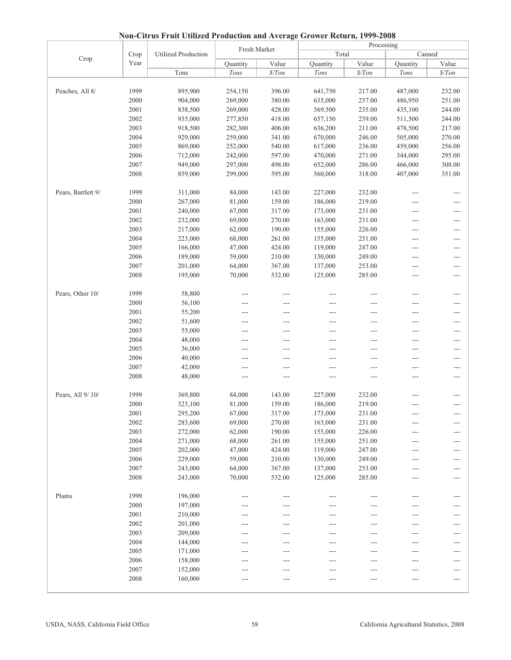|                    |              |                            | Fresh Market       |                  | Processing<br>Canned |                  |                    |                     |  |
|--------------------|--------------|----------------------------|--------------------|------------------|----------------------|------------------|--------------------|---------------------|--|
| Crop               | Crop         | <b>Utilized Production</b> |                    |                  | Total                |                  |                    |                     |  |
|                    | Year         |                            | Quantity           | Value            | Quantity             | Value            | Quantity           | Value               |  |
|                    |              | Tons                       | Tons               | $\frac{s}{T}$    | Tons                 | \$/ Ton          | Tons               | \$/ Ton             |  |
|                    |              |                            |                    |                  |                      |                  |                    |                     |  |
| Peaches, All 8/    | 1999         | 895,900                    | 254,150            | 396.00           | 641,750              | 217.00           | 487,000            | 232.00              |  |
|                    | 2000<br>2001 | 904,000                    | 269,000<br>269,000 | 380.00<br>428.00 | 635,000              | 237.00<br>235.00 | 486,950            | 251.00<br>244.00    |  |
|                    |              | 838,500                    |                    |                  | 569,500              |                  | 435,100            |                     |  |
|                    | 2002<br>2003 | 935,000                    | 277,850<br>282,300 | 418.00<br>406.00 | 657,150              | 239.00<br>211.00 | 511,500            | 244.00<br>217.00    |  |
|                    | 2004         | 918,500<br>929,000         | 259,000            | 341.00           | 636,200<br>670,000   | 246.00           | 478,500<br>505,000 | 270.00              |  |
|                    | 2005         | 869,000                    | 252,000            | 540.00           | 617,000              | 236.00           | 459,000            | 256.00              |  |
|                    | 2006         | 712,000                    | 242,000            | 597.00           | 470,000              | 271.00           | 344,000            | 295.00              |  |
|                    | 2007         | 949,000                    | 297,000            | 498.00           | 652,000              | 286.00           | 466,000            | 308.00              |  |
|                    | 2008         | 859,000                    | 299,000            | 395.00           | 560,000              | 318.00           | 407,000            | 351.00              |  |
|                    |              |                            |                    |                  |                      |                  |                    |                     |  |
| Pears, Bartlett 9/ | 1999         | 311,000                    | 84,000             | 143.00           | 227,000              | 232.00           | $---$              | ---                 |  |
|                    | 2000         | 267,000                    | 81,000             | 159.00           | 186,000              | 219.00           | ---                | ---                 |  |
|                    | 2001         | 240,000                    | 67,000             | 317.00           | 173,000              | 231.00           | ---                | ---                 |  |
|                    | 2002         | 232,000                    | 69,000             | 270.00           | 163,000              | 231.00           | $---$              | $---$               |  |
|                    | 2003         | 217,000                    | 62,000             | 190.00           | 155,000              | 226.00           | $---$              | ---                 |  |
|                    | 2004         | 223,000                    | 68,000             | 261.00           | 155,000              | 251.00           | ---                | ---                 |  |
|                    | 2005         | 166,000                    | 47,000             | 424.00           | 119,000              | 247.00           | ---                | ---                 |  |
|                    | 2006         | 189,000                    | 59,000             | 210.00           | 130,000              | 249.00           | $---$              | ---                 |  |
|                    | 2007         | 201,000                    | 64,000             | 367.00           | 137,000              | 253.00           | $---$              | $---$               |  |
|                    | 2008         | 195,000                    | 70,000             | 532.00           | 125,000              | 285.00           | ---                | ---                 |  |
|                    |              |                            |                    |                  |                      |                  |                    |                     |  |
| Pears, Other 10/   | 1999         | 58,800                     | $---$              | $---$            | $---$                | $---$            | $---$              | ---                 |  |
|                    | 2000         | 56,100                     | ---                | ---              | ---                  | ---              | ---                | ---                 |  |
|                    | 2001         | 55,200                     | ---                | $---$            | ---                  | $---$            | ---                | ---                 |  |
|                    | 2002         | 51,600                     | $---$              | ---              | ---                  | $---$            | ---                | $---$               |  |
|                    | 2003         | 55,000                     | ---                | ---              | ---                  | ---              | ---                | ---                 |  |
|                    | 2004         | 48,000                     | ---                | $---$            | ---                  | $---$            | ---                | $---$               |  |
|                    | 2005         | 36,000                     | ---                | ---              | ---                  | $---$            | ---                | $---$               |  |
|                    | 2006         | 40,000                     | ---                | ---              |                      | ---              | ---                | ---                 |  |
|                    | 2007         | 42,000                     | ---                | $---$            | ---                  | $---$            | ---                | $---$               |  |
|                    | 2008         | 48,000                     | ---                | ---              | ---                  | ---              | ---                | ---                 |  |
|                    |              |                            |                    |                  |                      |                  |                    |                     |  |
| Pears, All 9/10/   | 1999         | 369,800                    | 84,000             | 143.00           | 227,000              | 232.00           | ---                | ---                 |  |
|                    | 2000         | 323,100                    | 81,000             | 159.00           | 186,000              | 219.00           | ---                | ---                 |  |
|                    | 2001         | 295,200                    | 67,000             | 317.00           | 173,000              | 231.00           |                    |                     |  |
|                    | 2002         | 283,600                    | 69,000             | 270.00           | 163,000              | 231.00           | ---                | $---$               |  |
|                    | 2003         | 272,000                    | 62,000             | 190.00           | 155,000              | 226.00           |                    | ---                 |  |
|                    | 2004         | 271,000                    | 68,000             | 261.00           | 155,000              | 251.00           | ---                | $---$               |  |
|                    | 2005         | 202,000                    | 47,000             | 424.00           | 119,000              | 247.00           | ---                | ---                 |  |
|                    | 2006         | 229,000                    | 59,000             | 210.00           | 130,000              | 249.00           | ---                | ---                 |  |
|                    | 2007         | 243,000                    | 64,000             | 367.00           | 137,000              | 253.00           | ---                | $---$               |  |
|                    | 2008         | 243,000                    | 70,000             | 532.00           | 125,000              | 285.00           | ---                | ---                 |  |
|                    |              |                            |                    |                  |                      |                  |                    |                     |  |
| Plums              | 1999         | 196,000                    | $---$              | $---$            | ---                  |                  | ---                | $---$               |  |
|                    | 2000         | 197,000                    | ---                | ---              | ---                  | ---              | ---                | ---                 |  |
|                    | 2001         | 210,000                    | ---                | ---              | ---                  | ---              | ---                | $\qquad \qquad - -$ |  |
|                    | 2002         | 201,000                    |                    |                  |                      | ---              | ---                | ---                 |  |
|                    | 2003         | 209,000                    |                    |                  |                      | ---              |                    | ---                 |  |
|                    | 2004         | 144,000                    | ---                |                  |                      | $---$            | ---                | ---                 |  |
|                    | 2005         | 171,000                    |                    |                  |                      |                  | ---                | ---                 |  |
|                    | 2006         | 158,000                    |                    |                  |                      | ---              | ---                | ---                 |  |
|                    | 2007         | 152,000                    | ---                | ---              |                      | $---$            | ---                | ---                 |  |
|                    | 2008         | 160,000                    |                    |                  |                      |                  | ---                | ---                 |  |
|                    |              |                            |                    |                  |                      |                  |                    |                     |  |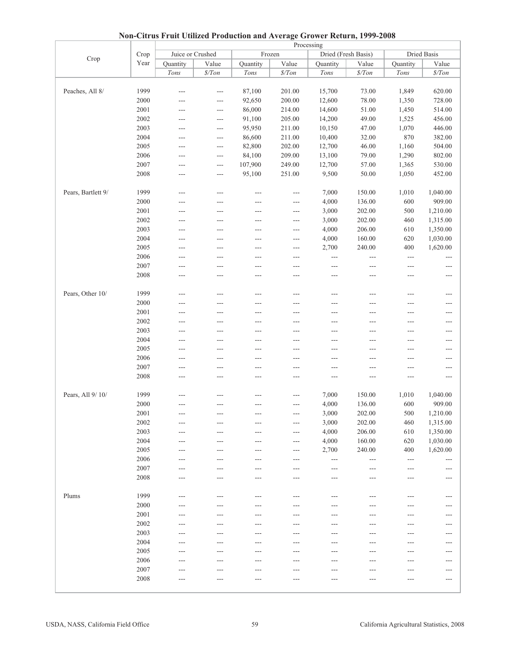|                    | 1 <b>1 QH</b><br>Curus Prun Othizeu I Fouuction and Average Grower Keturn, 1777-2000<br>Processing |                  |                   |                |                      |                      |                     |                     |                            |  |  |
|--------------------|----------------------------------------------------------------------------------------------------|------------------|-------------------|----------------|----------------------|----------------------|---------------------|---------------------|----------------------------|--|--|
|                    | Crop                                                                                               | Juice or Crushed |                   |                | Frozen               |                      | Dried (Fresh Basis) |                     | Dried Basis                |  |  |
| Crop               | Year                                                                                               | Quantity         | Value             | Quantity       | Value                | Quantity             | Value               | Quantity            | Value                      |  |  |
|                    |                                                                                                    | Tons             | $\frac{\$}{T}$ on | Tons           |                      | Tons                 |                     | Tons                |                            |  |  |
|                    |                                                                                                    |                  |                   |                | $\$/Ton$             |                      | $\frac{\$}{T}$ on   |                     | $\frac{\$}{T}$ on          |  |  |
|                    |                                                                                                    |                  |                   |                |                      |                      |                     |                     |                            |  |  |
| Peaches, All 8/    | 1999                                                                                               | $---$            | $---$             | 87,100         | 201.00               | 15,700               | 73.00               | 1,849               | 620.00                     |  |  |
|                    | 2000                                                                                               | $---$            | $---$             | 92,650         | 200.00               | 12,600               | 78.00               | 1,350               | 728.00                     |  |  |
|                    | 2001                                                                                               | ---              | $- - -$           | 86,000         | 214.00               | 14,600               | 51.00               | 1,450               | 514.00                     |  |  |
|                    | 2002                                                                                               | $---$            | $---$             | 91,100         | 205.00               | 14,200               | 49.00               | 1,525               | 456.00                     |  |  |
|                    | 2003                                                                                               | ---              | $---$             | 95,950         | 211.00               | 10,150               | 47.00               | 1,070               | 446.00                     |  |  |
|                    | 2004                                                                                               | ---              | $---$             | 86,600         | 211.00               | 10,400               | 32.00               | 870                 | 382.00                     |  |  |
|                    | 2005                                                                                               | ---              | $---$             | 82,800         | 202.00               | 12,700               | 46.00               | 1,160               | 504.00                     |  |  |
|                    | 2006                                                                                               | $---$            | $---$             | 84,100         | 209.00               | 13,100               | 79.00               | 1,290               | 802.00                     |  |  |
|                    | 2007                                                                                               | ---              | $- - -$           | 107,900        | 249.00               | 12,700               | 57.00               | 1,365               | 530.00                     |  |  |
|                    | 2008                                                                                               | $---$            | $- - -$           | 95,100         | 251.00               | 9,500                | 50.00               | 1,050               | 452.00                     |  |  |
|                    |                                                                                                    |                  |                   |                |                      |                      |                     |                     |                            |  |  |
| Pears, Bartlett 9/ | 1999                                                                                               | ---              | $\overline{a}$    | $---$          | $\overline{a}$       | 7,000                | 150.00              | 1,010               | 1,040.00                   |  |  |
|                    | 2000                                                                                               | ---              | $---$             | ---            | ---                  | 4,000                | 136.00              | 600                 | 909.00                     |  |  |
|                    | 2001                                                                                               | ---              | ---               | ---            | $---$                | 3,000                | 202.00              | 500                 | 1,210.00                   |  |  |
|                    | 2002                                                                                               | ---              | $---$             | ---            | $---$                | 3,000                | 202.00              | 460                 | 1,315.00                   |  |  |
|                    | 2003                                                                                               | ---              | $---$             | ---            | $---$                | 4,000                | 206.00              | 610                 | 1,350.00                   |  |  |
|                    | 2004                                                                                               | ---              | ---               | ---            | $---$                | 4,000                | 160.00              | 620                 | 1,030.00                   |  |  |
|                    | 2005                                                                                               | ---              | $---$             | ---            | ---                  | 2,700                | 240.00              | 400                 | 1,620.00                   |  |  |
|                    | 2006                                                                                               | $---$            | $---$             | $---$          | ---                  | $\sim$ $\sim$ $\sim$ | ---                 | $\cdots$            | $---$                      |  |  |
|                    | 2007                                                                                               | $---$            | ---               | $\cdots$       | $---$                | $\cdots$             | $---$               | $\qquad \qquad - -$ | $---$                      |  |  |
|                    | 2008                                                                                               | $---$            | ---               | ---            | $---$                | $---$                | $\overline{a}$      | $---$               | $\qquad \qquad - -$        |  |  |
|                    |                                                                                                    |                  |                   |                |                      |                      |                     |                     |                            |  |  |
| Pears, Other 10/   | 1999                                                                                               | $---$            | ---               | $---$          | ---                  | $---$                | ---                 | ---                 | $---$                      |  |  |
|                    | 2000                                                                                               | ---              | $---$             | ---            | ---                  | ---                  | ---                 | ---                 | $---$                      |  |  |
|                    | 2001                                                                                               | ---              | $---$             | $---$          | ---                  | $---$                | $---$               | ---                 | $\qquad \qquad - -$        |  |  |
|                    | 2002                                                                                               | $---$            | ---               | $---$          | $---$                | $---$                | ---                 | ---                 | ---                        |  |  |
|                    | 2003                                                                                               | ---              | $---$             | $---$          | ---                  | ---                  | ---                 | ---                 | $---$                      |  |  |
|                    | 2004                                                                                               | ---              | ---               | ---            | ---                  | $---$                | ---                 | ---                 | $---$                      |  |  |
|                    | 2005                                                                                               | $---$            | ---               | $---$          | ---                  | $---$                | ---                 | ---                 | $---$                      |  |  |
|                    | 2006                                                                                               | ---              | $---$             | ---            | $---$                | ---                  | ---                 | $---$               | ---                        |  |  |
|                    | 2007                                                                                               | $---$            | ---               | $---$          | ---                  | $---$                | $---$               | $---$               | $---$                      |  |  |
|                    | 2008                                                                                               | $---$            | $---$             | ---            | $---$                | $---$                | $---$               | ---                 | $---$                      |  |  |
|                    |                                                                                                    |                  |                   |                |                      |                      |                     |                     |                            |  |  |
| Pears, All 9/ 10/  | 1999                                                                                               | ---              |                   |                |                      | 7,000                | 150.00              | 1,010               | 1,040.00                   |  |  |
|                    | 2000                                                                                               | $---$            |                   |                |                      | 4,000                | 136.00              | 600                 | 909.00                     |  |  |
|                    |                                                                                                    |                  | $---$             | $---$          | $---$                |                      |                     |                     |                            |  |  |
|                    | 2001                                                                                               | $---$            | ---               | $--$           | ---                  | 3,000                | 202.00              | 500                 | 1,210.00                   |  |  |
|                    | 2002<br>2003                                                                                       | ---              | $---$             | $\overline{a}$ | $\sim$ $\sim$ $\sim$ | 3,000                | 202.00              | 460                 | 1,315.00                   |  |  |
|                    |                                                                                                    | $---$            | $---$             | $---$          | $---$                | 4,000                | 206.00              | 610                 | 1,350.00                   |  |  |
|                    | 2004                                                                                               | $---$            | ---               | ---            | ---                  | 4,000                | 160.00              | 620                 | 1,030.00                   |  |  |
|                    | 2005                                                                                               | ---              | $---$             | $---$          | $---$                | 2,700                | 240.00              | 400                 | 1,620.00                   |  |  |
|                    | 2006                                                                                               | $---$            | $---$             | $---$          | ---                  | $\qquad \qquad - -$  | $---$               | $\qquad \qquad - -$ | $---$                      |  |  |
|                    | 2007                                                                                               | ---              | ---               | ---            | ---                  | $---$                | ---                 | ---                 | $---$                      |  |  |
|                    | 2008                                                                                               |                  | $---$             | ---            | ---                  | $---$                | ---                 | ---                 | $---$                      |  |  |
|                    |                                                                                                    |                  |                   |                |                      |                      |                     |                     |                            |  |  |
| Plums              | 1999                                                                                               | $---$            | $---$             | $---$          | $---$                | $---$                | $---$               | ---                 | $---$                      |  |  |
|                    | 2000                                                                                               |                  |                   |                |                      |                      |                     | ---                 | $---$                      |  |  |
|                    | 2001                                                                                               |                  | ---               |                | ---                  | ---                  |                     | ---                 | $\qquad \qquad \text{---}$ |  |  |
|                    | 2002                                                                                               | ---              | ---               | ---            | ---                  | ---                  |                     | ---                 | $---$                      |  |  |
|                    | 2003                                                                                               |                  | ---               | ---            | ---                  | ---                  |                     | ---                 | $---$                      |  |  |
|                    | 2004                                                                                               | ---              | ---               | ---            | ---                  | ---                  | ---                 | ---                 | $---$                      |  |  |
|                    | 2005                                                                                               | $---$            | ---               | ---            | ---                  | $---$                | ---                 | $---$               | $---$                      |  |  |
|                    | 2006                                                                                               | ---              | ---               | ---            | ---                  | ---                  |                     | ---                 | $\qquad \qquad \text{---}$ |  |  |
|                    | 2007                                                                                               | $---$            |                   |                |                      | ---                  |                     | ---                 | $---$                      |  |  |
|                    | 2008                                                                                               | ---              | ---               | ---            |                      | ---                  |                     | ---                 | $\qquad \qquad - -$        |  |  |
|                    |                                                                                                    |                  |                   |                |                      |                      |                     |                     |                            |  |  |

|  |  | Non-Citrus Fruit Utilized Production and Average Grower Return, 1999-2008 |  |
|--|--|---------------------------------------------------------------------------|--|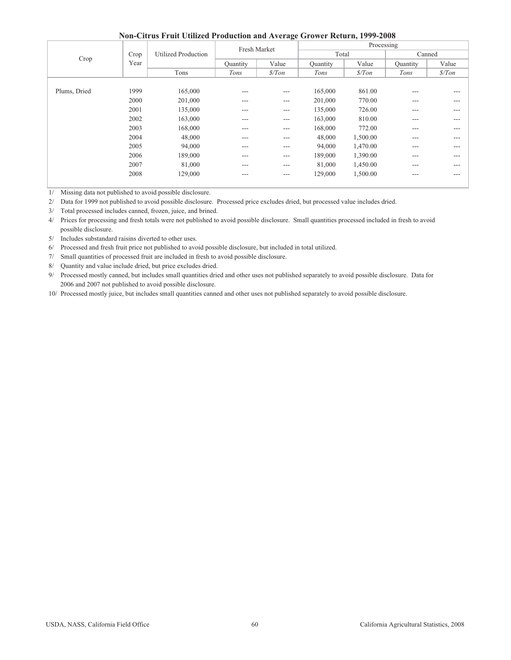|              |      |                            | Fresh Market  | $\tilde{ }$   |          | Processing    |          |               |
|--------------|------|----------------------------|---------------|---------------|----------|---------------|----------|---------------|
| Crop         | Crop | <b>Utilized Production</b> |               |               | Total    |               | Canned   |               |
|              | Year |                            | Ouantity      | Value         | Quantity | Value         | Quantity | Value         |
|              |      | Tons                       | Tons          | $\frac{s}{T}$ | Tons     | $\frac{s}{T}$ | Tons     | $\frac{s}{T}$ |
|              |      |                            |               |               |          |               |          |               |
| Plums, Dried | 1999 | 165,000                    | $---$         | $---$         | 165,000  | 861.00        | ---      | ---           |
|              | 2000 | 201,000                    | $- - -$       | $---$         | 201,000  | 770.00        | $- - -$  | ---           |
|              | 2001 | 135,000                    | $--$          | $---$         | 135,000  | 726.00        | ---      | ---           |
|              | 2002 | 163,000                    | $\frac{1}{2}$ | ---           | 163,000  | 810.00        | $---$    | ---           |
|              | 2003 | 168,000                    | $\cdots$      | $---$         | 168,000  | 772.00        | $---$    | ---           |
|              | 2004 | 48,000                     | $\cdots$      | ---           | 48,000   | 1,500.00      | $---$    | ---           |
|              | 2005 | 94,000                     | $\cdots$      | $---$         | 94,000   | 1,470.00      | $---$    | ---           |
|              | 2006 | 189,000                    | $- - -$       | $---$         | 189,000  | 1,390.00      | $---$    | ---           |
|              | 2007 | 81,000                     | $\frac{1}{2}$ | $---$         | 81,000   | 1,450.00      | $---$    | ---           |
|              | 2008 | 129,000                    | $\cdots$      | $---$         | 129,000  | 1,500.00      | $---$    | ---           |
|              |      |                            |               |               |          |               |          |               |

1/ Missing data not published to avoid possible disclosure.

2/ Data for 1999 not published to avoid possible disclosure. Processed price excludes dried, but processed value includes dried.

3/ Total processed includes canned, frozen, juice, and brined.

4/ Prices for processing and fresh totals were not published to avoid possible disclosure. Small quantities processed included in fresh to avoid possible disclosure.

5/ Includes substandard raisins diverted to other uses.

6/ Processed and fresh fruit price not published to avoid possible disclosure, but included in total utilized.

7/ Small quantities of processed fruit are included in fresh to avoid possible disclosure.

8/ Quantity and value include dried, but price excludes dried.

9/ Processed mostly canned, but includes small quantities dried and other uses not published separately to avoid possible disclosure. Data for 2006 and 2007 not published to avoid possible disclosure.

10/ Processed mostly juice, but includes small quantities canned and other uses not published separately to avoid possible disclosure.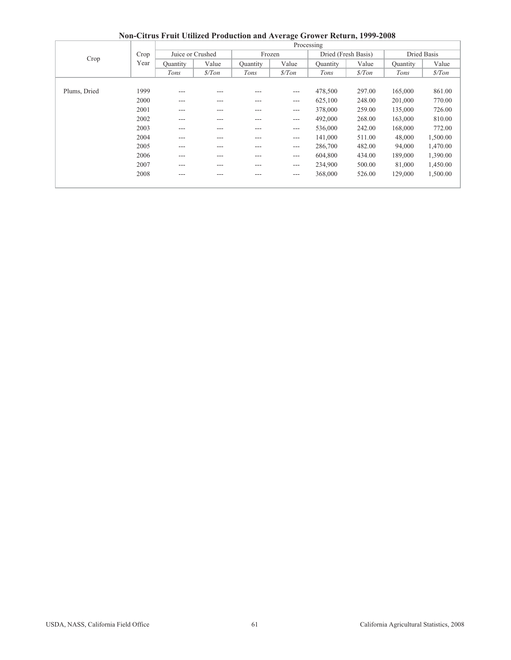|              |      |                   |               |          |               | - - <b>- - - - - - - - - -</b> - <i>-</i> .<br>Processing |                     |                 |               |
|--------------|------|-------------------|---------------|----------|---------------|-----------------------------------------------------------|---------------------|-----------------|---------------|
|              | Crop | Juice or Crushed  |               |          | Frozen        |                                                           | Dried (Fresh Basis) |                 | Dried Basis   |
| Crop         | Year | Value<br>Ouantity |               | Ouantity | Value         | <b>Quantity</b>                                           | Value               | <b>Quantity</b> | Value         |
|              |      | Tons              | $\frac{s}{T}$ | Tons     | $\frac{s}{T}$ | Tons                                                      | $\frac{s}{T}$       | Tons            | $\frac{s}{T}$ |
|              |      |                   |               |          |               |                                                           |                     |                 |               |
| Plums, Dried | 1999 | ---               | ---           |          | $\cdots$      | 478,500                                                   | 297.00              | 165,000         | 861.00        |
|              | 2000 | ---               | $- - -$       | ---      | $\cdots$      | 625,100                                                   | 248.00              | 201,000         | 770.00        |
|              | 2001 | ---               | ---           | ---      | $\cdots$      | 378,000                                                   | 259.00              | 135,000         | 726.00        |
|              | 2002 | $---$             | $---$         | ---      | $\cdots$      | 492,000                                                   | 268.00              | 163,000         | 810.00        |
|              | 2003 | ---               | $---$         | ---      | $\cdots$      | 536,000                                                   | 242.00              | 168,000         | 772.00        |
|              | 2004 | ---               | $---$         | ---      | $\cdots$      | 141,000                                                   | 511.00              | 48,000          | 1,500.00      |
|              | 2005 | ---               | $- - -$       | ---      | $\cdots$      | 286,700                                                   | 482.00              | 94,000          | 1,470.00      |
|              | 2006 | $---$             | $---$         | $---$    | $---$         | 604,800                                                   | 434.00              | 189,000         | 1,390.00      |
|              | 2007 | ---               | ---           | ---      | $---$         | 234,900                                                   | 500.00              | 81,000          | 1,450.00      |
|              | 2008 | $- - -$           | $- - -$       | ---      | $---$         | 368,000                                                   | 526.00              | 129,000         | 1,500.00      |
|              |      |                   |               |          |               |                                                           |                     |                 |               |

**Non-Citrus Fruit Utilized Production and Average Grower Return, 1999-2008**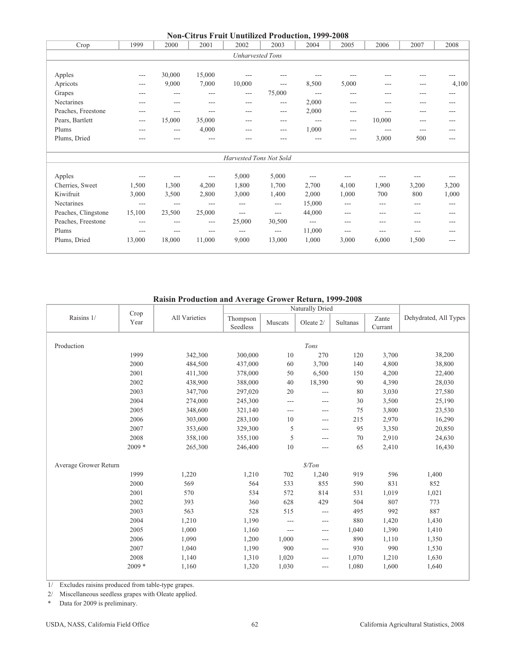|                     |        |         |        | <b>Non-Citrus Fruit Unutilized Production, 1999-2008</b> |          |        |       |         |       |       |
|---------------------|--------|---------|--------|----------------------------------------------------------|----------|--------|-------|---------|-------|-------|
| Crop                | 1999   | 2000    | 2001   | 2002                                                     | 2003     | 2004   | 2005  | 2006    | 2007  | 2008  |
|                     |        |         |        | <b>Unharvested Tons</b>                                  |          |        |       |         |       |       |
|                     |        |         |        |                                                          |          |        |       |         |       |       |
| Apples              | $---$  | 30,000  | 15,000 |                                                          |          |        |       | ---     | ---   | ---   |
| Apricots            | $---$  | 9,000   | 7,000  | 10,000                                                   | $---$    | 8,500  | 5,000 | $---$   | ---   | 4,100 |
| Grapes              | ---    | ---     | ---    | $---$                                                    | 75,000   | $---$  | ---   | $---$   | ---   | $---$ |
| Nectarines          | ---    | $- - -$ | $---$  | $---$                                                    | $\cdots$ | 2,000  | $---$ | $- - -$ | ---   | ---   |
| Peaches, Freestone  | ---    | $---$   | $---$  | $---$                                                    | $---$    | 2,000  | $---$ | ---     | ---   | ---   |
| Pears, Bartlett     | $---$  | 15,000  | 35,000 | ---                                                      | $---$    | $---$  | $---$ | 10,000  | ---   | ---   |
| Plums               | $---$  | $---$   | 4,000  | $---$                                                    | $---$    | 1,000  | $---$ | $---$   | ---   | ---   |
| Plums, Dried        |        | $---$   | ---    |                                                          | ---      |        | ---   | 3,000   | 500   | ---   |
|                     |        |         |        | Harvested Tons Not Sold                                  |          |        |       |         |       |       |
| Apples              | $---$  | ---     | ---    | 5,000                                                    | 5,000    | $---$  | ---   | ---     | ---   | ---   |
| Cherries, Sweet     | 1,500  | 1,300   | 4,200  | 1,800                                                    | 1,700    | 2,700  | 4,100 | 1,900   | 3,200 | 3,200 |
| Kiwifruit           | 3,000  | 3,500   | 2,800  | 3,000                                                    | 1,400    | 2,000  | 1,000 | 700     | 800   | 1,000 |
| Nectarines          | $---$  | $---$   | $---$  | $---$                                                    | $---$    | 15,000 | $---$ | $---$   | ---   | $---$ |
| Peaches, Clingstone | 15,100 | 23,500  | 25,000 | $---$                                                    | $---$    | 44,000 | $---$ | $---$   | ---   | $---$ |
| Peaches, Freestone  | ---    | $---$   | $---$  | 25,000                                                   | 30,500   | $---$  | ---   | $---$   | ---   | ---   |
| Plums               | $---$  | $---$   | $---$  | $---$                                                    | $---$    | 11,000 | $---$ | $---$   | ---   | ---   |
| Plums, Dried        | 13,000 | 18,000  | 11,000 | 9,000                                                    | 13,000   | 1,000  | 3,000 | 6,000   | 1,500 | ---   |
|                     |        |         |        |                                                          |          |        |       |         |       |       |

## **Raisin Production and Average Grower Return, 1999-2008**

|                       |              |               |                      |         | Naturally Dried |          |                  |                       |
|-----------------------|--------------|---------------|----------------------|---------|-----------------|----------|------------------|-----------------------|
| Raisins 1/            | Crop<br>Year | All Varieties | Thompson<br>Seedless | Muscats | Oleate 2/       | Sultanas | Zante<br>Currant | Dehydrated, All Types |
|                       |              |               |                      |         |                 |          |                  |                       |
| Production            |              |               |                      |         | Tons            |          |                  |                       |
|                       | 1999         | 342,300       | 300,000              | 10      | 270             | 120      | 3,700            | 38,200                |
|                       | 2000         | 484,500       | 437,000              | 60      | 3,700           | 140      | 4,800            | 38,800                |
|                       | 2001         | 411,300       | 378,000              | 50      | 6,500           | 150      | 4,200            | 22,400                |
|                       | 2002         | 438,900       | 388,000              | 40      | 18,390          | 90       | 4,390            | 28,030                |
|                       | 2003         | 347,700       | 297,020              | 20      | $\overline{a}$  | 80       | 3,030            | 27,580                |
|                       | 2004         | 274,000       | 245,300              | $---$   | $---$           | 30       | 3,500            | 25,190                |
|                       | 2005         | 348,600       | 321,140              | $---$   | $---$           | 75       | 3,800            | 23,530                |
|                       | 2006         | 303,000       | 283,100              | 10      | ---             | 215      | 2,970            | 16,290                |
|                       | 2007         | 353,600       | 329,300              | 5       | $---$           | 95       | 3,350            | 20,850                |
|                       | 2008         | 358,100       | 355,100              | 5       | $---$           | 70       | 2,910            | 24,630                |
|                       | $2009*$      | 265,300       | 246,400              | $10$    | $---$           | 65       | 2,410            | 16,430                |
| Average Grower Return |              |               |                      |         | \$/ Ton         |          |                  |                       |
|                       | 1999         | 1,220         | 1,210                | 702     | 1,240           | 919      | 596              | 1,400                 |
|                       | 2000         | 569           | 564                  | 533     | 855             | 590      | 831              | 852                   |
|                       | 2001         | 570           | 534                  | 572     | 814             | 531      | 1,019            | 1,021                 |
|                       | 2002         | 393           | 360                  | 628     | 429             | 504      | 807              | 773                   |
|                       | 2003         | 563           | 528                  | 515     | ---             | 495      | 992              | 887                   |
|                       | 2004         | 1,210         | 1,190                | $---$   | ---             | 880      | 1,420            | 1,430                 |
|                       | 2005         | 1,000         | 1,160                | $---$   | ---             | 1,040    | 1,390            | 1,410                 |
|                       | 2006         | 1,090         | 1,200                | 1,000   | $---$           | 890      | 1,110            | 1,350                 |
|                       | 2007         | 1,040         | 1,190                | 900     | $---$           | 930      | 990              | 1,530                 |
|                       | 2008         | 1,140         | 1,310                | 1,020   | ---             | 1,070    | 1,210            | 1,630                 |
|                       | $2009*$      | 1,160         | 1,320                | 1,030   | $---$           | 1,080    | 1,600            | 1,640                 |

1/ Excludes raisins produced from table-type grapes.

2/ Miscellaneous seedless grapes with Oleate applied.

\* Data for 2009 is preliminary.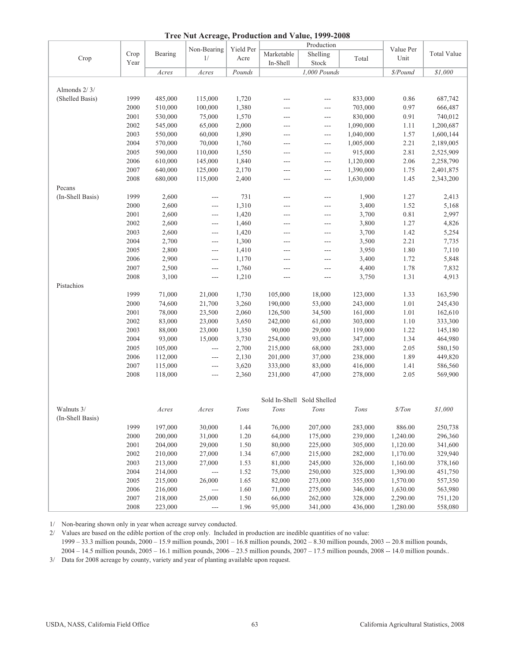|  | Tree Nut Acreage, Production and Value, 1999-2008 |  |
|--|---------------------------------------------------|--|
|  |                                                   |  |

|                  |      |         |                          |           |                            | Tree Nut Acreage, Production and Value, 1999-2008 |           |               |                    |
|------------------|------|---------|--------------------------|-----------|----------------------------|---------------------------------------------------|-----------|---------------|--------------------|
|                  |      |         | Non-Bearing              | Yield Per |                            | Production                                        |           | Value Per     |                    |
| Crop             | Crop | Bearing | 1/                       | Acre      | Marketable                 | Shelling                                          | Total     | Unit          | <b>Total Value</b> |
|                  | Year |         |                          |           | In-Shell                   | Stock                                             |           |               |                    |
|                  |      | Acres   | Acres                    | Pounds    |                            | 1,000 Pounds                                      |           | \$/Pound      | \$1,000            |
|                  |      |         |                          |           |                            |                                                   |           |               |                    |
| Almonds 2/3/     |      |         |                          |           |                            |                                                   |           |               |                    |
| (Shelled Basis)  | 1999 | 485,000 | 115,000                  | 1,720     | ---                        | ---                                               | 833,000   | 0.86          | 687,742            |
|                  | 2000 | 510,000 | 100,000                  | 1,380     | ---                        | ---                                               | 703,000   | 0.97          | 666,487            |
|                  | 2001 | 530,000 | 75,000                   | 1,570     | ---                        | ---                                               | 830,000   | 0.91          | 740,012            |
|                  | 2002 | 545,000 | 65,000                   | 2,000     | ---                        | $---$                                             | 1,090,000 | 1.11          | 1,200,687          |
|                  | 2003 | 550,000 | 60,000                   | 1,890     | ---                        | $---$                                             | 1,040,000 | 1.57          | 1,600,144          |
|                  | 2004 | 570,000 | 70,000                   | 1,760     | ---                        | ---                                               | 1,005,000 | 2.21          | 2,189,005          |
|                  | 2005 | 590,000 | 110,000                  | 1,550     | ---                        | ---                                               | 915,000   | 2.81          | 2,525,909          |
|                  | 2006 | 610,000 | 145,000                  | 1,840     | ---                        | ---                                               | 1,120,000 | 2.06          | 2,258,790          |
|                  | 2007 | 640,000 | 125,000                  | 2,170     | ---                        | $---$                                             | 1,390,000 | 1.75          | 2,401,875          |
|                  | 2008 | 680,000 | 115,000                  | 2,400     | $---$                      | $---$                                             | 1,630,000 | 1.45          | 2,343,200          |
| Pecans           |      |         |                          |           |                            |                                                   |           |               |                    |
| (In-Shell Basis) | 1999 | 2,600   | $\sim$ $\sim$            | 731       | ---                        | ---                                               | 1,900     | 1.27          | 2,413              |
|                  | 2000 | 2,600   | $\sim$ $\sim$            | 1,310     | ---                        | $---$                                             | 3,400     | 1.52          | 5,168              |
|                  | 2001 | 2,600   | $---$                    | 1,420     | ---                        | ---                                               | 3,700     | 0.81          | 2,997              |
|                  | 2002 | 2,600   | $\sim$ $\sim$            | 1,460     | ---                        | $---$                                             | 3,800     | 1.27          | 4,826              |
|                  | 2003 | 2,600   | $---$                    | 1,420     | ---                        | ---                                               | 3,700     | 1.42          | 5,254              |
|                  | 2004 | 2,700   | $---$                    | 1,300     | ---                        | ---                                               | 3,500     | 2.21          | 7,735              |
|                  | 2005 | 2,800   | $---$                    | 1,410     | ---                        | $---$                                             | 3,950     | 1.80          | 7,110              |
|                  | 2006 | 2,900   | $---$                    | 1,170     | ---                        | $---$                                             | 3,400     | 1.72          | 5,848              |
|                  | 2007 | 2,500   |                          | 1,760     |                            |                                                   |           | 1.78          | 7,832              |
|                  | 2008 | 3,100   | $\scriptstyle\cdots$     |           | ---                        | $---$                                             | 4,400     |               | 4,913              |
|                  |      |         | $\sim$ $\sim$            | 1,210     | ---                        | ---                                               | 3,750     | 1.31          |                    |
| Pistachios       |      |         |                          |           |                            |                                                   |           |               |                    |
|                  | 1999 | 71,000  | 21,000                   | 1,730     | 105,000                    | 18,000                                            | 123,000   | 1.33          | 163,590            |
|                  | 2000 | 74,600  | 21,700                   | 3,260     | 190,000                    | 53,000                                            | 243,000   | 1.01          | 245,430            |
|                  | 2001 | 78,000  | 23,500                   | 2,060     | 126,500                    | 34,500                                            | 161,000   | 1.01          | 162,610            |
|                  | 2002 | 83,000  | 23,000                   | 3,650     | 242,000                    | 61,000                                            | 303,000   | 1.10          | 333,300            |
|                  | 2003 | 88,000  | 23,000                   | 1,350     | 90,000                     | 29,000                                            | 119,000   | 1.22          | 145,180            |
|                  | 2004 | 93,000  | 15,000                   | 3,730     | 254,000                    | 93,000                                            | 347,000   | 1.34          | 464,980            |
|                  | 2005 | 105,000 | $\overline{a}$           | 2,700     | 215,000                    | 68,000                                            | 283,000   | 2.05          | 580,150            |
|                  | 2006 | 112,000 | $\qquad \qquad - -$      | 2,130     | 201,000                    | 37,000                                            | 238,000   | 1.89          | 449,820            |
|                  | 2007 | 115,000 | $\qquad \qquad - -$      | 3,620     | 333,000                    | 83,000                                            | 416,000   | 1.41          | 586,560            |
|                  | 2008 | 118,000 | $---$                    | 2,360     | 231,000                    | 47,000                                            | 278,000   | 2.05          | 569,900            |
|                  |      |         |                          |           |                            |                                                   |           |               |                    |
|                  |      |         |                          |           |                            |                                                   |           |               |                    |
|                  |      |         |                          |           | Sold In-Shell Sold Shelled |                                                   |           |               |                    |
| Walnuts 3/       |      | Acres   | Acres                    | Tons      | $Tons$                     | Tons                                              | Tons      | $\frac{s}{T}$ | \$1,000            |
| (In-Shell Basis) |      |         |                          |           |                            |                                                   |           |               |                    |
|                  | 1999 | 197,000 | 30,000                   | 1.44      | 76,000                     | 207,000                                           | 283,000   | 886.00        | 250,738            |
|                  | 2000 | 200,000 | 31,000                   | 1.20      | 64,000                     | 175,000                                           | 239,000   | 1,240.00      | 296,360            |
|                  | 2001 | 204,000 | 29,000                   | 1.50      | 80,000                     | 225,000                                           | 305,000   | 1,120.00      | 341,600            |
|                  | 2002 | 210,000 | 27,000                   | 1.34      | 67,000                     | 215,000                                           | 282,000   | 1,170.00      | 329,940            |
|                  | 2003 | 213,000 | 27,000                   | 1.53      | 81,000                     | 245,000                                           | 326,000   | 1,160.00      | 378,160            |
|                  | 2004 | 214,000 | $\overline{\phantom{a}}$ | 1.52      | 75,000                     | 250,000                                           | 325,000   | 1,390.00      | 451,750            |
|                  | 2005 | 215,000 | 26,000                   | 1.65      | 82,000                     | 273,000                                           | 355,000   | 1,570.00      | 557,350            |
|                  | 2006 | 216,000 | $\overline{\phantom{a}}$ | 1.60      | 71,000                     | 275,000                                           | 346,000   | 1,630.00      | 563,980            |
|                  | 2007 | 218,000 | 25,000                   | 1.50      | 66,000                     | 262,000                                           | 328,000   | 2,290.00      | 751,120            |
|                  | 2008 | 223,000 | $\overline{\phantom{a}}$ | 1.96      | 95,000                     | 341,000                                           | 436,000   | 1,280.00      | 558,080            |

1/ Non-bearing shown only in year when acreage survey conducted.

2/ Values are based on the edible portion of the crop only. Included in production are inedible quantities of no value:

1999 – 33.3 million pounds, 2000 – 15.9 million pounds, 2001 – 16.8 million pounds, 2002 – 8.30 million pounds, 2003 -- 20.8 million pounds,

2004 – 14.5 million pounds, 2005 – 16.1 million pounds, 2006 – 23.5 million pounds, 2007 – 17.5 million pounds, 2008 -- 14.0 million pounds..

3/ Data for 2008 acreage by county, variety and year of planting available upon request.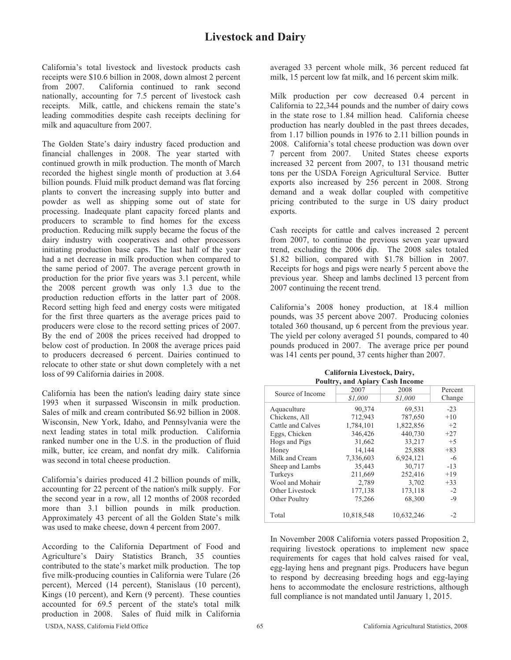California's total livestock and livestock products cash receipts were \$10.6 billion in 2008, down almost 2 percent from 2007. California continued to rank second nationally, accounting for 7.5 percent of livestock cash receipts. Milk, cattle, and chickens remain the state's leading commodities despite cash receipts declining for milk and aquaculture from 2007.

The Golden State's dairy industry faced production and financial challenges in 2008. The year started with continued growth in milk production. The month of March recorded the highest single month of production at 3.64 billion pounds. Fluid milk product demand was flat forcing plants to convert the increasing supply into butter and powder as well as shipping some out of state for processing. Inadequate plant capacity forced plants and producers to scramble to find homes for the excess production. Reducing milk supply became the focus of the dairy industry with cooperatives and other processors initiating production base caps. The last half of the year had a net decrease in milk production when compared to the same period of 2007. The average percent growth in production for the prior five years was 3.1 percent, while the 2008 percent growth was only 1.3 due to the production reduction efforts in the latter part of 2008. Record setting high feed and energy costs were mitigated for the first three quarters as the average prices paid to producers were close to the record setting prices of 2007. By the end of 2008 the prices received had dropped to below cost of production. In 2008 the average prices paid to producers decreased 6 percent. Dairies continued to relocate to other state or shut down completely with a net loss of 99 California dairies in 2008.

California has been the nation's leading dairy state since 1993 when it surpassed Wisconsin in milk production. Sales of milk and cream contributed \$6.92 billion in 2008. Wisconsin, New York, Idaho, and Pennsylvania were the next leading states in total milk production. California ranked number one in the U.S. in the production of fluid milk, butter, ice cream, and nonfat dry milk. California was second in total cheese production.

California's dairies produced 41.2 billion pounds of milk, accounting for 22 percent of the nation's milk supply. For the second year in a row, all 12 months of 2008 recorded more than 3.1 billion pounds in milk production. Approximately 43 percent of all the Golden State's milk was used to make cheese, down 4 percent from 2007.

According to the California Department of Food and Agriculture's Dairy Statistics Branch, 35 counties contributed to the state's market milk production. The top five milk-producing counties in California were Tulare (26 percent), Merced (14 percent), Stanislaus (10 percent), Kings (10 percent), and Kern (9 percent). These counties accounted for 69.5 percent of the state's total milk production in 2008. Sales of fluid milk in California

averaged 33 percent whole milk, 36 percent reduced fat milk, 15 percent low fat milk, and 16 percent skim milk.

Milk production per cow decreased 0.4 percent in California to 22,344 pounds and the number of dairy cows in the state rose to 1.84 million head. California cheese production has nearly doubled in the past threes decades, from 1.17 billion pounds in 1976 to 2.11 billion pounds in 2008. California's total cheese production was down over 7 percent from 2007. United States cheese exports increased 32 percent from 2007, to 131 thousand metric tons per the USDA Foreign Agricultural Service. Butter exports also increased by 256 percent in 2008. Strong demand and a weak dollar coupled with competitive pricing contributed to the surge in US dairy product exports.

Cash receipts for cattle and calves increased 2 percent from 2007, to continue the previous seven year upward trend, excluding the 2006 dip. The 2008 sales totaled \$1.82 billion, compared with \$1.78 billion in 2007. Receipts for hogs and pigs were nearly 5 percent above the previous year. Sheep and lambs declined 13 percent from 2007 continuing the recent trend.

California's 2008 honey production, at 18.4 million pounds, was 35 percent above 2007. Producing colonies totaled 360 thousand, up 6 percent from the previous year. The yield per colony averaged 51 pounds, compared to 40 pounds produced in 2007. The average price per pound was 141 cents per pound, 37 cents higher than 2007.

|                   | <b>Poultry, and Apiary Cash Income</b> |            |         |
|-------------------|----------------------------------------|------------|---------|
| Source of Income  | 2007                                   | 2008       | Percent |
|                   | \$1.000                                | \$1.000    | Change  |
| Aquaculture       | 90,374                                 | 69,531     | $-23$   |
| Chickens, All     | 712,943                                | 787,650    | $+10$   |
| Cattle and Calves | 1,784,101                              | 1,822,856  | $+2$    |
| Eggs, Chicken     | 346,426                                | 440,730    | $+27$   |
| Hogs and Pigs     | 31,662                                 | 33,217     | $+5$    |
| Honey             | 14,144                                 | 25,888     | $+83$   |
| Milk and Cream    | 7,336,603                              | 6,924,121  | -6      |
| Sheep and Lambs   | 35,443                                 | 30,717     | $-13$   |
| Turkeys           | 211,669                                | 252,416    | $+19$   |
| Wool and Mohair   | 2,789                                  | 3,702      | $+33$   |
| Other Livestock   | 177,138                                | 173,118    | $-2$    |
| Other Poultry     | 75,266                                 | 68,300     | $-9$    |
| Total             | 10,818,548                             | 10,632,246 | $-2$    |

**California Livestock, Dairy,** 

In November 2008 California voters passed Proposition 2, requiring livestock operations to implement new space requirements for cages that hold calves raised for veal, egg-laying hens and pregnant pigs. Producers have begun to respond by decreasing breeding hogs and egg-laying hens to accommodate the enclosure restrictions, although full compliance is not mandated until January 1, 2015.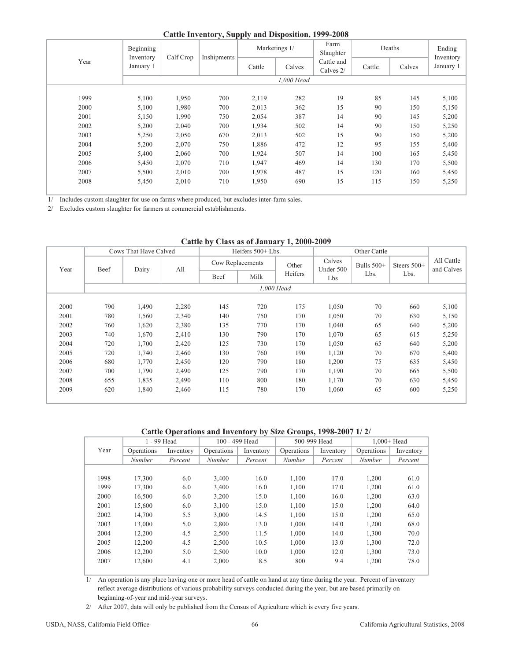| <b>Cattle Inventory, Supply and Disposition, 1999-2008</b> |  |  |  |
|------------------------------------------------------------|--|--|--|
|------------------------------------------------------------|--|--|--|

|  |      | Beginning<br>Inventory | Calf Crop | Inshipments | Marketings 1/ |            | Farm<br>Slaughter       |        | Deaths | Ending<br>Inventory |
|--|------|------------------------|-----------|-------------|---------------|------------|-------------------------|--------|--------|---------------------|
|  | Year | January 1              |           |             | Cattle        | Calves     | Cattle and<br>Calves 2/ | Cattle | Calves | January 1           |
|  |      |                        |           |             |               | 1,000 Head |                         |        |        |                     |
|  |      |                        |           |             |               |            |                         |        |        |                     |
|  | 1999 | 5,100                  | 1,950     | 700         | 2,119         | 282        | 19                      | 85     | 145    | 5,100               |
|  | 2000 | 5,100                  | 1,980     | 700         | 2,013         | 362        | 15                      | 90     | 150    | 5,150               |
|  | 2001 | 5,150                  | 1,990     | 750         | 2,054         | 387        | 14                      | 90     | 145    | 5,200               |
|  | 2002 | 5,200                  | 2,040     | 700         | 1,934         | 502        | 14                      | 90     | 150    | 5,250               |
|  | 2003 | 5,250                  | 2,050     | 670         | 2,013         | 502        | 15                      | 90     | 150    | 5,200               |
|  | 2004 | 5,200                  | 2,070     | 750         | 1,886         | 472        | 12                      | 95     | 155    | 5,400               |
|  | 2005 | 5,400                  | 2,060     | 700         | 1,924         | 507        | 14                      | 100    | 165    | 5,450               |
|  | 2006 | 5,450                  | 2,070     | 710         | 1,947         | 469        | 14                      | 130    | 170    | 5,500               |
|  | 2007 | 5,500                  | 2,010     | 700         | 1,978         | 487        | 15                      | 120    | 160    | 5,450               |
|  | 2008 | 5,450                  | 2,010     | 710         | 1,950         | 690        | 15                      | 115    | 150    | 5,250               |
|  |      |                        |           |             |               |            |                         |        |        |                     |

1/ Includes custom slaughter for use on farms where produced, but excludes inter-farm sales.

2/ Excludes custom slaughter for farmers at commercial establishments.

|      |      |                       |       |      | Cattle by Class as of ballanty 14 $\mu$ 000 $\mu$ 007 |              |                     |              |               |                          |  |
|------|------|-----------------------|-------|------|-------------------------------------------------------|--------------|---------------------|--------------|---------------|--------------------------|--|
|      |      | Cows That Have Calved |       |      | Heifers 500+ Lbs.                                     |              |                     | Other Cattle |               |                          |  |
| Year | Beef | Dairy                 | All   |      | Cow Replacements                                      | Other        | Calves<br>Under 500 | Bulls $500+$ | Steers $500+$ | All Cattle<br>and Calves |  |
|      |      |                       |       | Beef | Milk                                                  | Heifers      | Lbs                 | Lbs.         | Lbs.          |                          |  |
|      |      |                       |       |      |                                                       | $1.000$ Head |                     |              |               |                          |  |
|      |      |                       |       |      |                                                       |              |                     |              |               |                          |  |
| 2000 | 790  | 1,490                 | 2,280 | 145  | 720                                                   | 175          | 1,050               | 70           | 660           | 5,100                    |  |
| 2001 | 780  | 1,560                 | 2,340 | 140  | 750                                                   | 170          | 1,050               | 70           | 630           | 5,150                    |  |
| 2002 | 760  | 1,620                 | 2,380 | 135  | 770                                                   | 170          | 1,040               | 65           | 640           | 5,200                    |  |
| 2003 | 740  | 1,670                 | 2,410 | 130  | 790                                                   | 170          | 1,070               | 65           | 615           | 5,250                    |  |
| 2004 | 720  | 1,700                 | 2,420 | 125  | 730                                                   | 170          | 1,050               | 65           | 640           | 5,200                    |  |
| 2005 | 720  | 1,740                 | 2,460 | 130  | 760                                                   | 190          | 1,120               | 70           | 670           | 5,400                    |  |
| 2006 | 680  | 1,770                 | 2,450 | 120  | 790                                                   | 180          | 1,200               | 75           | 635           | 5,450                    |  |
| 2007 | 700  | 1,790                 | 2,490 | 125  | 790                                                   | 170          | 1,190               | 70           | 665           | 5,500                    |  |
| 2008 | 655  | 1,835                 | 2,490 | 110  | 800                                                   | 180          | 1,170               | 70           | 630           | 5,450                    |  |
| 2009 | 620  | 1,840                 | 2,460 | 115  | 780                                                   | 170          | 1,060               | 65           | 600           | 5,250                    |  |
|      |      |                       |       |      |                                                       |              |                     |              |               |                          |  |

## **Cattle by Class as of January 1, 2000-2009**

**Cattle Operations and Inventory by Size Groups, 1998-2007 1/ 2/**

|      | 1 - 99 Head |           |               | 100 - 499 Head | 500-999 Head  |           | $1.000 + Head$ |           |  |
|------|-------------|-----------|---------------|----------------|---------------|-----------|----------------|-----------|--|
| Year | Operations  | Inventory | Operations    | Inventory      | Operations    | Inventory | Operations     | Inventory |  |
|      | Number      | Percent   | <b>Number</b> | Percent        | <i>Number</i> | Percent   | Number         | Percent   |  |
|      |             |           |               |                |               |           |                |           |  |
| 1998 | 17,300      | 6.0       | 3,400         | 16.0           | 1,100         | 17.0      | 1,200          | 61.0      |  |
| 1999 | 17,300      | 6.0       | 3,400         | 16.0           | 1.100         | 17.0      | 1,200          | 61.0      |  |
| 2000 | 16,500      | 6.0       | 3,200         | 15.0           | 1,100         | 16.0      | 1,200          | 63.0      |  |
| 2001 | 15,600      | 6.0       | 3,100         | 15.0           | 1.100         | 15.0      | 1,200          | 64.0      |  |
| 2002 | 14,700      | 5.5       | 3,000         | 14.5           | 1,100         | 15.0      | 1,200          | 65.0      |  |
| 2003 | 13,000      | 5.0       | 2.800         | 13.0           | 1.000         | 14.0      | 1,200          | 68.0      |  |
| 2004 | 12,200      | 4.5       | 2,500         | 11.5           | 1,000         | 14.0      | 1,300          | 70.0      |  |
| 2005 | 12,200      | 4.5       | 2,500         | 10.5           | 1.000         | 13.0      | 1,300          | 72.0      |  |
| 2006 | 12,200      | 5.0       | 2,500         | 10.0           | 1,000         | 12.0      | 1,300          | 73.0      |  |
| 2007 | 12,600      | 4.1       | 2,000         | 8.5            | 800           | 9.4       | 1,200          | 78.0      |  |
|      |             |           |               |                |               |           |                |           |  |

 beginning-of-year and mid-year surveys. 1/ An operation is any place having one or more head of cattle on hand at any time during the year. Percent of inventory reflect average distributions of various probability surveys conducted during the year, but are based primarily on

2/ After 2007, data will only be published from the Census of Agriculture which is every five years.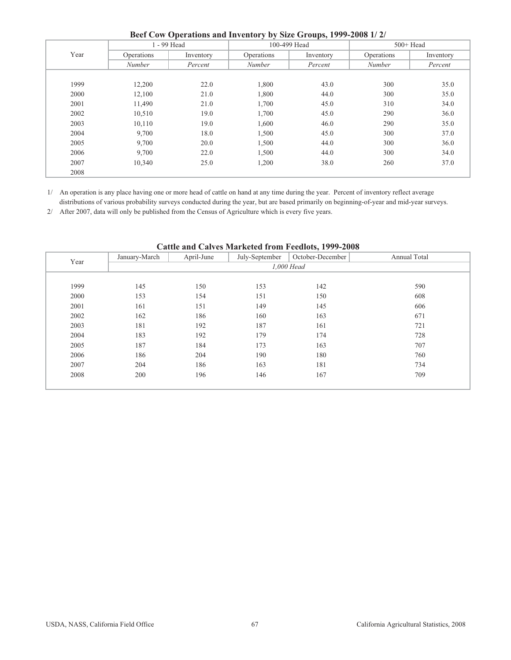|      |               | $\sim$ p $\sim$ $\sim$<br>1 - 99 Head |               | 100-499 Head | $500+$ Head |           |
|------|---------------|---------------------------------------|---------------|--------------|-------------|-----------|
| Year | Operations    | Inventory                             | Operations    | Inventory    | Operations  | Inventory |
|      | <b>Number</b> | Percent                               | Number        | Percent      | Number      | Percent   |
|      |               |                                       |               |              |             |           |
| 1999 | 12,200        | 22.0                                  | 1,800         | 43.0         | 300         | 35.0      |
| 2000 | 12,100        | 21.0                                  | 1,800         | 44.0         | 300         | 35.0      |
| 2001 | 11,490        | 21.0                                  | 1,700         | 45.0         | 310         | 34.0      |
| 2002 | 10,510        | 19.0                                  | 1,700         | 45.0         | 290         | 36.0      |
| 2003 | 10,110        | 19.0                                  | 1,600         | 46.0         | 290         | 35.0      |
| 2004 | 9,700         | 18.0                                  | 1,500         | 45.0         | 300         | 37.0      |
| 2005 | 9,700         | 20.0                                  | 1,500         | 44.0         | 300         | 36.0      |
| 2006 | 9,700         | 22.0                                  | 1,500         | 44.0         | 300         | 34.0      |
| 2007 | 10,340        | 25.0                                  | 1,200<br>38.0 |              | 260         | 37.0      |
| 2008 |               |                                       |               |              |             |           |

**Beef Cow Operations and Inventory by Size Groups, 1999-2008 1/ 2/**

1/ An operation is any place having one or more head of cattle on hand at any time during the year. Percent of inventory reflect average distributions of various probability surveys conducted during the year, but are based primarily on beginning-of-year and mid-year surveys.

2/ After 2007, data will only be published from the Census of Agriculture which is every five years.

| Cattle and Calves Marketed from Feedlots, 1999-2008 |               |            |                |                  |              |  |  |  |  |  |  |
|-----------------------------------------------------|---------------|------------|----------------|------------------|--------------|--|--|--|--|--|--|
| Year                                                | January-March | April-June | July-September | October-December | Annual Total |  |  |  |  |  |  |
|                                                     |               |            |                | 1.000 Head       |              |  |  |  |  |  |  |
|                                                     |               |            |                |                  |              |  |  |  |  |  |  |
| 1999                                                | 145           | 150        | 153            | 142              | 590          |  |  |  |  |  |  |
| 2000                                                | 153           | 154        | 151            | 150              | 608          |  |  |  |  |  |  |
| 2001                                                | 161           | 151        | 149            | 145              | 606          |  |  |  |  |  |  |
| 2002                                                | 162           | 186        | 160            | 163              | 671          |  |  |  |  |  |  |
| 2003                                                | 181           | 192        | 187            | 161              | 721          |  |  |  |  |  |  |
| 2004                                                | 183           | 192        | 179            | 174              | 728          |  |  |  |  |  |  |
| 2005                                                | 187           | 184        | 173            | 163              | 707          |  |  |  |  |  |  |
| 2006                                                | 186           | 204        | 190            | 180              | 760          |  |  |  |  |  |  |
| 2007                                                | 204           | 186        | 163            | 181              | 734          |  |  |  |  |  |  |
| 2008                                                | 200           | 196        | 146            | 167              | 709          |  |  |  |  |  |  |

## **Cattle and Calves Marketed from Feedlots, 1999-2008**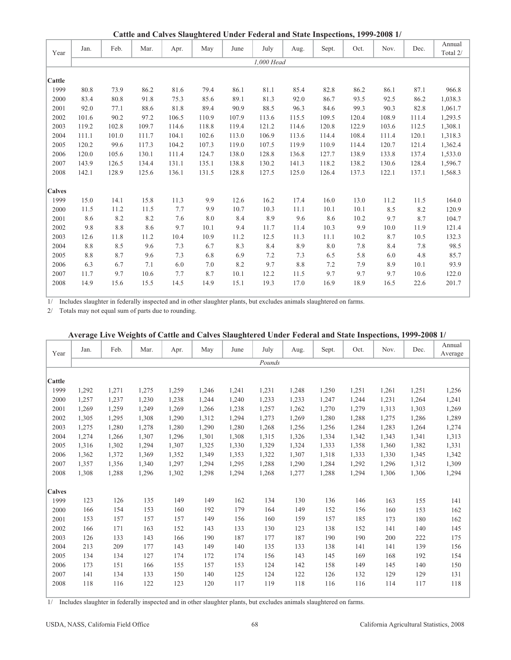**Cattle and Calves Slaughtered Under Federal and State Inspections, 1999-2008 1/**

|               |       |         |       | Cattic and Carves Staughtered Under Federal and State Inspections, 1999–2000 1/ |       |       |            |       |       |       |       |       |                    |
|---------------|-------|---------|-------|---------------------------------------------------------------------------------|-------|-------|------------|-------|-------|-------|-------|-------|--------------------|
| Year          | Jan.  | Feb.    | Mar.  | Apr.                                                                            | May   | June  | July       | Aug.  | Sept. | Oct.  | Nov.  | Dec.  | Annual<br>Total 2/ |
|               |       |         |       |                                                                                 |       |       | 1,000 Head |       |       |       |       |       |                    |
|               |       |         |       |                                                                                 |       |       |            |       |       |       |       |       |                    |
| Cattle        |       |         |       |                                                                                 |       |       |            |       |       |       |       |       |                    |
| 1999          | 80.8  | 73.9    | 86.2  | 81.6                                                                            | 79.4  | 86.1  | 81.1       | 85.4  | 82.8  | 86.2  | 86.1  | 87.1  | 966.8              |
| 2000          | 83.4  | 80.8    | 91.8  | 75.3                                                                            | 85.6  | 89.1  | 81.3       | 92.0  | 86.7  | 93.5  | 92.5  | 86.2  | 1,038.3            |
| 2001          | 92.0  | 77.1    | 88.6  | 81.8                                                                            | 89.4  | 90.9  | 88.5       | 96.3  | 84.6  | 99.3  | 90.3  | 82.8  | 1,061.7            |
| 2002          | 101.6 | 90.2    | 97.2  | 106.5                                                                           | 110.9 | 107.9 | 113.6      | 115.5 | 109.5 | 120.4 | 108.9 | 111.4 | 1,293.5            |
| 2003          | 119.2 | 102.8   | 109.7 | 114.6                                                                           | 118.8 | 119.4 | 121.2      | 114.6 | 120.8 | 122.9 | 103.6 | 112.5 | 1,308.1            |
| 2004          | 111.1 | 101.0   | 111.7 | 104.1                                                                           | 102.6 | 113.0 | 106.9      | 113.6 | 114.4 | 108.4 | 111.4 | 120.1 | 1,318.3            |
| 2005          | 120.2 | 99.6    | 117.3 | 104.2                                                                           | 107.3 | 119.0 | 107.5      | 119.9 | 110.9 | 114.4 | 120.7 | 121.4 | 1,362.4            |
| 2006          | 120.0 | 105.6   | 130.1 | 111.4                                                                           | 124.7 | 138.0 | 128.8      | 136.8 | 127.7 | 138.9 | 133.8 | 137.4 | 1,533.0            |
| 2007          | 143.9 | 126.5   | 134.4 | 131.1                                                                           | 135.1 | 138.8 | 130.2      | 141.3 | 118.2 | 138.2 | 130.6 | 128.4 | 1,596.7            |
| 2008          | 142.1 | 128.9   | 125.6 | 136.1                                                                           | 131.5 | 128.8 | 127.5      | 125.0 | 126.4 | 137.3 | 122.1 | 137.1 | 1,568.3            |
|               |       |         |       |                                                                                 |       |       |            |       |       |       |       |       |                    |
| <b>Calves</b> |       |         |       |                                                                                 |       |       |            |       |       |       |       |       |                    |
| 1999          | 15.0  | 14.1    | 15.8  | 11.3                                                                            | 9.9   | 12.6  | 16.2       | 17.4  | 16.0  | 13.0  | 11.2  | 11.5  | 164.0              |
| 2000          | 11.5  | 11.2    | 11.5  | 7.7                                                                             | 9.9   | 10.7  | 10.3       | 11.1  | 10.1  | 10.1  | 8.5   | 8.2   | 120.9              |
| 2001          | 8.6   | 8.2     | 8.2   | 7.6                                                                             | 8.0   | 8.4   | 8.9        | 9.6   | 8.6   | 10.2  | 9.7   | 8.7   | 104.7              |
| 2002          | 9.8   | $8.8\,$ | 8.6   | 9.7                                                                             | 10.1  | 9.4   | 11.7       | 11.4  | 10.3  | 9.9   | 10.0  | 11.9  | 121.4              |
| 2003          | 12.6  | 11.8    | 11.2  | 10.4                                                                            | 10.9  | 11.2  | 12.5       | 11.3  | 11.1  | 10.2  | 8.7   | 10.5  | 132.3              |
| 2004          | 8.8   | 8.5     | 9.6   | 7.3                                                                             | 6.7   | 8.3   | 8.4        | 8.9   | 8.0   | 7.8   | 8.4   | 7.8   | 98.5               |
| 2005          | 8.8   | 8.7     | 9.6   | 7.3                                                                             | 6.8   | 6.9   | 7.2        | 7.3   | 6.5   | 5.8   | 6.0   | 4.8   | 85.7               |
| 2006          | 6.3   | 6.7     | 7.1   | 6.0                                                                             | 7.0   | 8.2   | 9.7        | 8.8   | 7.2   | 7.9   | 8.9   | 10.1  | 93.9               |
| 2007          | 11.7  | 9.7     | 10.6  | 7.7                                                                             | 8.7   | 10.1  | 12.2       | 11.5  | 9.7   | 9.7   | 9.7   | 10.6  | 122.0              |
| 2008          | 14.9  | 15.6    | 15.5  | 14.5                                                                            | 14.9  | 15.1  | 19.3       | 17.0  | 16.9  | 18.9  | 16.5  | 22.6  | 201.7              |
|               |       |         |       |                                                                                 |       |       |            |       |       |       |       |       |                    |

1/ Includes slaughter in federally inspected and in other slaughter plants, but excludes animals slaughtered on farms.

2/ Totals may not equal sum of parts due to rounding.

|               |       |       |       |       |       |       |        |       |       |       | $\alpha$ , and the property of the cattle and carres shall introduced that is the state inspections, 1999–2000 T |       |         |
|---------------|-------|-------|-------|-------|-------|-------|--------|-------|-------|-------|------------------------------------------------------------------------------------------------------------------|-------|---------|
|               | Jan.  | Feb.  | Mar.  | Apr.  | May   | June  | July   | Aug.  | Sept. | Oct.  | Nov.                                                                                                             | Dec.  | Annual  |
| Year          |       |       |       |       |       |       |        |       |       |       |                                                                                                                  |       | Average |
|               |       |       |       |       |       |       | Pounds |       |       |       |                                                                                                                  |       |         |
|               |       |       |       |       |       |       |        |       |       |       |                                                                                                                  |       |         |
| Cattle        |       |       |       |       |       |       |        |       |       |       |                                                                                                                  |       |         |
| 1999          | 1,292 | 1,271 | 1,275 | 1,259 | 1,246 | 1,241 | 1,231  | 1,248 | 1,250 | 1,251 | 1,261                                                                                                            | 1,251 | 1,256   |
| 2000          | 1,257 | 1,237 | 1,230 | 1,238 | 1,244 | 1,240 | 1,233  | 1,233 | 1,247 | 1,244 | 1,231                                                                                                            | 1,264 | 1,241   |
| 2001          | 1,269 | 1,259 | 1,249 | 1,269 | 1,266 | 1,238 | 1,257  | 1,262 | 1,270 | 1,279 | 1,313                                                                                                            | 1,303 | 1,269   |
| 2002          | 1,305 | 1,295 | 1.308 | 1,290 | 1,312 | 1,294 | 1,273  | 1,269 | 1,280 | 1,288 | 1,275                                                                                                            | 1,286 | 1,289   |
| 2003          | 1,275 | 1,280 | 1,278 | 1,280 | 1,290 | 1,280 | 1,268  | 1,256 | 1,256 | 1,284 | 1,283                                                                                                            | 1,264 | 1,274   |
| 2004          | 1,274 | 1,266 | 1,307 | 1,296 | 1,301 | 1,308 | 1,315  | 1,326 | 1,334 | 1,342 | 1,343                                                                                                            | 1,341 | 1,313   |
| 2005          | 1,316 | 1,302 | 1,294 | 1,307 | 1,325 | 1,330 | 1,329  | 1,324 | 1,333 | 1,358 | 1,360                                                                                                            | 1,382 | 1,331   |
| 2006          | 1,362 | 1,372 | 1,369 | 1,352 | 1,349 | 1,353 | 1,322  | 1,307 | 1,318 | 1,333 | 1,330                                                                                                            | 1,345 | 1,342   |
| 2007          | 1,357 | 1,356 | 1,340 | 1,297 | 1,294 | 1,295 | 1,288  | 1,290 | 1,284 | 1,292 | 1,296                                                                                                            | 1,312 | 1,309   |
| 2008          | 1,308 | 1,288 | 1,296 | 1,302 | 1,298 | 1,294 | 1,268  | 1,277 | 1,288 | 1,294 | 1,306                                                                                                            | 1,306 | 1,294   |
|               |       |       |       |       |       |       |        |       |       |       |                                                                                                                  |       |         |
| <b>Calves</b> |       |       |       |       |       |       |        |       |       |       |                                                                                                                  |       |         |
| 1999          | 123   | 126   | 135   | 149   | 149   | 162   | 134    | 130   | 136   | 146   | 163                                                                                                              | 155   | 141     |
| 2000          | 166   | 154   | 153   | 160   | 192   | 179   | 164    | 149   | 152   | 156   | 160                                                                                                              | 153   | 162     |
| 2001          | 153   | 157   | 157   | 157   | 149   | 156   | 160    | 159   | 157   | 185   | 173                                                                                                              | 180   | 162     |
| 2002          | 166   | 171   | 163   | 152   | 143   | 133   | 130    | 123   | 138   | 152   | 141                                                                                                              | 140   | 145     |
| 2003          | 126   | 133   | 143   | 166   | 190   | 187   | 177    | 187   | 190   | 190   | 200                                                                                                              | 222   | 175     |
| 2004          | 213   | 209   | 177   | 143   | 149   | 140   | 135    | 133   | 138   | 141   | 141                                                                                                              | 139   | 156     |
| 2005          | 134   | 134   | 127   | 174   | 172   | 174   | 156    | 143   | 145   | 169   | 168                                                                                                              | 192   | 154     |
| 2006          | 173   | 151   | 166   | 155   | 157   | 153   | 124    | 142   | 158   | 149   | 145                                                                                                              | 140   | 150     |
| 2007          | 141   | 134   | 133   | 150   | 140   | 125   | 124    | 122   | 126   | 132   | 129                                                                                                              | 129   | 131     |
| 2008          | 118   | 116   | 122   | 123   | 120   | 117   | 119    | 118   | 116   | 116   | 114                                                                                                              | 117   | 118     |
|               |       |       |       |       |       |       |        |       |       |       |                                                                                                                  |       |         |

## **Average Live Weights of Cattle and Calves Slaughtered Under Federal and State Inspections, 1999-2008 1/**

1/ Includes slaughter in federally inspected and in other slaughter plants, but excludes animals slaughtered on farms.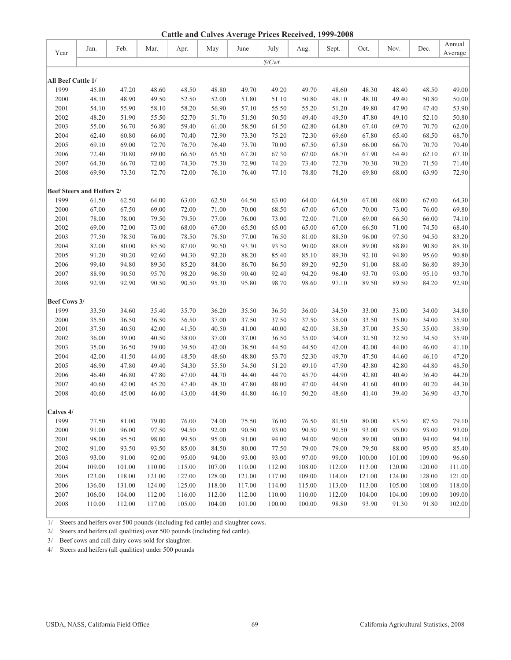|                             |                                   |        |        |        |        |        |                   | vu,    |        |        |        |        |                   |
|-----------------------------|-----------------------------------|--------|--------|--------|--------|--------|-------------------|--------|--------|--------|--------|--------|-------------------|
| Year                        | Jan.                              | Feb.   | Mar.   | Apr.   | May    | June   | July              | Aug.   | Sept.  | Oct.   | Nov.   | Dec.   | Annual<br>Average |
|                             |                                   |        |        |        |        |        | $\mathcal{S}/Cwt$ |        |        |        |        |        |                   |
|                             |                                   |        |        |        |        |        |                   |        |        |        |        |        |                   |
| All Beef Cattle 1/          |                                   |        |        |        |        |        |                   |        |        |        |        |        |                   |
| 1999                        | 45.80                             | 47.20  | 48.60  | 48.50  | 48.80  | 49.70  | 49.20             | 49.70  | 48.60  | 48.30  | 48.40  | 48.50  | 49.00             |
| 2000                        | 48.10                             | 48.90  | 49.50  | 52.50  | 52.00  | 51.80  | 51.10             | 50.80  | 48.10  | 48.10  | 49.40  | 50.80  | 50.00             |
| 2001                        | 54.10                             | 55.90  | 58.10  | 58.20  | 56.90  | 57.10  | 55.50             | 55.20  | 51.20  | 49.80  | 47.90  | 47.40  | 53.90             |
| 2002                        | 48.20                             | 51.90  | 55.50  | 52.70  | 51.70  | 51.50  | 50.50             | 49.40  | 49.50  | 47.80  | 49.10  | 52.10  | 50.80             |
| 2003                        | 55.00                             | 56.70  | 56.80  | 59.40  | 61.00  | 58.50  | 61.50             | 62.80  | 64.80  | 67.40  | 69.70  | 70.70  | 62.00             |
| 2004                        | 62.40                             | 60.80  | 66.00  | 70.40  | 72.90  | 73.30  | 75.20             | 72.30  | 69.60  | 67.80  | 65.40  | 68.50  | 68.70             |
| 2005                        | 69.10                             | 69.00  | 72.70  | 76.70  | 76.40  | 73.70  | 70.00             | 67.50  | 67.80  | 66.00  | 66.70  | 70.70  | 70.40             |
| 2006                        | 72.40                             | 70.80  | 69.00  | 66.50  | 65.50  | 67.20  | 67.30             | 67.00  | 68.70  | 67.90  | 64.40  | 62.10  | 67.30             |
| 2007                        | 64.30                             | 66.70  | 72.00  | 74.30  | 75.30  | 72.90  | 74.20             | 73.40  | 72.70  | 70.30  | 70.20  | 71.50  | 71.40             |
| 2008                        | 69.90                             | 73.30  | 72.70  | 72.00  | 76.10  | 76.40  | 77.10             | 78.80  | 78.20  | 69.80  | 68.00  | 63.90  | 72.90             |
|                             | <b>Beef Steers and Heifers 2/</b> |        |        |        |        |        |                   |        |        |        |        |        |                   |
| 1999                        | 61.50                             | 62.50  | 64.00  | 63.00  | 62.50  | 64.50  | 63.00             | 64.00  | 64.50  | 67.00  | 68.00  | 67.00  | 64.30             |
| 2000                        | 67.00                             | 67.50  | 69.00  | 72.00  | 71.00  | 70.00  | 68.50             | 67.00  | 67.00  | 70.00  | 73.00  | 76.00  | 69.80             |
| 2001                        | 78.00                             | 78.00  | 79.50  | 79.50  | 77.00  | 76.00  | 73.00             | 72.00  | 71.00  | 69.00  | 66.50  | 66.00  | 74.10             |
| 2002                        | 69.00                             | 72.00  | 73.00  | 68.00  | 67.00  | 65.50  | 65.00             | 65.00  | 67.00  | 66.50  | 71.00  | 74.50  | 68.40             |
| 2003                        | 77.50                             | 78.50  | 76.00  | 78.50  | 78.50  | 77.00  | 76.50             | 81.00  | 88.50  | 96.00  | 97.50  | 94.50  | 83.20             |
| 2004                        | 82.00                             | 80.00  | 85.50  | 87.00  | 90.50  | 93.30  | 93.50             | 90.00  | 88.00  | 89.00  | 88.80  | 90.80  | 88.30             |
| 2005                        | 91.20                             | 90.20  | 92.60  | 94.30  | 92.20  | 88.20  | 85.40             | 85.10  | 89.30  | 92.10  | 94.80  | 95.60  | 90.80             |
| 2006                        | 99.40                             | 94.80  | 89.30  | 85.20  | 84.00  | 86.70  | 86.50             | 89.20  | 92.50  | 91.00  | 88.40  | 86.80  | 89.30             |
| 2007                        | 88.90                             | 90.50  | 95.70  | 98.20  | 96.50  | 90.40  | 92.40             | 94.20  | 96.40  | 93.70  | 93.00  | 95.10  | 93.70             |
| 2008                        | 92.90                             | 92.90  | 90.50  | 90.50  | 95.30  | 95.80  | 98.70             | 98.60  | 97.10  | 89.50  | 89.50  | 84.20  | 92.90             |
|                             |                                   |        |        |        |        |        |                   |        |        |        |        |        |                   |
| <b>Beef Cows 3/</b><br>1999 | 33.50                             | 34.60  | 35.40  | 35.70  | 36.20  | 35.50  | 36.50             | 36.00  | 34.50  | 33.00  | 33.00  | 34.00  | 34.80             |
| 2000                        | 35.50                             | 36.50  | 36.50  | 36.50  | 37.00  | 37.50  | 37.50             | 37.50  | 35.00  | 33.50  | 35.00  | 34.00  | 35.90             |
| 2001                        | 37.50                             | 40.50  | 42.00  | 41.50  | 40.50  | 41.00  | 40.00             | 42.00  | 38.50  | 37.00  | 35.50  | 35.00  | 38.90             |
| 2002                        | 36.00                             | 39.00  | 40.50  | 38.00  | 37.00  | 37.00  | 36.50             | 35.00  | 34.00  | 32.50  | 32.50  | 34.50  | 35.90             |
| 2003                        | 35.00                             | 36.50  | 39.00  | 39.50  | 42.00  | 38.50  | 44.50             | 44.50  | 42.00  | 42.00  | 44.00  | 46.00  | 41.10             |
| 2004                        | 42.00                             | 41.50  | 44.00  | 48.50  | 48.60  | 48.80  | 53.70             | 52.30  | 49.70  | 47.50  | 44.60  | 46.10  | 47.20             |
| 2005                        | 46.90                             | 47.80  | 49.40  | 54.30  | 55.50  | 54.50  | 51.20             | 49.10  | 47.90  | 43.80  | 42.80  | 44.80  | 48.50             |
| 2006                        | 46.40                             | 46.80  | 47.80  | 47.00  | 44.70  | 44.40  | 44.70             | 45.70  | 44.90  | 42.80  | 40.40  | 36.40  | 44.20             |
| 2007                        | 40.60                             | 42.00  | 45.20  | 47.40  | 48.30  | 47.80  | 48.00             | 47.00  | 44.90  | 41.60  | 40.00  | 40.20  | 44.30             |
| 2008                        | 40.60                             | 45.00  | 46.00  | 43.00  | 44.90  | 44.80  | 46.10             | 50.20  | 48.60  | 41.40  | 39.40  | 36.90  | 43.70             |
|                             |                                   |        |        |        |        |        |                   |        |        |        |        |        |                   |
| Calves 4/                   |                                   |        |        |        |        |        |                   |        |        |        |        |        |                   |
| 1999                        | 77.50                             | 81.00  | 79.00  | 76.00  | 74.00  | 75.50  | 76.00             | 76.50  | 81.50  | 80.00  | 83.50  | 87.50  | 79.10             |
| 2000                        | 91.00                             | 96.00  | 97.50  | 94.50  | 92.00  | 90.50  | 93.00             | 90.50  | 91.50  | 93.00  | 95.00  | 93.00  | 93.00             |
| 2001                        | 98.00                             | 95.50  | 98.00  | 99.50  | 95.00  | 91.00  | 94.00             | 94.00  | 90.00  | 89.00  | 90.00  | 94.00  | 94.10             |
| 2002                        | 91.00                             | 93.50  | 93.50  | 85.00  | 84.50  | 80.00  | 77.50             | 79.00  | 79.00  | 79.50  | 88.00  | 95.00  | 85.40             |
| 2003                        | 93.00                             | 91.00  | 92.00  | 95.00  | 94.00  | 93.00  | 93.00             | 97.00  | 99.00  | 100.00 | 101.00 | 109.00 | 96.60             |
| 2004                        | 109.00                            | 101.00 | 110.00 | 115.00 | 107.00 | 110.00 | 112.00            | 108.00 | 112.00 | 113.00 | 120.00 | 120.00 | 111.00            |
| 2005                        | 123.00                            | 118.00 | 121.00 | 127.00 | 128.00 | 121.00 | 117.00            | 109.00 | 114.00 | 121.00 | 124.00 | 128.00 | 121.00            |
| 2006                        | 136.00                            | 131.00 | 124.00 | 125.00 | 118.00 | 117.00 | 114.00            | 115.00 | 113.00 | 113.00 | 105.00 | 108.00 | 118.00            |
| 2007                        | 106.00                            | 104.00 | 112.00 | 116.00 | 112.00 | 112.00 | 110.00            | 110.00 | 112.00 | 104.00 | 104.00 | 109.00 | 109.00            |
| 2008                        | 110.00                            | 112.00 | 117.00 | 105.00 | 104.00 | 101.00 | 100.00            | 100.00 | 98.80  | 93.90  | 91.30  | 91.80  | 102.00            |

1/ Steers and heifers over 500 pounds (including fed cattle) and slaughter cows.

2/ Steers and heifers (all qualities) over 500 pounds (including fed cattle).

3/ Beef cows and cull dairy cows sold for slaughter.

4/ Steers and heifers (all qualities) under 500 pounds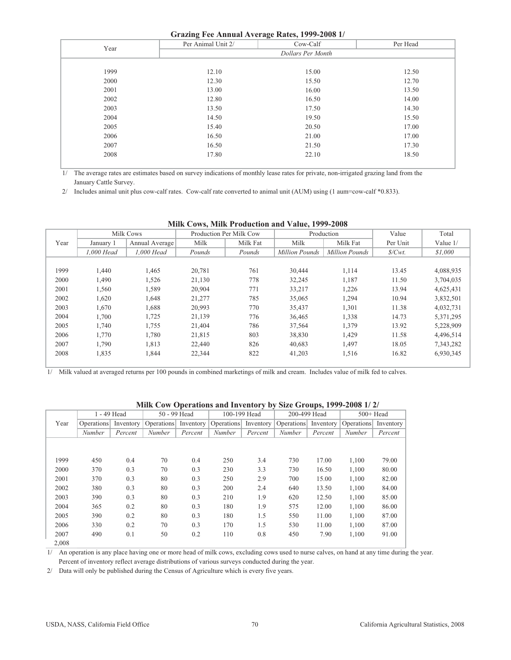## **Grazing Fee Annual Average Rates, 1999-2008 1/**

| Orazing Pee Allituat Average Rates, 1999-2000 1/ |                    |                   |          |  |  |  |  |  |  |  |  |
|--------------------------------------------------|--------------------|-------------------|----------|--|--|--|--|--|--|--|--|
| Year                                             | Per Animal Unit 2/ | Cow-Calf          | Per Head |  |  |  |  |  |  |  |  |
|                                                  |                    | Dollars Per Month |          |  |  |  |  |  |  |  |  |
|                                                  |                    |                   |          |  |  |  |  |  |  |  |  |
| 1999                                             | 12.10              | 15.00             | 12.50    |  |  |  |  |  |  |  |  |
| 2000                                             | 12.30              | 15.50             | 12.70    |  |  |  |  |  |  |  |  |
| 2001                                             | 13.00              | 16.00             | 13.50    |  |  |  |  |  |  |  |  |
| 2002                                             | 12.80              | 16.50             | 14.00    |  |  |  |  |  |  |  |  |
| 2003                                             | 13.50              | 17.50             | 14.30    |  |  |  |  |  |  |  |  |
| 2004                                             | 14.50              | 19.50             | 15.50    |  |  |  |  |  |  |  |  |
| 2005                                             | 15.40              | 20.50             | 17.00    |  |  |  |  |  |  |  |  |
| 2006                                             | 16.50              | 21.00             | 17.00    |  |  |  |  |  |  |  |  |
| 2007                                             | 16.50              | 21.50             | 17.30    |  |  |  |  |  |  |  |  |
| 2008                                             | 17.80              | 22.10             | 18.50    |  |  |  |  |  |  |  |  |
|                                                  |                    |                   |          |  |  |  |  |  |  |  |  |

1/ The average rates are estimates based on survey indications of monthly lease rates for private, non-irrigated grazing land from the January Cattle Survey.

2/ Includes animal unit plus cow-calf rates. Cow-calf rate converted to animal unit (AUM) using (1 aum=cow-calf \*0.833).

| $1.41421$ $1.777$ = 000 |            |                |        |                         |                       |                       |                     |           |  |
|-------------------------|------------|----------------|--------|-------------------------|-----------------------|-----------------------|---------------------|-----------|--|
|                         |            | Milk Cows      |        | Production Per Milk Cow |                       | Production            | Value               | Total     |  |
| Year                    | January 1  | Annual Average | Milk   | Milk Fat                | Milk                  | Milk Fat              | Per Unit            | Value 1/  |  |
|                         | 1,000 Head | 1.000 Head     | Pounds | Pounds                  | <b>Million Pounds</b> | <b>Million Pounds</b> | $\mathcal{S}/Cwt$ . | \$1,000   |  |
|                         |            |                |        |                         |                       |                       |                     |           |  |
| 1999                    | 1.440      | 1,465          | 20.781 | 761                     | 30,444                | 1,114                 | 13.45               | 4,088,935 |  |
| 2000                    | 1,490      | 1,526          | 21,130 | 778                     | 32,245                | 1,187                 | 11.50               | 3,704,035 |  |
| 2001                    | 1.560      | 1,589          | 20,904 | 771                     | 33,217                | 1,226                 | 13.94               | 4,625,431 |  |
| 2002                    | 1,620      | 1,648          | 21,277 | 785                     | 35,065                | 1,294                 | 10.94               | 3,832,501 |  |
| 2003                    | 1.670      | 1,688          | 20,993 | 770                     | 35,437                | 1,301                 | 11.38               | 4,032,731 |  |
| 2004                    | 1,700      | 1,725          | 21,139 | 776                     | 36,465                | 1,338                 | 14.73               | 5,371,295 |  |
| 2005                    | 1.740      | 1,755          | 21,404 | 786                     | 37,564                | 1,379                 | 13.92               | 5,228,909 |  |
| 2006                    | 1,770      | 1,780          | 21,815 | 803                     | 38,830                | 1,429                 | 11.58               | 4,496,514 |  |
| 2007                    | 1,790      | 1,813          | 22,440 | 826                     | 40,683                | 1,497                 | 18.05               | 7,343,282 |  |
| 2008                    | 1,835      | 1,844          | 22,344 | 822                     | 41,203                | 1,516                 | 16.82               | 6,930,345 |  |
|                         |            |                |        |                         |                       |                       |                     |           |  |

## **Milk Cows, Milk Production and Value, 1999-2008**

1/ Milk valued at averaged returns per 100 pounds in combined marketings of milk and cream. Includes value of milk fed to calves.

|       | 1 - 49 Head          |         |               | 50 - 99 Head | 100-199 Head                                                              |         | 200-499 Head |         | $500+$ Head |           |
|-------|----------------------|---------|---------------|--------------|---------------------------------------------------------------------------|---------|--------------|---------|-------------|-----------|
| Year  | Operations Inventory |         |               |              | Operations Inventory Operations Inventory Operations Inventory Operations |         |              |         |             | Inventory |
|       | <b>Number</b>        | Percent | <b>Number</b> | Percent      | <b>Number</b>                                                             | Percent | Number       | Percent | Number      | Percent   |
|       |                      |         |               |              |                                                                           |         |              |         |             |           |
|       |                      |         |               |              |                                                                           |         |              |         |             |           |
| 1999  | 450                  | 0.4     | 70            | 0.4          | 250                                                                       | 3.4     | 730          | 17.00   | 1,100       | 79.00     |
| 2000  | 370                  | 0.3     | 70            | 0.3          | 230                                                                       | 3.3     | 730          | 16.50   | 1,100       | 80.00     |
| 2001  | 370                  | 0.3     | 80            | 0.3          | 250                                                                       | 2.9     | 700          | 15.00   | 1,100       | 82.00     |
| 2002  | 380                  | 0.3     | 80            | 0.3          | 200                                                                       | 2.4     | 640          | 13.50   | 1,100       | 84.00     |
| 2003  | 390                  | 0.3     | 80            | 0.3          | 210                                                                       | 1.9     | 620          | 12.50   | 1,100       | 85.00     |
| 2004  | 365                  | 0.2     | 80            | 0.3          | 180                                                                       | 1.9     | 575          | 12.00   | 1,100       | 86.00     |
| 2005  | 390                  | 0.2     | 80            | 0.3          | 180                                                                       | 1.5     | 550          | 11.00   | 1,100       | 87.00     |
| 2006  | 330                  | 0.2     | 70            | 0.3          | 170                                                                       | 1.5     | 530          | 11.00   | 1,100       | 87.00     |
| 2007  | 490                  | 0.1     | 50            | 0.2          | 110                                                                       | 0.8     | 450          | 7.90    | 1,100       | 91.00     |
| 2.008 |                      |         |               |              |                                                                           |         |              |         |             |           |

#### **Milk Cow Operations and Inventory by Size Groups, 1999-2008 1/ 2/**

 Percent of inventory reflect average distributions of various surveys conducted during the year. 1/ An operation is any place having one or more head of milk cows, excluding cows used to nurse calves, on hand at any time during the year.

2/ Data will only be published during the Census of Agriculture which is every five years.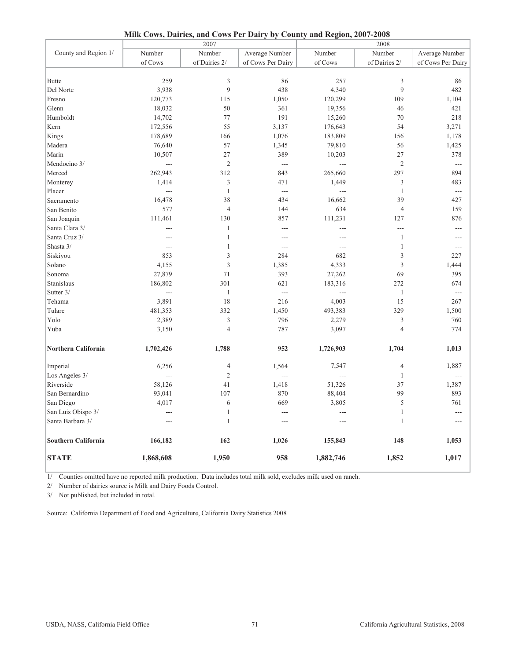|                            |                | 2007           | $\cdots$ $\cdots$ |                | 2008           |                   |
|----------------------------|----------------|----------------|-------------------|----------------|----------------|-------------------|
| County and Region 1/       | Number         | Number         | Average Number    | Number         | Number         | Average Number    |
|                            | of Cows        | of Dairies 2/  | of Cows Per Dairy | of Cows        | of Dairies 2/  | of Cows Per Dairy |
|                            |                |                |                   |                |                |                   |
| <b>Butte</b>               | 259            | 3              | 86                | 257            | 3              | 86                |
| Del Norte                  | 3,938          | 9              | 438               | 4,340          | 9              | 482               |
| Fresno                     | 120,773        | 115            | 1,050             | 120,299        | 109            | 1,104             |
| Glenn                      | 18,032         | 50             | 361               | 19,356         | 46             | 421               |
| Humboldt                   | 14,702         | 77             | 191               | 15,260         | 70             | 218               |
| Kern                       | 172,556        | 55             | 3,137             | 176,643        | 54             | 3,271             |
| Kings                      | 178,689        | 166            | 1,076             | 183,809        | 156            | 1,178             |
| Madera                     | 76,640         | 57             | 1,345             | 79,810         | 56             | 1,425             |
| Marin                      | 10,507         | 27             | 389               | 10,203         | 27             | 378               |
| Mendocino 3/               | $\overline{a}$ | $\overline{c}$ | $\overline{a}$    | $\overline{a}$ | $\overline{2}$ | $\sim$            |
| Merced                     | 262,943        | 312            | 843               | 265,660        | 297            | 894               |
| Monterey                   | 1,414          | 3              | 471               | 1,449          | 3              | 483               |
| Placer                     | $\overline{a}$ | $\mathbf{1}$   | $\overline{a}$    | ---            | $\mathbf{1}$   | $\sim$ $\sim$     |
| Sacramento                 | 16,478         | 38             | 434               | 16,662         | 39             | 427               |
| San Benito                 | 577            | $\overline{4}$ | 144               | 634            | $\overline{4}$ | 159               |
| San Joaquin                | 111,461        | 130            | 857               | 111,231        | 127            | 876               |
| Santa Clara 3/             | ---            | $\mathbf{1}$   | $\overline{a}$    | $\overline{a}$ | $\overline{a}$ | $\sim$            |
| Santa Cruz 3/              | $---$          | $\mathbf{1}$   | $---$             | $\sim$         | 1              | $---$             |
| Shasta 3/                  | $\overline{a}$ | $\mathbf{1}$   | $\sim$            | $\sim$         | 1              | ---               |
| Siskiyou                   | 853            | 3              | 284               | 682            | 3              | 227               |
| Solano                     | 4,155          | 3              | 1,385             | 4,333          | 3              | 1,444             |
| Sonoma                     | 27,879         | 71             | 393               | 27,262         | 69             | 395               |
| Stanislaus                 | 186,802        | 301            | 621               | 183,316        | 272            | 674               |
| Sutter 3/                  | $\overline{a}$ | $\mathbf{1}$   | $\overline{a}$    | $\overline{a}$ | $\mathbf{1}$   | $\sim$            |
| Tehama                     | 3,891          | 18             | 216               | 4,003          | 15             | 267               |
| Tulare                     | 481,353        | 332            | 1,450             | 493,383        | 329            | 1,500             |
| Yolo                       | 2,389          | 3              | 796               | 2,279          | $\mathfrak{Z}$ | 760               |
| Yuba                       | 3,150          | $\overline{4}$ | 787               | 3,097          | $\overline{4}$ | 774               |
|                            |                |                |                   |                |                |                   |
| <b>Northern California</b> | 1,702,426      | 1,788          | 952               | 1,726,903      | 1,704          | 1,013             |
| Imperial                   | 6,256          | $\overline{4}$ | 1,564             | 7,547          | $\overline{4}$ | 1,887             |
| Los Angeles 3/             | $\overline{a}$ | $\mathbf{2}$   | $\overline{a}$    | $---$          | $\mathbf{1}$   |                   |
| Riverside                  | 58,126         | 41             | 1,418             | 51,326         | 37             | 1,387             |
| San Bernardino             | 93,041         | 107            | 870               | 88,404         | 99             | 893               |
| San Diego                  | 4,017          | 6              | 669               | 3,805          | 5              | 761               |
| San Luis Obispo 3/         | $\overline{a}$ | $\mathbf{1}$   | $---$             | $\overline{a}$ | $\mathbf{1}$   | $---$             |
| Santa Barbara 3/           | $\overline{a}$ | $\mathbf{1}$   | $---$             | $\overline{a}$ | 1              |                   |
| <b>Southern California</b> | 166,182        | 162            | 1,026             | 155,843        | 148            | 1,053             |
| <b>STATE</b>               | 1,868,608      | 1,950          | 958               | 1,882,746      | 1,852          | 1,017             |

**Milk Cows, Dairies, and Cows Per Dairy by County and Region, 2007-2008**

1/ Counties omitted have no reported milk production. Data includes total milk sold, excludes milk used on ranch.

2/ Number of dairies source is Milk and Dairy Foods Control.

3/ Not published, but included in total.

Source: California Department of Food and Agriculture, California Dairy Statistics 2008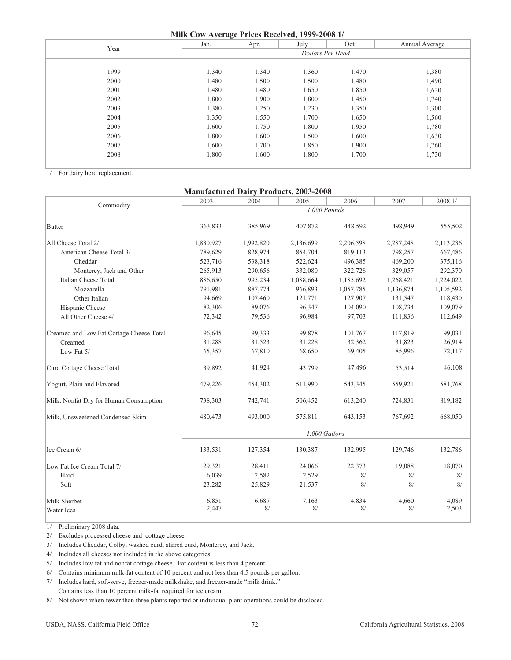#### **Milk Cow Average Prices Received, 1999-2008 1/**

| $\frac{1}{2}$ $\frac{1}{2}$ $\frac{1}{2}$ $\frac{1}{2}$ $\frac{1}{2}$ $\frac{1}{2}$ $\frac{1}{2}$ $\frac{1}{2}$ $\frac{1}{2}$ $\frac{1}{2}$ $\frac{1}{2}$ $\frac{1}{2}$ $\frac{1}{2}$ $\frac{1}{2}$ $\frac{1}{2}$ $\frac{1}{2}$ $\frac{1}{2}$ $\frac{1}{2}$ $\frac{1}{2}$ $\frac{1}{2}$ $\frac{1}{2}$ $\frac{1}{2}$ |                  |       |       |       |                |  |  |  |
|---------------------------------------------------------------------------------------------------------------------------------------------------------------------------------------------------------------------------------------------------------------------------------------------------------------------|------------------|-------|-------|-------|----------------|--|--|--|
| Year                                                                                                                                                                                                                                                                                                                | Jan.             | Apr.  | July  | Oct.  | Annual Average |  |  |  |
|                                                                                                                                                                                                                                                                                                                     | Dollars Per Head |       |       |       |                |  |  |  |
|                                                                                                                                                                                                                                                                                                                     |                  |       |       |       |                |  |  |  |
| 1999                                                                                                                                                                                                                                                                                                                | 1,340            | 1,340 | 1,360 | 1,470 | 1,380          |  |  |  |
| 2000                                                                                                                                                                                                                                                                                                                | 1,480            | 1,500 | 1,500 | 1,480 | 1,490          |  |  |  |
| 2001                                                                                                                                                                                                                                                                                                                | 1,480            | 1,480 | 1,650 | 1,850 | 1,620          |  |  |  |
| 2002                                                                                                                                                                                                                                                                                                                | 1,800            | 1,900 | 1,800 | 1,450 | 1,740          |  |  |  |
| 2003                                                                                                                                                                                                                                                                                                                | 1,380            | 1,250 | 1,230 | 1,350 | 1,300          |  |  |  |
| 2004                                                                                                                                                                                                                                                                                                                | 1,350            | 1,550 | 1,700 | 1,650 | 1,560          |  |  |  |
| 2005                                                                                                                                                                                                                                                                                                                | 1,600            | 1,750 | 1,800 | 1,950 | 1,780          |  |  |  |
| 2006                                                                                                                                                                                                                                                                                                                | 1,800            | 1,600 | 1,500 | 1,600 | 1,630          |  |  |  |
| 2007                                                                                                                                                                                                                                                                                                                | 1,600            | 1,700 | 1,850 | 1,900 | 1,760          |  |  |  |
| 2008                                                                                                                                                                                                                                                                                                                | 1,800            | 1,600 | 1,800 | 1,700 | 1,730          |  |  |  |
|                                                                                                                                                                                                                                                                                                                     |                  |       |       |       |                |  |  |  |

1/ For dairy herd replacement.

### **Manufactured Dairy Products, 2003-2008**

| Commodity                                | 2003      | 2004      | 2005          | 2006      | 2007      | 2008 1/   |
|------------------------------------------|-----------|-----------|---------------|-----------|-----------|-----------|
|                                          |           |           | 1,000 Pounds  |           |           |           |
| Butter                                   | 363,833   | 385,969   | 407,872       | 448,592   | 498.949   | 555,502   |
| All Cheese Total 2/                      | 1,830,927 | 1,992,820 | 2,136,699     | 2,206,598 | 2,287,248 | 2,113,236 |
| American Cheese Total 3/                 | 789,629   | 828,974   | 854,704       | 819,113   | 798,257   | 667,486   |
| Cheddar                                  | 523,716   | 538,318   | 522,624       | 496,385   | 469,200   | 375,116   |
| Monterey, Jack and Other                 | 265,913   | 290,656   | 332,080       | 322,728   | 329,057   | 292,370   |
| Italian Cheese Total                     | 886,650   | 995,234   | 1,088,664     | 1,185,692 | 1,268,421 | 1,224,022 |
| Mozzarella                               | 791,981   | 887,774   | 966,893       | 1,057,785 | 1,136,874 | 1,105,592 |
| Other Italian                            | 94,669    | 107,460   | 121,771       | 127,907   | 131,547   | 118,430   |
| Hispanic Cheese                          | 82,306    | 89,076    | 96,347        | 104,090   | 108,734   | 109,079   |
| All Other Cheese 4/                      | 72,342    | 79,536    | 96,984        | 97,703    | 111,836   | 112,649   |
| Creamed and Low Fat Cottage Cheese Total | 96,645    | 99,333    | 99,878        | 101,767   | 117,819   | 99,031    |
| Creamed                                  | 31,288    | 31,523    | 31,228        | 32,362    | 31,823    | 26,914    |
| Low Fat 5/                               | 65,357    | 67,810    | 68,650        | 69,405    | 85,996    | 72,117    |
| Curd Cottage Cheese Total                | 39,892    | 41,924    | 43,799        | 47,496    | 53,514    | 46,108    |
| Yogurt, Plain and Flavored               | 479,226   | 454,302   | 511,990       | 543,345   | 559,921   | 581,768   |
| Milk, Nonfat Dry for Human Consumption   | 738,303   | 742,741   | 506,452       | 613,240   | 724,831   | 819,182   |
| Milk, Unsweetened Condensed Skim         | 480,473   | 493,000   | 575,811       | 643,153   | 767,692   | 668,050   |
|                                          |           |           | 1,000 Gallons |           |           |           |
| Ice Cream 6/                             | 133,531   | 127,354   | 130,387       | 132,995   | 129,746   | 132,786   |
| Low Fat Ice Cream Total 7/               | 29,321    | 28,411    | 24,066        | 22,373    | 19,088    | 18,070    |
| Hard                                     | 6,039     | 2,582     | 2,529         | 8/        | 8/        | 8/        |
| Soft                                     | 23,282    | 25,829    | 21,537        | 8/        | 8/        | 8/        |
| Milk Sherbet                             | 6,851     | 6,687     | 7,163         | 4,834     | 4,660     | 4,089     |
| <b>Water Ices</b>                        | 2,447     | 8/        | 8/            | 8/        | 8/        | 2,503     |

1/ Preliminary 2008 data.

l

2/ Excludes processed cheese and cottage cheese.

3/ Includes Cheddar, Colby, washed curd, stirred curd, Monterey, and Jack.

4/ Includes all cheeses not included in the above categories.

5/ Includes low fat and nonfat cottage cheese. Fat content is less than 4 percent.

6/ Contains minimum milk-fat content of 10 percent and not less than 4.5 pounds per gallon.

 Contains less than 10 percent milk-fat required for ice cream. 7/ Includes hard, soft-serve, freezer-made milkshake, and freezer-made "milk drink."

8/ Not shown when fewer than three plants reported or individual plant operations could be disclosed.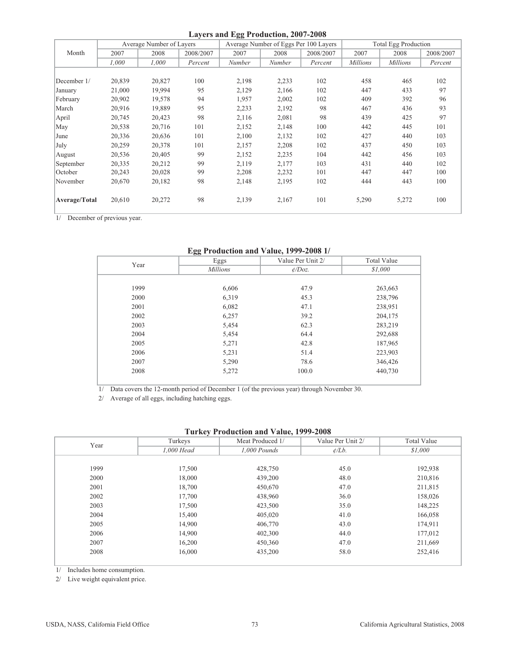|               |        |                          |           | Layers and Egg Production, 2007-2008 |                                       |           |                             |                 |           |
|---------------|--------|--------------------------|-----------|--------------------------------------|---------------------------------------|-----------|-----------------------------|-----------------|-----------|
|               |        | Average Number of Layers |           |                                      | Average Number of Eggs Per 100 Layers |           | <b>Total Egg Production</b> |                 |           |
| Month         | 2007   | 2008                     | 2008/2007 | 2007                                 | 2008                                  | 2008/2007 | 2007                        | 2008            | 2008/2007 |
|               | 1,000  | 1,000                    | Percent   | Number                               | Number                                | Percent   | <b>Millions</b>             | <b>Millions</b> | Percent   |
|               |        |                          |           |                                      |                                       |           |                             |                 |           |
| December 1/   | 20,839 | 20,827                   | 100       | 2,198                                | 2,233                                 | 102       | 458                         | 465             | 102       |
| January       | 21,000 | 19,994                   | 95        | 2,129                                | 2,166                                 | 102       | 447                         | 433             | 97        |
| February      | 20,902 | 19,578                   | 94        | 1,957                                | 2,002                                 | 102       | 409                         | 392             | 96        |
| March         | 20,916 | 19,889                   | 95        | 2,233                                | 2,192                                 | 98        | 467                         | 436             | 93        |
| April         | 20,745 | 20,423                   | 98        | 2,116                                | 2,081                                 | 98        | 439                         | 425             | 97        |
| May           | 20,538 | 20,716                   | 101       | 2,152                                | 2,148                                 | 100       | 442                         | 445             | 101       |
| June          | 20,336 | 20,636                   | 101       | 2,100                                | 2,132                                 | 102       | 427                         | 440             | 103       |
| July          | 20,259 | 20,378                   | 101       | 2,157                                | 2,208                                 | 102       | 437                         | 450             | 103       |
| August        | 20,536 | 20,405                   | 99        | 2,152                                | 2,235                                 | 104       | 442                         | 456             | 103       |
| September     | 20,335 | 20,212                   | 99        | 2,119                                | 2,177                                 | 103       | 431                         | 440             | 102       |
| October       | 20,243 | 20,028                   | 99        | 2,208                                | 2,232                                 | 101       | 447                         | 447             | 100       |
| November      | 20,670 | 20,182                   | 98        | 2,148                                | 2,195                                 | 102       | 444                         | 443             | 100       |
| Average/Total | 20,610 | 20,272                   | 98        | 2,139                                | 2,167                                 | 101       | 5,290                       | 5,272           | 100       |
|               |        |                          |           |                                      |                                       |           |                             |                 |           |

1/ December of previous year.

## **Egg Production and Value, 1999-2008 1/**

| $\frac{1}{2}$ research and value, 1222-2000 in |                 |                   |                    |  |  |  |  |  |  |
|------------------------------------------------|-----------------|-------------------|--------------------|--|--|--|--|--|--|
| Year                                           | Eggs            | Value Per Unit 2/ | <b>Total Value</b> |  |  |  |  |  |  |
|                                                | <b>Millions</b> | $\phi$ /Doz.      | \$1,000            |  |  |  |  |  |  |
|                                                |                 |                   |                    |  |  |  |  |  |  |
| 1999                                           | 6,606           | 47.9              | 263,663            |  |  |  |  |  |  |
| 2000                                           | 6,319           | 45.3              | 238,796            |  |  |  |  |  |  |
| 2001                                           | 6,082           | 47.1              | 238,951            |  |  |  |  |  |  |
| 2002                                           | 6,257           | 39.2              | 204,175            |  |  |  |  |  |  |
| 2003                                           | 5,454           | 62.3              | 283,219            |  |  |  |  |  |  |
| 2004                                           | 5,454           | 64.4              | 292,688            |  |  |  |  |  |  |
| 2005                                           | 5,271           | 42.8              | 187,965            |  |  |  |  |  |  |
| 2006                                           | 5,231           | 51.4              | 223,903            |  |  |  |  |  |  |
| 2007                                           | 5,290           | 78.6              | 346,426            |  |  |  |  |  |  |
| 2008                                           | 5,272           | 100.0             | 440,730            |  |  |  |  |  |  |
|                                                |                 |                   |                    |  |  |  |  |  |  |

1/ Data covers the 12-month period of December 1 (of the previous year) through November 30.

2/ Average of all eggs, including hatching eggs.

### **Turkey Production and Value, 1999-2008**

| Year | Turkeys    | Meat Produced 1/ | Value Per Unit 2/  | <b>Total Value</b> |
|------|------------|------------------|--------------------|--------------------|
|      | 1,000 Head | $1,000$ Pounds   | $\mathcal{L}/Lb$ . | \$1,000            |
|      |            |                  |                    |                    |
| 1999 | 17,500     | 428,750          | 45.0               | 192,938            |
| 2000 | 18,000     | 439,200          | 48.0               | 210,816            |
| 2001 | 18,700     | 450,670          | 47.0               | 211,815            |
| 2002 | 17,700     | 438,960          | 36.0               | 158,026            |
| 2003 | 17,500     | 423,500          | 35.0               | 148,225            |
| 2004 | 15,400     | 405,020          | 41.0               | 166,058            |
| 2005 | 14,900     | 406,770          | 43.0               | 174,911            |
| 2006 | 14,900     | 402,300          | 44.0               | 177,012            |
| 2007 | 16,200     | 450,360          | 47.0               | 211,669            |
| 2008 | 16,000     | 435,200          | 58.0               | 252,416            |
|      |            |                  |                    |                    |

1/ Includes home consumption.

2/ Live weight equivalent price.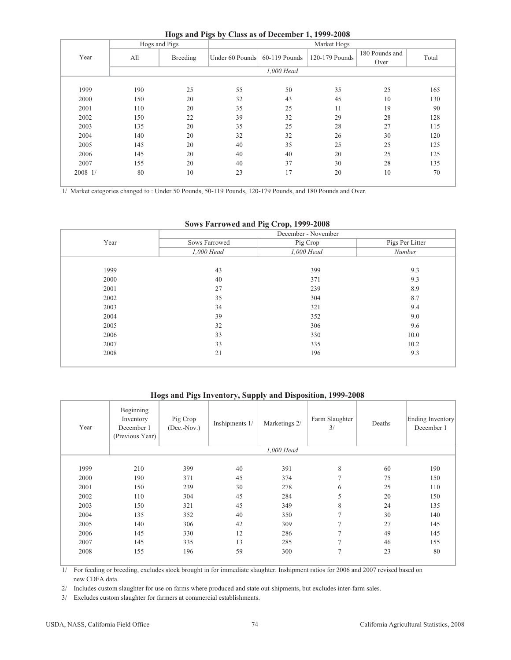|  | Hogs and Pigs by Class as of December 1, 1999-2008 |  |
|--|----------------------------------------------------|--|
|--|----------------------------------------------------|--|

|         | Hogs and Pigs |          | ັ<br>$\bullet$                | Market Hogs |                |                        |       |  |  |  |
|---------|---------------|----------|-------------------------------|-------------|----------------|------------------------|-------|--|--|--|
| Year    | All           | Breeding | Under 60 Pounds 60-119 Pounds |             | 120-179 Pounds | 180 Pounds and<br>Over | Total |  |  |  |
|         | 1,000 Head    |          |                               |             |                |                        |       |  |  |  |
| 1999    | 190           | 25       | 55                            | 50          | 35             | 25                     | 165   |  |  |  |
| 2000    | 150           | 20       | 32                            | 43          | 45             | 10                     | 130   |  |  |  |
| 2001    | 110           | 20       | 35                            | 25          | 11             | 19                     | 90    |  |  |  |
| 2002    | 150           | 22       | 39                            | 32          | 29             | 28                     | 128   |  |  |  |
| 2003    | 135           | 20       | 35                            | 25          | 28             | 27                     | 115   |  |  |  |
| 2004    | 140           | 20       | 32                            | 32          | 26             | 30                     | 120   |  |  |  |
| 2005    | 145           | 20       | 40                            | 35          | 25             | 25                     | 125   |  |  |  |
| 2006    | 145           | 20       | 40                            | 40          | 20             | 25                     | 125   |  |  |  |
| 2007    | 155           | 20       | 40                            | 37          | 30             | 28                     | 135   |  |  |  |
| 2008 1/ | 80            | 10       | 23                            | 17          | 20             | 10                     | 70    |  |  |  |

1/ Market categories changed to : Under 50 Pounds, 50-119 Pounds, 120-179 Pounds, and 180 Pounds and Over.

## **Sows Farrowed and Pig Crop, 1999-2008**

|      | December - November |            |                 |  |  |  |  |
|------|---------------------|------------|-----------------|--|--|--|--|
| Year | Sows Farrowed       | Pig Crop   | Pigs Per Litter |  |  |  |  |
|      | 1,000 Head          | 1,000 Head | Number          |  |  |  |  |
|      |                     |            |                 |  |  |  |  |
| 1999 | 43                  | 399        | 9.3             |  |  |  |  |
| 2000 | 40                  | 371        | 9.3             |  |  |  |  |
| 2001 | 27                  | 239        | 8.9             |  |  |  |  |
| 2002 | 35                  | 304        | 8.7             |  |  |  |  |
| 2003 | 34                  | 321        | 9.4             |  |  |  |  |
| 2004 | 39                  | 352        | 9.0             |  |  |  |  |
| 2005 | 32                  | 306        | 9.6             |  |  |  |  |
| 2006 | 33                  | 330        | 10.0            |  |  |  |  |
| 2007 | 33                  | 335        | 10.2            |  |  |  |  |
| 2008 | 21                  | 196        | 9.3             |  |  |  |  |
|      |                     |            |                 |  |  |  |  |

## **Hogs and Pigs Inventory, Supply and Disposition, 1999-2008**

| Year | Beginning<br>Inventory<br>December 1<br>(Previous Year) | Pig Crop<br>$(Dec.-Nov.)$ | Inshipments 1/ | Marketings 2/ | Farm Slaughter<br>3/ | Deaths | Ending Inventory<br>December 1 |
|------|---------------------------------------------------------|---------------------------|----------------|---------------|----------------------|--------|--------------------------------|
|      |                                                         |                           |                | 1,000 Head    |                      |        |                                |
|      |                                                         |                           |                |               |                      |        |                                |
| 1999 | 210                                                     | 399                       | 40             | 391           | 8                    | 60     | 190                            |
| 2000 | 190                                                     | 371                       | 45             | 374           | $\overline{7}$       | 75     | 150                            |
| 2001 | 150                                                     | 239                       | 30             | 278           | 6                    | 25     | 110                            |
| 2002 | 110                                                     | 304                       | 45             | 284           | 5                    | 20     | 150                            |
| 2003 | 150                                                     | 321                       | 45             | 349           | 8                    | 24     | 135                            |
| 2004 | 135                                                     | 352                       | 40             | 350           | $\tau$               | 30     | 140                            |
| 2005 | 140                                                     | 306                       | 42             | 309           | $\overline{7}$       | 27     | 145                            |
| 2006 | 145                                                     | 330                       | 12             | 286           | $\overline{7}$       | 49     | 145                            |
| 2007 | 145                                                     | 335                       | 13             | 285           | 7                    | 46     | 155                            |
| 2008 | 155                                                     | 196                       | 59             | 300           | $\tau$               | 23     | 80                             |

 new CDFA data. 1/ For feeding or breeding, excludes stock brought in for immediate slaughter. Inshipment ratios for 2006 and 2007 revised based on

2/ Includes custom slaughter for use on farms where produced and state out-shipments, but excludes inter-farm sales.

3/ Excludes custom slaughter for farmers at commercial establishments.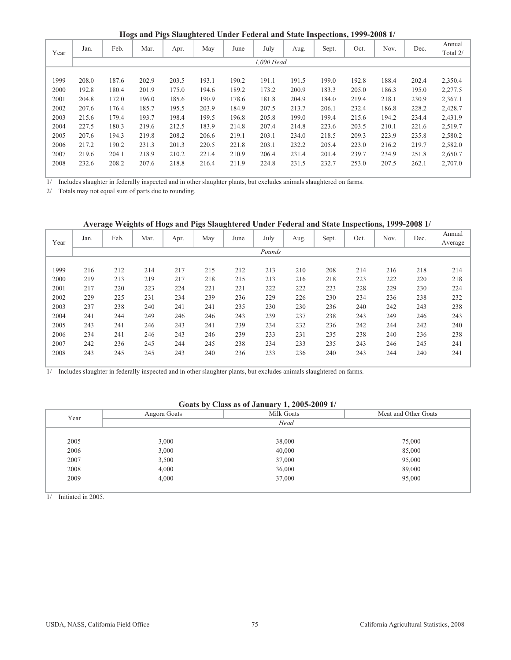**Hogs and Pigs Slaughtered Under Federal and State Inspections, 1999-2008 1/**

| Year | Jan.  | Feb.  | ັ<br>Mar. | ັ<br>ິ<br>Apr. | May   | June  | July       | Aug.  | Sept. | Oct.  | Nov.  | Dec.  | Annual<br>Total 2/ |
|------|-------|-------|-----------|----------------|-------|-------|------------|-------|-------|-------|-------|-------|--------------------|
|      |       |       |           |                |       |       | 1,000 Head |       |       |       |       |       |                    |
|      |       |       |           |                |       |       |            |       |       |       |       |       |                    |
| 1999 | 208.0 | 187.6 | 202.9     | 203.5          | 193.1 | 190.2 | 191.1      | 191.5 | 199.0 | 192.8 | 188.4 | 202.4 | 2,350.4            |
| 2000 | 192.8 | 180.4 | 201.9     | 175.0          | 194.6 | 189.2 | 173.2      | 200.9 | 183.3 | 205.0 | 186.3 | 195.0 | 2,277.5            |
| 2001 | 204.8 | 172.0 | 196.0     | 185.6          | 190.9 | 178.6 | 181.8      | 204.9 | 184.0 | 219.4 | 218.1 | 230.9 | 2,367.1            |
| 2002 | 207.6 | 176.4 | 185.7     | 195.5          | 203.9 | 184.9 | 207.5      | 213.7 | 206.1 | 232.4 | 186.8 | 228.2 | 2,428.7            |
| 2003 | 215.6 | 179.4 | 193.7     | 198.4          | 199.5 | 196.8 | 205.8      | 199.0 | 199.4 | 215.6 | 194.2 | 234.4 | 2,431.9            |
| 2004 | 227.5 | 180.3 | 219.6     | 212.5          | 183.9 | 214.8 | 207.4      | 214.8 | 223.6 | 203.5 | 210.1 | 221.6 | 2,519.7            |
| 2005 | 207.6 | 194.3 | 219.8     | 208.2          | 206.6 | 219.1 | 203.1      | 234.0 | 218.5 | 209.3 | 223.9 | 235.8 | 2,580.2            |
| 2006 | 217.2 | 190.2 | 231.3     | 201.3          | 220.5 | 221.8 | 203.1      | 232.2 | 205.4 | 223.0 | 216.2 | 219.7 | 2,582.0            |
| 2007 | 219.6 | 204.1 | 218.9     | 210.2          | 221.4 | 210.9 | 206.4      | 231.4 | 201.4 | 239.7 | 234.9 | 251.8 | 2,650.7            |
| 2008 | 232.6 | 208.2 | 207.6     | 218.8          | 216.4 | 211.9 | 224.8      | 231.5 | 232.7 | 253.0 | 207.5 | 262.1 | 2,707.0            |
|      |       |       |           |                |       |       |            |       |       |       |       |       |                    |

1/ Includes slaughter in federally inspected and in other slaughter plants, but excludes animals slaughtered on farms.

2/ Totals may not equal sum of parts due to rounding.

#### **Average Weights of Hogs and Pigs Slaughtered Under Federal and State Inspections, 1999-2008 1/**

| Year | Jan. | Feb. | Mar. | Apr. | May | June | July   | Aug. | Sept. | Oct. | Nov. | Dec. | Annual<br>Average |
|------|------|------|------|------|-----|------|--------|------|-------|------|------|------|-------------------|
|      |      |      |      |      |     |      | Pounds |      |       |      |      |      |                   |
|      |      |      |      |      |     |      |        |      |       |      |      |      |                   |
| 1999 | 216  | 212  | 214  | 217  | 215 | 212  | 213    | 210  | 208   | 214  | 216  | 218  | 214               |
| 2000 | 219  | 213  | 219  | 217  | 218 | 215  | 213    | 216  | 218   | 223  | 222  | 220  | 218               |
| 2001 | 217  | 220  | 223  | 224  | 221 | 221  | 222    | 222  | 223   | 228  | 229  | 230  | 224               |
| 2002 | 229  | 225  | 231  | 234  | 239 | 236  | 229    | 226  | 230   | 234  | 236  | 238  | 232               |
| 2003 | 237  | 238  | 240  | 241  | 241 | 235  | 230    | 230  | 236   | 240  | 242  | 243  | 238               |
| 2004 | 241  | 244  | 249  | 246  | 246 | 243  | 239    | 237  | 238   | 243  | 249  | 246  | 243               |
| 2005 | 243  | 241  | 246  | 243  | 241 | 239  | 234    | 232  | 236   | 242  | 244  | 242  | 240               |
| 2006 | 234  | 241  | 246  | 243  | 246 | 239  | 233    | 231  | 235   | 238  | 240  | 236  | 238               |
| 2007 | 242  | 236  | 245  | 244  | 245 | 238  | 234    | 233  | 235   | 243  | 246  | 245  | 241               |
| 2008 | 243  | 245  | 245  | 243  | 240 | 236  | 233    | 236  | 240   | 243  | 244  | 240  | 241               |

1/ Includes slaughter in federally inspected and in other slaughter plants, but excludes animals slaughtered on farms.

### **Goats by Class as of January 1, 2005-2009 1/**

| Year | Angora Goats | Milk Goats | Meat and Other Goats |
|------|--------------|------------|----------------------|
|      |              | Head       |                      |
|      |              |            |                      |
| 2005 | 3,000        | 38,000     | 75,000               |
| 2006 | 3,000        | 40,000     | 85,000               |
| 2007 | 3,500        | 37,000     | 95,000               |
| 2008 | 4,000        | 36,000     | 89,000               |
| 2009 | 4,000        | 37,000     | 95,000               |
|      |              |            |                      |

1/ Initiated in 2005.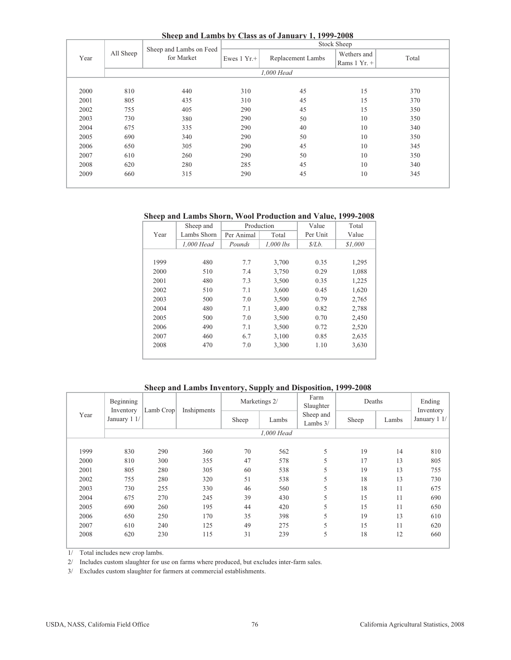**Sheep and Lambs by Class as of January 1, 1999-2008**

|      |           |                                       |                       | $\frac{1}{2}$     | Stock Sheep                  |       |  |  |  |  |
|------|-----------|---------------------------------------|-----------------------|-------------------|------------------------------|-------|--|--|--|--|
| Year | All Sheep | Sheep and Lambs on Feed<br>for Market | Ewes $1 \text{ Yr.}+$ | Replacement Lambs | Wethers and<br>Rams $1 Yr +$ | Total |  |  |  |  |
|      |           | 1,000 Head                            |                       |                   |                              |       |  |  |  |  |
| 2000 | 810       | 440                                   | 310                   | 45                | 15                           | 370   |  |  |  |  |
| 2001 | 805       | 435                                   | 310                   | 45                | 15                           | 370   |  |  |  |  |
| 2002 | 755       | 405                                   | 290                   | 45                | 15                           | 350   |  |  |  |  |
| 2003 | 730       | 380                                   | 290                   | 50                | 10                           | 350   |  |  |  |  |
| 2004 | 675       | 335                                   | 290                   | 40                | 10                           | 340   |  |  |  |  |
| 2005 | 690       | 340                                   | 290                   | 50                | 10                           | 350   |  |  |  |  |
| 2006 | 650       | 305                                   | 290                   | 45                | 10                           | 345   |  |  |  |  |
| 2007 | 610       | 260                                   | 290                   | 50                | 10                           | 350   |  |  |  |  |
| 2008 | 620       | 280                                   | 285                   | 45                | 10                           | 340   |  |  |  |  |
| 2009 | 660       | 315                                   | 290                   | 45                | 10                           | 345   |  |  |  |  |
|      |           |                                       |                       |                   |                              |       |  |  |  |  |

## **Sheep and Lambs Shorn, Wool Production and Value, 1999-2008**

|      | Sheep and   | Production |           | Value    | Total   |
|------|-------------|------------|-----------|----------|---------|
| Year | Lambs Shorn | Per Animal | Total     | Per Unit | Value   |
|      | 1,000 Head  | Pounds     | 1,000 lbs | \$/Lb.   | \$1,000 |
|      |             |            |           |          |         |
| 1999 | 480         | 7.7        | 3,700     | 0.35     | 1,295   |
| 2000 | 510         | 7.4        | 3,750     | 0.29     | 1,088   |
| 2001 | 480         | 7.3        | 3,500     | 0.35     | 1,225   |
| 2002 | 510         | 7.1        | 3,600     | 0.45     | 1,620   |
| 2003 | 500         | 7.0        | 3,500     | 0.79     | 2,765   |
| 2004 | 480         | 7.1        | 3,400     | 0.82     | 2,788   |
| 2005 | 500         | 7.0        | 3,500     | 0.70     | 2,450   |
| 2006 | 490         | 7.1        | 3,500     | 0.72     | 2,520   |
| 2007 | 460         | 6.7        | 3,100     | 0.85     | 2,635   |
| 2008 | 470         | 7.0        | 3,300     | 1.10     | 3,630   |
|      |             |            |           |          |         |

#### **Sheep and Lambs Inventory, Supply and Disposition, 1999-2008**

|      | Beginning<br>Inventory | Lamb Crop | Inshipments |       | Marketings 2/ | Farm<br>Slaughter       | Deaths | Ending<br>Inventory |              |
|------|------------------------|-----------|-------------|-------|---------------|-------------------------|--------|---------------------|--------------|
| Year | January 1 1/           |           |             | Sheep | Lambs         | Sheep and<br>Lambs $3/$ | Sheep  | Lambs               | January 1 1/ |
|      |                        |           |             |       | 1,000 Head    |                         |        |                     |              |
|      |                        |           |             |       |               |                         |        |                     |              |
| 1999 | 830                    | 290       | 360         | 70    | 562           | 5                       | 19     | 14                  | 810          |
| 2000 | 810                    | 300       | 355         | 47    | 578           | 5                       | 17     | 13                  | 805          |
| 2001 | 805                    | 280       | 305         | 60    | 538           | 5                       | 19     | 13                  | 755          |
| 2002 | 755                    | 280       | 320         | 51    | 538           | 5                       | 18     | 13                  | 730          |
| 2003 | 730                    | 255       | 330         | 46    | 560           | 5                       | 18     | 11                  | 675          |
| 2004 | 675                    | 270       | 245         | 39    | 430           | 5                       | 15     | 11                  | 690          |
| 2005 | 690                    | 260       | 195         | 44    | 420           | 5                       | 15     | 11                  | 650          |
| 2006 | 650                    | 250       | 170         | 35    | 398           | 5                       | 19     | 13                  | 610          |
| 2007 | 610                    | 240       | 125         | 49    | 275           | 5                       | 15     | 11                  | 620          |
| 2008 | 620                    | 230       | 115         | 31    | 239           | 5                       | 18     | 12                  | 660          |

1/ Total includes new crop lambs.

2/ Includes custom slaughter for use on farms where produced, but excludes inter-farm sales.

3/ Excludes custom slaughter for farmers at commercial establishments.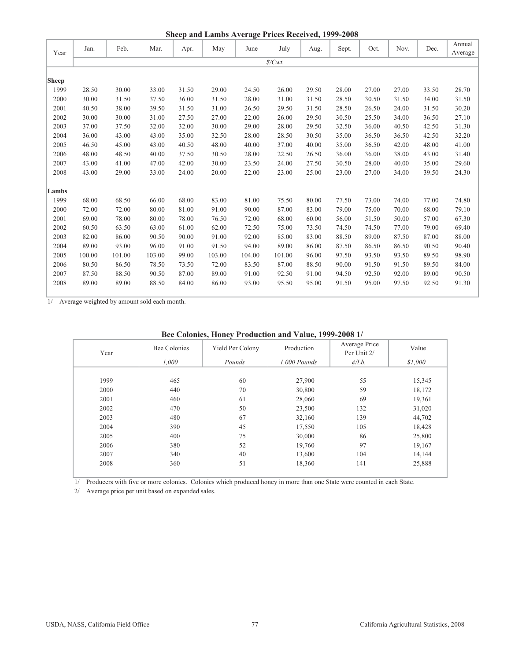|              |        |        |        |       |        | Sheep and Lambs Average Prices Received, 1999-2008 |         |       |       |       |       |       |         |
|--------------|--------|--------|--------|-------|--------|----------------------------------------------------|---------|-------|-------|-------|-------|-------|---------|
|              | Jan.   | Feb.   | Mar.   | Apr.  | May    | June                                               | July    | Aug.  | Sept. | Oct.  | Nov.  | Dec.  | Annual  |
| Year         |        |        |        |       |        |                                                    |         |       |       |       |       |       | Average |
|              |        |        |        |       |        |                                                    | \$/Cwt. |       |       |       |       |       |         |
| <b>Sheep</b> |        |        |        |       |        |                                                    |         |       |       |       |       |       |         |
| 1999         | 28.50  | 30.00  | 33.00  | 31.50 | 29.00  | 24.50                                              | 26.00   | 29.50 | 28.00 | 27.00 | 27.00 | 33.50 | 28.70   |
| 2000         | 30.00  | 31.50  | 37.50  | 36.00 | 31.50  | 28.00                                              | 31.00   | 31.50 | 28.50 | 30.50 | 31.50 | 34.00 | 31.50   |
| 2001         | 40.50  | 38.00  | 39.50  | 31.50 | 31.00  | 26.50                                              | 29.50   | 31.50 | 28.50 | 26.50 | 24.00 | 31.50 | 30.20   |
| 2002         | 30.00  | 30.00  | 31.00  | 27.50 | 27.00  | 22.00                                              | 26.00   | 29.50 | 30.50 | 25.50 | 34.00 | 36.50 | 27.10   |
| 2003         | 37.00  | 37.50  | 32.00  | 32.00 | 30.00  | 29.00                                              | 28.00   | 29.50 | 32.50 | 36.00 | 40.50 | 42.50 | 31.30   |
| 2004         | 36.00  | 43.00  | 43.00  | 35.00 | 32.50  | 28.00                                              | 28.50   | 30.50 | 35.00 | 36.50 | 36.50 | 42.50 | 32.20   |
| 2005         | 46.50  | 45.00  | 43.00  | 40.50 | 48.00  | 40.00                                              | 37.00   | 40.00 | 35.00 | 36.50 | 42.00 | 48.00 | 41.00   |
| 2006         | 48.00  | 48.50  | 40.00  | 37.50 | 30.50  | 28.00                                              | 22.50   | 26.50 | 36.00 | 36.00 | 38.00 | 43.00 | 31.40   |
| 2007         | 43.00  | 41.00  | 47.00  | 42.00 | 30.00  | 23.50                                              | 24.00   | 27.50 | 30.50 | 28.00 | 40.00 | 35.00 | 29.60   |
| 2008         | 43.00  | 29.00  | 33.00  | 24.00 | 20.00  | 22.00                                              | 23.00   | 25.00 | 23.00 | 27.00 | 34.00 | 39.50 | 24.30   |
|              |        |        |        |       |        |                                                    |         |       |       |       |       |       |         |
| Lambs        |        |        |        |       |        |                                                    |         |       |       |       |       |       |         |
| 1999         | 68.00  | 68.50  | 66.00  | 68.00 | 83.00  | 81.00                                              | 75.50   | 80.00 | 77.50 | 73.00 | 74.00 | 77.00 | 74.80   |
| 2000         | 72.00  | 72.00  | 80.00  | 81.00 | 91.00  | 90.00                                              | 87.00   | 83.00 | 79.00 | 75.00 | 70.00 | 68.00 | 79.10   |
| 2001         | 69.00  | 78.00  | 80.00  | 78.00 | 76.50  | 72.00                                              | 68.00   | 60.00 | 56.00 | 51.50 | 50.00 | 57.00 | 67.30   |
| 2002         | 60.50  | 63.50  | 63.00  | 61.00 | 62.00  | 72.50                                              | 75.00   | 73.50 | 74.50 | 74.50 | 77.00 | 79.00 | 69.40   |
| 2003         | 82.00  | 86.00  | 90.50  | 90.00 | 91.00  | 92.00                                              | 85.00   | 83.00 | 88.50 | 89.00 | 87.50 | 87.00 | 88.00   |
| 2004         | 89.00  | 93.00  | 96.00  | 91.00 | 91.50  | 94.00                                              | 89.00   | 86.00 | 87.50 | 86.50 | 86.50 | 90.50 | 90.40   |
| 2005         | 100.00 | 101.00 | 103.00 | 99.00 | 103.00 | 104.00                                             | 101.00  | 96.00 | 97.50 | 93.50 | 93.50 | 89.50 | 98.90   |
| 2006         | 80.50  | 86.50  | 78.50  | 73.50 | 72.00  | 83.50                                              | 87.00   | 88.50 | 90.00 | 91.50 | 91.50 | 89.50 | 84.00   |
| 2007         | 87.50  | 88.50  | 90.50  | 87.00 | 89.00  | 91.00                                              | 92.50   | 91.00 | 94.50 | 92.50 | 92.00 | 89.00 | 90.50   |
| 2008         | 89.00  | 89.00  | 88.50  | 84.00 | 86.00  | 93.00                                              | 95.50   | 95.00 | 91.50 | 95.00 | 97.50 | 92.50 | 91.30   |
|              |        |        |        |       |        |                                                    |         |       |       |       |       |       |         |

 $\frac{1}{1}$  Average weighted by amount sold each month.

|      |              | $\cdot$          | $\overline{\phantom{a}}$ |                                 |         |
|------|--------------|------------------|--------------------------|---------------------------------|---------|
| Year | Bee Colonies | Yield Per Colony | Production               | Average Price<br>Per Unit 2/    | Value   |
|      | 1,000        | Pounds           | $1,000$ Pounds           | $\angle$ <i>c</i> / <i>Lb</i> . | \$1,000 |
|      |              |                  |                          |                                 |         |
| 1999 | 465          | 60               | 27,900                   | 55                              | 15,345  |
| 2000 | 440          | 70               | 30,800                   | 59                              | 18,172  |
| 2001 | 460          | 61               | 28,060                   | 69                              | 19,361  |
| 2002 | 470          | 50               | 23,500                   | 132                             | 31,020  |
| 2003 | 480          | 67               | 32,160                   | 139                             | 44,702  |
| 2004 | 390          | 45               | 17,550                   | 105                             | 18,428  |
| 2005 | 400          | 75               | 30,000                   | 86                              | 25,800  |
| 2006 | 380          | 52               | 19,760                   | 97                              | 19,167  |
| 2007 | 340          | 40               | 13,600                   | 104                             | 14,144  |
| 2008 | 360          | 51               | 18,360                   | 141                             | 25,888  |
|      |              |                  |                          |                                 |         |

#### **Bee Colonies, Honey Production and Value, 1999-2008 1/**

1/ Producers with five or more colonies. Colonies which produced honey in more than one State were counted in each State.

2/ Average price per unit based on expanded sales.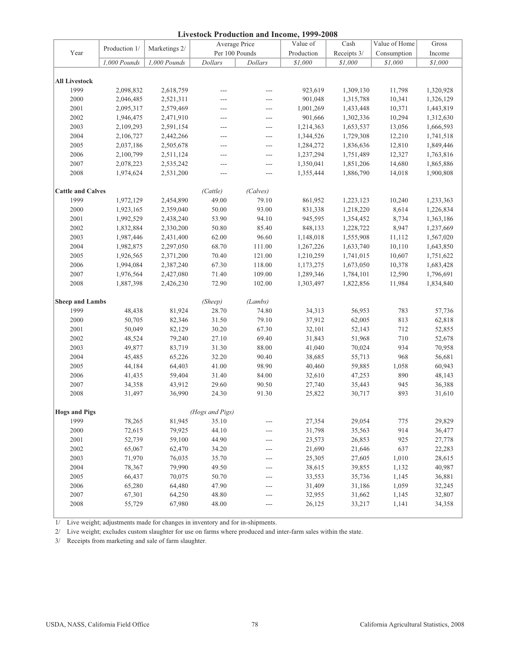| <b>Livestock Production and Income, 1999-2008</b> |               |               |                 |                |            |             |               |           |  |
|---------------------------------------------------|---------------|---------------|-----------------|----------------|------------|-------------|---------------|-----------|--|
|                                                   |               |               |                 | Average Price  | Value of   | Cash        | Value of Home | Gross     |  |
| Year                                              | Production 1/ | Marketings 2/ |                 | Per 100 Pounds | Production | Receipts 3/ | Consumption   | Income    |  |
|                                                   | 1,000 Pounds  | 1,000 Pounds  | Dollars         | Dollars        | \$1,000    | \$1,000     | \$1,000       | \$1,000   |  |
|                                                   |               |               |                 |                |            |             |               |           |  |
| <b>All Livestock</b>                              |               |               |                 |                |            |             |               |           |  |
| 1999                                              | 2,098,832     | 2,618,759     | $---$           | $---$          | 923,619    | 1,309,130   | 11,798        | 1,320,928 |  |
| 2000                                              | 2,046,485     | 2,521,311     | $---$           | $---$          | 901,048    | 1,315,788   | 10,341        | 1,326,129 |  |
| 2001                                              | 2,095,317     | 2,579,469     | ---             | $---$          | 1,001,269  | 1,433,448   | 10,371        | 1,443,819 |  |
| 2002                                              | 1,946,475     | 2,471,910     | $---$           | $---$          | 901,666    | 1,302,336   | 10,294        | 1,312,630 |  |
| 2003                                              | 2,109,293     | 2,591,154     | ---             | $\overline{a}$ | 1,214,363  | 1,653,537   | 13,056        | 1,666,593 |  |
| 2004                                              | 2,106,727     | 2,442,266     | ---             | $---$          | 1,344,526  | 1,729,308   | 12,210        | 1,741,518 |  |
| 2005                                              | 2,037,186     | 2,505,678     | $---$           | $---$          | 1,284,272  | 1,836,636   | 12,810        | 1,849,446 |  |
| 2006                                              | 2,100,799     | 2,511,124     | ---             | ---            | 1,237,294  | 1,751,489   | 12,327        | 1,763,816 |  |
| 2007                                              | 2,078,223     | 2,535,242     | ---             | $---$          | 1,350,041  | 1,851,206   | 14,680        | 1,865,886 |  |
| 2008                                              | 1,974,624     | 2,531,200     | $\overline{a}$  | $---$          | 1,355,444  | 1,886,790   | 14,018        | 1,900,808 |  |
|                                                   |               |               |                 |                |            |             |               |           |  |
| <b>Cattle and Calves</b>                          |               |               | (Cattle)        | (Calves)       |            |             |               |           |  |
| 1999                                              | 1,972,129     | 2,454,890     | 49.00           | 79.10          | 861,952    | 1,223,123   | 10,240        | 1,233,363 |  |
| 2000                                              | 1,923,165     | 2,359,040     | 50.00           | 93.00          | 831,338    | 1,218,220   | 8,614         | 1,226,834 |  |
| 2001                                              | 1,992,529     | 2,438,240     | 53.90           | 94.10          | 945,595    | 1,354,452   | 8,734         | 1,363,186 |  |
| 2002                                              | 1,832,884     | 2,330,200     | 50.80           | 85.40          | 848,133    | 1,228,722   | 8,947         | 1,237,669 |  |
| 2003                                              | 1,987,446     | 2,431,400     | 62.00           | 96.60          | 1,148,018  | 1,555,908   | 11,112        | 1,567,020 |  |
| 2004                                              | 1,982,875     | 2,297,050     | 68.70           | 111.00         | 1,267,226  | 1,633,740   | 10,110        | 1,643,850 |  |
| 2005                                              | 1,926,565     | 2,371,200     | 70.40           | 121.00         | 1,210,259  | 1,741,015   | 10,607        | 1,751,622 |  |
| 2006                                              | 1,994,084     | 2,387,240     | 67.30           | 118.00         | 1,173,275  | 1,673,050   | 10,378        | 1,683,428 |  |
| 2007                                              | 1,976,564     | 2,427,080     | 71.40           | 109.00         | 1,289,346  | 1,784,101   | 12,590        | 1,796,691 |  |
| 2008                                              | 1,887,398     | 2,426,230     | 72.90           | 102.00         | 1,303,497  | 1,822,856   | 11,984        | 1,834,840 |  |
|                                                   |               |               |                 |                |            |             |               |           |  |
| <b>Sheep and Lambs</b>                            |               |               | (Sheep)         | (Lambs)        |            |             |               |           |  |
| 1999                                              | 48,438        | 81,924        | 28.70           | 74.80          | 34,313     | 56,953      | 783           | 57,736    |  |
| 2000                                              | 50,705        | 82,346        | 31.50           | 79.10          | 37,912     | 62,005      | 813           | 62,818    |  |
| 2001                                              | 50,049        | 82,129        | 30.20           | 67.30          | 32,101     | 52,143      | 712           | 52,855    |  |
| 2002                                              | 48,524        | 79,240        | 27.10           | 69.40          | 31,843     | 51,968      | 710           | 52,678    |  |
| 2003                                              | 49,877        | 83,719        | 31.30           | 88.00          | 41,040     | 70,024      | 934           | 70,958    |  |
| 2004                                              | 45,485        | 65,226        | 32.20           | 90.40          | 38,685     | 55,713      | 968           | 56,681    |  |
| 2005                                              | 44,184        | 64,403        | 41.00           | 98.90          | 40,460     | 59,885      | 1,058         | 60,943    |  |
| 2006                                              | 41,435        | 59,404        | 31.40           | 84.00          | 32,610     | 47,253      | 890           | 48,143    |  |
| 2007                                              | 34,358        | 43,912        | 29.60           | 90.50          | 27,740     | 35,443      | 945           | 36,388    |  |
| 2008                                              | 31,497        | 36,990        | 24.30           | 91.30          | 25,822     | 30,717      | 893           | 31,610    |  |
|                                                   |               |               |                 |                |            |             |               |           |  |
| <b>Hogs and Pigs</b>                              |               |               | (Hogs and Pigs) |                |            |             |               |           |  |
| 1999                                              | 78,265        | 81,945        | 35.10           | $---$          | 27,354     | 29,054      | 775           | 29,829    |  |
| 2000                                              | 72,615        | 79,925        | 44.10           | ---            | 31,798     | 35,563      | 914           | 36,477    |  |
| 2001                                              | 52,739        | 59,100        | 44.90           | ---            | 23,573     | 26,853      | 925           | 27,778    |  |
| 2002                                              | 65,067        | 62,470        | 34.20           | $---$          | 21,690     | 21,646      | 637           | 22,283    |  |
| 2003                                              | 71,970        | 76,035        | 35.70           | ---            | 25,305     | 27,605      | 1,010         | 28,615    |  |
| 2004                                              | 78,367        | 79,990        | 49.50           | $---$          | 38,615     | 39,855      | 1,132         | 40,987    |  |
| 2005                                              | 66,437        | 70,075        | 50.70           | ---            | 33,553     | 35,736      | 1,145         | 36,881    |  |
| 2006                                              | 65,280        | 64,480        | 47.90           | ---            | 31,409     | 31,186      | 1,059         | 32,245    |  |
| 2007                                              | 67,301        | 64,250        | 48.80           | $---$          | 32,955     | 31,662      | 1,145         | 32,807    |  |
| 2008                                              | 55,729        | 67,980        | 48.00           | $---$          | 26,125     | 33,217      | 1,141         | 34,358    |  |
|                                                   |               |               |                 |                |            |             |               |           |  |

1/ Live weight; adjustments made for changes in inventory and for in-shipments.

2/ Live weight; excludes custom slaughter for use on farms where produced and inter-farm sales within the state.

3/ Receipts from marketing and sale of farm slaughter.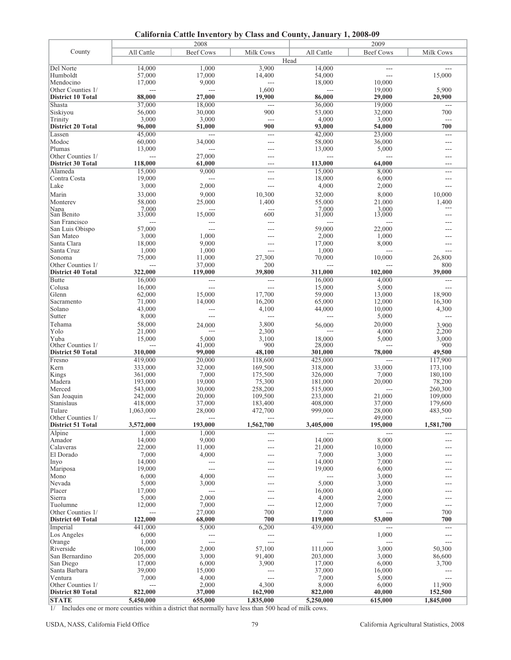**California Cattle Inventory by Class and County, January 1, 2008-09**

|                          |                 | 2008             |                 |                 | 2009             |                      |
|--------------------------|-----------------|------------------|-----------------|-----------------|------------------|----------------------|
| County                   | All Cattle      | <b>Beef Cows</b> | Milk Cows       | All Cattle      | <b>Beef Cows</b> | Milk Cows            |
|                          |                 |                  |                 | Head            |                  |                      |
| Del Norte                | 14,000          | 1,000            | 3,900           | 14,000          | $---$            | ---                  |
| Humboldt                 | 57,000          | 17,000           | 14,400          | 54,000          | $---$            | 15,000               |
| Mendocino                | 17,000          | 9,000            | $---$           | 18,000          | 10,000           |                      |
| Other Counties 1/        | $---$           | $---$            | 1,600           | $---$           | 19,000           | 5,900                |
| <b>District 10 Total</b> | 88,000          | 27,000           | 19,900          | 86,000          | 29,000           | 20,900               |
| Shasta                   | 37,000          | 18,000           | $\overline{a}$  | 36,000          | 19,000           | ---                  |
| Siskiyou                 | 56,000          | 30,000           | 900             | 53,000          | 32,000           | 700                  |
| Trinity                  | 3,000           | 3,000            | $\overline{a}$  | 4,000           | 3,000            | $\sim$ $\sim$ $\sim$ |
| <b>District 20 Total</b> | 96,000          | 51,000           | 900             | 93,000          | 54,000           | 700                  |
| Lassen                   | 45,000          | ---              | $---$           | 42,000          | 23,000           | $---$                |
| Modoc                    | 60,000          | 34,000           | ---             | 58,000          | 36,000           | ---                  |
| Plumas                   | 13,000          | ---              | $---$           | 13,000          | 5,000            | $---$                |
| Other Counties 1/        | $---$           | 27,000           | $---$           | $---$           | $---$            | $---$                |
| <b>District 30 Total</b> | 118,000         | 61,000           | $---$           | 113,000         | 64,000           | $---$                |
| Alameda                  | 15,000          | 9,000            | ---             | 15,000          | 8,000            | ---                  |
| Contra Costa             | 19,000          | $---$            | $---$           | 18,000          | 6,000            | ---                  |
| Lake                     | 3,000           | 2,000            | $---$           | 4,000           | 2,000            | ---                  |
| Marin                    | 33,000          | 9,000            | 10,300          | 32,000          | 8,000            | 10,000               |
| Monterey                 | 58,000          | 25,000           | 1,400           | 55,000          | 21,000           | 1,400                |
| Napa                     | 7,000<br>33,000 |                  |                 | 7.000           | 3,000<br>13,000  | $---$                |
| San Benito               |                 | 15,000           | 600             | 31,000          |                  | ---                  |
| San Francisco            | $---$           | ---              | $---$           | $---$           |                  |                      |
| San Luis Obispo          | 57,000          | $---$            |                 | 59,000          | 22,000           | ---                  |
| San Mateo<br>Santa Clara | 3,000           | 1,000            |                 | 2,000           | 1,000            | $-$                  |
| Santa Cruz               | 18,000<br>1,000 | 9,000<br>1,000   | $---$           | 17,000<br>1,000 | 8,000            | $---$                |
| Sonoma                   | 75,000          | 11,000           | $---$<br>27,300 | 70,000          | ---<br>10,000    | ---<br>26,800        |
| Other Counties 1/        |                 | 37,000           | 200             | $---$           |                  | 800                  |
| <b>District 40 Total</b> | 322,000         | 119,000          | 39,800          | 311,000         | 102,000          | 39,000               |
| <b>Butte</b>             | 16,000          | ---              | $\sim$          | 16,000          | 4,000            | $---$                |
| Colusa                   | 16,000          | $---$            | $---$           | 15,000          | 5,000            | ---                  |
| Glenn                    | 62,000          | 15,000           | 17,700          | 59,000          | 13,000           | 18,900               |
| Sacramento               | 71,000          | 14,000           | 16,200          | 65,000          | 12,000           | 16,300               |
| Solano                   | 43,000          | ---              | 4,100           | 44,000          | 10,000           | 4,300                |
| Sutter                   | 8,000           | $---$            | $---$           | $--$            | 5,000            | ---                  |
| Tehama                   | 58,000          | 24,000           | 3,800           | 56,000          | 20,000           | 3,900                |
| Yolo                     | 21,000          |                  | 2,300           |                 | 4,000            | 2,200                |
| Yuba                     | 15,000          | 5,000            | 3,100           | 18,000          | 5,000            | 3,000                |
| Other Counties 1/        |                 | 41,000           | 900             | 28,000          |                  | 900                  |
| <b>District 50 Total</b> | 310,000         | 99,000           | 48,100          | 301,000         | 78,000           | 49,500               |
| Fresno                   | 419,000         | 20,000           | 118,600         | 425,000         |                  | 117,900              |
| Kern                     | 333,000         | 32,000           | 169,500         | 318,000         | 33,000           | 173,100              |
| Kings                    | 361,000         | 7,000            | 175,500         | 326,000         | 7,000            | 180,100              |
| Madera                   | 193,000         | 19,000           | 75,300          | 181,000         | 20,000           | 78,200               |
| Merced                   | 543,000         | 30,000           | 258,200         | 515,000         | $\overline{a}$   | 260,300              |
| San Joaquin              | 242,000         | 20,000           | 109,500         | 233,000         | 21,000           | 109,000              |
| Stanislaus               | 418,000         | 37,000           | 183,400         | 408,000         | 37,000           | 179,600              |
| <b>Tulare</b>            | 1,063,000       | 28,000           | 472,700         | 999,000         | 28,000           | 483,500              |
| Other Counties 1/        |                 |                  |                 |                 | 49,000           | $---$                |
| <b>District 51 Total</b> | 3,572,000       | 193,000          | 1,562,700       | 3,405,000       | 195,000          | 1,581,700            |
| Alpine                   | 1,000           | 1,000            |                 | $---$           | $---$            | ---                  |
| Amador                   | 14,000          | 9,000            | $---$           | 14,000          | 8,000            | ---                  |
| Calaveras<br>El Dorado   | 22,000<br>7,000 | 11,000<br>4,000  | $---$           | 21,000<br>7,000 | 10,000<br>3,000  | ---<br>---           |
|                          | 14,000          | $---$            |                 | 14,000          | 7,000            | ---                  |
| Inyo<br>Mariposa         | 19,000          | ---              |                 | 19,000          | 6,000            | ---                  |
| Mono                     | 6,000           | 4,000            |                 | $\overline{a}$  | 3,000            |                      |
| Nevada                   | 5,000           | 3,000            |                 | 5,000           | 3,000            | ---                  |
| Placer                   | 17,000          | $\overline{a}$   |                 | 16,000          | 4,000            | ---                  |
| Sierra                   | 5,000           | 2,000            | ---             | 4,000           | 2,000            | ---                  |
| Tuolumne                 | 12,000          | 7,000            | $---$           | 12,000          | 7,000            | $---$                |
| Other Counties 1/        | $\overline{a}$  | 27,000           | 700             | 7,000           | $\overline{a}$   | 700                  |
| <b>District 60 Total</b> | 122,000         | 68,000           | 700             | 119,000         | 53,000           | 700                  |
| Imperial                 | 441,000         | 5,000            | 6,200           | 439,000         | $\overline{a}$   | $\overline{a}$       |
| Los Angeles              | 6,000           | $---$            | $\frac{1}{2}$   |                 | 1,000            | $---$                |
| Orange                   | 1,000           | ---              | $\overline{a}$  | $---$           | ---              | ---                  |
| Riverside                | 106,000         | 2,000            | 57,100          | 111,000         | 3,000            | 50,300               |
| San Bernardino           | 205,000         | 3,000            | 91,400          | 203,000         | 3,000            | 86,600               |
| San Diego                | 17,000          | 6,000            | 3,900           | 17,000          | 6,000            | 3,700                |
| Santa Barbara            | 39,000          | 15,000           | ---             | 37,000          | 16,000           | $---$                |
| Ventura                  | 7,000           | 4,000            | $---$           | 7,000           | 5,000            | $---$                |
| Other Counties 1/        | $\overline{a}$  | 2,000            | 4,300           | 8,000           | 6,000            | 11,900               |
| <b>District 80 Total</b> | 822,000         | 37,000           | 162,900         | 822,000         | 40,000           | 152,500              |
| <b>STATE</b>             | 5,450,000       | 655,000          | 1,835,000       | 5,250,000       | 615,000          | 1,845,000            |

1/ Includes one or more counties within a district that normally have less than 500 head of milk cows.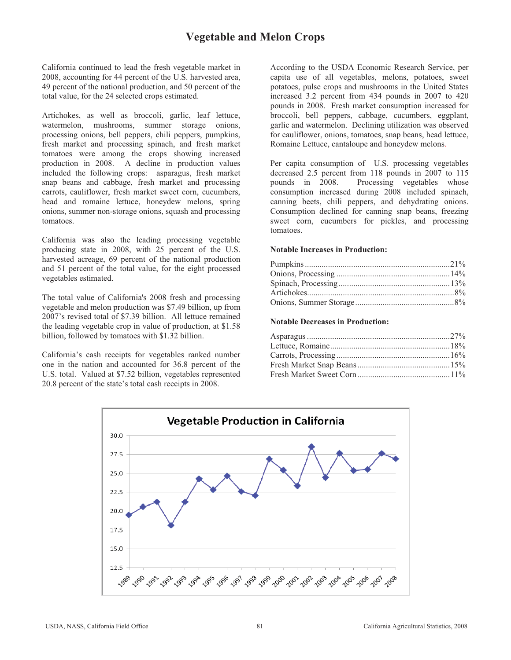# **Vegetable and Melon Crops**

California continued to lead the fresh vegetable market in 2008, accounting for 44 percent of the U.S. harvested area, 49 percent of the national production, and 50 percent of the total value, for the 24 selected crops estimated.

Artichokes, as well as broccoli, garlic, leaf lettuce, watermelon, mushrooms, summer storage onions, processing onions, bell peppers, chili peppers, pumpkins, fresh market and processing spinach, and fresh market tomatoes were among the crops showing increased production in 2008. A decline in production values included the following crops: asparagus, fresh market snap beans and cabbage, fresh market and processing carrots, cauliflower, fresh market sweet corn, cucumbers, head and romaine lettuce, honeydew melons, spring onions, summer non-storage onions, squash and processing tomatoes.

California was also the leading processing vegetable producing state in 2008, with 25 percent of the U.S. harvested acreage, 69 percent of the national production and 51 percent of the total value, for the eight processed vegetables estimated.

The total value of California's 2008 fresh and processing vegetable and melon production was \$7.49 billion, up from 2007's revised total of \$7.39 billion. All lettuce remained the leading vegetable crop in value of production, at \$1.58 billion, followed by tomatoes with \$1.32 billion.

California's cash receipts for vegetables ranked number one in the nation and accounted for 36.8 percent of the U.S. total. Valued at \$7.52 billion, vegetables represented 20.8 percent of the state's total cash receipts in 2008.

According to the USDA Economic Research Service, per capita use of all vegetables, melons, potatoes, sweet potatoes, pulse crops and mushrooms in the United States increased 3.2 percent from 434 pounds in 2007 to 420 pounds in 2008. Fresh market consumption increased for broccoli, bell peppers, cabbage, cucumbers, eggplant, garlic and watermelon. Declining utilization was observed for cauliflower, onions, tomatoes, snap beans, head lettuce, Romaine Lettuce, cantaloupe and honeydew melons.

Per capita consumption of U.S. processing vegetables decreased 2.5 percent from 118 pounds in 2007 to 115 pounds in 2008. Processing vegetables whose Processing vegetables whose consumption increased during 2008 included spinach, canning beets, chili peppers, and dehydrating onions. Consumption declined for canning snap beans, freezing sweet corn, cucumbers for pickles, and processing tomatoes.

#### **Notable Increases in Production:**

**Notable Decreases in Production:** 

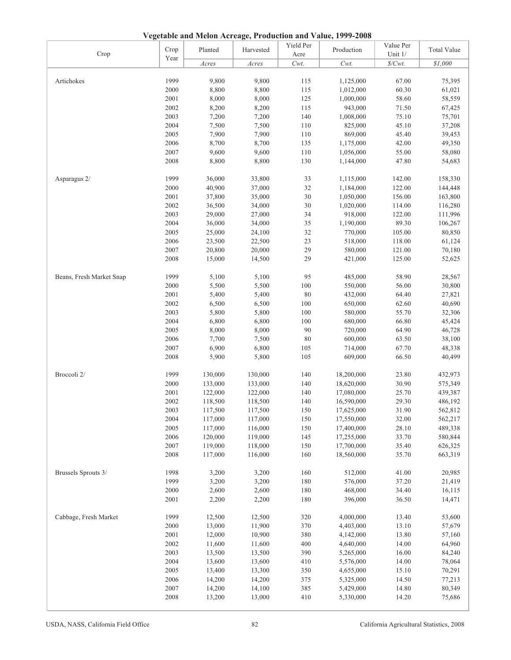**Vegetable and Melon Acreage, Production and Value, 1999-2008**

| Crop                     | Crop | Planted  | Harvested | Yield Per<br>Acre | Production | Value Per<br>Unit $1/\,$ | <b>Total Value</b> |
|--------------------------|------|----------|-----------|-------------------|------------|--------------------------|--------------------|
|                          | Year | $A$ cres | Acres     | $Cwt$ .           | $Cwt$ .    | $\$/Cwt$ .               | \$1,000            |
|                          |      |          |           |                   |            |                          |                    |
| Artichokes               | 1999 | 9,800    | 9,800     | 115               | 1,125,000  | 67.00                    | 75,395             |
|                          | 2000 | 8,800    | 8,800     | 115               | 1,012,000  | 60.30                    | 61,021             |
|                          | 2001 | 8,000    | 8,000     | 125               | 1,000,000  | 58.60                    | 58,559             |
|                          | 2002 | 8,200    | 8,200     | 115               | 943,000    | 71.50                    | 67,425             |
|                          | 2003 | 7,200    | 7,200     | 140               | 1,008,000  | 75.10                    | 75,701             |
|                          | 2004 | 7,500    | 7,500     | 110               | 825,000    | 45.10                    | 37,208             |
|                          | 2005 | 7,900    | 7,900     | 110               | 869,000    | 45.40                    | 39,453             |
|                          | 2006 | 8,700    | 8,700     | 135               | 1,175,000  | 42.00                    | 49,350             |
|                          | 2007 | 9,600    | 9,600     | 110               | 1,056,000  | 55.00                    | 58,080             |
|                          | 2008 | 8,800    | 8,800     | 130               | 1,144,000  | 47.80                    | 54,683             |
|                          |      |          |           |                   |            |                          |                    |
| Asparagus 2/             | 1999 | 36,000   | 33,800    | 33                | 1,115,000  | 142.00                   | 158,330            |
|                          | 2000 | 40,900   | 37,000    | 32                | 1,184,000  | 122.00                   | 144,448            |
|                          | 2001 | 37,800   | 35,000    | $30\,$            | 1,050,000  | 156.00                   | 163,800            |
|                          | 2002 | 36,500   | 34,000    | 30                | 1,020,000  | 114.00                   | 116,280            |
|                          | 2003 | 29,000   | 27,000    | 34                | 918,000    | 122.00                   | 111,996            |
|                          | 2004 | 36,000   | 34,000    | 35                | 1,190,000  | 89.30                    | 106,267            |
|                          | 2005 | 25,000   | 24,100    | 32                | 770,000    | 105.00                   | 80,850             |
|                          | 2006 | 23,500   | 22,500    | 23                | 518,000    | 118.00                   | 61,124             |
|                          | 2007 | 20,800   | 20,000    | 29                | 580,000    | 121.00                   | 70,180             |
|                          | 2008 | 15,000   | 14,500    | 29                | 421,000    | 125.00                   | 52,625             |
|                          |      |          |           |                   |            |                          |                    |
| Beans, Fresh Market Snap | 1999 | 5,100    | 5,100     | 95                | 485,000    | 58.90                    | 28,567             |
|                          | 2000 | 5,500    | 5,500     | 100               | 550,000    | 56.00                    | 30,800             |
|                          | 2001 | 5,400    | 5,400     | $80\,$            | 432,000    | 64.40                    | 27,821             |
|                          | 2002 | 6,500    | 6,500     | $100\,$           | 650,000    | 62.60                    | 40,690             |
|                          | 2003 | 5,800    | 5,800     | $100\,$           | 580,000    | 55.70                    | 32,306             |
|                          | 2004 | 6,800    | 6,800     | 100               | 680,000    | 66.80                    | 45,424             |
|                          | 2005 | 8,000    | 8,000     | 90                | 720,000    | 64.90                    | 46,728             |
|                          | 2006 | 7,700    | 7,500     | $80\,$            | 600,000    | 63.50                    | 38,100             |
|                          | 2007 | 6,900    | 6,800     | 105               | 714,000    | 67.70                    | 48,338             |
|                          | 2008 | 5,900    | 5,800     | 105               | 609,000    | 66.50                    | 40,499             |
|                          |      |          |           |                   |            |                          |                    |
| Broccoli 2/              | 1999 | 130,000  | 130,000   | 140               | 18,200,000 | 23.80                    | 432,973            |
|                          | 2000 | 133,000  | 133,000   | 140               | 18,620,000 | 30.90                    | 575,349            |
|                          | 2001 | 122,000  | 122,000   | 140               | 17,080,000 | 25.70                    | 439,387            |
|                          | 2002 | 118,500  | 118,500   | 140               | 16,590,000 | 29.30                    | 486,192            |
|                          | 2003 | 117,500  | 117,500   | 150               | 17,625,000 | 31.90                    | 562,812            |
|                          | 2004 | 117,000  | 117,000   | 150               | 17,550,000 | 32.00                    | 562,217            |
|                          | 2005 | 117,000  | 116,000   | 150               | 17,400,000 | 28.10                    | 489,338            |
|                          | 2006 | 120,000  | 119,000   | 145               | 17,255,000 | 33.70                    | 580,844            |
|                          | 2007 | 119,000  | 118,000   | 150               | 17,700,000 | 35.40                    | 626,325            |
|                          | 2008 | 117,000  | 116,000   | 160               | 18,560,000 | 35.70                    | 663,319            |
|                          |      |          |           |                   |            |                          |                    |
| Brussels Sprouts 3/      | 1998 | 3,200    | 3,200     | 160               | 512,000    | 41.00                    | 20,985             |
|                          | 1999 | 3,200    | 3,200     | 180               | 576,000    | 37.20                    | 21,419             |
|                          | 2000 | 2,600    | 2,600     | 180               | 468,000    | 34.40                    | 16,115             |
|                          | 2001 | 2,200    | 2,200     | 180               | 396,000    | 36.50                    | 14,471             |
|                          |      |          |           |                   |            |                          |                    |
| Cabbage, Fresh Market    | 1999 | 12,500   | 12,500    | 320               | 4,000,000  | 13.40                    | 53,600             |
|                          | 2000 | 13,000   | 11,900    | 370               | 4,403,000  | 13.10                    | 57,679             |
|                          | 2001 | 12,000   | 10,900    | 380               | 4,142,000  | 13.80                    | 57,160             |
|                          | 2002 | 11,600   | 11,600    | 400               | 4,640,000  | 14.00                    | 64,960             |
|                          | 2003 | 13,500   | 13,500    | 390               | 5,265,000  | 16.00                    | 84,240             |
|                          | 2004 | 13,600   | 13,600    | 410               | 5,576,000  | 14.00                    | 78,064             |
|                          | 2005 | 13,400   | 13,300    | 350               | 4,655,000  | 15.10                    | 70,291             |
|                          | 2006 | 14,200   | 14,200    | 375               | 5,325,000  | 14.50                    | 77,213             |
|                          | 2007 | 14,200   | 14,100    | 385               | 5,429,000  | 14.80                    | 80,349             |
|                          | 2008 | 13,200   | 13,000    | 410               | 5,330,000  | 14.20                    | 75,686             |
|                          |      |          |           |                   |            |                          |                    |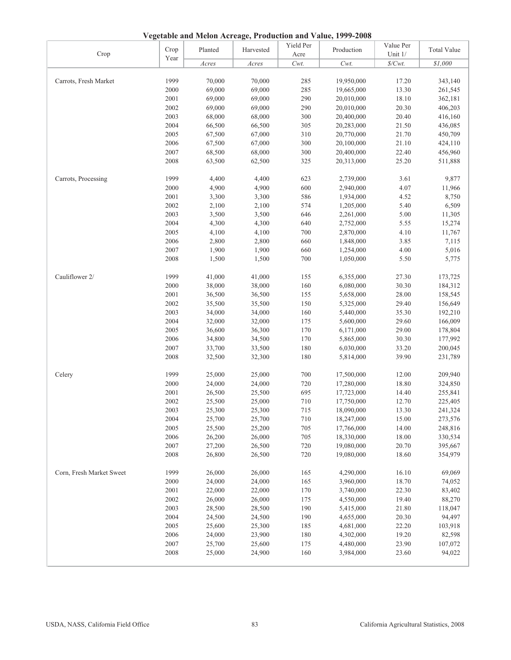**Vegetable and Melon Acreage, Production and Value, 1999-2008**

| Crop                     | Crop | $\alpha$ , respectively. The contract of the contraction and $\alpha$ and $\alpha$ is the contract of<br>Planted | Harvested | Yield Per<br>Acre | Production | Value Per<br>Unit 1/ | <b>Total Value</b> |
|--------------------------|------|------------------------------------------------------------------------------------------------------------------|-----------|-------------------|------------|----------------------|--------------------|
|                          | Year | Acres                                                                                                            | Acres     | Cwt.              | $Cwt$ .    | $\frac{S}{Cwt}$ .    | \$1,000            |
|                          |      |                                                                                                                  |           |                   |            |                      |                    |
| Carrots, Fresh Market    | 1999 | 70,000                                                                                                           | 70,000    | 285               | 19,950,000 | 17.20                | 343,140            |
|                          | 2000 | 69,000                                                                                                           | 69,000    | 285               | 19,665,000 | 13.30                | 261,545            |
|                          | 2001 | 69,000                                                                                                           | 69,000    | 290               | 20,010,000 | 18.10                | 362,181            |
|                          | 2002 | 69,000                                                                                                           | 69,000    | 290               | 20,010,000 | 20.30                | 406,203            |
|                          | 2003 | 68,000                                                                                                           | 68,000    | 300               | 20,400,000 | 20.40                | 416,160            |
|                          | 2004 | 66,500                                                                                                           | 66,500    | 305               | 20,283,000 | 21.50                | 436,085            |
|                          | 2005 | 67,500                                                                                                           | 67,000    | 310               | 20,770,000 | 21.70                | 450,709            |
|                          | 2006 | 67,500                                                                                                           | 67,000    | 300               | 20,100,000 | 21.10                | 424,110            |
|                          | 2007 | 68,500                                                                                                           | 68,000    | 300               | 20,400,000 | 22.40                | 456,960            |
|                          | 2008 | 63,500                                                                                                           | 62,500    | 325               | 20,313,000 | 25.20                | 511,888            |
|                          |      |                                                                                                                  |           |                   |            |                      |                    |
| Carrots, Processing      | 1999 | 4,400                                                                                                            | 4,400     | 623               | 2,739,000  | 3.61                 | 9,877              |
|                          | 2000 | 4,900                                                                                                            | 4,900     | 600               | 2,940,000  | 4.07                 | 11,966             |
|                          | 2001 | 3,300                                                                                                            | 3,300     | 586               | 1,934,000  | 4.52                 | 8,750              |
|                          | 2002 | 2,100                                                                                                            | 2,100     | 574               | 1,205,000  | 5.40                 | 6,509              |
|                          | 2003 | 3,500                                                                                                            | 3,500     | 646               | 2,261,000  | 5.00                 | 11,305             |
|                          | 2004 | 4,300                                                                                                            | 4,300     | 640               | 2,752,000  | 5.55                 | 15,274             |
|                          | 2005 | 4,100                                                                                                            | 4,100     | 700               | 2,870,000  | 4.10                 | 11,767             |
|                          | 2006 | 2,800                                                                                                            | 2,800     | 660               | 1,848,000  | 3.85                 | 7,115              |
|                          | 2007 | 1,900                                                                                                            | 1,900     | 660               | 1,254,000  | 4.00                 | 5,016              |
|                          | 2008 | 1,500                                                                                                            | 1,500     | 700               | 1,050,000  | 5.50                 | 5,775              |
|                          |      |                                                                                                                  |           |                   |            |                      |                    |
| Cauliflower 2/           | 1999 | 41,000                                                                                                           | 41,000    | 155               | 6,355,000  | 27.30                | 173,725            |
|                          | 2000 | 38,000                                                                                                           | 38,000    | 160               | 6,080,000  | 30.30                | 184,312            |
|                          | 2001 | 36,500                                                                                                           | 36,500    | 155               | 5,658,000  | 28.00                | 158,545            |
|                          | 2002 | 35,500                                                                                                           | 35,500    | 150               | 5,325,000  | 29.40                | 156,649            |
|                          | 2003 | 34,000                                                                                                           | 34,000    | 160               | 5,440,000  | 35.30                | 192,210            |
|                          | 2004 | 32,000                                                                                                           | 32,000    | 175               | 5,600,000  | 29.60                | 166,009            |
|                          | 2005 | 36,600                                                                                                           | 36,300    | 170               | 6,171,000  | 29.00                | 178,804            |
|                          | 2006 | 34,800                                                                                                           | 34,500    | 170               | 5,865,000  | 30.30                | 177,992            |
|                          | 2007 | 33,700                                                                                                           | 33,500    | 180               | 6,030,000  | 33.20                | 200,045            |
|                          | 2008 | 32,500                                                                                                           | 32,300    | 180               | 5,814,000  | 39.90                | 231,789            |
| Celery                   | 1999 | 25,000                                                                                                           | 25,000    | 700               | 17,500,000 | 12.00                | 209,940            |
|                          | 2000 | 24,000                                                                                                           | 24,000    | 720               | 17,280,000 | 18.80                | 324,850            |
|                          | 2001 | 26,500                                                                                                           | 25,500    | 695               | 17,723,000 | 14.40                | 255,841            |
|                          | 2002 | 25,500                                                                                                           | 25,000    | 710               | 17,750,000 | 12.70                | 225,405            |
|                          | 2003 | 25,300                                                                                                           | 25,300    | 715               | 18,090,000 | 13.30                | 241,324            |
|                          | 2004 | 25,700                                                                                                           | 25,700    | 710               | 18,247,000 | 15.00                | 273,576            |
|                          | 2005 | 25,500                                                                                                           | 25,200    | 705               | 17,766,000 | 14.00                | 248,816            |
|                          | 2006 | 26,200                                                                                                           | 26,000    | 705               | 18,330,000 | 18.00                | 330,534            |
|                          | 2007 | 27,200                                                                                                           | 26,500    | 720               | 19,080,000 | 20.70                | 395,667            |
|                          | 2008 | 26,800                                                                                                           | 26,500    | 720               | 19,080,000 | 18.60                | 354,979            |
|                          |      |                                                                                                                  |           |                   |            |                      |                    |
| Corn, Fresh Market Sweet | 1999 | 26,000                                                                                                           | 26,000    | 165               | 4,290,000  | 16.10                | 69,069             |
|                          | 2000 | 24,000                                                                                                           | 24,000    | 165               | 3,960,000  | 18.70                | 74,052             |
|                          | 2001 | 22,000                                                                                                           | 22,000    | 170               | 3,740,000  | 22.30                | 83,402             |
|                          | 2002 | 26,000                                                                                                           | 26,000    | 175               | 4,550,000  | 19.40                | 88,270             |
|                          | 2003 | 28,500                                                                                                           | 28,500    | 190               | 5,415,000  | 21.80                | 118,047            |
|                          | 2004 | 24,500                                                                                                           | 24,500    | 190               | 4,655,000  | 20.30                | 94,497             |
|                          | 2005 | 25,600                                                                                                           | 25,300    | 185               | 4,681,000  | 22.20                | 103,918            |
|                          | 2006 | 24,000                                                                                                           | 23,900    | 180               | 4,302,000  | 19.20                | 82,598             |
|                          | 2007 | 25,700                                                                                                           | 25,600    | 175               | 4,480,000  | 23.90                | 107,072            |
|                          | 2008 | 25,000                                                                                                           | 24,900    | 160               | 3,984,000  | 23.60                | 94,022             |
|                          |      |                                                                                                                  |           |                   |            |                      |                    |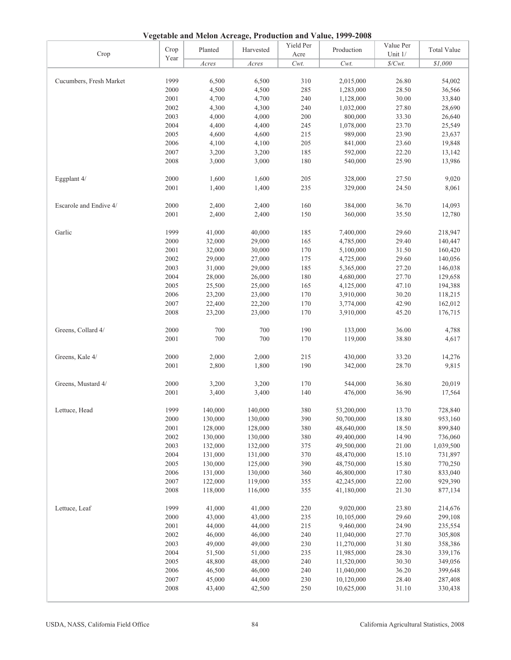**Vegetable and Melon Acreage, Production and Value, 1999-2008**

| Crop                    | Crop | Planted | Harvested | Yield Per<br>Acre | $\alpha$ experience and belong the eagle, I Foundation and $\alpha$ and $\beta$ 1999 2000<br>Production | Value Per<br>Unit 1/ | <b>Total Value</b> |
|-------------------------|------|---------|-----------|-------------------|---------------------------------------------------------------------------------------------------------|----------------------|--------------------|
|                         | Year | Acres   | Acres     | Cwt.              | $Cwt$ .                                                                                                 | $\$/Cwt$ .           | \$1,000            |
|                         |      |         |           |                   |                                                                                                         |                      |                    |
| Cucumbers, Fresh Market | 1999 | 6,500   | 6,500     | 310               | 2,015,000                                                                                               | 26.80                | 54,002             |
|                         | 2000 | 4,500   | 4,500     | 285               | 1,283,000                                                                                               | 28.50                | 36,566             |
|                         | 2001 | 4,700   | 4,700     | 240               | 1,128,000                                                                                               | 30.00                | 33,840             |
|                         | 2002 | 4,300   | 4,300     | 240               | 1,032,000                                                                                               | 27.80                | 28,690             |
|                         | 2003 | 4,000   | 4,000     | 200               | 800,000                                                                                                 | 33.30                | 26,640             |
|                         | 2004 | 4,400   | 4,400     | 245               | 1,078,000                                                                                               | 23.70                | 25,549             |
|                         | 2005 | 4,600   | 4,600     | 215               | 989,000                                                                                                 | 23.90                | 23,637             |
|                         | 2006 | 4,100   | 4,100     | 205               | 841,000                                                                                                 | 23.60                | 19,848             |
|                         | 2007 | 3,200   | 3,200     | 185               | 592,000                                                                                                 | 22.20                | 13,142             |
|                         | 2008 | 3,000   | 3,000     | 180               | 540,000                                                                                                 | 25.90                | 13,986             |
| Eggplant 4/             | 2000 | 1,600   | 1,600     | 205               | 328,000                                                                                                 | 27.50                | 9,020              |
|                         | 2001 | 1,400   | 1,400     | 235               | 329,000                                                                                                 | 24.50                | 8,061              |
|                         |      |         |           |                   |                                                                                                         |                      |                    |
| Escarole and Endive 4/  | 2000 | 2,400   | 2,400     | 160               | 384,000                                                                                                 | 36.70                | 14,093             |
|                         | 2001 | 2,400   | 2,400     | 150               | 360,000                                                                                                 | 35.50                | 12,780             |
| Garlic                  | 1999 | 41,000  | 40,000    | 185               | 7,400,000                                                                                               | 29.60                | 218,947            |
|                         | 2000 | 32,000  | 29,000    | 165               | 4,785,000                                                                                               | 29.40                | 140,447            |
|                         | 2001 | 32,000  | 30,000    | 170               | 5,100,000                                                                                               | 31.50                | 160,420            |
|                         | 2002 | 29,000  | 27,000    | 175               | 4,725,000                                                                                               | 29.60                | 140,056            |
|                         | 2003 | 31,000  | 29,000    | 185               | 5,365,000                                                                                               | 27.20                | 146,038            |
|                         | 2004 | 28,000  | 26,000    | 180               | 4,680,000                                                                                               | 27.70                | 129,658            |
|                         | 2005 | 25,500  | 25,000    | 165               | 4,125,000                                                                                               | 47.10                | 194,388            |
|                         | 2006 | 23,200  | 23,000    | 170               | 3,910,000                                                                                               | 30.20                | 118,215            |
|                         | 2007 | 22,400  | 22,200    | 170               | 3,774,000                                                                                               | 42.90                | 162,012            |
|                         | 2008 | 23,200  | 23,000    | 170               | 3,910,000                                                                                               | 45.20                | 176,715            |
| Greens, Collard 4/      | 2000 | 700     | 700       | 190               | 133,000                                                                                                 | 36.00                | 4,788              |
|                         | 2001 | 700     | 700       | 170               | 119,000                                                                                                 | 38.80                | 4,617              |
| Greens, Kale 4/         | 2000 | 2,000   | 2,000     | 215               | 430,000                                                                                                 | 33.20                | 14,276             |
|                         | 2001 | 2,800   | 1,800     | 190               | 342,000                                                                                                 | 28.70                | 9,815              |
|                         |      |         |           |                   |                                                                                                         |                      |                    |
| Greens, Mustard 4/      | 2000 | 3,200   | 3,200     | 170               | 544,000                                                                                                 | 36.80                | 20,019             |
|                         | 2001 | 3,400   | 3,400     | 140               | 476,000                                                                                                 | 36.90                | 17,564             |
| Lettuce, Head           | 1999 | 140,000 | 140,000   | 380               | 53,200,000                                                                                              | 13.70                | 728,840            |
|                         | 2000 | 130,000 | 130,000   | 390               | 50,700,000                                                                                              | 18.80                | 953,160            |
|                         | 2001 | 128,000 | 128,000   | 380               | 48,640,000                                                                                              | 18.50                | 899,840            |
|                         | 2002 | 130,000 | 130,000   | 380               | 49,400,000                                                                                              | 14.90                | 736,060            |
|                         | 2003 | 132,000 | 132,000   | 375               | 49,500,000                                                                                              | 21.00                | 1,039,500          |
|                         | 2004 | 131,000 | 131,000   | 370               | 48,470,000                                                                                              | 15.10                | 731,897            |
|                         | 2005 | 130,000 | 125,000   | 390               | 48,750,000                                                                                              | 15.80                | 770,250            |
|                         | 2006 | 131,000 | 130,000   | 360               | 46,800,000                                                                                              | 17.80                | 833,040            |
|                         | 2007 | 122,000 | 119,000   | 355               | 42,245,000                                                                                              | 22.00                | 929,390            |
|                         | 2008 | 118,000 | 116,000   | 355               | 41,180,000                                                                                              | 21.30                | 877,134            |
| Lettuce, Leaf           | 1999 | 41,000  | 41,000    | 220               | 9,020,000                                                                                               | 23.80                | 214,676            |
|                         | 2000 | 43,000  | 43,000    | 235               | 10,105,000                                                                                              | 29.60                | 299,108            |
|                         | 2001 | 44,000  | 44,000    | 215               | 9,460,000                                                                                               | 24.90                | 235,554            |
|                         | 2002 | 46,000  | 46,000    | 240               | 11,040,000                                                                                              | 27.70                | 305,808            |
|                         | 2003 | 49,000  | 49,000    | 230               | 11,270,000                                                                                              | 31.80                | 358,386            |
|                         | 2004 | 51,500  | 51,000    | 235               | 11,985,000                                                                                              | 28.30                | 339,176            |
|                         | 2005 | 48,800  | 48,000    | 240               | 11,520,000                                                                                              | 30.30                | 349,056            |
|                         | 2006 | 46,500  | 46,000    | 240               | 11,040,000                                                                                              | 36.20                | 399,648            |
|                         | 2007 | 45,000  | 44,000    | 230               | 10,120,000                                                                                              | 28.40                | 287,408            |
|                         | 2008 | 43,400  | 42,500    | 250               | 10,625,000                                                                                              | 31.10                | 330,438            |
|                         |      |         |           |                   |                                                                                                         |                      |                    |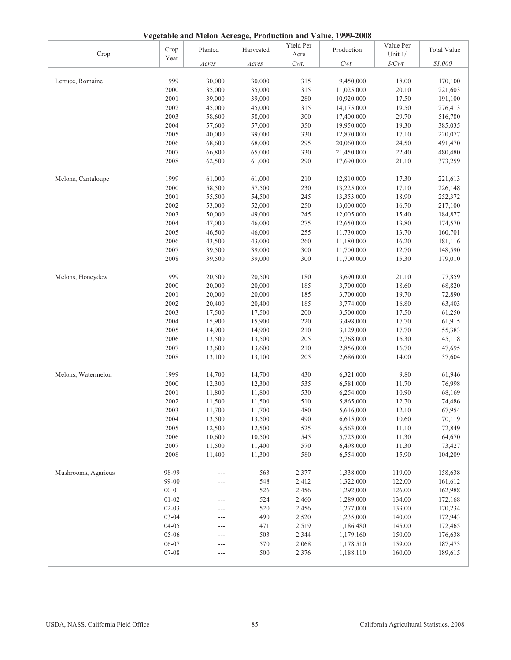**Vegetable and Melon Acreage, Production and Value, 1999-2008**

| Crop                | Crop      | Planted | 110aucu011<br>Harvested | Yield Per<br>Acre | Production | Value Per<br>Unit 1/ | <b>Total Value</b> |
|---------------------|-----------|---------|-------------------------|-------------------|------------|----------------------|--------------------|
|                     | Year      | Acres   | Acres                   | $Cwt$ .           | Cwt.       | $\$/Cwt$ .           | \$1,000            |
|                     |           |         |                         |                   |            |                      |                    |
| Lettuce, Romaine    | 1999      | 30,000  | 30,000                  | 315               | 9,450,000  | 18.00                | 170,100            |
|                     | 2000      | 35,000  | 35,000                  | 315               | 11,025,000 | 20.10                | 221,603            |
|                     | 2001      | 39,000  | 39,000                  | 280               | 10,920,000 | 17.50                | 191,100            |
|                     | 2002      | 45,000  | 45,000                  | 315               | 14,175,000 | 19.50                | 276,413            |
|                     | 2003      | 58,600  | 58,000                  | 300               | 17,400,000 | 29.70                | 516,780            |
|                     | 2004      | 57,600  | 57,000                  | 350               | 19,950,000 | 19.30                | 385,035            |
|                     | 2005      | 40,000  | 39,000                  | 330               | 12,870,000 | 17.10                | 220,077            |
|                     | 2006      | 68,600  | 68,000                  | 295               | 20,060,000 | 24.50                | 491,470            |
|                     | 2007      | 66,800  | 65,000                  | 330               | 21,450,000 | 22.40                | 480,480            |
|                     | 2008      | 62,500  | 61,000                  | 290               | 17,690,000 | 21.10                | 373,259            |
| Melons, Cantaloupe  | 1999      | 61,000  | 61,000                  | 210               | 12,810,000 | 17.30                | 221,613            |
|                     | 2000      | 58,500  | 57,500                  | 230               | 13,225,000 | 17.10                | 226,148            |
|                     | 2001      | 55,500  | 54,500                  | 245               | 13,353,000 | 18.90                | 252,372            |
|                     | 2002      | 53,000  | 52,000                  | 250               | 13,000,000 | 16.70                | 217,100            |
|                     | 2003      | 50,000  | 49,000                  | 245               | 12,005,000 | 15.40                | 184,877            |
|                     | 2004      | 47,000  | 46,000                  | 275               | 12,650,000 | 13.80                | 174,570            |
|                     | 2005      | 46,500  | 46,000                  | 255               | 11,730,000 | 13.70                | 160,701            |
|                     | 2006      | 43,500  | 43,000                  | 260               | 11,180,000 | 16.20                | 181,116            |
|                     | 2007      | 39,500  | 39,000                  | 300               | 11,700,000 | 12.70                | 148,590            |
|                     |           |         |                         |                   |            |                      |                    |
|                     | 2008      | 39,500  | 39,000                  | 300               | 11,700,000 | 15.30                | 179,010            |
| Melons, Honeydew    | 1999      | 20,500  | 20,500                  | 180               | 3,690,000  | 21.10                | 77,859             |
|                     | 2000      | 20,000  | 20,000                  | 185               | 3,700,000  | 18.60                | 68,820             |
|                     | 2001      | 20,000  | 20,000                  | 185               | 3,700,000  | 19.70                | 72,890             |
|                     | 2002      | 20,400  | 20,400                  | 185               | 3,774,000  | 16.80                | 63,403             |
|                     | 2003      | 17,500  | 17,500                  | 200               | 3,500,000  | 17.50                | 61,250             |
|                     | 2004      | 15,900  | 15,900                  | 220               | 3,498,000  | 17.70                | 61,915             |
|                     | 2005      | 14,900  | 14,900                  | 210               | 3,129,000  | 17.70                | 55,383             |
|                     | 2006      | 13,500  | 13,500                  | 205               | 2,768,000  | 16.30                | 45,118             |
|                     | 2007      | 13,600  | 13,600                  | $210\,$           | 2,856,000  | 16.70                | 47,695             |
|                     | 2008      | 13,100  | 13,100                  | 205               | 2,686,000  | 14.00                | 37,604             |
| Melons, Watermelon  | 1999      | 14,700  | 14,700                  | 430               | 6,321,000  | 9.80                 | 61,946             |
|                     | 2000      | 12,300  | 12,300                  | 535               | 6,581,000  | 11.70                | 76,998             |
|                     | 2001      | 11,800  | 11,800                  | 530               | 6,254,000  | 10.90                | 68,169             |
|                     | 2002      | 11,500  | 11,500                  | 510               | 5,865,000  | 12.70                | 74,486             |
|                     | 2003      | 11,700  | 11.700                  | 480               | 5,616,000  | 12.10                | 67,954             |
|                     | 2004      | 13,500  | 13,500                  | 490               | 6,615,000  | 10.60                | 70,119             |
|                     | 2005      | 12,500  | 12,500                  | 525               | 6,563,000  | 11.10                | 72,849             |
|                     | 2006      | 10,600  | 10,500                  | 545               | 5,723,000  | 11.30                | 64,670             |
|                     | 2007      | 11,500  | 11,400                  | 570               | 6,498,000  | 11.30                | 73,427             |
|                     | 2008      | 11,400  | 11,300                  | 580               | 6,554,000  | 15.90                | 104,209            |
|                     |           |         |                         |                   |            |                      |                    |
| Mushrooms, Agaricus | 98-99     | ---     | 563                     | 2,377             | 1,338,000  | 119.00               | 158,638            |
|                     | 99-00     | ---     | 548                     | 2,412             | 1,322,000  | 122.00               | 161,612            |
|                     | $00 - 01$ | ---     | 526                     | 2,456             | 1,292,000  | 126.00               | 162,988            |
|                     | $01 - 02$ | ---     | 524                     | 2,460             | 1,289,000  | 134.00               | 172,168            |
|                     | $02 - 03$ | ---     | 520                     | 2,456             | 1,277,000  | 133.00               | 170,234            |
|                     | $03 - 04$ | ---     | 490                     | 2,520             | 1,235,000  | 140.00               | 172,943            |
|                     | $04 - 05$ | ---     | 471                     | 2,519             | 1,186,480  | 145.00               | 172,465            |
|                     | 05-06     |         | 503                     | 2,344             | 1,179,160  | 150.00               | 176,638            |
|                     | 06-07     | ---     | 570                     | 2,068             | 1,178,510  | 159.00               | 187,473            |
|                     | 07-08     | ---     | 500                     | 2,376             | 1,188,110  | 160.00               | 189,615            |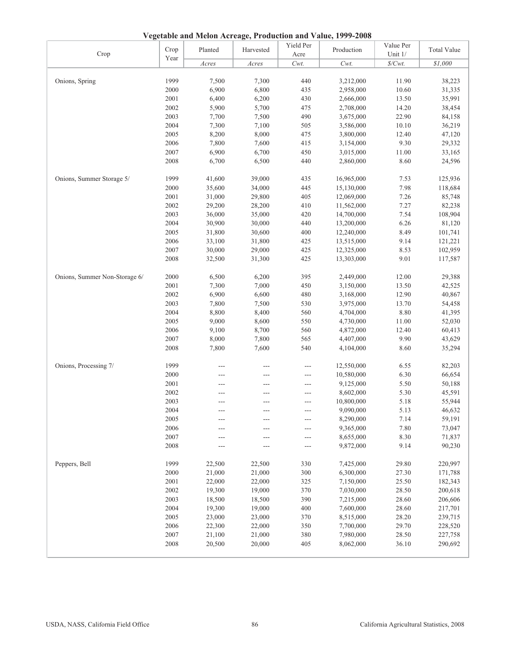**Vegetable and Melon Acreage, Production and Value, 1999-2008**

| Crop                          | Crop | Planted | Harvested | Yield Per<br>Acre | Production               | Value Per<br>Unit 1/ | <b>Total Value</b> |
|-------------------------------|------|---------|-----------|-------------------|--------------------------|----------------------|--------------------|
|                               | Year | Acres   | Acres     | $Cwt$ .           | Cwt.                     | $\$/Cwt$ .           | \$1,000            |
|                               |      |         |           |                   |                          |                      |                    |
| Onions, Spring                | 1999 | 7,500   | 7,300     | 440               | 3,212,000                | 11.90                | 38,223             |
|                               | 2000 | 6,900   | 6,800     | 435               | 2,958,000                | 10.60                | 31,335             |
|                               | 2001 | 6,400   | 6,200     | 430               | 2,666,000                | 13.50                | 35,991             |
|                               | 2002 | 5,900   | 5,700     | 475               | 2,708,000                | 14.20                | 38,454             |
|                               | 2003 | 7,700   | 7,500     | 490               | 3,675,000                | 22.90                | 84,158             |
|                               | 2004 | 7,300   | 7,100     | 505               | 3,586,000                | 10.10                | 36,219             |
|                               | 2005 | 8,200   | 8,000     | 475               | 3,800,000                | 12.40                | 47,120             |
|                               | 2006 | 7,800   | 7,600     | 415               | 3,154,000                | 9.30                 | 29,332             |
|                               | 2007 | 6,900   | 6,700     | 450               | 3,015,000                | 11.00                | 33,165             |
|                               | 2008 | 6,700   | 6,500     | 440               | 2,860,000                | 8.60                 | 24,596             |
| Onions, Summer Storage 5/     | 1999 | 41,600  | 39,000    | 435               | 16,965,000               | 7.53                 | 125,936            |
|                               | 2000 | 35,600  | 34,000    | 445               | 15,130,000               | 7.98                 | 118,684            |
|                               | 2001 | 31,000  | 29,800    | 405               | 12,069,000               | 7.26                 | 85,748             |
|                               | 2002 | 29,200  | 28,200    | 410               | 11,562,000               | 7.27                 | 82,238             |
|                               | 2003 | 36,000  | 35,000    | 420               | 14,700,000               | 7.54                 | 108,904            |
|                               | 2004 | 30,900  | 30,000    | 440               | 13,200,000               | 6.26                 | 81,120             |
|                               | 2005 | 31,800  | 30,600    | 400               | 12,240,000               | 8.49                 | 101,741            |
|                               | 2006 | 33,100  | 31,800    | 425               | 13,515,000               | 9.14                 | 121,221            |
|                               | 2007 | 30,000  | 29,000    | 425               | 12,325,000               | 8.53                 | 102,959            |
|                               | 2008 | 32,500  | 31,300    | 425               | 13,303,000               | 9.01                 | 117,587            |
| Onions, Summer Non-Storage 6/ | 2000 | 6,500   | 6,200     | 395               | 2,449,000                | 12.00                | 29,388             |
|                               | 2001 | 7,300   | 7,000     | 450               | 3,150,000                | 13.50                | 42,525             |
|                               | 2002 | 6,900   | 6,600     | 480               | 3,168,000                | 12.90                | 40,867             |
|                               | 2003 | 7,800   | 7,500     | 530               | 3,975,000                | 13.70                | 54,458             |
|                               | 2004 | 8,800   | 8,400     | 560               | 4,704,000                | 8.80                 | 41,395             |
|                               | 2005 | 9,000   | 8,600     | 550               | 4,730,000                | 11.00                | 52,030             |
|                               | 2006 | 9,100   | 8,700     | 560               | 4,872,000                | 12.40                | 60,413             |
|                               | 2007 | 8,000   | 7,800     | 565               | 4,407,000                | 9.90                 | 43,629             |
|                               | 2008 | 7,800   | 7,600     | 540               | 4,104,000                | 8.60                 | 35,294             |
| Onions, Processing 7/         | 1999 |         |           |                   |                          | 6.55                 |                    |
|                               | 2000 |         |           | $---$             | 12,550,000<br>10,580,000 | 6.30                 | 82,203<br>66,654   |
|                               | 2001 |         | ---       | $---$<br>$---$    | 9,125,000                | 5.50                 | 50,188             |
|                               | 2002 |         | ---       | $---$             | 8,602,000                | 5.30                 | 45,591             |
|                               | 2003 |         | ---       | $---$             | 10,800,000               | 5.18                 | 55,944             |
|                               | 2004 |         |           |                   | 9,090,000                | 5.13                 | 46,632             |
|                               | 2005 |         |           | $---$             | 8,290,000                | 7.14                 | 59,191             |
|                               | 2006 |         |           | ---               | 9,365,000                | $7.80\,$             | 73,047             |
|                               | 2007 |         |           | ---               | 8,655,000                | 8.30                 | 71,837             |
|                               | 2008 |         |           | ---               | 9,872,000                | 9.14                 | 90,230             |
|                               |      |         |           |                   |                          |                      |                    |
| Peppers, Bell                 | 1999 | 22,500  | 22,500    | 330               | 7,425,000                | 29.80                | 220,997            |
|                               | 2000 | 21,000  | 21,000    | 300               | 6,300,000                | 27.30                | 171,788            |
|                               | 2001 | 22,000  | 22,000    | 325               | 7,150,000                | 25.50                | 182,343            |
|                               | 2002 | 19,300  | 19,000    | 370               | 7,030,000                | 28.50                | 200,618            |
|                               | 2003 | 18,500  | 18,500    | 390               | 7,215,000                | 28.60                | 206,606            |
|                               | 2004 | 19,300  | 19,000    | 400               | 7,600,000                | 28.60                | 217,701            |
|                               | 2005 | 23,000  | 23,000    | 370               | 8,515,000                | 28.20                | 239,715            |
|                               | 2006 | 22,300  | 22,000    | 350               | 7,700,000                | 29.70                | 228,520            |
|                               | 2007 | 21,100  | 21,000    | 380               | 7,980,000                | 28.50                | 227,758            |
|                               | 2008 | 20,500  | 20,000    | 405               | 8,062,000                | 36.10                | 290,692            |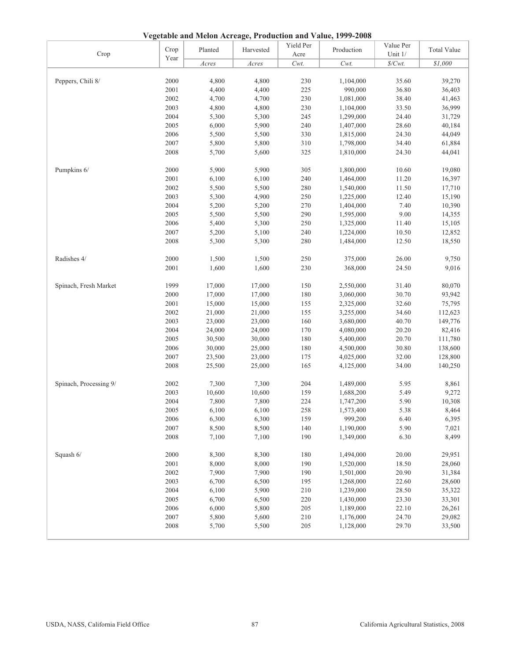**Vegetable and Melon Acreage, Production and Value, 1999-2008**

| Crop                   | Crop | Planted | Harvested | Yield Per<br>Acre | Production | Value Per<br>Unit 1/ | <b>Total Value</b> |
|------------------------|------|---------|-----------|-------------------|------------|----------------------|--------------------|
|                        | Year | Acres   | Acres     | Cwt.              | Cwt.       | $\frac{Cwt}{t}$      | \$1,000            |
|                        |      |         |           |                   |            |                      |                    |
| Peppers, Chili 8/      | 2000 | 4,800   | 4,800     | 230               | 1,104,000  | 35.60                | 39,270             |
|                        | 2001 | 4,400   | 4,400     | 225               | 990,000    | 36.80                | 36,403             |
|                        | 2002 | 4,700   | 4,700     | 230               | 1,081,000  | 38.40                | 41,463             |
|                        | 2003 | 4,800   | 4,800     | 230               | 1,104,000  | 33.50                | 36,999             |
|                        | 2004 | 5,300   | 5,300     | 245               | 1,299,000  | 24.40                | 31,729             |
|                        | 2005 | 6,000   | 5,900     | 240               | 1,407,000  | 28.60                | 40,184             |
|                        | 2006 | 5,500   | 5,500     | 330               | 1,815,000  | 24.30                | 44,049             |
|                        | 2007 | 5,800   | 5,800     | 310               | 1,798,000  | 34.40                | 61,884             |
|                        | 2008 | 5,700   | 5,600     | 325               | 1,810,000  | 24.30                | 44,041             |
|                        |      |         |           |                   |            |                      |                    |
| Pumpkins 6/            | 2000 | 5,900   | 5,900     | 305               | 1,800,000  | 10.60                | 19,080             |
|                        | 2001 | 6,100   | 6,100     | 240               | 1,464,000  | 11.20                | 16,397             |
|                        | 2002 | 5,500   | 5,500     | 280               | 1,540,000  | 11.50                | 17,710             |
|                        | 2003 | 5,300   | 4,900     | 250               | 1,225,000  | 12.40                | 15,190             |
|                        | 2004 | 5,200   | 5,200     | 270               | 1,404,000  | 7.40                 | 10,390             |
|                        | 2005 | 5,500   | 5,500     | 290               | 1,595,000  | 9.00                 | 14,355             |
|                        | 2006 | 5,400   | 5,300     | 250               | 1,325,000  | 11.40                | 15,105             |
|                        | 2007 | 5,200   | 5,100     | 240               | 1,224,000  | 10.50                | 12,852             |
|                        | 2008 | 5,300   | 5,300     | 280               | 1,484,000  | 12.50                | 18,550             |
|                        |      |         |           |                   |            |                      |                    |
| Radishes 4/            | 2000 | 1,500   | 1,500     | 250               | 375,000    | 26.00                | 9,750              |
|                        | 2001 | 1,600   | 1,600     | 230               | 368,000    | 24.50                | 9,016              |
|                        |      |         |           |                   |            |                      |                    |
| Spinach, Fresh Market  | 1999 | 17,000  | 17,000    | 150               | 2,550,000  | 31.40                | 80,070             |
|                        | 2000 | 17,000  | 17,000    | 180               | 3,060,000  | 30.70                | 93,942             |
|                        | 2001 | 15,000  | 15,000    | 155               | 2,325,000  | 32.60                | 75,795             |
|                        | 2002 | 21,000  | 21,000    | 155               | 3,255,000  | 34.60                | 112,623            |
|                        | 2003 | 23,000  | 23,000    | 160               | 3,680,000  | 40.70                | 149,776            |
|                        | 2004 | 24,000  | 24,000    | 170               | 4,080,000  | 20.20                | 82,416             |
|                        | 2005 | 30,500  | 30,000    | 180               | 5,400,000  | 20.70                | 111,780            |
|                        | 2006 | 30,000  | 25,000    | 180               | 4,500,000  | 30.80                | 138,600            |
|                        | 2007 | 23,500  | 23,000    | 175               | 4,025,000  | 32.00                | 128,800            |
|                        | 2008 | 25,500  | 25,000    | 165               | 4,125,000  | 34.00                | 140,250            |
|                        |      |         |           |                   |            |                      |                    |
| Spinach, Processing 9/ | 2002 | 7,300   | 7,300     | 204               | 1,489,000  | 5.95                 | 8,861              |
|                        | 2003 | 10,600  | 10,600    | 159               | 1,688,200  | 5.49                 | 9,272              |
|                        | 2004 | 7,800   | 7,800     | 224               | 1,747,200  | 5.90                 | 10,308             |
|                        | 2005 | 6,100   | 6,100     | 258               | 1,573,400  | 5.38                 | 8,464              |
|                        | 2006 | 6,300   | 6,300     | 159               | 999,200    | 6.40                 | 6,395              |
|                        | 2007 | 8,500   | 8,500     | 140               | 1,190,000  | 5.90                 | 7,021              |
|                        | 2008 | 7,100   | 7,100     | 190               | 1,349,000  | 6.30                 | 8,499              |
|                        |      |         |           |                   |            |                      |                    |
| Squash 6/              | 2000 | 8,300   | 8,300     | 180               | 1,494,000  | 20.00                | 29,951             |
|                        | 2001 | 8,000   | 8,000     | 190               | 1,520,000  | 18.50                | 28,060             |
|                        | 2002 | 7,900   | 7,900     | 190               | 1,501,000  | 20.90                | 31,384             |
|                        | 2003 | 6,700   | 6,500     | 195               | 1,268,000  | 22.60                | 28,600             |
|                        | 2004 | 6,100   | 5,900     | 210               | 1,239,000  | 28.50                | 35,322             |
|                        | 2005 | 6,700   | 6,500     | 220               | 1,430,000  | 23.30                | 33,301             |
|                        | 2006 | 6,000   | 5,800     | 205               | 1,189,000  | 22.10                | 26,261             |
|                        | 2007 | 5,800   | 5,600     | 210               | 1,176,000  | 24.70                | 29,082             |
|                        | 2008 | 5,700   | 5,500     | 205               | 1,128,000  | 29.70                | 33,500             |
|                        |      |         |           |                   |            |                      |                    |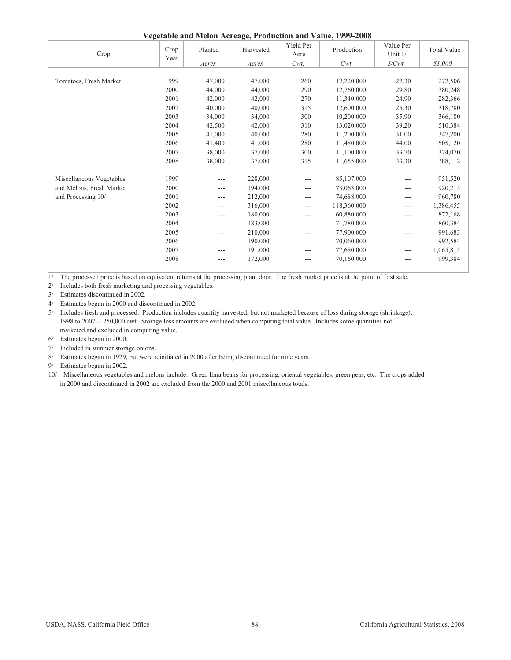| Vegetable and Melon Acreage, Production and Value, 1999-2008 |  |  |
|--------------------------------------------------------------|--|--|
|                                                              |  |  |

| Crop                     | Crop<br>Year | Planted | Harvested | Yield Per<br>Acre | Production  | Value Per<br>Unit 1/ | <b>Total Value</b> |
|--------------------------|--------------|---------|-----------|-------------------|-------------|----------------------|--------------------|
|                          |              | Acres   | Acres     | Cwt.              | $Cwt$ .     | $\frac{S}{Cwt}$ .    | \$1,000            |
|                          |              |         |           |                   |             |                      |                    |
| Tomatoes, Fresh Market   | 1999         | 47,000  | 47,000    | 260               | 12,220,000  | 22.30                | 272,506            |
|                          | 2000         | 44,000  | 44,000    | 290               | 12,760,000  | 29.80                | 380,248            |
|                          | 2001         | 42,000  | 42,000    | 270               | 11,340,000  | 24.90                | 282,366            |
|                          | 2002         | 40,000  | 40,000    | 315               | 12,600,000  | 25.30                | 318,780            |
|                          | 2003         | 34,000  | 34,000    | 300               | 10,200,000  | 35.90                | 366,180            |
|                          | 2004         | 42,500  | 42,000    | 310               | 13,020,000  | 39.20                | 510,384            |
|                          | 2005         | 41,000  | 40,000    | 280               | 11,200,000  | 31.00                | 347,200            |
|                          | 2006         | 41,400  | 41,000    | 280               | 11,480,000  | 44.00                | 505,120            |
|                          | 2007         | 38,000  | 37,000    | 300               | 11,100,000  | 33.70                | 374,070            |
|                          | 2008         | 38,000  | 37,000    | 315               | 11,655,000  | 33.30                | 388,112            |
| Miscellaneous Vegetables | 1999         | ---     | 228,000   | ---               | 85,107,000  |                      | 951,520            |
| and Melons, Fresh Market | 2000         | ---     | 194,000   | ---               | 73,063,000  | ---                  | 920,215            |
| and Processing 10/       | 2001         | $---$   | 212,000   | ---               | 74,688,000  | $---$                | 960,780            |
|                          | 2002         | ---     | 316,000   | ---               | 118,360,000 | ---                  | 1,386,455          |
|                          | 2003         | ---     | 180,000   | ---               | 60,880,000  | ---                  | 872,168            |
|                          | 2004         | ---     | 183,000   | ---               | 71,780,000  | ---                  | 860,384            |
|                          | 2005         | ---     | 210,000   | ---               | 77,900,000  | ---                  | 991,683            |
|                          | 2006         | ---     | 190,000   | ---               | 70,060,000  | ---                  | 992,584            |
|                          | 2007         | ---     | 191,000   | ---               | 77,680,000  | $---$                | 1,065,815          |
|                          | 2008         | ---     | 172,000   | ---               | 70,160,000  | ---                  | 999,384            |
|                          |              |         |           |                   |             |                      |                    |

1/ The processed price is based on equivalent returns at the processing plant door. The fresh market price is at the point of first sale.

2/ Includes both fresh marketing and processing vegetables.

3/ Estimates discontinued in 2002.

4/ Estimates began in 2000 and discontinued in 2002.

 marketed and excluded in computing value. 5/ Includes fresh and processed. Production includes quantity harvested, but not marketed because of loss during storage (shrinkage): 1998 to 2007 -- 250,000 cwt. Storage loss amounts are excluded when computing total value. Includes some quantities not

6/ Estimates began in 2000.

7/ Included in summer storage onions.

8/ Estimates began in 1929, but were reinitiated in 2000 after being discontinued for nine years.

9/ Estimates began in 2002.

10/ Miscellaneous vegetables and melons include: Green lima beans for processing, oriental vegetables, green peas, etc. The crops added in 2000 and discontinued in 2002 are excluded from the 2000 and 2001 miscellaneous totals.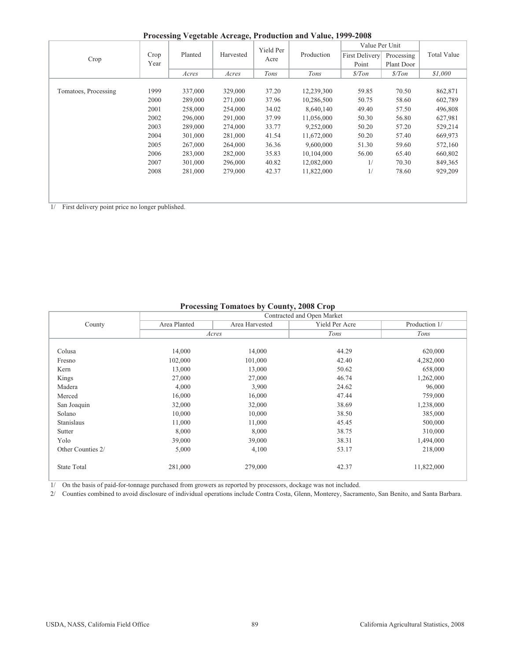**Processing Vegetable Acreage, Production and Value, 1999-2008**

| Trocessing regularity refeatingly requirement and randed 1999 2000 |      |         |           |           |            |                |                  |                    |  |  |  |
|--------------------------------------------------------------------|------|---------|-----------|-----------|------------|----------------|------------------|--------------------|--|--|--|
|                                                                    |      |         |           | Yield Per |            | Value Per Unit |                  |                    |  |  |  |
| Crop                                                               | Crop | Planted | Harvested | Acre      | Production | First Delivery | Processing       | <b>Total Value</b> |  |  |  |
|                                                                    | Year |         |           |           |            | Point          | Plant Door       |                    |  |  |  |
|                                                                    |      | Acres   | Acres     | Tons      | Tons       | $\frac{s}{T}$  | $\frac{s}{T}$ on | \$1,000            |  |  |  |
|                                                                    |      |         |           |           |            |                |                  |                    |  |  |  |
| Tomatoes, Processing                                               | 1999 | 337,000 | 329,000   | 37.20     | 12,239,300 | 59.85          | 70.50            | 862,871            |  |  |  |
|                                                                    | 2000 | 289,000 | 271,000   | 37.96     | 10,286,500 | 50.75          | 58.60            | 602,789            |  |  |  |
|                                                                    | 2001 | 258,000 | 254,000   | 34.02     | 8,640,140  | 49.40          | 57.50            | 496,808            |  |  |  |
|                                                                    | 2002 | 296,000 | 291,000   | 37.99     | 11,056,000 | 50.30          | 56.80            | 627,981            |  |  |  |
|                                                                    | 2003 | 289,000 | 274,000   | 33.77     | 9,252,000  | 50.20          | 57.20            | 529,214            |  |  |  |
|                                                                    | 2004 | 301,000 | 281,000   | 41.54     | 11,672,000 | 50.20          | 57.40            | 669,973            |  |  |  |
|                                                                    | 2005 | 267,000 | 264,000   | 36.36     | 9,600,000  | 51.30          | 59.60            | 572,160            |  |  |  |
|                                                                    | 2006 | 283,000 | 282,000   | 35.83     | 10,104,000 | 56.00          | 65.40            | 660,802            |  |  |  |
|                                                                    | 2007 | 301,000 | 296,000   | 40.82     | 12,082,000 | 1/             | 70.30            | 849,365            |  |  |  |
|                                                                    | 2008 | 281,000 | 279,000   | 42.37     | 11,822,000 | 1/             | 78.60            | 929,209            |  |  |  |
|                                                                    |      |         |           |           |            |                |                  |                    |  |  |  |
|                                                                    |      |         |           |           |            |                |                  |                    |  |  |  |
|                                                                    |      |         |           |           |            |                |                  |                    |  |  |  |

1/ First delivery point price no longer published.

|                    |                |                | Contracted and Open Market |               |
|--------------------|----------------|----------------|----------------------------|---------------|
| County             | Area Planted   | Area Harvested | Yield Per Acre             | Production 1/ |
|                    |                | Acres          | Tons                       | Tons          |
| Colusa             | 14,000         | 14,000         | 44.29                      | 620,000       |
| Fresno             | 102,000        | 101,000        | 42.40                      | 4,282,000     |
| Kern               | 13,000         | 13,000         | 50.62                      | 658,000       |
| Kings              | 27,000         | 27,000         | 46.74                      | 1,262,000     |
| Madera             | 4,000          | 3,900          | 24.62                      | 96,000        |
| Merced             | 16,000         | 16,000         | 47.44                      | 759,000       |
| San Joaquin        | 32,000         | 32,000         | 38.69                      | 1,238,000     |
| Solano             | 10,000         | 10,000         | 38.50                      | 385,000       |
| Stanislaus         | 11,000         | 11,000         | 45.45                      | 500,000       |
| Sutter             | 8,000          | 8,000          | 38.75                      | 310,000       |
| Yolo               | 39,000         | 39,000         | 38.31                      | 1,494,000     |
| Other Counties 2/  | 5,000<br>4,100 |                | 53.17                      | 218,000       |
| <b>State Total</b> | 281,000        | 279,000        | 42.37                      | 11,822,000    |
|                    |                |                |                            |               |

#### **Processing Tomatoes by County, 2008 Crop**

1/ On the basis of paid-for-tonnage purchased from growers as reported by processors, dockage was not included.

2/ Counties combined to avoid disclosure of individual operations include Contra Costa, Glenn, Monterey, Sacramento, San Benito, and Santa Barbara.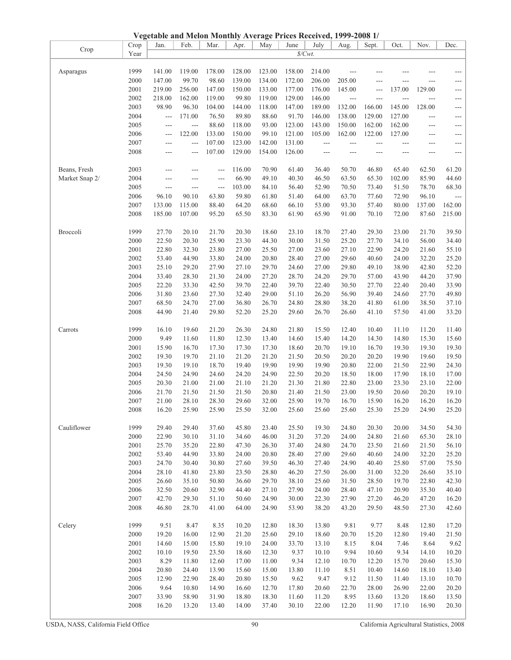| Vegetable and Melon Monthly Average Prices Received, 1999-2008 1/ |  |  |
|-------------------------------------------------------------------|--|--|
|                                                                   |  |  |

|                |      | vegetable and Melon Monthly Average Prices Received, 1999-2008 1/ |        |                |        |        |                 |        |                |                          |                |                     |                     |
|----------------|------|-------------------------------------------------------------------|--------|----------------|--------|--------|-----------------|--------|----------------|--------------------------|----------------|---------------------|---------------------|
| Crop           | Crop | Jan.                                                              | Feb.   | Mar.           | Apr.   | May    | June            | July   | Aug.           | Sept.                    | Oct.           | Nov.                | Dec.                |
|                | Year |                                                                   |        |                |        |        | $\sqrt{$Cwt}$ . |        |                |                          |                |                     |                     |
|                |      |                                                                   |        |                |        |        |                 |        |                |                          |                |                     |                     |
|                | 1999 | 141.00                                                            | 119.00 | 178.00         | 128.00 | 123.00 | 158.00          | 214.00 |                |                          |                |                     | ---                 |
| Asparagus      |      |                                                                   |        |                |        |        |                 |        |                |                          |                |                     |                     |
|                | 2000 | 147.00                                                            | 99.70  | 98.60          | 139.00 | 134.00 | 172.00          | 206.00 | 205.00         | $---$                    |                |                     | ---                 |
|                | 2001 | 219.00                                                            | 256.00 | 147.00         | 150.00 | 133.00 | 177.00          | 176.00 | 145.00         | $\overline{\phantom{a}}$ | 137.00         | 129.00              | ---                 |
|                | 2002 | 218.00                                                            | 162.00 | 119.00         | 99.80  | 119.00 | 129.00          | 146.00 | $\overline{a}$ | ---                      | $\overline{a}$ | $\overline{a}$      | ---                 |
|                | 2003 | 98.90                                                             | 96.30  | 104.00         | 144.00 | 118.00 | 147.00          | 189.00 | 132.00         | 166.00                   | 145.00         | 128.00              | ---                 |
|                | 2004 | $---$                                                             | 171.00 | 76.50          | 89.80  | 88.60  | 91.70           | 146.00 | 138.00         | 129.00                   | 127.00         |                     |                     |
|                |      |                                                                   |        |                |        |        |                 |        |                |                          |                | $---$               | $---$               |
|                | 2005 | $---$                                                             | $---$  | 88.60          | 118.00 | 93.00  | 123.00          | 143.00 | 150.00         | 162.00                   | 162.00         | $\qquad \qquad - -$ | $\qquad \qquad - -$ |
|                | 2006 | $\cdots$                                                          | 122.00 | 133.00         | 150.00 | 99.10  | 121.00          | 105.00 | 162.00         | 122.00                   | 127.00         | $---$               | ---                 |
|                | 2007 | $---$                                                             | $---$  | 107.00         | 123.00 | 142.00 | 131.00          | $---$  | ---            | $---$                    | ---            | $---$               | $---$               |
|                | 2008 | ---                                                               | ---    | 107.00         | 129.00 | 154.00 | 126.00          |        | ---            | ---                      |                | ---                 | ---                 |
|                |      |                                                                   |        |                |        |        |                 |        |                |                          |                |                     |                     |
|                |      |                                                                   |        |                |        |        |                 |        |                |                          |                |                     |                     |
| Beans, Fresh   | 2003 | ---                                                               | ---    | $---$          | 116.00 | 70.90  | 61.40           | 36.40  | 50.70          | 46.80                    | 65.40          | 62.50               | 61.20               |
| Market Snap 2/ | 2004 | $---$                                                             | ---    | $\overline{a}$ | 66.90  | 49.10  | 40.30           | 46.50  | 63.50          | 65.30                    | 102.00         | 85.90               | 44.60               |
|                | 2005 | $\cdots$                                                          | $---$  | $---$          | 103.00 | 84.10  | 56.40           | 52.90  | 70.50          | 73.40                    | 51.50          | 78.70               | 68.30               |
|                | 2006 | 96.10                                                             | 90.10  | 63.80          | 59.80  | 61.80  | 51.40           | 64.00  | 63.70          | 77.60                    | 72.90          | 96.10               | ---                 |
|                | 2007 | 133.00                                                            | 115.00 | 88.40          | 64.20  | 68.60  | 66.10           | 53.00  | 93.30          | 57.40                    | 80.00          | 137.00              | 162.00              |
|                |      |                                                                   |        |                |        |        |                 |        |                |                          |                |                     |                     |
|                | 2008 | 185.00                                                            | 107.00 | 95.20          | 65.50  | 83.30  | 61.90           | 65.90  | 91.00          | 70.10                    | 72.00          | 87.60               | 215.00              |
|                |      |                                                                   |        |                |        |        |                 |        |                |                          |                |                     |                     |
| Broccoli       | 1999 | 27.70                                                             | 20.10  | 21.70          | 20.30  | 18.60  | 23.10           | 18.70  | 27.40          | 29.30                    | 23.00          | 21.70               | 39.50               |
|                | 2000 | 22.50                                                             | 20.30  | 25.90          | 23.30  | 44.30  | 30.00           | 31.50  | 25.20          | 27.70                    | 34.10          | 56.00               | 34.40               |
|                | 2001 | 22.80                                                             | 32.30  | 23.80          | 27.00  | 25.50  | 27.00           | 23.60  | 27.10          | 22.90                    | 24.20          | 21.60               | 55.10               |
|                |      |                                                                   |        |                |        |        |                 |        |                |                          |                |                     |                     |
|                | 2002 | 53.40                                                             | 44.90  | 33.80          | 24.00  | 20.80  | 28.40           | 27.00  | 29.60          | 40.60                    | 24.00          | 32.20               | 25.20               |
|                | 2003 | 25.10                                                             | 29.20  | 27.90          | 27.10  | 29.70  | 24.60           | 27.00  | 29.80          | 49.10                    | 38.90          | 42.80               | 52.20               |
|                | 2004 | 33.40                                                             | 28.30  | 21.30          | 24.00  | 27.20  | 28.70           | 24.20  | 29.70          | 57.00                    | 43.90          | 44.20               | 37.90               |
|                | 2005 | 22.20                                                             | 33.30  | 42.50          | 39.70  | 22.40  | 39.70           | 22.40  | 30.50          | 27.70                    | 22.40          | 20.40               | 33.90               |
|                | 2006 | 31.80                                                             | 23.60  | 27.30          | 32.40  | 29.00  | 51.10           | 26.20  | 56.90          | 39.40                    | 24.60          | 27.70               | 49.80               |
|                | 2007 | 68.50                                                             | 24.70  | 27.00          | 36.80  | 26.70  | 24.80           | 28.80  | 38.20          | 41.80                    | 61.00          | 38.50               | 37.10               |
|                |      |                                                                   |        |                |        |        |                 |        |                |                          |                |                     |                     |
|                | 2008 | 44.90                                                             | 21.40  | 29.80          | 52.20  | 25.20  | 29.60           | 26.70  | 26.60          | 41.10                    | 57.50          | 41.00               | 33.20               |
|                |      |                                                                   |        |                |        |        |                 |        |                |                          |                |                     |                     |
| Carrots        | 1999 | 16.10                                                             | 19.60  | 21.20          | 26.30  | 24.80  | 21.80           | 15.50  | 12.40          | 10.40                    | 11.10          | 11.20               | 11.40               |
|                | 2000 | 9.49                                                              | 11.60  | 11.80          | 12.30  | 13.40  | 14.60           | 15.40  | 14.20          | 14.30                    | 14.80          | 15.30               | 15.60               |
|                | 2001 | 15.90                                                             | 16.70  | 17.30          | 17.30  | 17.30  | 18.60           | 20.70  | 19.10          | 16.70                    | 19.30          | 19.30               | 19.30               |
|                | 2002 | 19.30                                                             | 19.70  | 21.10          | 21.20  | 21.20  | 21.50           | 20.50  | 20.20          | 20.20                    | 19.90          | 19.60               | 19.50               |
|                | 2003 | 19.30                                                             | 19.10  | 18.70          | 19.40  | 19.90  | 19.90           | 19.90  | 20.80          | 22.00                    | 21.50          | 22.90               |                     |
|                |      |                                                                   |        |                |        |        |                 |        |                |                          |                |                     | 24.30               |
|                | 2004 | 24.50                                                             | 24.90  | 24.60          | 24.20  | 24.90  | 22.50           | 20.20  | 18.50          | 18.00                    | 17.90          | 18.10               | 17.00               |
|                | 2005 | 20.30                                                             | 21.00  | 21.00          | 21.10  | 21.20  | 21.30           | 21.80  | 22.80          | 23.00                    | 23.30          | 23.10               | 22.00               |
|                | 2006 | 21.70                                                             | 21.50  | 21.50          | 21.50  | 20.80  | 21.40           | 21.50  | 23.00          | 19.50                    | 20.60          | 20.20               | 19.10               |
|                | 2007 | 21.00                                                             | 28.10  | 28.30          | 29.60  | 32.00  | 25.90           | 19.70  | 16.70          | 15.90                    | 16.20          | 16.20               | 16.20               |
|                | 2008 | 16.20                                                             | 25.90  | 25.90          | 25.50  | 32.00  | 25.60           | 25.60  | 25.60          | 25.30                    | 25.20          | 24.90               | 25.20               |
|                |      |                                                                   |        |                |        |        |                 |        |                |                          |                |                     |                     |
|                |      |                                                                   |        |                |        |        |                 |        |                |                          |                |                     |                     |
| Cauliflower    | 1999 | 29.40                                                             | 29.40  | 37.60          | 45.80  | 23.40  | 25.50           | 19.30  | 24.80          | 20.30                    | 20.00          | 34.50               | 54.30               |
|                | 2000 | 22.90                                                             | 30.10  | 31.10          | 34.60  | 46.00  | 31.20           | 37.20  | 24.00          | 24.80                    | 21.60          | 65.30               | 28.10               |
|                | 2001 | 25.70                                                             | 35.20  | 22.80          | 47.30  | 26.30  | 37.40           | 24.80  | 24.70          | 23.50                    | 21.60          | 21.50               | 56.10               |
|                | 2002 | 53.40                                                             | 44.90  | 33.80          | 24.00  | 20.80  | 28.40           | 27.00  | 29.60          | 40.60                    | 24.00          | 32.20               | 25.20               |
|                | 2003 | 24.70                                                             | 30.40  | 30.80          | 27.60  | 39.50  | 46.30           | 27.40  | 24.90          | 40.40                    | 25.80          | 57.00               | 75.50               |
|                |      |                                                                   |        |                |        |        |                 |        |                |                          |                |                     |                     |
|                | 2004 | 28.10                                                             | 41.80  | 23.80          | 23.50  | 28.80  | 46.20           | 27.50  | 26.00          | 31.00                    | 32.20          | 26.60               | 35.10               |
|                | 2005 | 26.60                                                             | 35.10  | 50.80          | 36.60  | 29.70  | 38.10           | 25.60  | 31.50          | 28.50                    | 19.70          | 22.80               | 42.30               |
|                | 2006 | 32.50                                                             | 20.60  | 32.90          | 44.40  | 27.10  | 27.90           | 24.00  | 28.40          | 47.10                    | 20.90          | 35.30               | 40.40               |
|                | 2007 | 42.70                                                             | 29.30  | 51.10          | 50.60  | 24.90  | 30.00           | 22.30  | 27.90          | 27.20                    | 46.20          | 47.20               | 16.20               |
|                | 2008 | 46.80                                                             | 28.70  | 41.00          | 64.00  | 24.90  | 53.90           | 38.20  | 43.20          | 29.50                    | 48.50          | 27.30               | 42.60               |
|                |      |                                                                   |        |                |        |        |                 |        |                |                          |                |                     |                     |
|                |      |                                                                   |        |                |        |        |                 |        |                |                          |                |                     |                     |
| Celery         | 1999 | 9.51                                                              | 8.47   | 8.35           | 10.20  | 12.80  | 18.30           | 13.80  | 9.81           | 9.77                     | 8.48           | 12.80               | 17.20               |
|                | 2000 | 19.20                                                             | 16.00  | 12.90          | 21.20  | 25.60  | 29.10           | 18.60  | 20.70          | 15.20                    | 12.80          | 19.40               | 21.50               |
|                | 2001 | 14.60                                                             | 15.00  | 15.80          | 19.10  | 24.00  | 33.70           | 13.10  | 8.15           | 8.04                     | 7.46           | 8.64                | 9.62                |
|                | 2002 | 10.10                                                             | 19.50  | 23.50          | 18.60  | 12.30  | 9.37            | 10.10  | 9.94           | 10.60                    | 9.34           | 14.10               | 10.20               |
|                | 2003 | 8.29                                                              | 11.80  | 12.60          | 17.00  | 11.00  | 9.34            | 12.10  | 10.70          | 12.20                    | 15.70          | 20.60               | 15.30               |
|                |      |                                                                   |        |                |        |        |                 |        |                |                          |                |                     |                     |
|                | 2004 | 20.80                                                             | 24.40  | 13.90          | 15.60  | 15.00  | 13.80           | 11.10  | 8.51           | 10.40                    | 14.60          | 18.10               | 13.40               |
|                | 2005 | 12.90                                                             | 22.90  | 28.40          | 20.80  | 15.50  | 9.62            | 9.47   | 9.12           | 11.50                    | 11.40          | 13.10               | 10.70               |
|                | 2006 | 9.64                                                              | 10.80  | 14.90          | 16.60  | 12.70  | 17.80           | 20.60  | 22.70          | 28.00                    | 26.90          | 22.00               | 20.20               |
|                | 2007 | 33.90                                                             | 58.90  | 31.90          | 18.80  | 18.30  | 11.60           | 11.20  | 8.95           | 13.60                    | 13.20          | 18.60               | 13.50               |
|                | 2008 | 16.20                                                             | 13.20  | 13.40          | 14.00  | 37.40  | 30.10           | 22.00  | 12.20          | 11.90                    | 17.10          | 16.90               | 20.30               |
|                |      |                                                                   |        |                |        |        |                 |        |                |                          |                |                     |                     |
|                |      |                                                                   |        |                |        |        |                 |        |                |                          |                |                     |                     |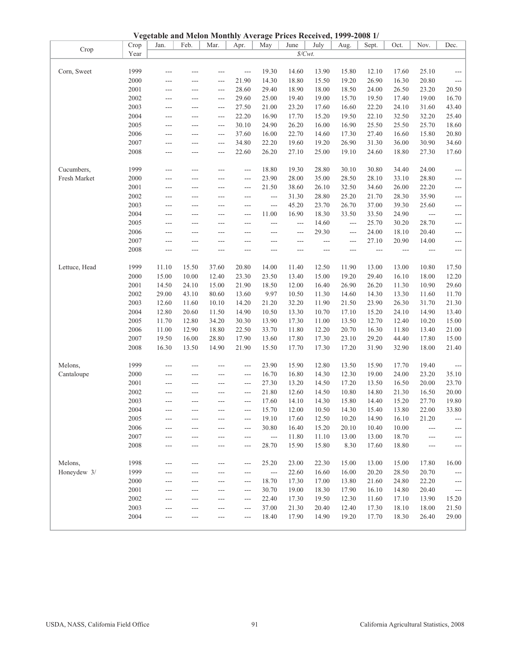| 2000<br>21.90<br>14.30<br>18.80<br>15.50<br>19.20<br>26.90<br>16.30<br>20.80<br>---<br>$---$<br>---<br>2001<br>28.60<br>29.40<br>18.90<br>18.00<br>18.50<br>24.00<br>26.50<br>23.20<br>---<br>$---$<br>$\qquad \qquad -$ | $\qquad \qquad - -$<br>20.50             |
|--------------------------------------------------------------------------------------------------------------------------------------------------------------------------------------------------------------------------|------------------------------------------|
|                                                                                                                                                                                                                          |                                          |
|                                                                                                                                                                                                                          |                                          |
| 2002<br>29.60<br>25.00<br>19.00<br>15.70<br>19.50<br>17.40<br>19.00<br>19.40<br>$---$<br>$---$<br>$---$                                                                                                                  | 16.70                                    |
| 2003<br>27.50<br>21.00<br>23.20<br>17.60<br>16.60<br>22.20<br>24.10<br>31.60<br>$\overline{a}$<br>$---$<br>$---$                                                                                                         | 43.40                                    |
| 2004<br>22.20<br>16.90<br>17.70<br>15.20<br>19.50<br>22.10<br>32.50<br>32.20<br>$---$<br>$\overline{a}$<br>$---$                                                                                                         | 25.40                                    |
| 2005<br>30.10<br>24.90<br>26.20<br>16.00<br>16.90<br>25.50<br>25.50<br>25.70<br>$\overline{a}$<br>$---$<br>$---$                                                                                                         | 18.60                                    |
| 2006<br>37.60<br>16.00<br>22.70<br>17.30<br>27.40<br>16.60<br>15.80<br>14.60<br>$\overline{a}$<br>$---$<br>$---$                                                                                                         | 20.80                                    |
| 2007<br>22.20<br>19.60<br>26.90<br>31.30<br>36.00<br>30.90<br>34.80<br>19.20<br>---<br>$---$<br>---                                                                                                                      | 34.60                                    |
| 2008<br>22.60<br>26.20<br>27.10<br>25.00<br>19.10<br>24.60<br>18.80<br>27.30<br>---<br>$---$<br>---                                                                                                                      | 17.60                                    |
|                                                                                                                                                                                                                          |                                          |
| 1999<br>Cucumbers,<br>18.80<br>19.30<br>28.80<br>30.10<br>30.80<br>34.40<br>24.00<br>$\overline{a}$<br>---<br>$---$<br>$---$                                                                                             | $\cdots$                                 |
| Fresh Market<br>2000<br>23.90<br>28.00<br>35.00<br>28.50<br>28.10<br>33.10<br>28.80<br>---<br>$---$<br>$---$<br>$---$                                                                                                    | $\qquad \qquad - -$                      |
| 2001<br>21.50<br>38.60<br>26.10<br>32.50<br>34.60<br>26.00<br>22.20<br>---<br>$\overline{a}$<br>$---$<br>---                                                                                                             | $\cdots$                                 |
| 2002<br>31.30<br>28.80<br>25.20<br>21.70<br>28.30<br>35.90<br>$\overline{a}$<br>$\overline{a}$<br>---<br>---<br>$---$                                                                                                    | $\qquad \qquad - -$                      |
| 2003<br>26.70<br>25.60<br>45.20<br>23.70<br>37.00<br>39.30<br>$\overline{a}$<br>$---$<br>$---$<br>$---$<br>$---$                                                                                                         | $-\, -\, -$                              |
| 2004<br>11.00<br>16.90<br>18.30<br>33.50<br>24.90<br>33.50<br>$\overline{a}$<br>$---$<br>$---$<br>$---$<br>$---$                                                                                                         | $---$                                    |
| 2005<br>14.60<br>25.70<br>30.20<br>28.70<br>$\overline{\phantom{a}}$<br>$---$<br>$\overline{\phantom{a}}$<br>---<br>---<br>---<br>---                                                                                    | ---                                      |
| 2006<br>24.00<br>18.10<br>29.30<br>20.40<br>$---$<br>$---$<br>---<br>---<br>---<br>---<br>---                                                                                                                            | $\qquad \qquad - -$                      |
| 2007<br>27.10<br>20.90<br>14.00<br>$---$<br>$---$<br>$---$<br>$---$<br>$- - -$<br>$\qquad \qquad -$<br>$---$<br>$---$                                                                                                    | $\qquad \qquad - -$                      |
| 2008<br>$\overline{a}$<br>$\overline{a}$<br>$---$<br>$---$<br>$---$<br>$\overline{a}$<br>$---$<br>$---$<br>$--$<br>$\qquad \qquad -$                                                                                     | $\cdots$                                 |
|                                                                                                                                                                                                                          |                                          |
| 1999<br>11.10<br>15.50<br>37.60<br>20.80<br>14.00<br>11.40<br>12.50<br>11.90<br>13.00<br>13.00<br>10.80<br>Lettuce, Head                                                                                                 | 17.50                                    |
| 2000<br>15.00<br>10.00<br>23.30<br>23.50<br>15.00<br>19.20<br>29.40<br>16.10<br>18.00<br>12.40<br>13.40                                                                                                                  | 12.20                                    |
| 2001<br>24.10<br>15.00<br>26.20<br>10.90<br>14.50<br>21.90<br>18.50<br>12.00<br>16.40<br>26.90<br>11.30                                                                                                                  | 29.60                                    |
| 2002<br>29.00<br>43.10<br>80.60<br>9.97<br>14.30<br>13.60<br>10.50<br>11.30<br>14.60<br>13.30<br>11.60                                                                                                                   | 11.70                                    |
| 2003<br>23.90<br>26.30<br>31.70<br>12.60<br>11.60<br>10.10<br>14.20<br>21.20<br>32.20<br>11.90<br>21.50                                                                                                                  | 21.30                                    |
| 2004<br>12.80<br>11.50<br>10.50<br>13.30<br>10.70<br>17.10<br>15.20<br>24.10<br>14.90<br>20.60<br>14.90                                                                                                                  | 13.40                                    |
| 2005<br>11.70<br>12.80<br>34.20<br>30.30<br>13.90<br>17.30<br>11.00<br>13.50<br>12.70<br>12.40<br>10.20                                                                                                                  | 15.00                                    |
| 2006<br>11.00<br>12.90<br>18.80<br>22.50<br>33.70<br>11.80<br>12.20<br>20.70<br>16.30<br>11.80<br>13.40                                                                                                                  | 21.00                                    |
| 2007<br>19.50<br>16.00<br>28.80<br>17.90<br>13.60<br>17.80<br>17.30<br>23.10<br>29.20<br>44.40<br>17.80                                                                                                                  | 15.00                                    |
| 2008<br>16.30<br>13.50<br>14.90<br>21.90<br>15.50<br>17.70<br>17.30<br>17.20<br>31.90<br>32.90<br>18.00                                                                                                                  | 21.40                                    |
|                                                                                                                                                                                                                          |                                          |
| 1999<br>23.90<br>15.90<br>12.80<br>13.50<br>15.90<br>17.70<br>Melons,<br>19.40<br>---<br>---<br>$---$<br>---                                                                                                             | $---$                                    |
| 2000<br>16.70<br>16.80<br>14.30<br>12.30<br>19.00<br>24.00<br>23.20<br>Cantaloupe<br>$---$<br>---<br>$---$<br>$---$                                                                                                      | 35.10                                    |
| 2001<br>27.30<br>16.50<br>13.20<br>14.50<br>17.20<br>13.50<br>20.00<br>$\overline{\phantom{a}}$<br>$---$<br>---<br>$---$                                                                                                 | 23.70                                    |
| 2002<br>21.80<br>12.60<br>14.50<br>10.80<br>14.80<br>21.30<br>16.50<br>---<br>---<br>$---$<br>---                                                                                                                        | 20.00                                    |
| 2003<br>17.60<br>14.10<br>14.30<br>15.80<br>15.20<br>27.70<br>14.40<br>$---$<br>$---$<br>$---$<br>$\qquad \qquad -$                                                                                                      | 19.80                                    |
| 2004<br>15.70<br>12.00<br>10.50<br>14.30<br>15.40<br>13.80<br>22.00<br>$---$<br>$---$<br>$---$<br>$---$                                                                                                                  | 33.80                                    |
| 2005<br>19.10<br>12.50<br>10.20<br>14.90<br>16.10<br>21.20<br>17.60<br>---<br>$---$<br>$---$<br>$---$                                                                                                                    | $\overline{\phantom{a}}$                 |
| 2006<br>30.80<br>15.20<br>20.10<br>10.00<br>16.40<br>10.40<br>---<br>$---$<br>---<br>---<br>---                                                                                                                          | $\hspace{0.05cm} \ldots \hspace{0.05cm}$ |
| 2007<br>11.80<br>11.10<br>13.00<br>13.00<br>18.70<br>$---$<br>$---$<br>$---$<br>$---$<br>$---$<br>$---$                                                                                                                  | $\sim$ $\sim$                            |
| 2008<br>28.70<br>15.90<br>15.80<br>8.30<br>17.60<br>18.80                                                                                                                                                                |                                          |
|                                                                                                                                                                                                                          |                                          |
| Melons,<br>1998<br>25.20<br>23.00<br>22.30<br>15.00<br>13.00<br>15.00<br>17.80<br>---<br>$---$<br>---<br>$---$                                                                                                           | 16.00                                    |
| Honeydew 3/<br>1999<br>22.60<br>16.60<br>16.00<br>20.20<br>28.50<br>20.70<br>$---$<br>$\overline{\phantom{a}}$<br>---<br>$---$<br>$---$                                                                                  | $\sim$ $\sim$                            |
| 2000<br>18.70<br>17.30<br>17.00<br>13.80<br>21.60<br>24.80<br>22.20<br>$---$<br>$---$<br>$---$<br>$---$                                                                                                                  | $\scriptstyle\cdots$                     |
| 2001<br>30.70<br>19.00<br>18.30<br>17.90<br>16.10<br>14.80<br>20.40<br>---<br>$---$<br>---<br>---                                                                                                                        | $---$                                    |
| 2002<br>22.40<br>17.30<br>19.50<br>12.30<br>17.10<br>13.90<br>11.60<br>---<br>$---$                                                                                                                                      | 15.20                                    |
| 2003<br>37.00<br>21.30<br>12.40<br>17.30<br>18.10<br>18.00<br>20.40<br>---<br>---                                                                                                                                        | 21.50                                    |
| 2004<br>17.70<br>18.40<br>17.90<br>14.90<br>19.20<br>18.30<br>26.40<br>---                                                                                                                                               | 29.00                                    |
|                                                                                                                                                                                                                          |                                          |

Jan. | Feb. | Mar. | Apr. | May | June | July | Aug. | Sept. | Oct. | Nov.

*\$/Cwt.*

**Vegetable and Melon Monthly Average Prices Received, 1999-2008 1/**<br>Crop Lan. | Feb. | Mar. | Apr. | May | June | July | Aug. | Sept.

Crop Crop

Year

Dec.